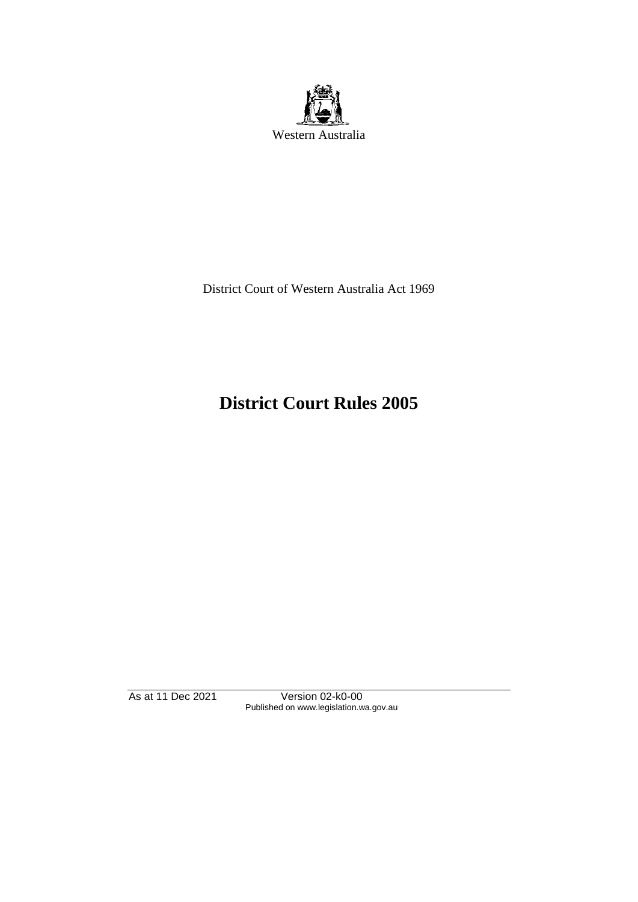

District Court of Western Australia Act 1969

# **District Court Rules 2005**

As at 11 Dec 2021 Version 02-k0-00 Published on www.legislation.wa.gov.au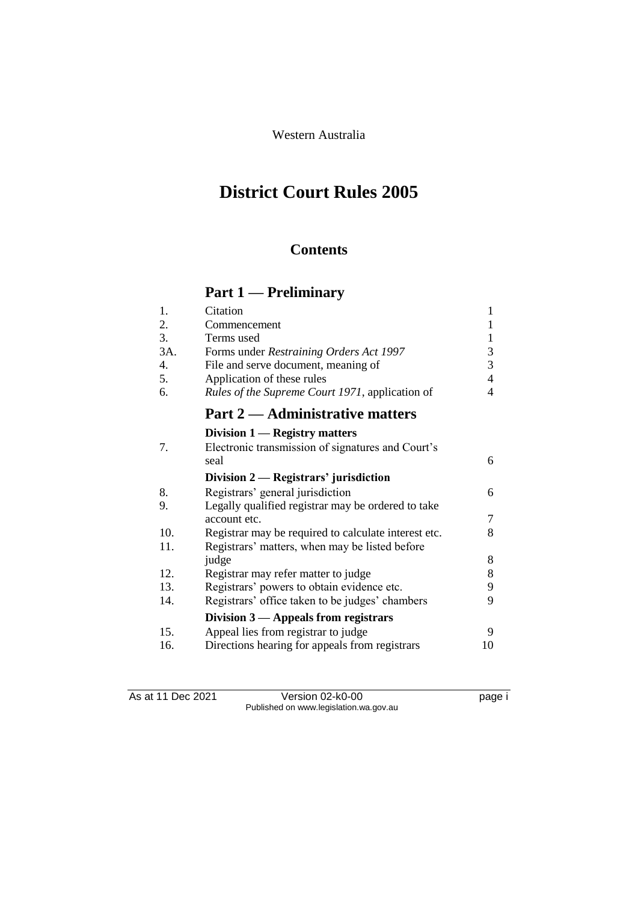Western Australia

# **District Court Rules 2005**

# **Contents**

# **Part 1 — Preliminary**

| 1.  | Citation                                             | 1  |
|-----|------------------------------------------------------|----|
| 2.  | Commencement                                         | 1  |
| 3.  | Terms used                                           | 1  |
| 3A. | Forms under Restraining Orders Act 1997              | 3  |
| 4.  | File and serve document, meaning of                  | 3  |
| 5.  | Application of these rules                           | 4  |
| 6.  | Rules of the Supreme Court 1971, application of      | 4  |
|     | <b>Part 2 — Administrative matters</b>               |    |
|     | Division 1 — Registry matters                        |    |
| 7.  | Electronic transmission of signatures and Court's    |    |
|     | seal                                                 | 6  |
|     | Division $2$ - Registrars' jurisdiction              |    |
| 8.  | Registrars' general jurisdiction                     | 6  |
| 9.  | Legally qualified registrar may be ordered to take   |    |
|     | account etc.                                         | 7  |
| 10. | Registrar may be required to calculate interest etc. | 8  |
| 11. | Registrars' matters, when may be listed before       |    |
|     | judge                                                | 8  |
| 12. | Registrar may refer matter to judge                  | 8  |
| 13. | Registrars' powers to obtain evidence etc.           | 9  |
| 14. | Registrars' office taken to be judges' chambers      | 9  |
|     | Division $3$ — Appeals from registrars               |    |
| 15. | Appeal lies from registrar to judge                  | 9  |
| 16. | Directions hearing for appeals from registrars       | 10 |

As at 11 Dec 2021 Version 02-k0-00 Page i Published on www.legislation.wa.gov.au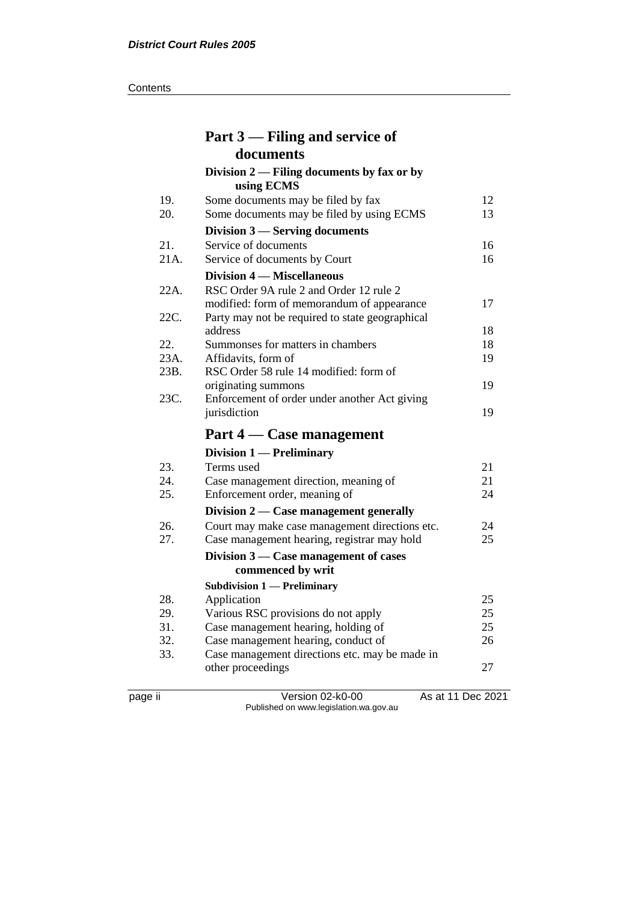#### **Contents**

|              | Part 3 – Filing and service of                                                                                                           |          |
|--------------|------------------------------------------------------------------------------------------------------------------------------------------|----------|
|              | documents                                                                                                                                |          |
|              | Division $2$ — Filing documents by fax or by<br>using ECMS                                                                               |          |
| 19.<br>20.   | Some documents may be filed by fax<br>Some documents may be filed by using ECMS                                                          | 12<br>13 |
|              | Division $3$ — Serving documents                                                                                                         |          |
| 21.<br>21A.  | Service of documents<br>Service of documents by Court                                                                                    | 16<br>16 |
|              | Division 4 – Miscellaneous                                                                                                               |          |
| 22A.<br>22C. | RSC Order 9A rule 2 and Order 12 rule 2<br>modified: form of memorandum of appearance<br>Party may not be required to state geographical | 17       |
|              | address                                                                                                                                  | 18       |
| 22.          | Summonses for matters in chambers                                                                                                        | 18       |
| 23A.         | Affidavits, form of                                                                                                                      | 19       |
| 23B.         | RSC Order 58 rule 14 modified: form of                                                                                                   |          |
|              | originating summons                                                                                                                      | 19       |
| 23C.         | Enforcement of order under another Act giving<br>jurisdiction                                                                            | 19       |
|              | Part 4 – Case management                                                                                                                 |          |
|              | Division 1 - Preliminary                                                                                                                 |          |
| 23.          | Terms used                                                                                                                               | 21       |
| 24.          | Case management direction, meaning of                                                                                                    | 21       |
| 25.          | Enforcement order, meaning of                                                                                                            | 24       |
|              | Division $2$ — Case management generally                                                                                                 |          |
| 26.          | Court may make case management directions etc.                                                                                           | 24       |
| 27.          | Case management hearing, registrar may hold                                                                                              | 25       |
|              | Division $3$ — Case management of cases                                                                                                  |          |
|              | commenced by writ                                                                                                                        |          |
| 28.          | <b>Subdivision 1 — Preliminary</b><br>Application                                                                                        | 25       |
| 29.          | Various RSC provisions do not apply                                                                                                      | 25       |
| 31.          | Case management hearing, holding of                                                                                                      | 25       |
| 32.          | Case management hearing, conduct of                                                                                                      | 26       |
| 33.          | Case management directions etc. may be made in                                                                                           |          |
|              | other proceedings                                                                                                                        | 27       |

page ii Version 02-k0-00 As at 11 Dec 2021 Published on www.legislation.wa.gov.au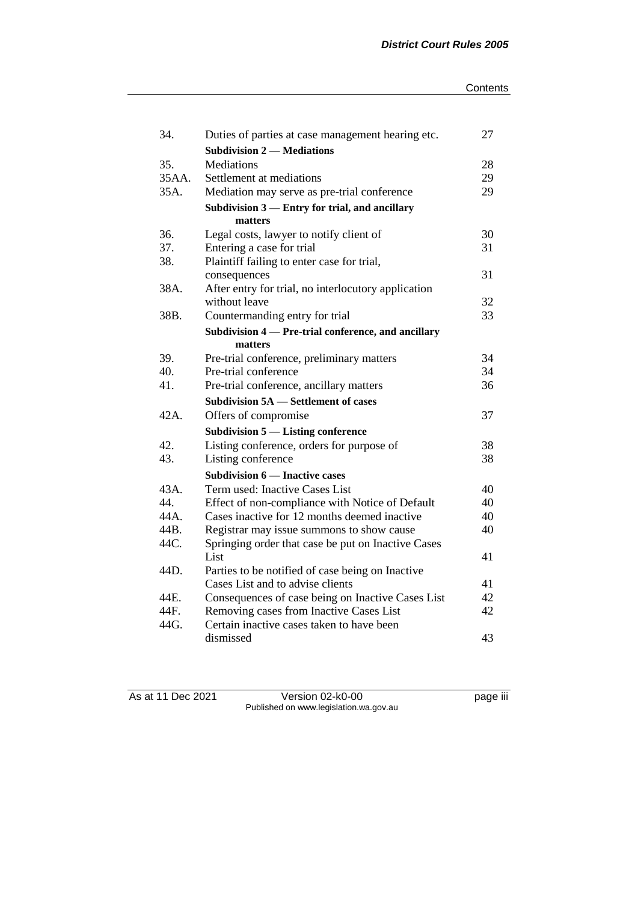| 34.   | Duties of parties at case management hearing etc.   | 27 |
|-------|-----------------------------------------------------|----|
|       | <b>Subdivision 2 — Mediations</b>                   |    |
| 35.   | Mediations                                          | 28 |
| 35AA. | Settlement at mediations                            | 29 |
| 35A.  | Mediation may serve as pre-trial conference         | 29 |
|       | Subdivision 3 - Entry for trial, and ancillary      |    |
|       | matters                                             |    |
| 36.   | Legal costs, lawyer to notify client of             | 30 |
| 37.   | Entering a case for trial                           | 31 |
| 38.   | Plaintiff failing to enter case for trial,          |    |
|       | consequences                                        | 31 |
| 38A.  | After entry for trial, no interlocutory application |    |
|       | without leave                                       | 32 |
| 38B.  | Countermanding entry for trial                      | 33 |
|       | Subdivision 4 - Pre-trial conference, and ancillary |    |
|       | matters                                             |    |
| 39.   | Pre-trial conference, preliminary matters           | 34 |
| 40.   | Pre-trial conference                                | 34 |
| 41.   | Pre-trial conference, ancillary matters             | 36 |
|       | <b>Subdivision 5A</b> – Settlement of cases         |    |
| 42A.  | Offers of compromise                                | 37 |
|       | Subdivision $5$ — Listing conference                |    |
| 42.   | Listing conference, orders for purpose of           | 38 |
| 43.   | Listing conference                                  | 38 |
|       | <b>Subdivision 6 – Inactive cases</b>               |    |
| 43A.  | Term used: Inactive Cases List                      | 40 |
| 44.   | Effect of non-compliance with Notice of Default     | 40 |
| 44A.  | Cases inactive for 12 months deemed inactive        | 40 |
| 44B.  | Registrar may issue summons to show cause           | 40 |
| 44C.  | Springing order that case be put on Inactive Cases  |    |
|       | List                                                | 41 |
| 44D.  | Parties to be notified of case being on Inactive    |    |
|       | Cases List and to advise clients                    | 41 |
| 44E.  | Consequences of case being on Inactive Cases List   | 42 |
| 44F.  | Removing cases from Inactive Cases List             | 42 |
| 44G.  | Certain inactive cases taken to have been           |    |
|       | dismissed                                           | 43 |

As at 11 Dec 2021 Version 02-k0-00 page iii Published on www.legislation.wa.gov.au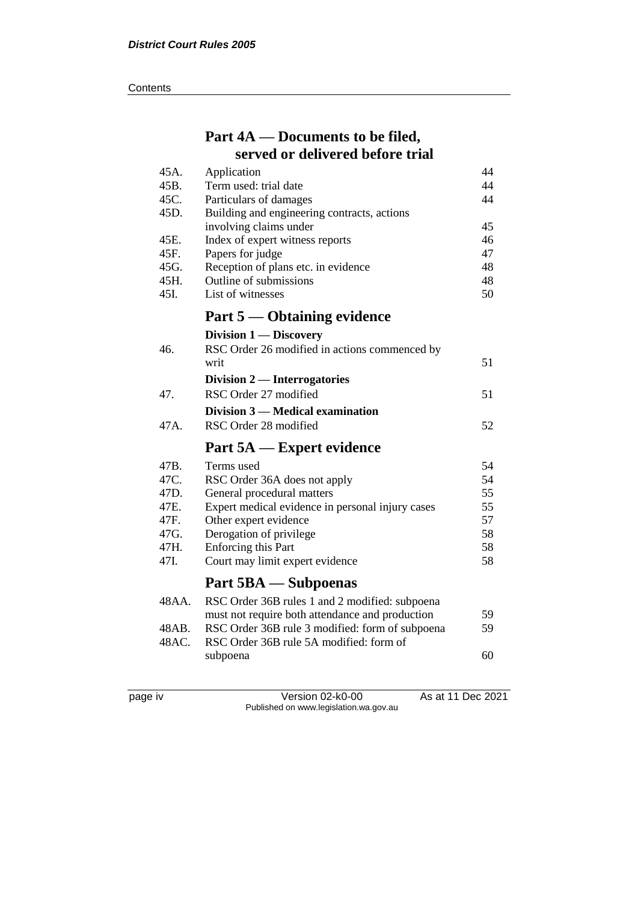#### **Contents**

# **Part 4A — Documents to be filed, served or delivered before trial**

| 45A.  | Application                                      | 44 |
|-------|--------------------------------------------------|----|
| 45B.  | Term used: trial date                            | 44 |
| 45C.  | Particulars of damages                           | 44 |
| 45D.  | Building and engineering contracts, actions      |    |
|       | involving claims under                           | 45 |
| 45E.  | Index of expert witness reports                  | 46 |
| 45F.  | Papers for judge                                 | 47 |
| 45G.  | Reception of plans etc. in evidence              | 48 |
| 45H.  | Outline of submissions                           | 48 |
| 45I.  | List of witnesses                                | 50 |
|       | Part 5 — Obtaining evidence                      |    |
|       | Division 1 — Discovery                           |    |
| 46.   | RSC Order 26 modified in actions commenced by    |    |
|       | writ                                             | 51 |
|       | Division 2 — Interrogatories                     |    |
| 47.   | RSC Order 27 modified                            | 51 |
|       | Division 3 — Medical examination                 |    |
|       |                                                  |    |
| 47A.  | RSC Order 28 modified                            | 52 |
|       | Part 5A — Expert evidence                        |    |
| 47B.  | Terms used                                       | 54 |
| 47C.  | RSC Order 36A does not apply                     | 54 |
| 47D.  | General procedural matters                       | 55 |
| 47E.  | Expert medical evidence in personal injury cases | 55 |
| 47F.  | Other expert evidence                            | 57 |
| 47G.  | Derogation of privilege                          | 58 |
| 47H.  | <b>Enforcing this Part</b>                       | 58 |
| 47I.  | Court may limit expert evidence                  | 58 |
|       | Part 5BA — Subpoenas                             |    |
| 48AA. | RSC Order 36B rules 1 and 2 modified: subpoena   |    |
|       | must not require both attendance and production  | 59 |
| 48AB. | RSC Order 36B rule 3 modified: form of subpoena  | 59 |
| 48AC. | RSC Order 36B rule 5A modified: form of          |    |
|       | subpoena                                         | 60 |
|       |                                                  |    |

page iv Version 02-k0-00 As at 11 Dec 2021 Published on www.legislation.wa.gov.au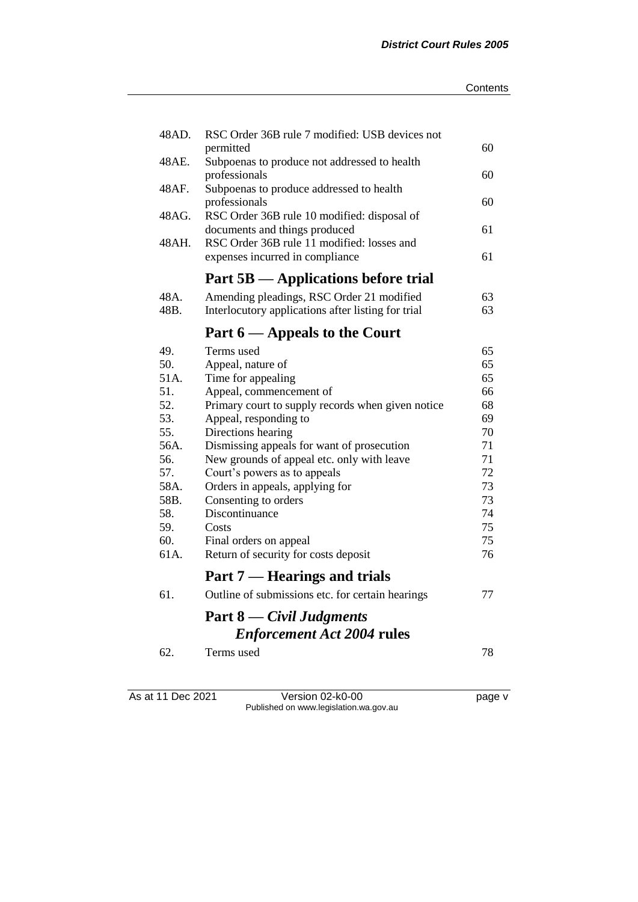| 48AD.        | RSC Order 36B rule 7 modified: USB devices not                                |          |
|--------------|-------------------------------------------------------------------------------|----------|
| 48AE.        | permitted<br>Subpoenas to produce not addressed to health                     | 60       |
|              | professionals                                                                 | 60       |
| 48AF.        | Subpoenas to produce addressed to health                                      |          |
|              | professionals                                                                 | 60       |
| 48AG.        | RSC Order 36B rule 10 modified: disposal of                                   |          |
|              | documents and things produced                                                 | 61       |
| 48AH.        | RSC Order 36B rule 11 modified: losses and<br>expenses incurred in compliance | 61       |
|              | Part 5B — Applications before trial                                           |          |
| 48A.         | Amending pleadings, RSC Order 21 modified                                     | 63       |
| 48B.         | Interlocutory applications after listing for trial                            | 63       |
|              |                                                                               |          |
|              | Part 6 – Appeals to the Court                                                 |          |
| 49.          | Terms used                                                                    | 65       |
| 50.          | Appeal, nature of                                                             | 65<br>65 |
| 51A.<br>51.  | Time for appealing<br>Appeal, commencement of                                 | 66       |
| 52.          | Primary court to supply records when given notice                             | 68       |
| 53.          | Appeal, responding to                                                         | 69       |
| 55.          | Directions hearing                                                            | 70       |
| 56A.         | Dismissing appeals for want of prosecution                                    | 71       |
| 56.          | New grounds of appeal etc. only with leave                                    | 71       |
| 57.          | Court's powers as to appeals                                                  | 72       |
| 58A.<br>58B. | Orders in appeals, applying for<br>Consenting to orders                       | 73<br>73 |
| 58.          | Discontinuance                                                                | 74       |
| 59.          | Costs                                                                         | 75       |
| 60.          | Final orders on appeal                                                        | 75       |
| 61A.         | Return of security for costs deposit                                          | 76       |
|              | Part 7 — Hearings and trials                                                  |          |
| 61.          | Outline of submissions etc. for certain hearings                              | 77       |
|              | <b>Part 8</b> — Civil Judgments                                               |          |
|              | <b>Enforcement Act 2004 rules</b>                                             |          |
| 62.          | Terms used                                                                    | 78       |
|              |                                                                               |          |
|              |                                                                               |          |

As at 11 Dec 2021 Version 02-k0-00 page v Published on www.legislation.wa.gov.au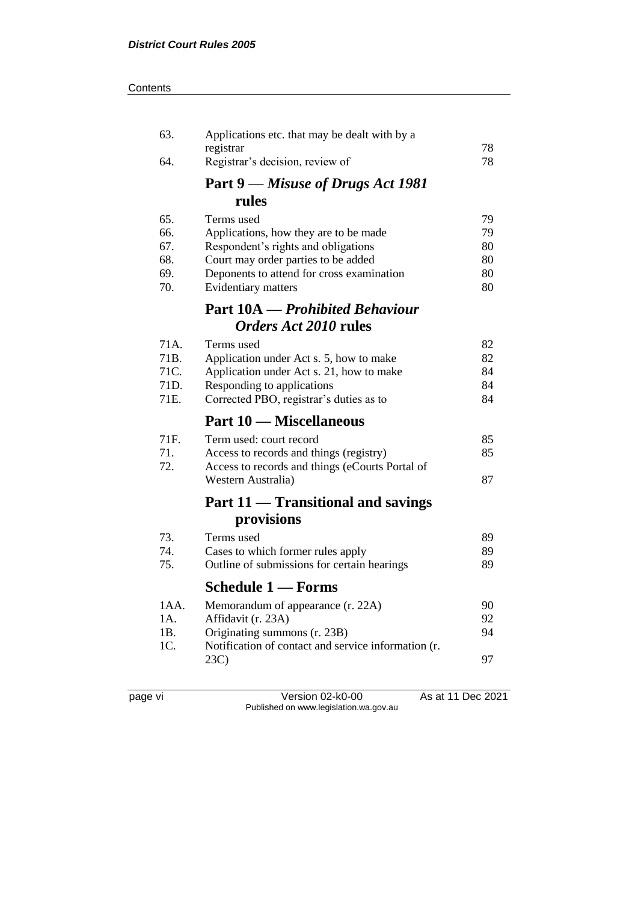#### **Contents**

| 63.        | Applications etc. that may be dealt with by a<br>registrar       | 78       |
|------------|------------------------------------------------------------------|----------|
| 64.        | Registrar's decision, review of                                  | 78       |
|            | <b>Part 9</b> — Misuse of Drugs Act 1981                         |          |
|            | rules                                                            |          |
| 65.        | Terms used                                                       | 79       |
| 66.        | Applications, how they are to be made                            | 79       |
| 67.        | Respondent's rights and obligations                              | 80       |
| 68.<br>69. | Court may order parties to be added                              | 80<br>80 |
| 70.        | Deponents to attend for cross examination<br>Evidentiary matters | 80       |
|            | <b>Part 10A</b> — Prohibited Behaviour                           |          |
|            | Orders Act 2010 rules                                            |          |
| 71A.       |                                                                  |          |
| 71B.       | Terms used<br>Application under Act s. 5, how to make            | 82<br>82 |
| 71C.       | Application under Act s. 21, how to make                         | 84       |
| 71D.       | Responding to applications                                       | 84       |
| 71E.       | Corrected PBO, registrar's duties as to                          | 84       |
|            | <b>Part 10 – Miscellaneous</b>                                   |          |
| 71F.       | Term used: court record                                          | 85       |
| 71.        | Access to records and things (registry)                          | 85       |
| 72.        | Access to records and things (eCourts Portal of                  |          |
|            | Western Australia)                                               | 87       |
|            | Part 11 — Transitional and savings                               |          |
|            | provisions                                                       |          |
| 73.        | Terms used                                                       | 89       |
| 74.        | Cases to which former rules apply                                | 89       |
| 75.        | Outline of submissions for certain hearings                      | 89       |
|            | <b>Schedule 1 - Forms</b>                                        |          |
| 1 A A.     | Memorandum of appearance (r. 22A)                                | 90       |
| 1A.        | Affidavit (r. 23A)                                               | 92       |
| 1B.        | Originating summons (r. 23B)                                     | 94       |
| 1C.        | Notification of contact and service information (r.<br>23C       | 97       |
|            |                                                                  |          |
|            |                                                                  |          |

page vi Version 02-k0-00 As at 11 Dec 2021 Published on www.legislation.wa.gov.au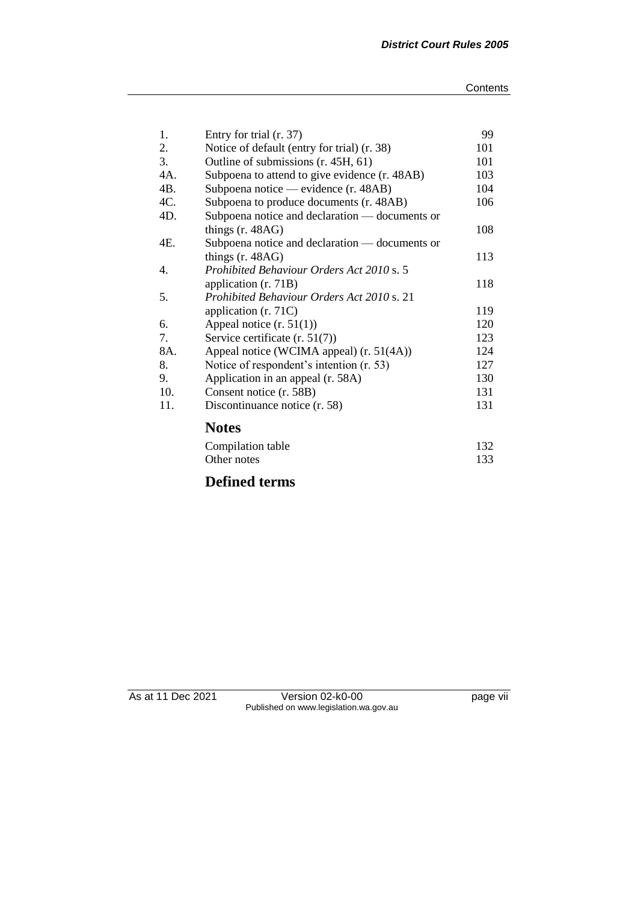| 1.               | Entry for trial (r. 37)                        | 99  |
|------------------|------------------------------------------------|-----|
| 2.               | Notice of default (entry for trial) (r. 38)    | 101 |
| 3.               | Outline of submissions (r. 45H, 61)            | 101 |
| 4A.              | Subpoena to attend to give evidence (r. 48AB)  | 103 |
| 4B.              | Subpoena notice — evidence (r. 48AB)           | 104 |
| 4C.              | Subpoena to produce documents (r. 48AB)        | 106 |
| 4D.              | Subpoena notice and declaration — documents or |     |
|                  | things $(r. 48AG)$                             | 108 |
| 4E.              | Subpoena notice and declaration — documents or |     |
|                  | things $(r. 48AG)$                             | 113 |
| $\overline{4}$ . | Prohibited Behaviour Orders Act 2010 s. 5      |     |
|                  | application (r. 71B)                           | 118 |
| 5.               | Prohibited Behaviour Orders Act 2010 s. 21     |     |
|                  | application $(r. 71C)$                         | 119 |
| 6.               | Appeal notice $(r. 51(1))$                     | 120 |
| 7.               | Service certificate (r. 51(7))                 | 123 |
| 8A.              | Appeal notice (WCIMA appeal) (r. 51(4A))       | 124 |
| 8.               | Notice of respondent's intention (r. 53)       | 127 |
| 9.               | Application in an appeal (r. 58A)              | 130 |
| 10.              | Consent notice (r. 58B)                        | 131 |
| 11.              | Discontinuance notice (r. 58)                  | 131 |
|                  | <b>Notes</b>                                   |     |
|                  | Compilation table                              | 132 |
|                  | Other notes                                    | 133 |
|                  | <b>Defined terms</b>                           |     |

As at 11 Dec 2021 Version 02-k0-00 page vii Published on www.legislation.wa.gov.au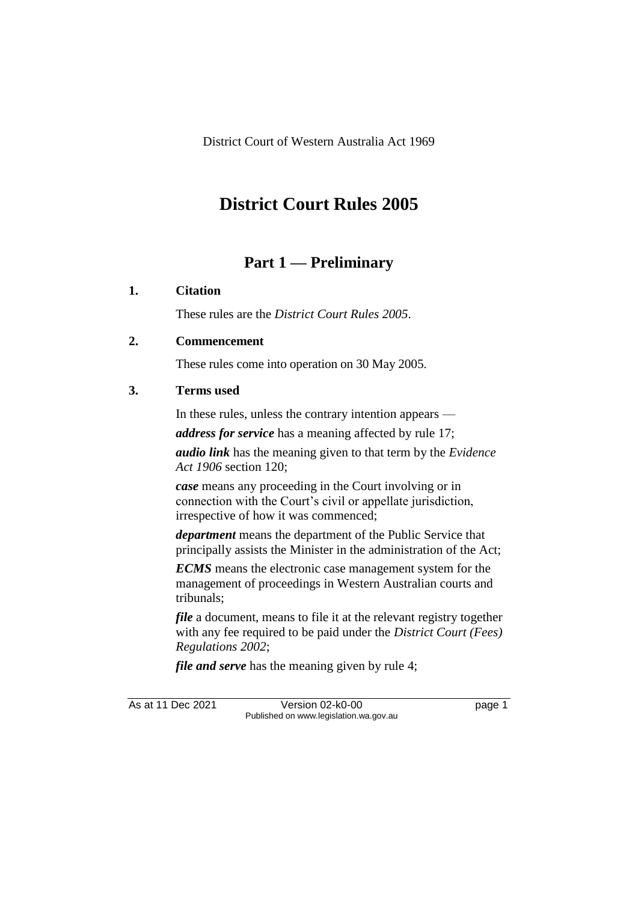# **District Court Rules 2005**

# **Part 1 — Preliminary**

# **1. Citation**

These rules are the *District Court Rules 2005*.

# **2. Commencement**

These rules come into operation on 30 May 2005.

# **3. Terms used**

In these rules, unless the contrary intention appears —

*address for service* has a meaning affected by rule 17;

*audio link* has the meaning given to that term by the *Evidence Act 1906* section 120;

*case* means any proceeding in the Court involving or in connection with the Court's civil or appellate jurisdiction, irrespective of how it was commenced;

*department* means the department of the Public Service that principally assists the Minister in the administration of the Act;

*ECMS* means the electronic case management system for the management of proceedings in Western Australian courts and tribunals;

*file* a document, means to file it at the relevant registry together with any fee required to be paid under the *District Court (Fees) Regulations 2002*;

*file and serve* has the meaning given by rule 4;

As at 11 Dec 2021 Version 02-k0-00 Page 1 Published on www.legislation.wa.gov.au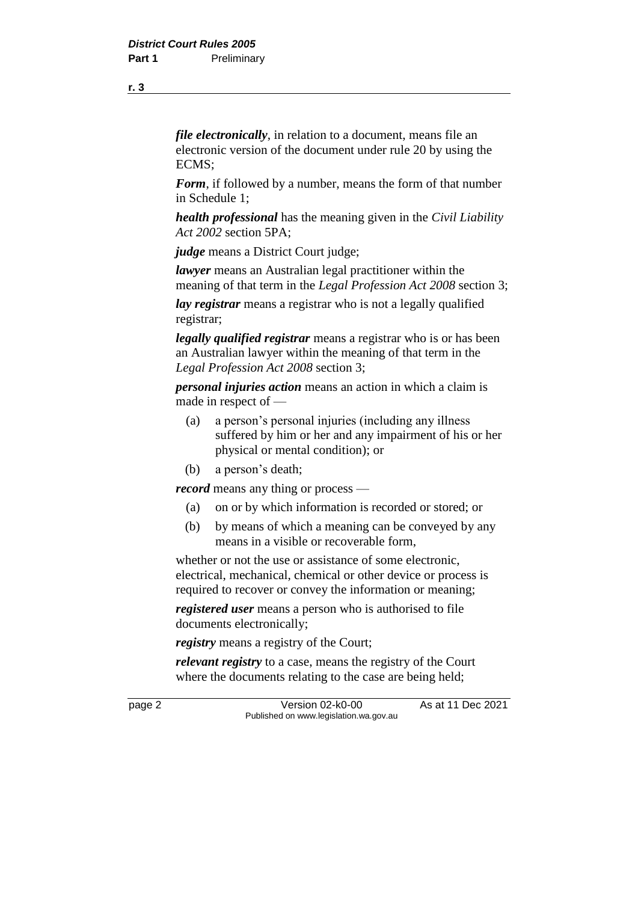**r. 3**

*file electronically*, in relation to a document, means file an electronic version of the document under rule 20 by using the ECMS;

*Form*, if followed by a number, means the form of that number in Schedule 1;

*health professional* has the meaning given in the *Civil Liability Act 2002* section 5PA;

*judge* means a District Court judge;

*lawyer* means an Australian legal practitioner within the meaning of that term in the *Legal Profession Act 2008* section 3;

*lay registrar* means a registrar who is not a legally qualified registrar;

*legally qualified registrar* means a registrar who is or has been an Australian lawyer within the meaning of that term in the *Legal Profession Act 2008* section 3;

*personal injuries action* means an action in which a claim is made in respect of —

- (a) a person's personal injuries (including any illness suffered by him or her and any impairment of his or her physical or mental condition); or
- (b) a person's death;

*record* means any thing or process —

- (a) on or by which information is recorded or stored; or
- (b) by means of which a meaning can be conveyed by any means in a visible or recoverable form,

whether or not the use or assistance of some electronic. electrical, mechanical, chemical or other device or process is required to recover or convey the information or meaning;

*registered user* means a person who is authorised to file documents electronically;

*registry* means a registry of the Court;

*relevant registry* to a case, means the registry of the Court where the documents relating to the case are being held;

page 2 Version 02-k0-00 As at 11 Dec 2021 Published on www.legislation.wa.gov.au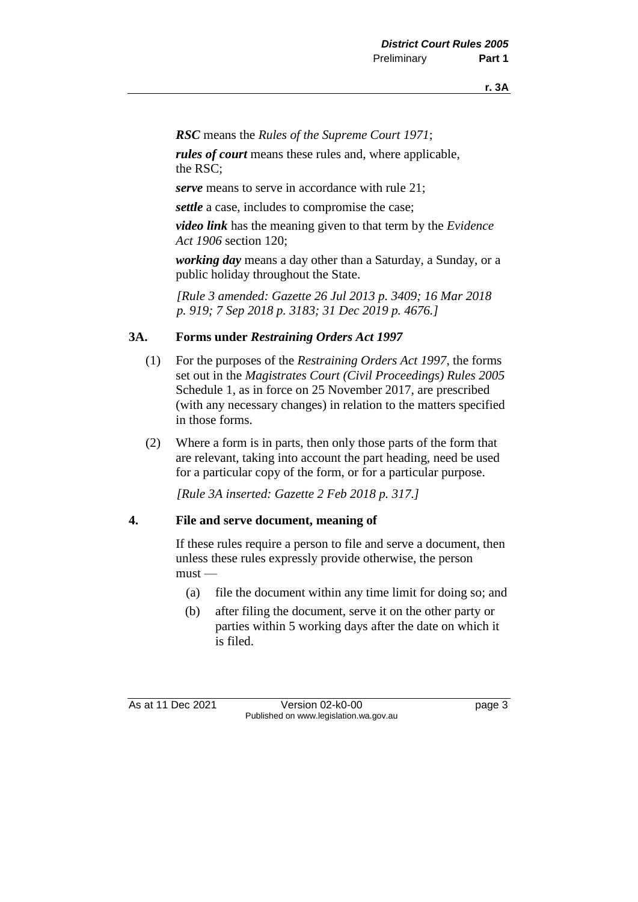*RSC* means the *Rules of the Supreme Court 1971*;

*rules of court* means these rules and, where applicable, the RSC;

*serve* means to serve in accordance with rule 21;

*settle* a case, includes to compromise the case;

*video link* has the meaning given to that term by the *Evidence Act 1906* section 120;

*working day* means a day other than a Saturday, a Sunday, or a public holiday throughout the State.

*[Rule 3 amended: Gazette 26 Jul 2013 p. 3409; 16 Mar 2018 p. 919; 7 Sep 2018 p. 3183; 31 Dec 2019 p. 4676.]*

#### **3A. Forms under** *Restraining Orders Act 1997*

- (1) For the purposes of the *Restraining Orders Act 1997*, the forms set out in the *Magistrates Court (Civil Proceedings) Rules 2005* Schedule 1, as in force on 25 November 2017, are prescribed (with any necessary changes) in relation to the matters specified in those forms.
- (2) Where a form is in parts, then only those parts of the form that are relevant, taking into account the part heading, need be used for a particular copy of the form, or for a particular purpose.

*[Rule 3A inserted: Gazette 2 Feb 2018 p. 317.]*

#### **4. File and serve document, meaning of**

If these rules require a person to file and serve a document, then unless these rules expressly provide otherwise, the person  $must$ —

- (a) file the document within any time limit for doing so; and
- (b) after filing the document, serve it on the other party or parties within 5 working days after the date on which it is filed.

As at 11 Dec 2021 Version 02-k0-00 Page 3 Published on www.legislation.wa.gov.au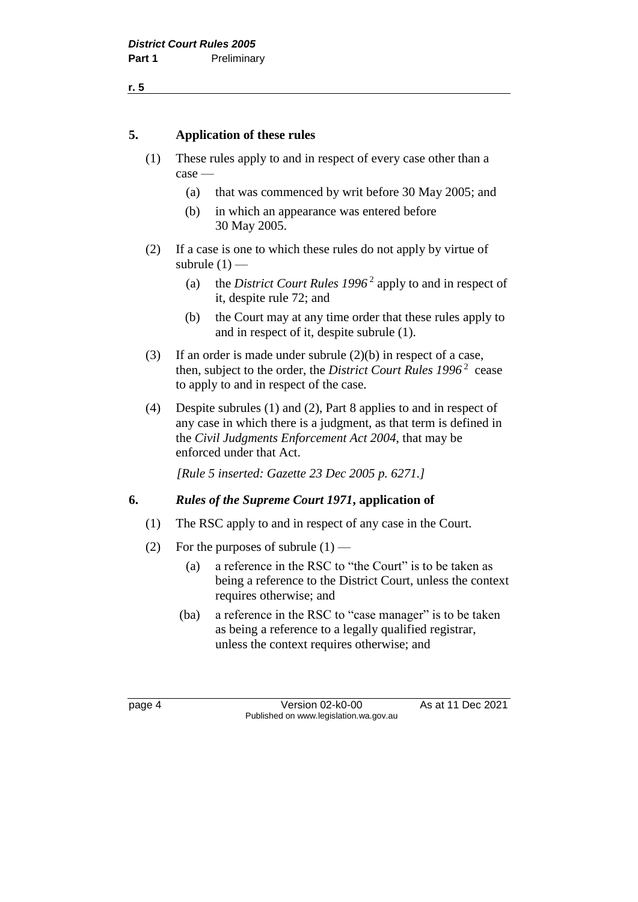**r. 5**

#### **5. Application of these rules**

- (1) These rules apply to and in respect of every case other than a case —
	- (a) that was commenced by writ before 30 May 2005; and
	- (b) in which an appearance was entered before 30 May 2005.
- (2) If a case is one to which these rules do not apply by virtue of subrule  $(1)$  —
	- (a) the *District Court Rules 1996* <sup>2</sup> apply to and in respect of it, despite rule 72; and
	- (b) the Court may at any time order that these rules apply to and in respect of it, despite subrule (1).
- (3) If an order is made under subrule (2)(b) in respect of a case, then, subject to the order, the *District Court Rules 1996* <sup>2</sup> cease to apply to and in respect of the case.
- (4) Despite subrules (1) and (2), Part 8 applies to and in respect of any case in which there is a judgment, as that term is defined in the *Civil Judgments Enforcement Act 2004*, that may be enforced under that Act.

*[Rule 5 inserted: Gazette 23 Dec 2005 p. 6271.]*

#### **6.** *Rules of the Supreme Court 1971***, application of**

- (1) The RSC apply to and in respect of any case in the Court.
- (2) For the purposes of subrule  $(1)$ 
	- (a) a reference in the RSC to "the Court" is to be taken as being a reference to the District Court, unless the context requires otherwise; and
	- (ba) a reference in the RSC to "case manager" is to be taken as being a reference to a legally qualified registrar, unless the context requires otherwise; and

page 4 Version 02-k0-00 As at 11 Dec 2021 Published on www.legislation.wa.gov.au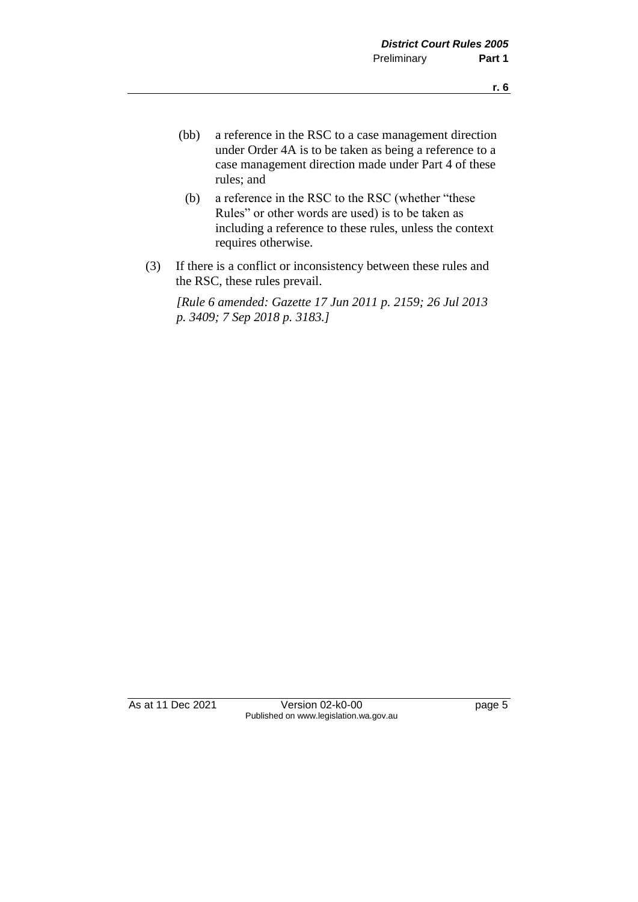- (bb) a reference in the RSC to a case management direction under Order 4A is to be taken as being a reference to a case management direction made under Part 4 of these rules; and
	- (b) a reference in the RSC to the RSC (whether "these Rules" or other words are used) is to be taken as including a reference to these rules, unless the context requires otherwise.
- (3) If there is a conflict or inconsistency between these rules and the RSC, these rules prevail.

*[Rule 6 amended: Gazette 17 Jun 2011 p. 2159; 26 Jul 2013 p. 3409; 7 Sep 2018 p. 3183.]*

As at 11 Dec 2021 Version 02-k0-00 page 5 Published on www.legislation.wa.gov.au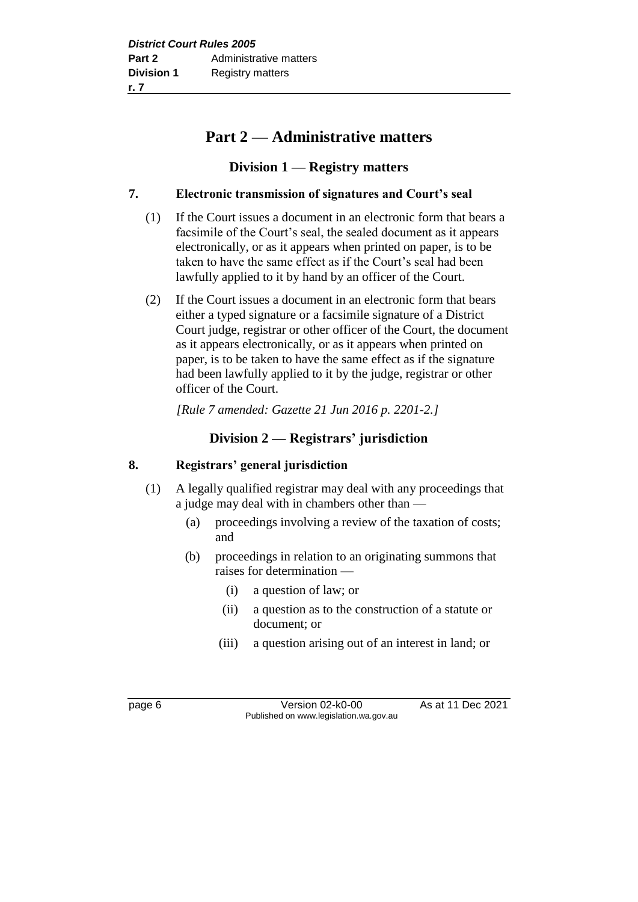# **Part 2 — Administrative matters**

## **Division 1 — Registry matters**

### **7. Electronic transmission of signatures and Court's seal**

- (1) If the Court issues a document in an electronic form that bears a facsimile of the Court's seal, the sealed document as it appears electronically, or as it appears when printed on paper, is to be taken to have the same effect as if the Court's seal had been lawfully applied to it by hand by an officer of the Court.
- (2) If the Court issues a document in an electronic form that bears either a typed signature or a facsimile signature of a District Court judge, registrar or other officer of the Court, the document as it appears electronically, or as it appears when printed on paper, is to be taken to have the same effect as if the signature had been lawfully applied to it by the judge, registrar or other officer of the Court.

*[Rule 7 amended: Gazette 21 Jun 2016 p. 2201-2.]*

# **Division 2 — Registrars' jurisdiction**

#### **8. Registrars' general jurisdiction**

- (1) A legally qualified registrar may deal with any proceedings that a judge may deal with in chambers other than —
	- (a) proceedings involving a review of the taxation of costs; and
	- (b) proceedings in relation to an originating summons that raises for determination —
		- (i) a question of law; or
		- (ii) a question as to the construction of a statute or document; or
		- (iii) a question arising out of an interest in land; or

page 6 Version 02-k0-00 As at 11 Dec 2021 Published on www.legislation.wa.gov.au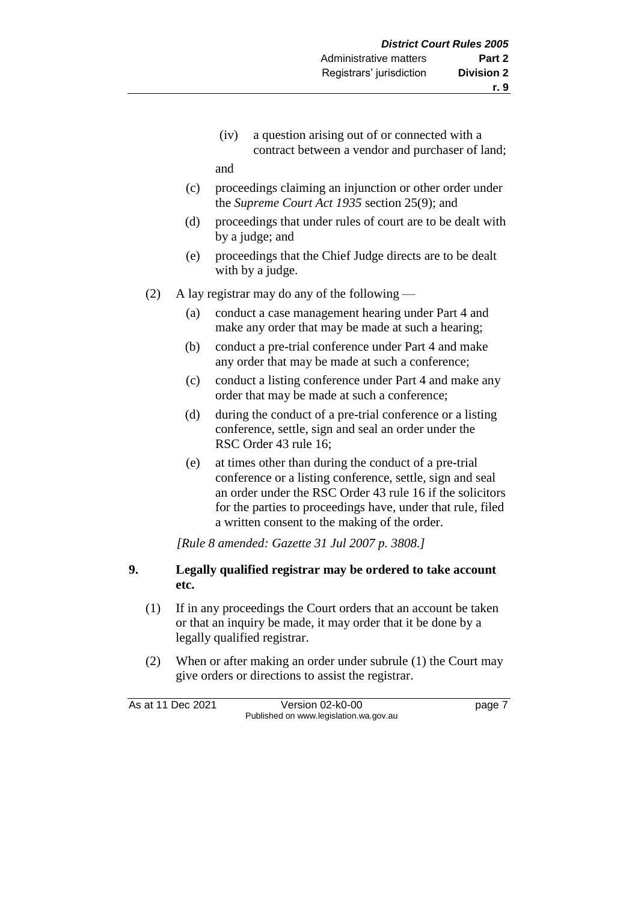(iv) a question arising out of or connected with a contract between a vendor and purchaser of land;

and

- (c) proceedings claiming an injunction or other order under the *Supreme Court Act 1935* section 25(9); and
- (d) proceedings that under rules of court are to be dealt with by a judge; and
- (e) proceedings that the Chief Judge directs are to be dealt with by a judge.
- (2) A lay registrar may do any of the following
	- (a) conduct a case management hearing under Part 4 and make any order that may be made at such a hearing;
	- (b) conduct a pre-trial conference under Part 4 and make any order that may be made at such a conference;
	- (c) conduct a listing conference under Part 4 and make any order that may be made at such a conference;
	- (d) during the conduct of a pre-trial conference or a listing conference, settle, sign and seal an order under the RSC Order 43 rule 16;
	- (e) at times other than during the conduct of a pre-trial conference or a listing conference, settle, sign and seal an order under the RSC Order 43 rule 16 if the solicitors for the parties to proceedings have, under that rule, filed a written consent to the making of the order.

*[Rule 8 amended: Gazette 31 Jul 2007 p. 3808.]*

### **9. Legally qualified registrar may be ordered to take account etc.**

- (1) If in any proceedings the Court orders that an account be taken or that an inquiry be made, it may order that it be done by a legally qualified registrar.
- (2) When or after making an order under subrule (1) the Court may give orders or directions to assist the registrar.

As at 11 Dec 2021 Version 02-k0-00 Page 7 Published on www.legislation.wa.gov.au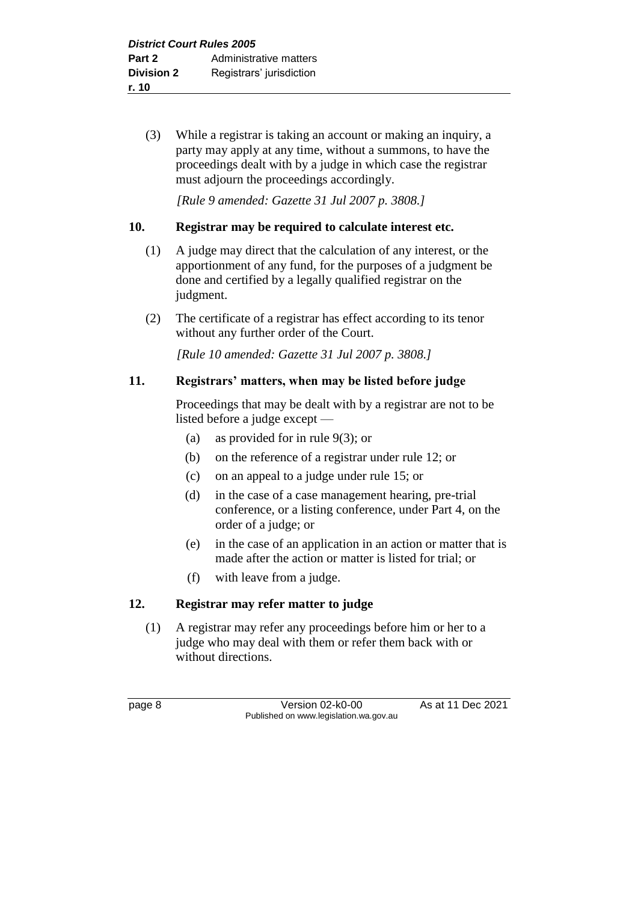(3) While a registrar is taking an account or making an inquiry, a party may apply at any time, without a summons, to have the proceedings dealt with by a judge in which case the registrar must adjourn the proceedings accordingly.

*[Rule 9 amended: Gazette 31 Jul 2007 p. 3808.]*

#### **10. Registrar may be required to calculate interest etc.**

- (1) A judge may direct that the calculation of any interest, or the apportionment of any fund, for the purposes of a judgment be done and certified by a legally qualified registrar on the judgment.
- (2) The certificate of a registrar has effect according to its tenor without any further order of the Court.

*[Rule 10 amended: Gazette 31 Jul 2007 p. 3808.]*

#### **11. Registrars' matters, when may be listed before judge**

Proceedings that may be dealt with by a registrar are not to be listed before a judge except —

- (a) as provided for in rule 9(3); or
- (b) on the reference of a registrar under rule 12; or
- (c) on an appeal to a judge under rule 15; or
- (d) in the case of a case management hearing, pre-trial conference, or a listing conference, under Part 4, on the order of a judge; or
- (e) in the case of an application in an action or matter that is made after the action or matter is listed for trial; or
- (f) with leave from a judge.

#### **12. Registrar may refer matter to judge**

(1) A registrar may refer any proceedings before him or her to a judge who may deal with them or refer them back with or without directions.

page 8 Version 02-k0-00 As at 11 Dec 2021 Published on www.legislation.wa.gov.au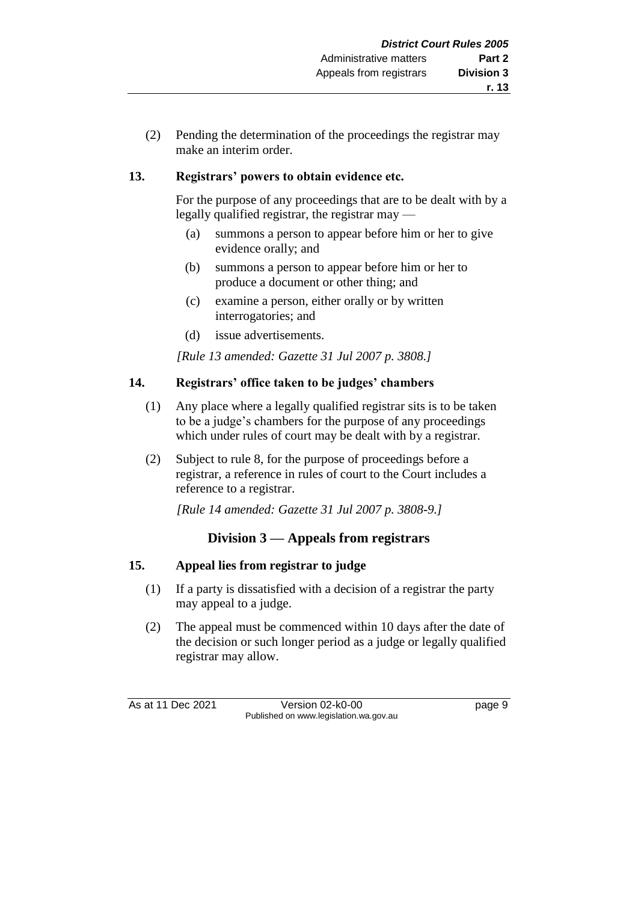(2) Pending the determination of the proceedings the registrar may make an interim order.

# **13. Registrars' powers to obtain evidence etc.**

For the purpose of any proceedings that are to be dealt with by a legally qualified registrar, the registrar may —

- (a) summons a person to appear before him or her to give evidence orally; and
- (b) summons a person to appear before him or her to produce a document or other thing; and
- (c) examine a person, either orally or by written interrogatories; and
- (d) issue advertisements.

*[Rule 13 amended: Gazette 31 Jul 2007 p. 3808.]*

## **14. Registrars' office taken to be judges' chambers**

- (1) Any place where a legally qualified registrar sits is to be taken to be a judge's chambers for the purpose of any proceedings which under rules of court may be dealt with by a registrar.
- (2) Subject to rule 8, for the purpose of proceedings before a registrar, a reference in rules of court to the Court includes a reference to a registrar.

*[Rule 14 amended: Gazette 31 Jul 2007 p. 3808-9.]*

# **Division 3 — Appeals from registrars**

#### **15. Appeal lies from registrar to judge**

- (1) If a party is dissatisfied with a decision of a registrar the party may appeal to a judge.
- (2) The appeal must be commenced within 10 days after the date of the decision or such longer period as a judge or legally qualified registrar may allow.

As at 11 Dec 2021 Version 02-k0-00 Page 9 Published on www.legislation.wa.gov.au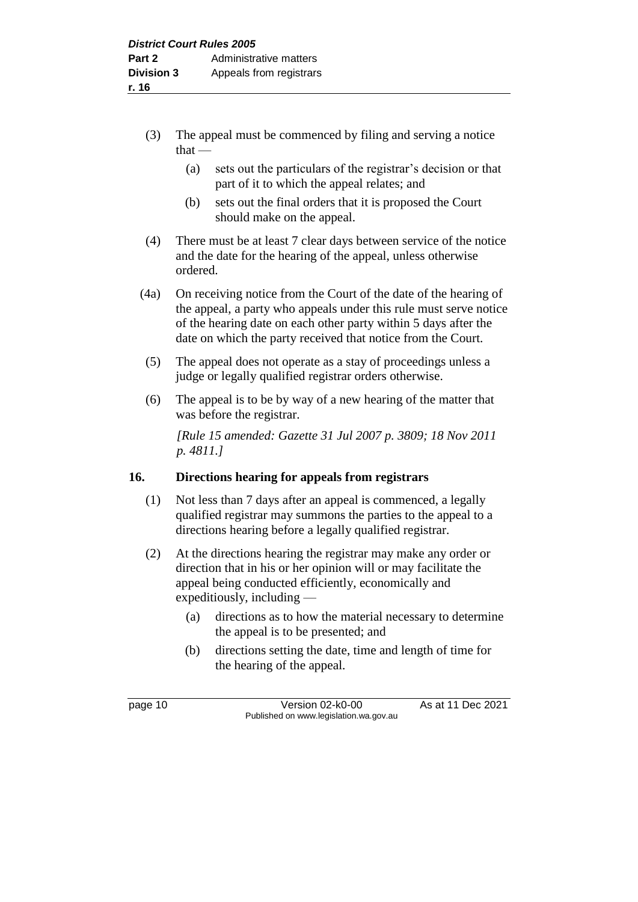- (3) The appeal must be commenced by filing and serving a notice  $that -$ 
	- (a) sets out the particulars of the registrar's decision or that part of it to which the appeal relates; and
	- (b) sets out the final orders that it is proposed the Court should make on the appeal.
- (4) There must be at least 7 clear days between service of the notice and the date for the hearing of the appeal, unless otherwise ordered.
- (4a) On receiving notice from the Court of the date of the hearing of the appeal, a party who appeals under this rule must serve notice of the hearing date on each other party within 5 days after the date on which the party received that notice from the Court.
- (5) The appeal does not operate as a stay of proceedings unless a judge or legally qualified registrar orders otherwise.
- (6) The appeal is to be by way of a new hearing of the matter that was before the registrar.

*[Rule 15 amended: Gazette 31 Jul 2007 p. 3809; 18 Nov 2011 p. 4811.]*

# **16. Directions hearing for appeals from registrars**

- (1) Not less than 7 days after an appeal is commenced, a legally qualified registrar may summons the parties to the appeal to a directions hearing before a legally qualified registrar.
- (2) At the directions hearing the registrar may make any order or direction that in his or her opinion will or may facilitate the appeal being conducted efficiently, economically and expeditiously, including —
	- (a) directions as to how the material necessary to determine the appeal is to be presented; and
	- (b) directions setting the date, time and length of time for the hearing of the appeal.

page 10 Version 02-k0-00 As at 11 Dec 2021 Published on www.legislation.wa.gov.au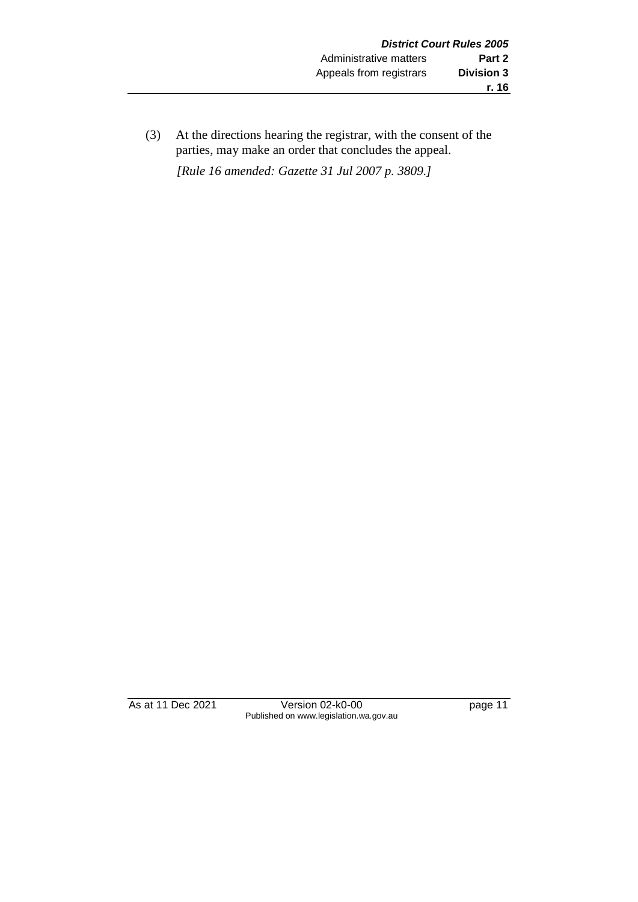(3) At the directions hearing the registrar, with the consent of the parties, may make an order that concludes the appeal. *[Rule 16 amended: Gazette 31 Jul 2007 p. 3809.]*

As at 11 Dec 2021 Version 02-k0-00 Page 11 Published on www.legislation.wa.gov.au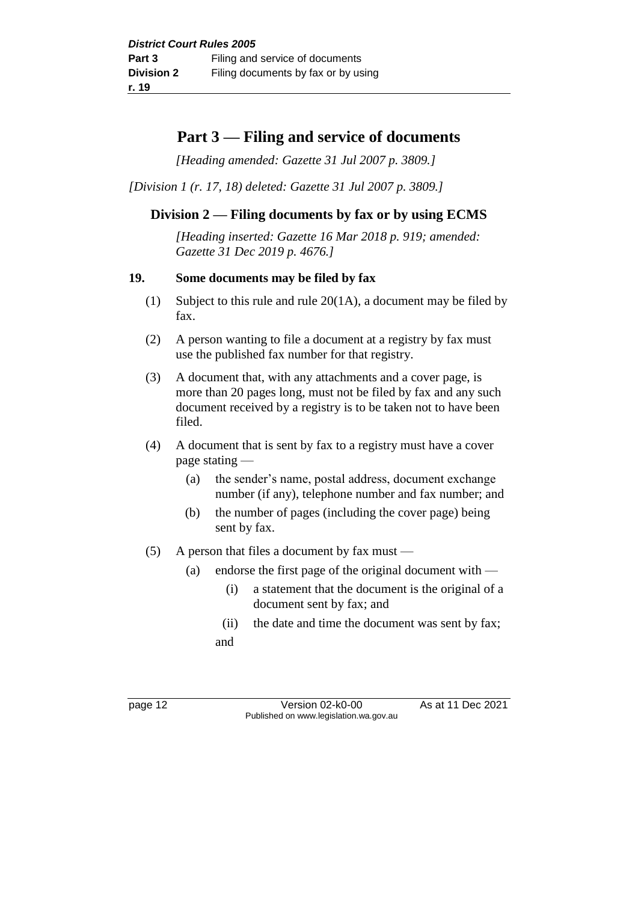# **Part 3 — Filing and service of documents**

*[Heading amended: Gazette 31 Jul 2007 p. 3809.]*

*[Division 1 (r. 17, 18) deleted: Gazette 31 Jul 2007 p. 3809.]*

# **Division 2 — Filing documents by fax or by using ECMS**

*[Heading inserted: Gazette 16 Mar 2018 p. 919; amended: Gazette 31 Dec 2019 p. 4676.]*

#### **19. Some documents may be filed by fax**

- (1) Subject to this rule and rule 20(1A), a document may be filed by fax.
- (2) A person wanting to file a document at a registry by fax must use the published fax number for that registry.
- (3) A document that, with any attachments and a cover page, is more than 20 pages long, must not be filed by fax and any such document received by a registry is to be taken not to have been filed.
- (4) A document that is sent by fax to a registry must have a cover page stating —
	- (a) the sender's name, postal address, document exchange number (if any), telephone number and fax number; and
	- (b) the number of pages (including the cover page) being sent by fax.
- (5) A person that files a document by fax must  $-$ 
	- (a) endorse the first page of the original document with
		- (i) a statement that the document is the original of a document sent by fax; and
		- (ii) the date and time the document was sent by fax;
		- and

page 12 Version 02-k0-00 As at 11 Dec 2021 Published on www.legislation.wa.gov.au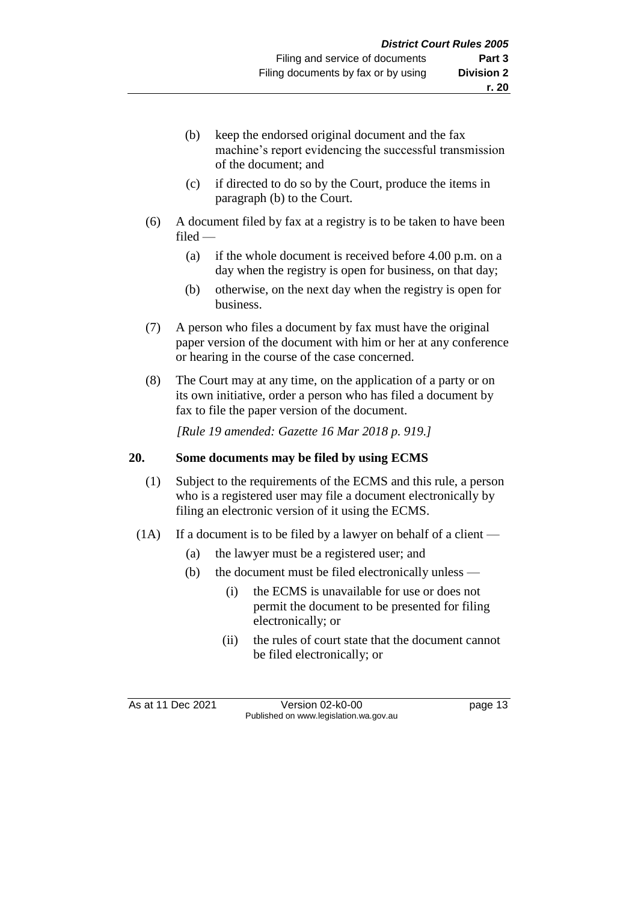- (b) keep the endorsed original document and the fax machine's report evidencing the successful transmission of the document; and
- (c) if directed to do so by the Court, produce the items in paragraph (b) to the Court.
- (6) A document filed by fax at a registry is to be taken to have been filed —
	- (a) if the whole document is received before 4.00 p.m. on a day when the registry is open for business, on that day;
	- (b) otherwise, on the next day when the registry is open for business.
- (7) A person who files a document by fax must have the original paper version of the document with him or her at any conference or hearing in the course of the case concerned.
- (8) The Court may at any time, on the application of a party or on its own initiative, order a person who has filed a document by fax to file the paper version of the document.

*[Rule 19 amended: Gazette 16 Mar 2018 p. 919.]*

#### **20. Some documents may be filed by using ECMS**

- (1) Subject to the requirements of the ECMS and this rule, a person who is a registered user may file a document electronically by filing an electronic version of it using the ECMS.
- (1A) If a document is to be filed by a lawyer on behalf of a client
	- (a) the lawyer must be a registered user; and
	- (b) the document must be filed electronically unless
		- (i) the ECMS is unavailable for use or does not permit the document to be presented for filing electronically; or
		- (ii) the rules of court state that the document cannot be filed electronically; or

As at 11 Dec 2021 Version 02-k0-00 Page 13 Published on www.legislation.wa.gov.au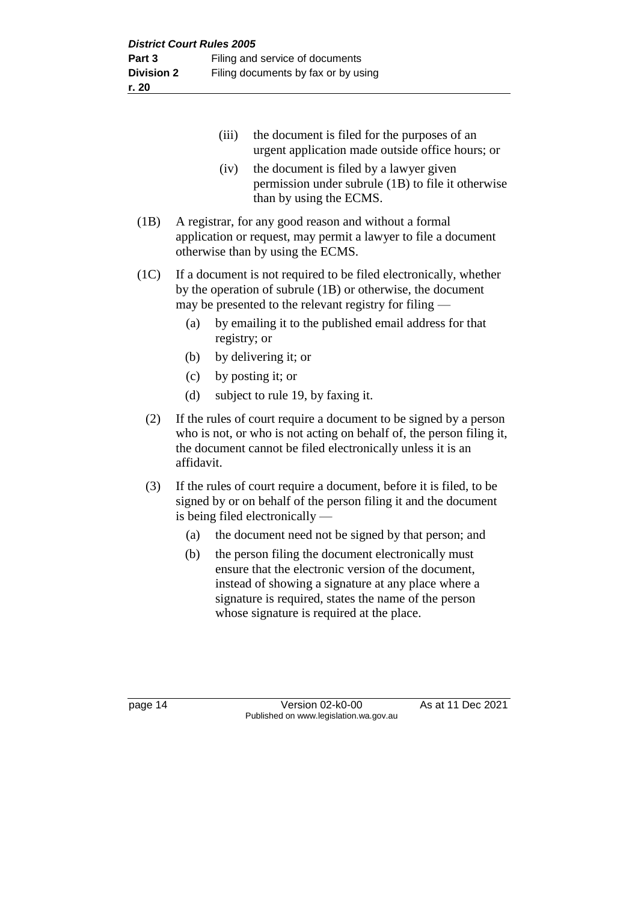- (iii) the document is filed for the purposes of an urgent application made outside office hours; or (iv) the document is filed by a lawyer given permission under subrule (1B) to file it otherwise than by using the ECMS. (1B) A registrar, for any good reason and without a formal application or request, may permit a lawyer to file a document otherwise than by using the ECMS. (1C) If a document is not required to be filed electronically, whether by the operation of subrule (1B) or otherwise, the document may be presented to the relevant registry for filing — (a) by emailing it to the published email address for that registry; or (b) by delivering it; or (c) by posting it; or (d) subject to rule 19, by faxing it. (2) If the rules of court require a document to be signed by a person who is not, or who is not acting on behalf of, the person filing it, the document cannot be filed electronically unless it is an affidavit.
	- (3) If the rules of court require a document, before it is filed, to be signed by or on behalf of the person filing it and the document is being filed electronically —
		- (a) the document need not be signed by that person; and
		- (b) the person filing the document electronically must ensure that the electronic version of the document, instead of showing a signature at any place where a signature is required, states the name of the person whose signature is required at the place.

page 14 Version 02-k0-00 As at 11 Dec 2021 Published on www.legislation.wa.gov.au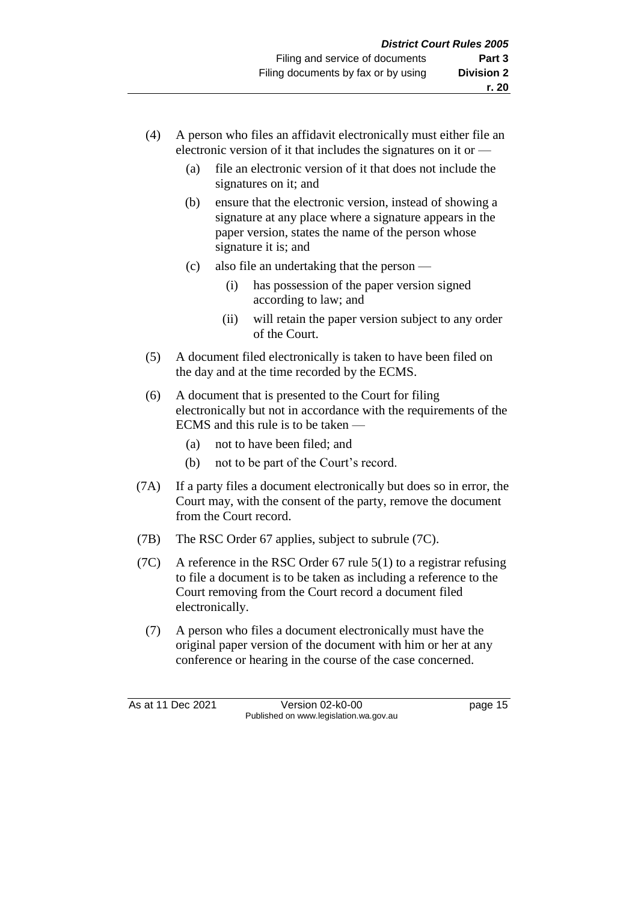- (4) A person who files an affidavit electronically must either file an electronic version of it that includes the signatures on it or —
	- (a) file an electronic version of it that does not include the signatures on it; and
	- (b) ensure that the electronic version, instead of showing a signature at any place where a signature appears in the paper version, states the name of the person whose signature it is; and
	- (c) also file an undertaking that the person
		- (i) has possession of the paper version signed according to law; and
		- (ii) will retain the paper version subject to any order of the Court.
- (5) A document filed electronically is taken to have been filed on the day and at the time recorded by the ECMS.
- (6) A document that is presented to the Court for filing electronically but not in accordance with the requirements of the ECMS and this rule is to be taken —
	- (a) not to have been filed; and
	- (b) not to be part of the Court's record.
- (7A) If a party files a document electronically but does so in error, the Court may, with the consent of the party, remove the document from the Court record.
- (7B) The RSC Order 67 applies, subject to subrule (7C).
- (7C) A reference in the RSC Order 67 rule 5(1) to a registrar refusing to file a document is to be taken as including a reference to the Court removing from the Court record a document filed electronically.
	- (7) A person who files a document electronically must have the original paper version of the document with him or her at any conference or hearing in the course of the case concerned.

As at 11 Dec 2021 Version 02-k0-00 Page 15 Published on www.legislation.wa.gov.au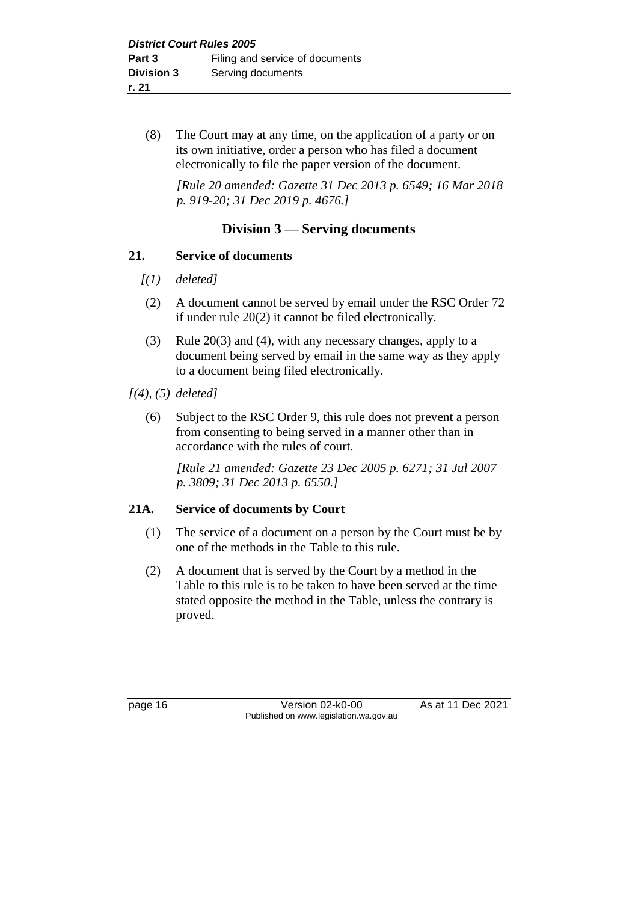(8) The Court may at any time, on the application of a party or on its own initiative, order a person who has filed a document electronically to file the paper version of the document.

*[Rule 20 amended: Gazette 31 Dec 2013 p. 6549; 16 Mar 2018 p. 919-20; 31 Dec 2019 p. 4676.]*

#### **Division 3 — Serving documents**

#### **21. Service of documents**

- *[(1) deleted]*
- (2) A document cannot be served by email under the RSC Order 72 if under rule 20(2) it cannot be filed electronically.
- (3) Rule 20(3) and (4), with any necessary changes, apply to a document being served by email in the same way as they apply to a document being filed electronically.

#### *[(4), (5) deleted]*

(6) Subject to the RSC Order 9, this rule does not prevent a person from consenting to being served in a manner other than in accordance with the rules of court.

*[Rule 21 amended: Gazette 23 Dec 2005 p. 6271; 31 Jul 2007 p. 3809; 31 Dec 2013 p. 6550.]*

#### **21A. Service of documents by Court**

- (1) The service of a document on a person by the Court must be by one of the methods in the Table to this rule.
- (2) A document that is served by the Court by a method in the Table to this rule is to be taken to have been served at the time stated opposite the method in the Table, unless the contrary is proved.

page 16 **Version 02-k0-00** As at 11 Dec 2021 Published on www.legislation.wa.gov.au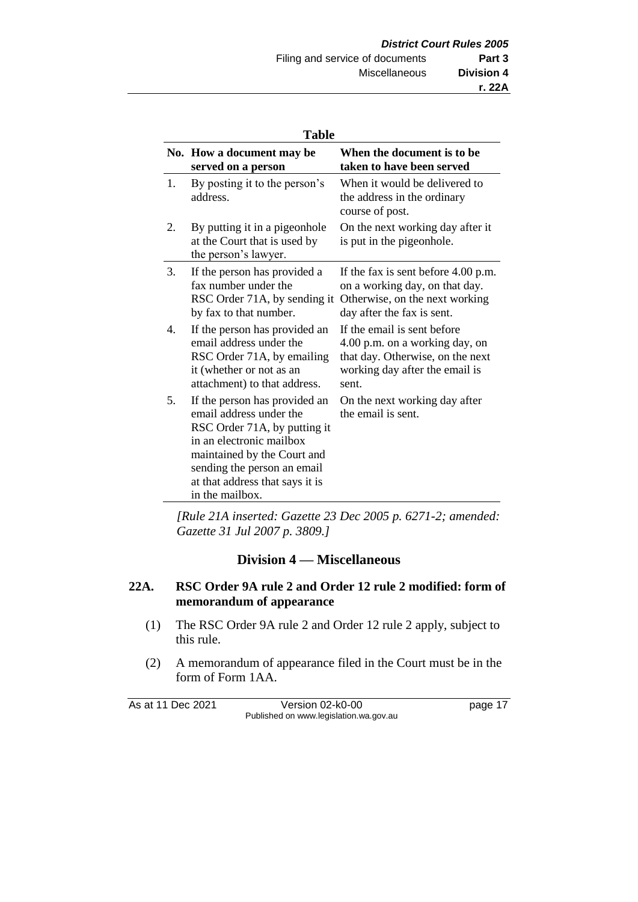| × |
|---|
|---|

| 1 avie |                                                                                                                                                                                                                                          |                                                                                                                                              |  |
|--------|------------------------------------------------------------------------------------------------------------------------------------------------------------------------------------------------------------------------------------------|----------------------------------------------------------------------------------------------------------------------------------------------|--|
|        | No. How a document may be<br>served on a person                                                                                                                                                                                          | When the document is to be<br>taken to have been served                                                                                      |  |
| 1.     | By posting it to the person's<br>address.                                                                                                                                                                                                | When it would be delivered to<br>the address in the ordinary<br>course of post.                                                              |  |
| 2.     | By putting it in a pigeonhole<br>at the Court that is used by<br>the person's lawyer.                                                                                                                                                    | On the next working day after it<br>is put in the pigeonhole.                                                                                |  |
| 3.     | If the person has provided a<br>fax number under the<br>RSC Order 71A, by sending it<br>by fax to that number.                                                                                                                           | If the fax is sent before 4.00 p.m.<br>on a working day, on that day.<br>Otherwise, on the next working<br>day after the fax is sent.        |  |
| 4.     | If the person has provided an<br>email address under the<br>RSC Order 71A, by emailing<br>it (whether or not as an<br>attachment) to that address.                                                                                       | If the email is sent before<br>4.00 p.m. on a working day, on<br>that day. Otherwise, on the next<br>working day after the email is<br>sent. |  |
| 5.     | If the person has provided an<br>email address under the<br>RSC Order 71A, by putting it<br>in an electronic mailbox<br>maintained by the Court and<br>sending the person an email<br>at that address that says it is<br>in the mailbox. | On the next working day after<br>the email is sent.                                                                                          |  |

*[Rule 21A inserted: Gazette 23 Dec 2005 p. 6271-2; amended: Gazette 31 Jul 2007 p. 3809.]*

#### **Division 4 — Miscellaneous**

#### **22A. RSC Order 9A rule 2 and Order 12 rule 2 modified: form of memorandum of appearance**

- (1) The RSC Order 9A rule 2 and Order 12 rule 2 apply, subject to this rule.
- (2) A memorandum of appearance filed in the Court must be in the form of Form 1AA.

As at 11 Dec 2021 Version 02-k0-00 page 17 Published on www.legislation.wa.gov.au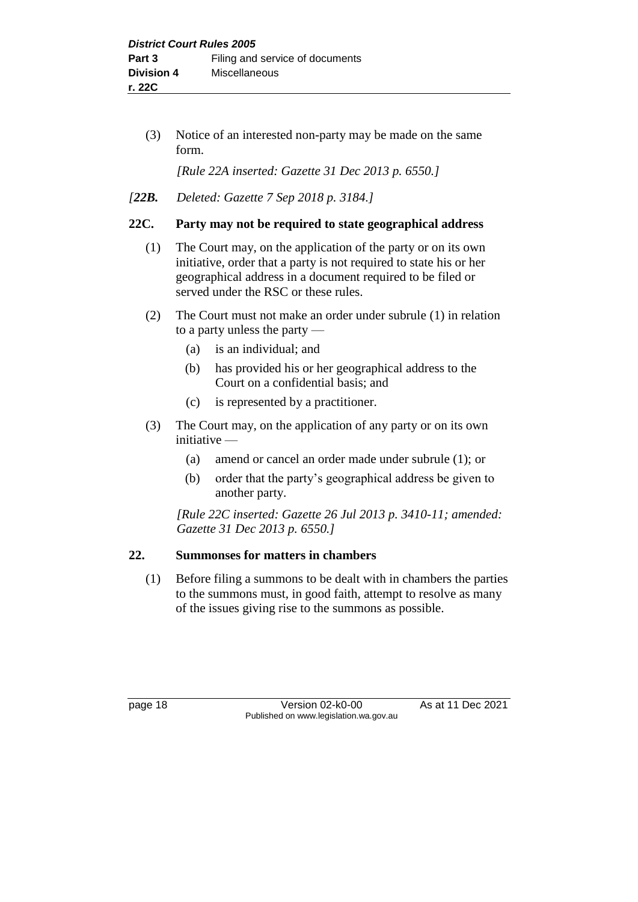(3) Notice of an interested non-party may be made on the same form.

*[Rule 22A inserted: Gazette 31 Dec 2013 p. 6550.]*

*[22B. Deleted: Gazette 7 Sep 2018 p. 3184.]*

#### **22C. Party may not be required to state geographical address**

- (1) The Court may, on the application of the party or on its own initiative, order that a party is not required to state his or her geographical address in a document required to be filed or served under the RSC or these rules.
- (2) The Court must not make an order under subrule (1) in relation to a party unless the party —
	- (a) is an individual; and
	- (b) has provided his or her geographical address to the Court on a confidential basis; and
	- (c) is represented by a practitioner.
- (3) The Court may, on the application of any party or on its own initiative —
	- (a) amend or cancel an order made under subrule (1); or
	- (b) order that the party's geographical address be given to another party.

*[Rule 22C inserted: Gazette 26 Jul 2013 p. 3410-11; amended: Gazette 31 Dec 2013 p. 6550.]*

#### **22. Summonses for matters in chambers**

(1) Before filing a summons to be dealt with in chambers the parties to the summons must, in good faith, attempt to resolve as many of the issues giving rise to the summons as possible.

page 18 **Version 02-k0-00** As at 11 Dec 2021 Published on www.legislation.wa.gov.au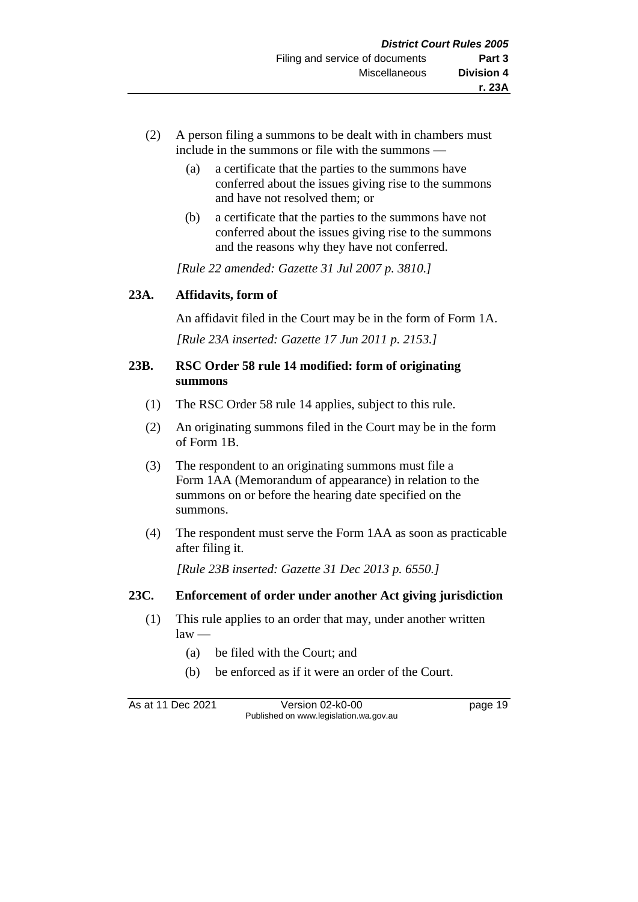- (2) A person filing a summons to be dealt with in chambers must include in the summons or file with the summons —
	- (a) a certificate that the parties to the summons have conferred about the issues giving rise to the summons and have not resolved them; or
	- (b) a certificate that the parties to the summons have not conferred about the issues giving rise to the summons and the reasons why they have not conferred.

*[Rule 22 amended: Gazette 31 Jul 2007 p. 3810.]*

#### **23A. Affidavits, form of**

An affidavit filed in the Court may be in the form of Form 1A. *[Rule 23A inserted: Gazette 17 Jun 2011 p. 2153.]*

#### **23B. RSC Order 58 rule 14 modified: form of originating summons**

- (1) The RSC Order 58 rule 14 applies, subject to this rule.
- (2) An originating summons filed in the Court may be in the form of Form 1B.
- (3) The respondent to an originating summons must file a Form 1AA (Memorandum of appearance) in relation to the summons on or before the hearing date specified on the summons.
- (4) The respondent must serve the Form 1AA as soon as practicable after filing it.

*[Rule 23B inserted: Gazette 31 Dec 2013 p. 6550.]*

#### **23C. Enforcement of order under another Act giving jurisdiction**

- (1) This rule applies to an order that may, under another written  $law -$ 
	- (a) be filed with the Court; and
	- (b) be enforced as if it were an order of the Court.

As at 11 Dec 2021 Version 02-k0-00 Page 19 Published on www.legislation.wa.gov.au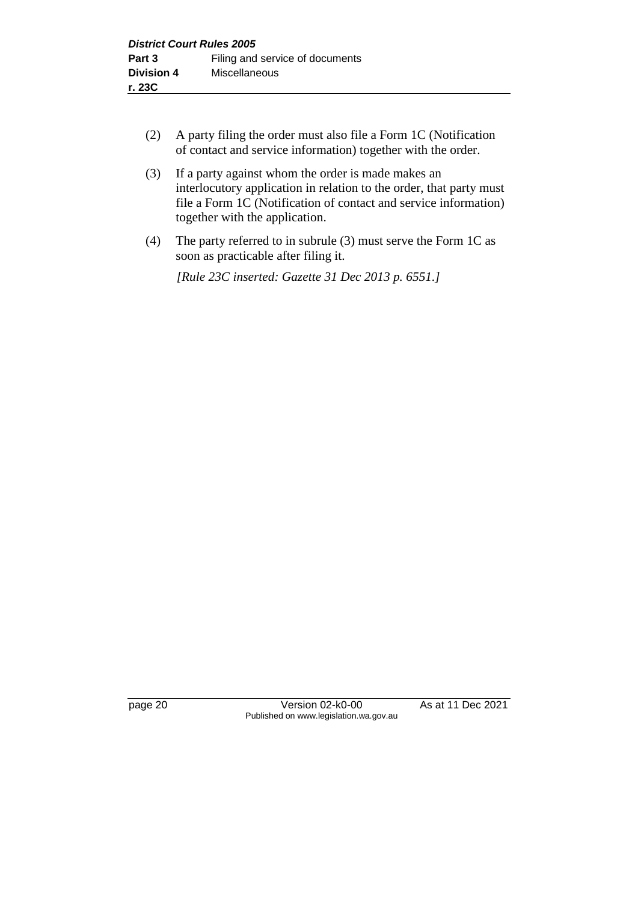- (2) A party filing the order must also file a Form 1C (Notification of contact and service information) together with the order.
- (3) If a party against whom the order is made makes an interlocutory application in relation to the order, that party must file a Form 1C (Notification of contact and service information) together with the application.
- (4) The party referred to in subrule (3) must serve the Form 1C as soon as practicable after filing it.

*[Rule 23C inserted: Gazette 31 Dec 2013 p. 6551.]*

page 20 **Version 02-k0-00** As at 11 Dec 2021 Published on www.legislation.wa.gov.au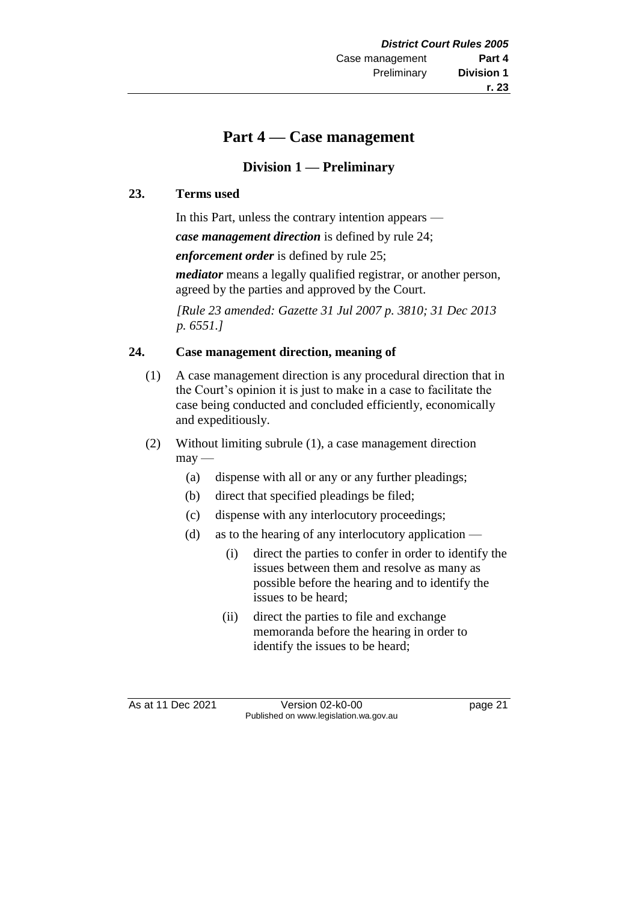# **r. 23**

# **Part 4 — Case management**

# **Division 1 — Preliminary**

## **23. Terms used**

In this Part, unless the contrary intention appears —

*case management direction* is defined by rule 24;

*enforcement order* is defined by rule 25;

*mediator* means a legally qualified registrar, or another person, agreed by the parties and approved by the Court.

*[Rule 23 amended: Gazette 31 Jul 2007 p. 3810; 31 Dec 2013 p. 6551.]*

## **24. Case management direction, meaning of**

- (1) A case management direction is any procedural direction that in the Court's opinion it is just to make in a case to facilitate the case being conducted and concluded efficiently, economically and expeditiously.
- (2) Without limiting subrule (1), a case management direction  $may$ —
	- (a) dispense with all or any or any further pleadings;
	- (b) direct that specified pleadings be filed;
	- (c) dispense with any interlocutory proceedings;
	- (d) as to the hearing of any interlocutory application
		- (i) direct the parties to confer in order to identify the issues between them and resolve as many as possible before the hearing and to identify the issues to be heard;
		- (ii) direct the parties to file and exchange memoranda before the hearing in order to identify the issues to be heard;

As at 11 Dec 2021 Version 02-k0-00 page 21 Published on www.legislation.wa.gov.au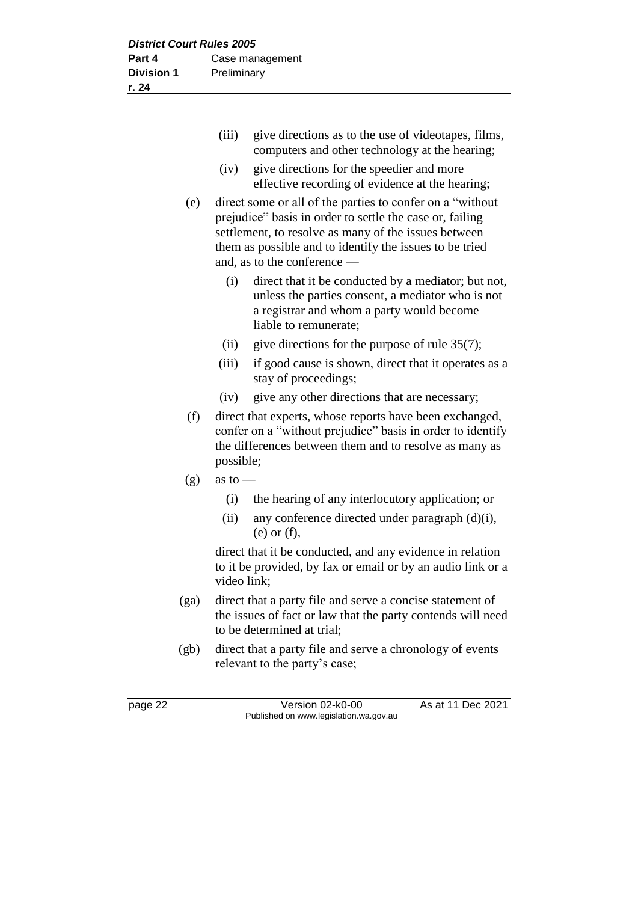| (iii) | give directions as to the use of videotapes, films, |
|-------|-----------------------------------------------------|
|       | computers and other technology at the hearing;      |

- (iv) give directions for the speedier and more effective recording of evidence at the hearing;
- (e) direct some or all of the parties to confer on a "without prejudice" basis in order to settle the case or, failing settlement, to resolve as many of the issues between them as possible and to identify the issues to be tried and, as to the conference —
	- (i) direct that it be conducted by a mediator; but not, unless the parties consent, a mediator who is not a registrar and whom a party would become liable to remunerate;
	- (ii) give directions for the purpose of rule  $35(7)$ ;
	- (iii) if good cause is shown, direct that it operates as a stay of proceedings;
	- (iv) give any other directions that are necessary;
- (f) direct that experts, whose reports have been exchanged, confer on a "without prejudice" basis in order to identify the differences between them and to resolve as many as possible;
- $(g)$  as to
	- (i) the hearing of any interlocutory application; or
	- (ii) any conference directed under paragraph (d)(i), (e) or (f),

direct that it be conducted, and any evidence in relation to it be provided, by fax or email or by an audio link or a video link;

- (ga) direct that a party file and serve a concise statement of the issues of fact or law that the party contends will need to be determined at trial;
- (gb) direct that a party file and serve a chronology of events relevant to the party's case;

page 22 **Version 02-k0-00** As at 11 Dec 2021 Published on www.legislation.wa.gov.au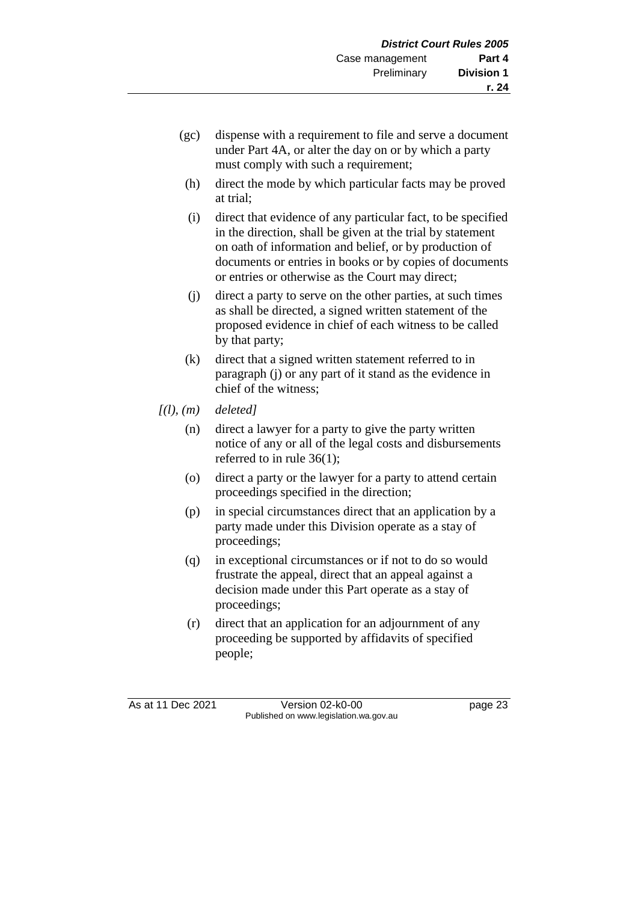- (gc) dispense with a requirement to file and serve a document under Part 4A, or alter the day on or by which a party must comply with such a requirement;
- (h) direct the mode by which particular facts may be proved at trial;
- (i) direct that evidence of any particular fact, to be specified in the direction, shall be given at the trial by statement on oath of information and belief, or by production of documents or entries in books or by copies of documents or entries or otherwise as the Court may direct;
- (j) direct a party to serve on the other parties, at such times as shall be directed, a signed written statement of the proposed evidence in chief of each witness to be called by that party;
- (k) direct that a signed written statement referred to in paragraph (j) or any part of it stand as the evidence in chief of the witness;
- *[(l), (m) deleted]*
	- (n) direct a lawyer for a party to give the party written notice of any or all of the legal costs and disbursements referred to in rule 36(1);
	- (o) direct a party or the lawyer for a party to attend certain proceedings specified in the direction;
	- (p) in special circumstances direct that an application by a party made under this Division operate as a stay of proceedings;
	- (q) in exceptional circumstances or if not to do so would frustrate the appeal, direct that an appeal against a decision made under this Part operate as a stay of proceedings;
	- (r) direct that an application for an adjournment of any proceeding be supported by affidavits of specified people;

As at 11 Dec 2021 Version 02-k0-00 page 23 Published on www.legislation.wa.gov.au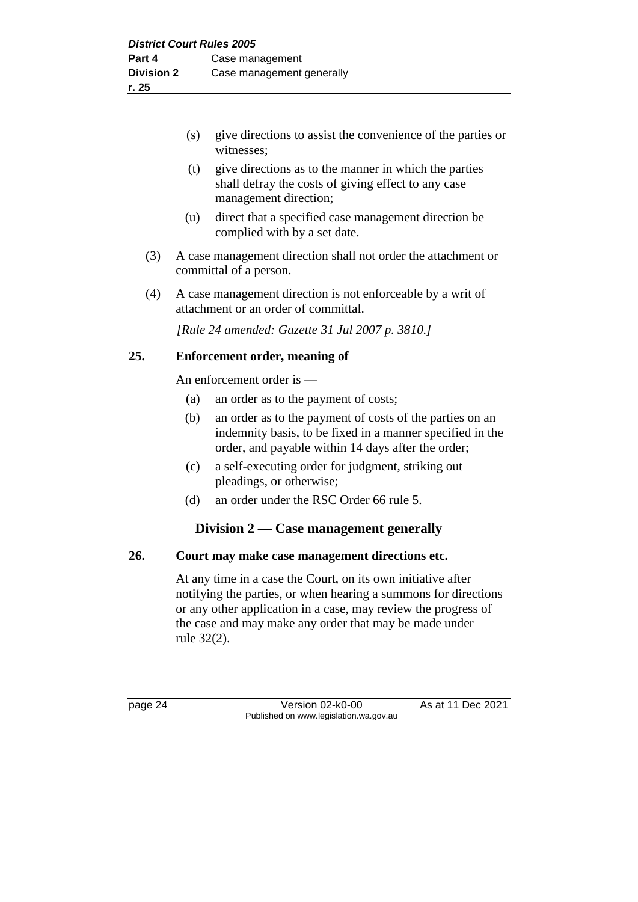- (s) give directions to assist the convenience of the parties or witnesses;
- (t) give directions as to the manner in which the parties shall defray the costs of giving effect to any case management direction;
- (u) direct that a specified case management direction be complied with by a set date.
- (3) A case management direction shall not order the attachment or committal of a person.
- (4) A case management direction is not enforceable by a writ of attachment or an order of committal.

*[Rule 24 amended: Gazette 31 Jul 2007 p. 3810.]*

#### **25. Enforcement order, meaning of**

An enforcement order is —

- (a) an order as to the payment of costs;
- (b) an order as to the payment of costs of the parties on an indemnity basis, to be fixed in a manner specified in the order, and payable within 14 days after the order;
- (c) a self-executing order for judgment, striking out pleadings, or otherwise;
- (d) an order under the RSC Order 66 rule 5.

#### **Division 2 — Case management generally**

#### **26. Court may make case management directions etc.**

At any time in a case the Court, on its own initiative after notifying the parties, or when hearing a summons for directions or any other application in a case, may review the progress of the case and may make any order that may be made under rule 32(2).

page 24 Version 02-k0-00 As at 11 Dec 2021 Published on www.legislation.wa.gov.au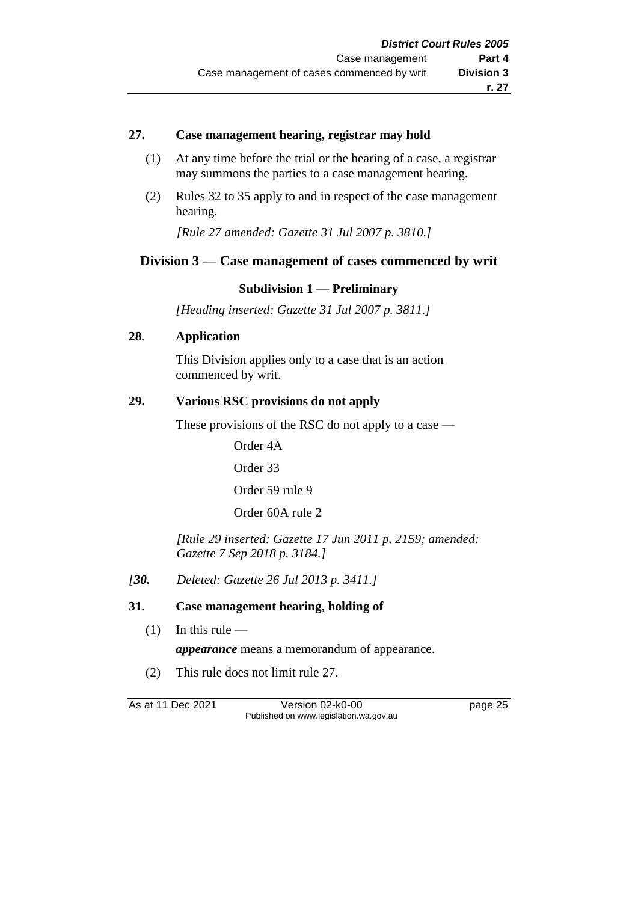#### **27. Case management hearing, registrar may hold**

- (1) At any time before the trial or the hearing of a case, a registrar may summons the parties to a case management hearing.
- (2) Rules 32 to 35 apply to and in respect of the case management hearing.

*[Rule 27 amended: Gazette 31 Jul 2007 p. 3810.]*

## **Division 3 — Case management of cases commenced by writ**

#### **Subdivision 1 — Preliminary**

*[Heading inserted: Gazette 31 Jul 2007 p. 3811.]*

### **28. Application**

This Division applies only to a case that is an action commenced by writ.

#### **29. Various RSC provisions do not apply**

These provisions of the RSC do not apply to a case —

Order 4A

Order 33

Order 59 rule 9

Order 60A rule 2

*[Rule 29 inserted: Gazette 17 Jun 2011 p. 2159; amended: Gazette 7 Sep 2018 p. 3184.]*

*[30. Deleted: Gazette 26 Jul 2013 p. 3411.]*

#### **31. Case management hearing, holding of**

- $(1)$  In this rule
	- *appearance* means a memorandum of appearance.
- (2) This rule does not limit rule 27.

As at 11 Dec 2021 Version 02-k0-00 Page 25 Published on www.legislation.wa.gov.au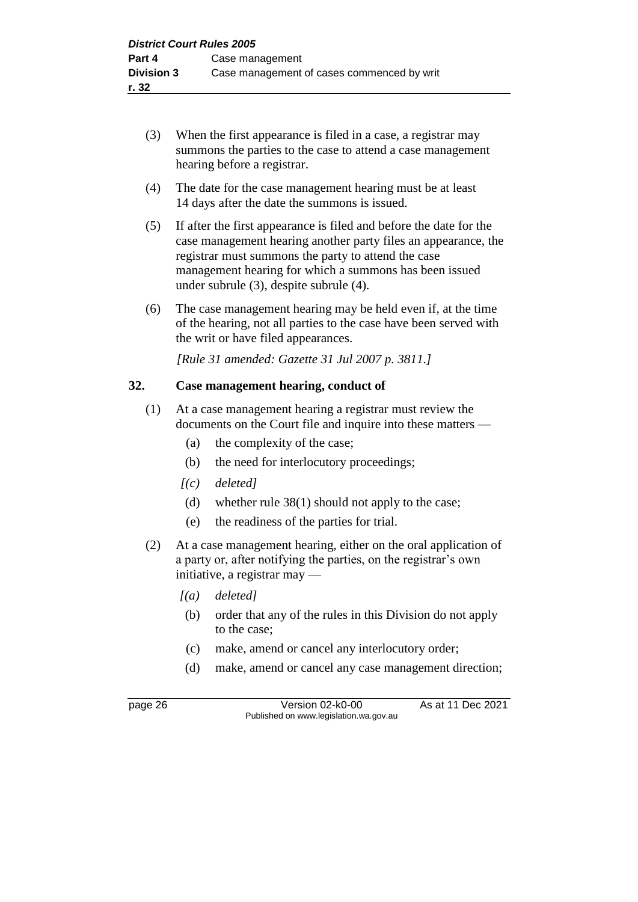- (3) When the first appearance is filed in a case, a registrar may summons the parties to the case to attend a case management hearing before a registrar.
- (4) The date for the case management hearing must be at least 14 days after the date the summons is issued.
- (5) If after the first appearance is filed and before the date for the case management hearing another party files an appearance, the registrar must summons the party to attend the case management hearing for which a summons has been issued under subrule (3), despite subrule (4).
- (6) The case management hearing may be held even if, at the time of the hearing, not all parties to the case have been served with the writ or have filed appearances.

*[Rule 31 amended: Gazette 31 Jul 2007 p. 3811.]*

#### **32. Case management hearing, conduct of**

- (1) At a case management hearing a registrar must review the documents on the Court file and inquire into these matters —
	- (a) the complexity of the case;
	- (b) the need for interlocutory proceedings;
	- *[(c) deleted]*
	- (d) whether rule 38(1) should not apply to the case;
	- (e) the readiness of the parties for trial.
- (2) At a case management hearing, either on the oral application of a party or, after notifying the parties, on the registrar's own initiative, a registrar may —
	- *[(a) deleted]*
	- (b) order that any of the rules in this Division do not apply to the case;
	- (c) make, amend or cancel any interlocutory order;
	- (d) make, amend or cancel any case management direction;

page 26 **Version 02-k0-00** As at 11 Dec 2021 Published on www.legislation.wa.gov.au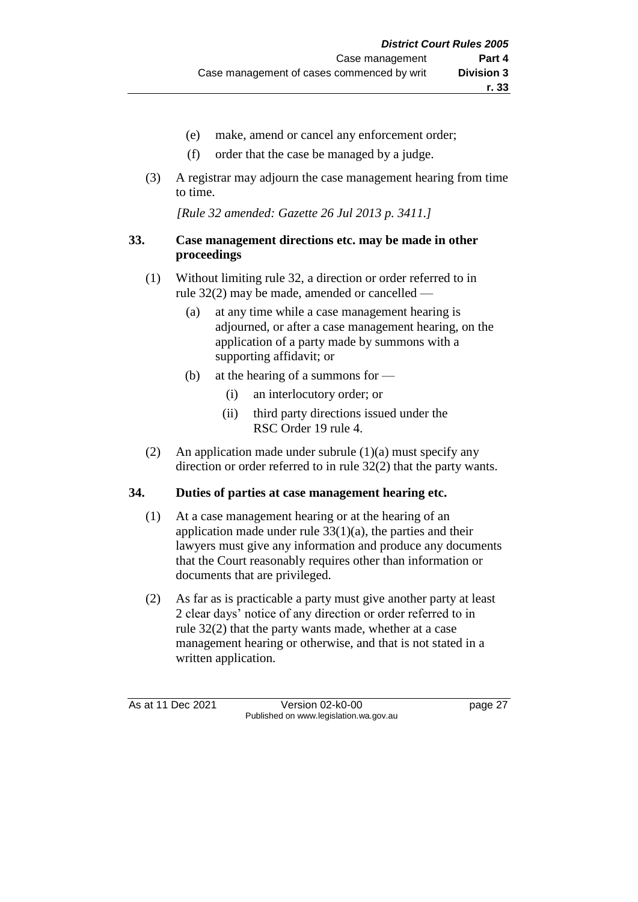- (e) make, amend or cancel any enforcement order;
- (f) order that the case be managed by a judge.
- (3) A registrar may adjourn the case management hearing from time to time.

*[Rule 32 amended: Gazette 26 Jul 2013 p. 3411.]*

## **33. Case management directions etc. may be made in other proceedings**

- (1) Without limiting rule 32, a direction or order referred to in rule 32(2) may be made, amended or cancelled —
	- (a) at any time while a case management hearing is adjourned, or after a case management hearing, on the application of a party made by summons with a supporting affidavit; or
	- (b) at the hearing of a summons for
		- (i) an interlocutory order; or
		- (ii) third party directions issued under the RSC Order 19 rule 4.
- (2) An application made under subrule (1)(a) must specify any direction or order referred to in rule 32(2) that the party wants.

## **34. Duties of parties at case management hearing etc.**

- (1) At a case management hearing or at the hearing of an application made under rule  $33(1)(a)$ , the parties and their lawyers must give any information and produce any documents that the Court reasonably requires other than information or documents that are privileged.
- (2) As far as is practicable a party must give another party at least 2 clear days' notice of any direction or order referred to in rule 32(2) that the party wants made, whether at a case management hearing or otherwise, and that is not stated in a written application.

As at 11 Dec 2021 Version 02-k0-00 page 27 Published on www.legislation.wa.gov.au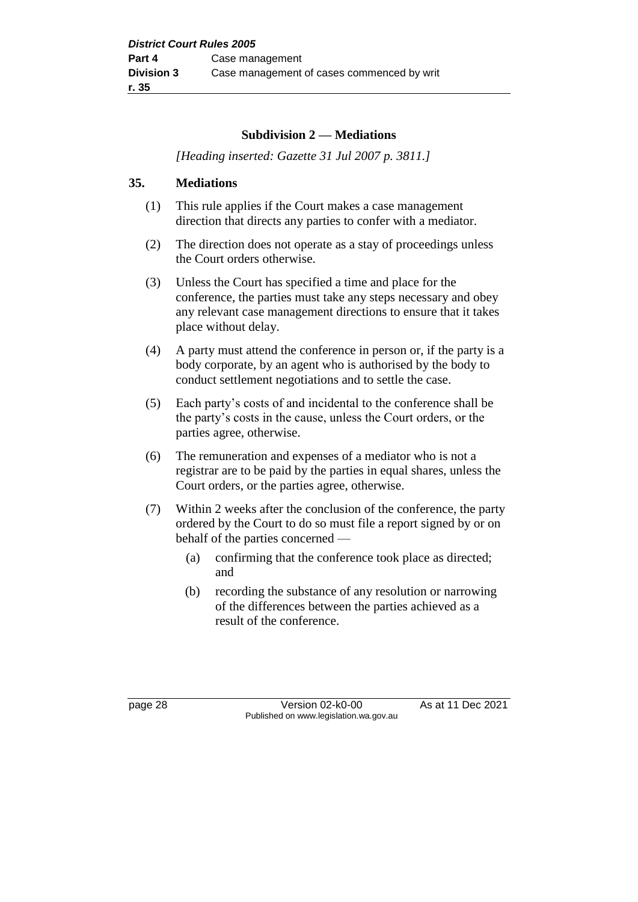#### **Subdivision 2 — Mediations**

*[Heading inserted: Gazette 31 Jul 2007 p. 3811.]*

#### **35. Mediations**

- (1) This rule applies if the Court makes a case management direction that directs any parties to confer with a mediator.
- (2) The direction does not operate as a stay of proceedings unless the Court orders otherwise.
- (3) Unless the Court has specified a time and place for the conference, the parties must take any steps necessary and obey any relevant case management directions to ensure that it takes place without delay.
- (4) A party must attend the conference in person or, if the party is a body corporate, by an agent who is authorised by the body to conduct settlement negotiations and to settle the case.
- (5) Each party's costs of and incidental to the conference shall be the party's costs in the cause, unless the Court orders, or the parties agree, otherwise.
- (6) The remuneration and expenses of a mediator who is not a registrar are to be paid by the parties in equal shares, unless the Court orders, or the parties agree, otherwise.
- (7) Within 2 weeks after the conclusion of the conference, the party ordered by the Court to do so must file a report signed by or on behalf of the parties concerned —
	- (a) confirming that the conference took place as directed; and
	- (b) recording the substance of any resolution or narrowing of the differences between the parties achieved as a result of the conference.

page 28 Version 02-k0-00 As at 11 Dec 2021 Published on www.legislation.wa.gov.au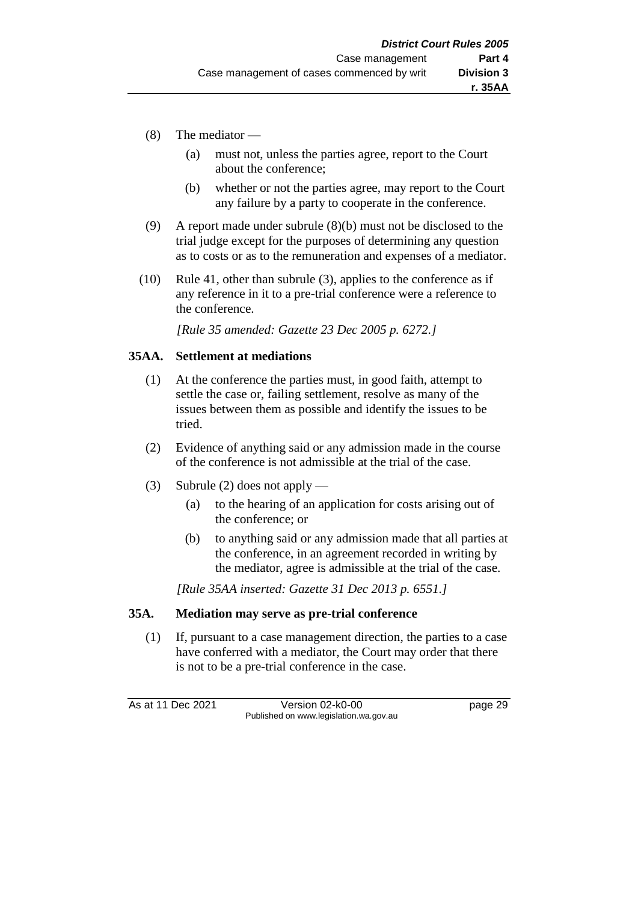- (8) The mediator
	- (a) must not, unless the parties agree, report to the Court about the conference;
	- (b) whether or not the parties agree, may report to the Court any failure by a party to cooperate in the conference.
- (9) A report made under subrule (8)(b) must not be disclosed to the trial judge except for the purposes of determining any question as to costs or as to the remuneration and expenses of a mediator.
- (10) Rule 41, other than subrule (3), applies to the conference as if any reference in it to a pre-trial conference were a reference to the conference.

*[Rule 35 amended: Gazette 23 Dec 2005 p. 6272.]*

#### **35AA. Settlement at mediations**

- (1) At the conference the parties must, in good faith, attempt to settle the case or, failing settlement, resolve as many of the issues between them as possible and identify the issues to be tried.
- (2) Evidence of anything said or any admission made in the course of the conference is not admissible at the trial of the case.
- (3) Subrule (2) does not apply
	- (a) to the hearing of an application for costs arising out of the conference; or
	- (b) to anything said or any admission made that all parties at the conference, in an agreement recorded in writing by the mediator, agree is admissible at the trial of the case.

*[Rule 35AA inserted: Gazette 31 Dec 2013 p. 6551.]*

#### **35A. Mediation may serve as pre-trial conference**

(1) If, pursuant to a case management direction, the parties to a case have conferred with a mediator, the Court may order that there is not to be a pre-trial conference in the case.

As at 11 Dec 2021 Version 02-k0-00 page 29 Published on www.legislation.wa.gov.au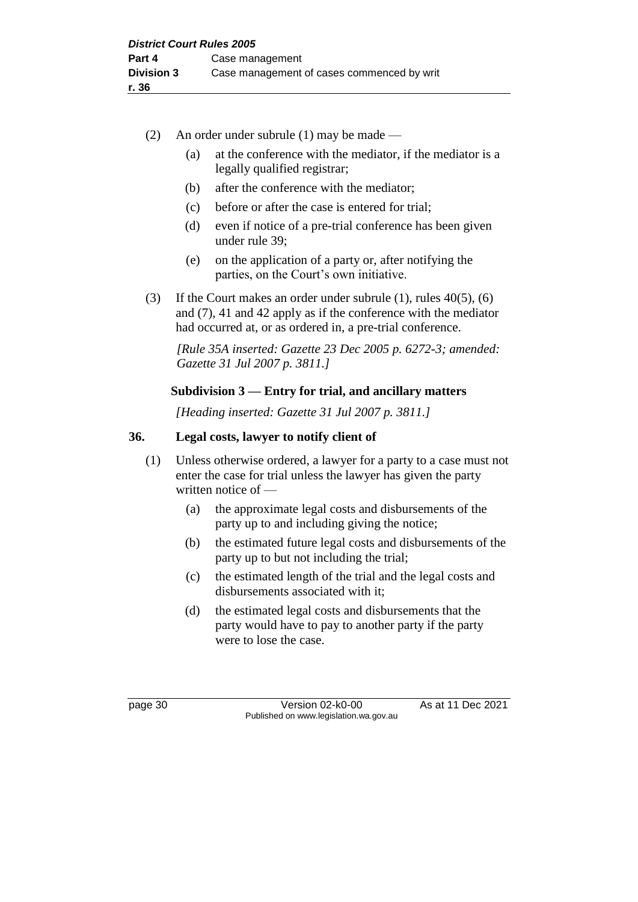- (2) An order under subrule (1) may be made
	- (a) at the conference with the mediator, if the mediator is a legally qualified registrar;
	- (b) after the conference with the mediator;
	- (c) before or after the case is entered for trial;
	- (d) even if notice of a pre-trial conference has been given under rule 39;
	- (e) on the application of a party or, after notifying the parties, on the Court's own initiative.
- (3) If the Court makes an order under subrule (1), rules 40(5), (6) and (7), 41 and 42 apply as if the conference with the mediator had occurred at, or as ordered in, a pre-trial conference.

*[Rule 35A inserted: Gazette 23 Dec 2005 p. 6272-3; amended: Gazette 31 Jul 2007 p. 3811.]*

## **Subdivision 3 — Entry for trial, and ancillary matters**

*[Heading inserted: Gazette 31 Jul 2007 p. 3811.]*

## **36. Legal costs, lawyer to notify client of**

- (1) Unless otherwise ordered, a lawyer for a party to a case must not enter the case for trial unless the lawyer has given the party written notice of —
	- (a) the approximate legal costs and disbursements of the party up to and including giving the notice;
	- (b) the estimated future legal costs and disbursements of the party up to but not including the trial;
	- (c) the estimated length of the trial and the legal costs and disbursements associated with it;
	- (d) the estimated legal costs and disbursements that the party would have to pay to another party if the party were to lose the case.

page 30 **Version 02-k0-00** As at 11 Dec 2021 Published on www.legislation.wa.gov.au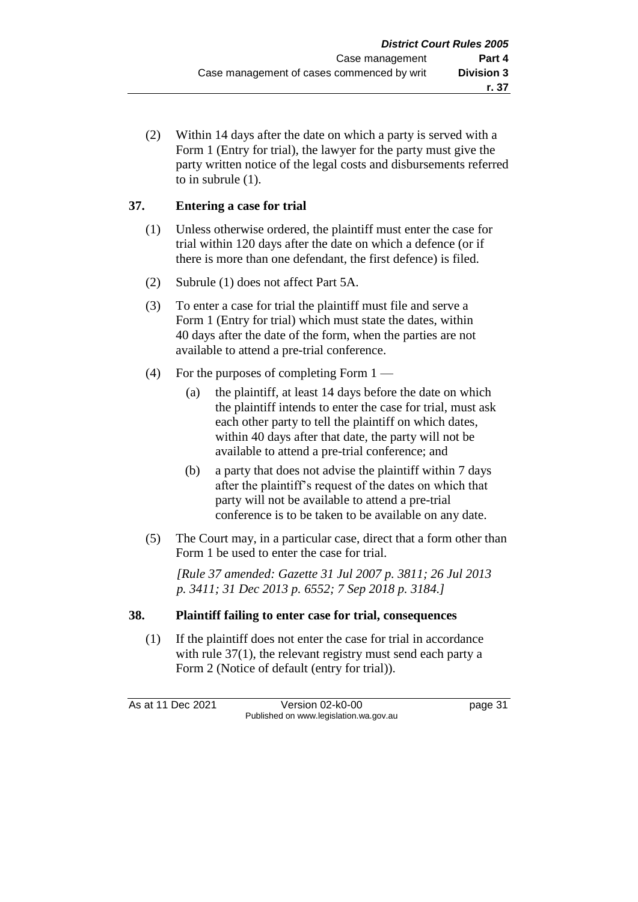(2) Within 14 days after the date on which a party is served with a Form 1 (Entry for trial), the lawyer for the party must give the party written notice of the legal costs and disbursements referred to in subrule (1).

## **37. Entering a case for trial**

- (1) Unless otherwise ordered, the plaintiff must enter the case for trial within 120 days after the date on which a defence (or if there is more than one defendant, the first defence) is filed.
- (2) Subrule (1) does not affect Part 5A.
- (3) To enter a case for trial the plaintiff must file and serve a Form 1 (Entry for trial) which must state the dates, within 40 days after the date of the form, when the parties are not available to attend a pre-trial conference.
- (4) For the purposes of completing Form  $1 -$ 
	- (a) the plaintiff, at least 14 days before the date on which the plaintiff intends to enter the case for trial, must ask each other party to tell the plaintiff on which dates, within 40 days after that date, the party will not be available to attend a pre-trial conference; and
	- (b) a party that does not advise the plaintiff within 7 days after the plaintiff's request of the dates on which that party will not be available to attend a pre-trial conference is to be taken to be available on any date.
- (5) The Court may, in a particular case, direct that a form other than Form 1 be used to enter the case for trial.

*[Rule 37 amended: Gazette 31 Jul 2007 p. 3811; 26 Jul 2013 p. 3411; 31 Dec 2013 p. 6552; 7 Sep 2018 p. 3184.]*

## **38. Plaintiff failing to enter case for trial, consequences**

(1) If the plaintiff does not enter the case for trial in accordance with rule 37(1), the relevant registry must send each party a Form 2 (Notice of default (entry for trial)).

As at 11 Dec 2021 Version 02-k0-00 page 31 Published on www.legislation.wa.gov.au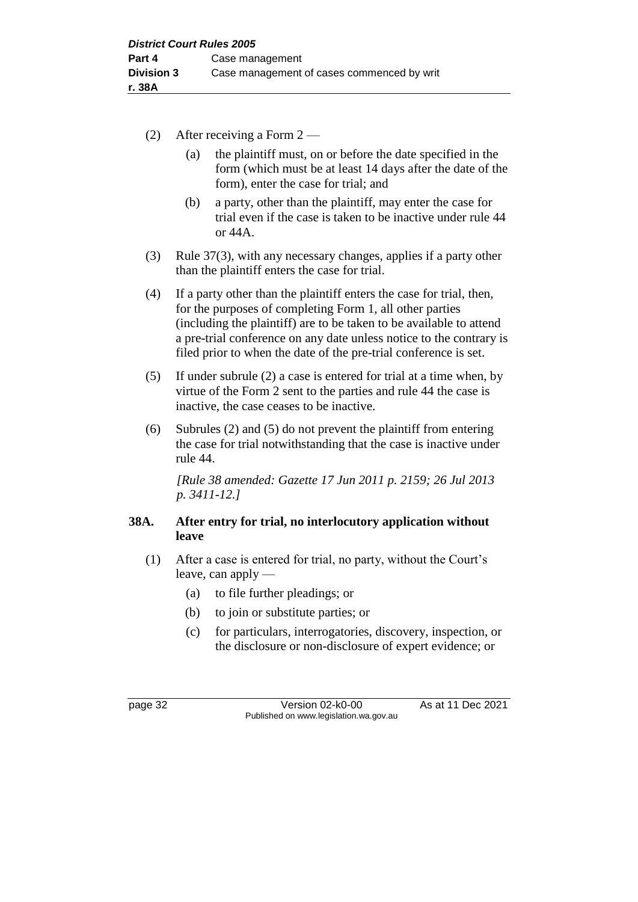- (2) After receiving a Form 2
	- (a) the plaintiff must, on or before the date specified in the form (which must be at least 14 days after the date of the form), enter the case for trial; and
	- (b) a party, other than the plaintiff, may enter the case for trial even if the case is taken to be inactive under rule 44 or 44A.
- (3) Rule 37(3), with any necessary changes, applies if a party other than the plaintiff enters the case for trial.
- (4) If a party other than the plaintiff enters the case for trial, then, for the purposes of completing Form 1, all other parties (including the plaintiff) are to be taken to be available to attend a pre-trial conference on any date unless notice to the contrary is filed prior to when the date of the pre-trial conference is set.
- (5) If under subrule (2) a case is entered for trial at a time when, by virtue of the Form 2 sent to the parties and rule 44 the case is inactive, the case ceases to be inactive.
- (6) Subrules (2) and (5) do not prevent the plaintiff from entering the case for trial notwithstanding that the case is inactive under rule 44.

*[Rule 38 amended: Gazette 17 Jun 2011 p. 2159; 26 Jul 2013 p. 3411-12.]*

## **38A. After entry for trial, no interlocutory application without leave**

- (1) After a case is entered for trial, no party, without the Court's leave, can apply —
	- (a) to file further pleadings; or
	- (b) to join or substitute parties; or
	- (c) for particulars, interrogatories, discovery, inspection, or the disclosure or non-disclosure of expert evidence; or

page 32 Version 02-k0-00 As at 11 Dec 2021 Published on www.legislation.wa.gov.au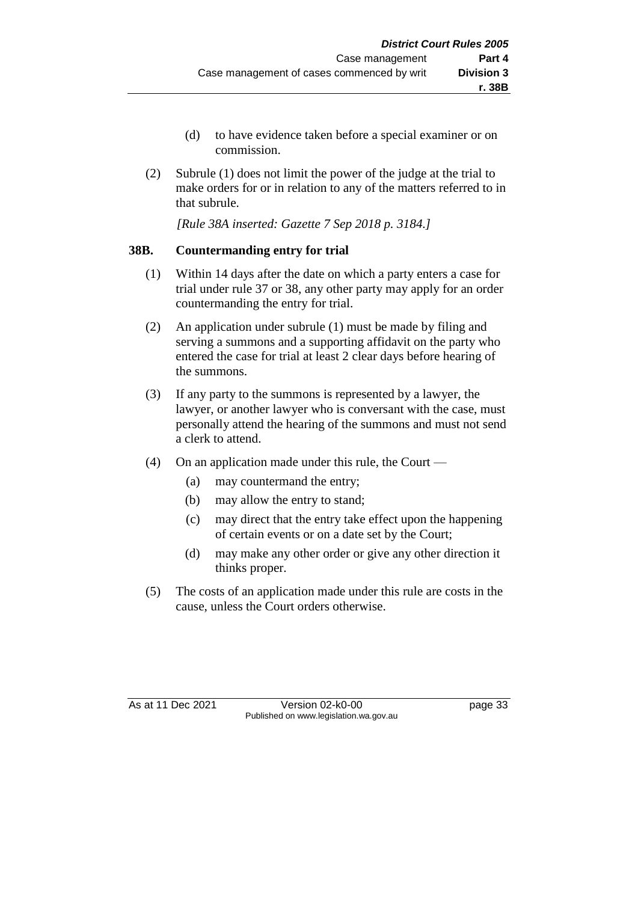- (d) to have evidence taken before a special examiner or on commission.
- (2) Subrule (1) does not limit the power of the judge at the trial to make orders for or in relation to any of the matters referred to in that subrule.

*[Rule 38A inserted: Gazette 7 Sep 2018 p. 3184.]*

## **38B. Countermanding entry for trial**

- (1) Within 14 days after the date on which a party enters a case for trial under rule 37 or 38, any other party may apply for an order countermanding the entry for trial.
- (2) An application under subrule (1) must be made by filing and serving a summons and a supporting affidavit on the party who entered the case for trial at least 2 clear days before hearing of the summons.
- (3) If any party to the summons is represented by a lawyer, the lawyer, or another lawyer who is conversant with the case, must personally attend the hearing of the summons and must not send a clerk to attend.
- (4) On an application made under this rule, the Court
	- (a) may countermand the entry;
	- (b) may allow the entry to stand;
	- (c) may direct that the entry take effect upon the happening of certain events or on a date set by the Court;
	- (d) may make any other order or give any other direction it thinks proper.
- (5) The costs of an application made under this rule are costs in the cause, unless the Court orders otherwise.

As at 11 Dec 2021 Version 02-k0-00 Page 33 Published on www.legislation.wa.gov.au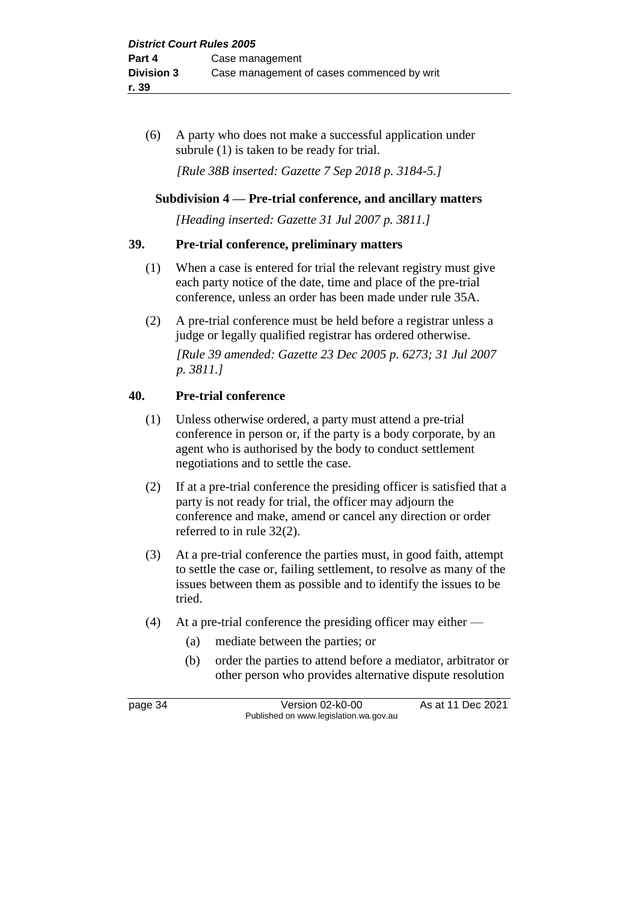(6) A party who does not make a successful application under subrule (1) is taken to be ready for trial.

*[Rule 38B inserted: Gazette 7 Sep 2018 p. 3184-5.]*

## **Subdivision 4 — Pre-trial conference, and ancillary matters**

*[Heading inserted: Gazette 31 Jul 2007 p. 3811.]*

## **39. Pre-trial conference, preliminary matters**

- (1) When a case is entered for trial the relevant registry must give each party notice of the date, time and place of the pre-trial conference, unless an order has been made under rule 35A.
- (2) A pre-trial conference must be held before a registrar unless a judge or legally qualified registrar has ordered otherwise. *[Rule 39 amended: Gazette 23 Dec 2005 p. 6273; 31 Jul 2007 p. 3811.]*

## **40. Pre-trial conference**

- (1) Unless otherwise ordered, a party must attend a pre-trial conference in person or, if the party is a body corporate, by an agent who is authorised by the body to conduct settlement negotiations and to settle the case.
- (2) If at a pre-trial conference the presiding officer is satisfied that a party is not ready for trial, the officer may adjourn the conference and make, amend or cancel any direction or order referred to in rule 32(2).
- (3) At a pre-trial conference the parties must, in good faith, attempt to settle the case or, failing settlement, to resolve as many of the issues between them as possible and to identify the issues to be tried.
- (4) At a pre-trial conference the presiding officer may either
	- (a) mediate between the parties; or
	- (b) order the parties to attend before a mediator, arbitrator or other person who provides alternative dispute resolution

page 34 Version 02-k0-00 As at 11 Dec 2021 Published on www.legislation.wa.gov.au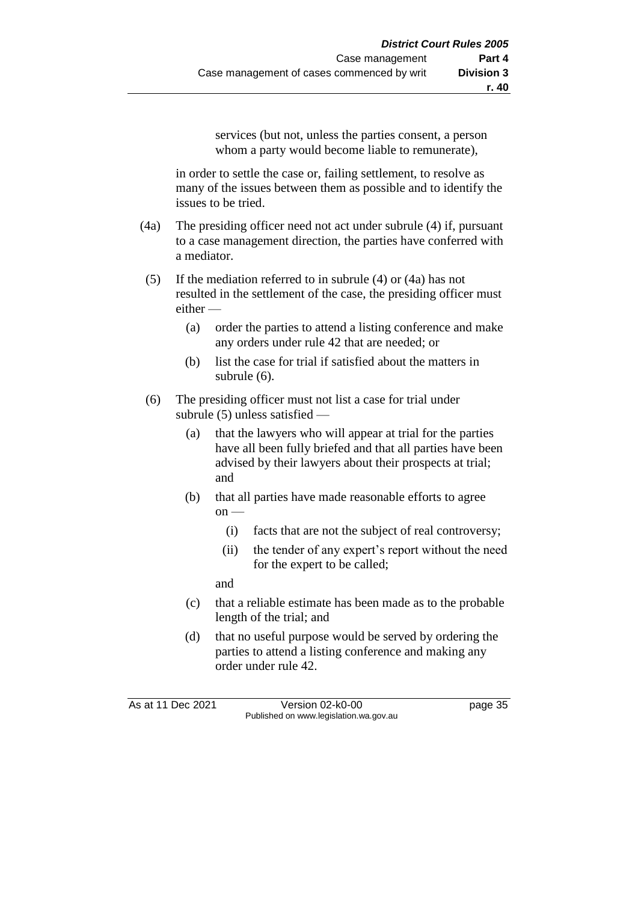services (but not, unless the parties consent, a person whom a party would become liable to remunerate),

in order to settle the case or, failing settlement, to resolve as many of the issues between them as possible and to identify the issues to be tried.

- (4a) The presiding officer need not act under subrule (4) if, pursuant to a case management direction, the parties have conferred with a mediator.
- (5) If the mediation referred to in subrule (4) or (4a) has not resulted in the settlement of the case, the presiding officer must either —
	- (a) order the parties to attend a listing conference and make any orders under rule 42 that are needed; or
	- (b) list the case for trial if satisfied about the matters in subrule (6).
- (6) The presiding officer must not list a case for trial under subrule (5) unless satisfied —
	- (a) that the lawyers who will appear at trial for the parties have all been fully briefed and that all parties have been advised by their lawyers about their prospects at trial; and
	- (b) that all parties have made reasonable efforts to agree  $on$  —
		- (i) facts that are not the subject of real controversy;
		- (ii) the tender of any expert's report without the need for the expert to be called;

and

- (c) that a reliable estimate has been made as to the probable length of the trial; and
- (d) that no useful purpose would be served by ordering the parties to attend a listing conference and making any order under rule 42.

As at 11 Dec 2021 Version 02-k0-00 Page 35 Published on www.legislation.wa.gov.au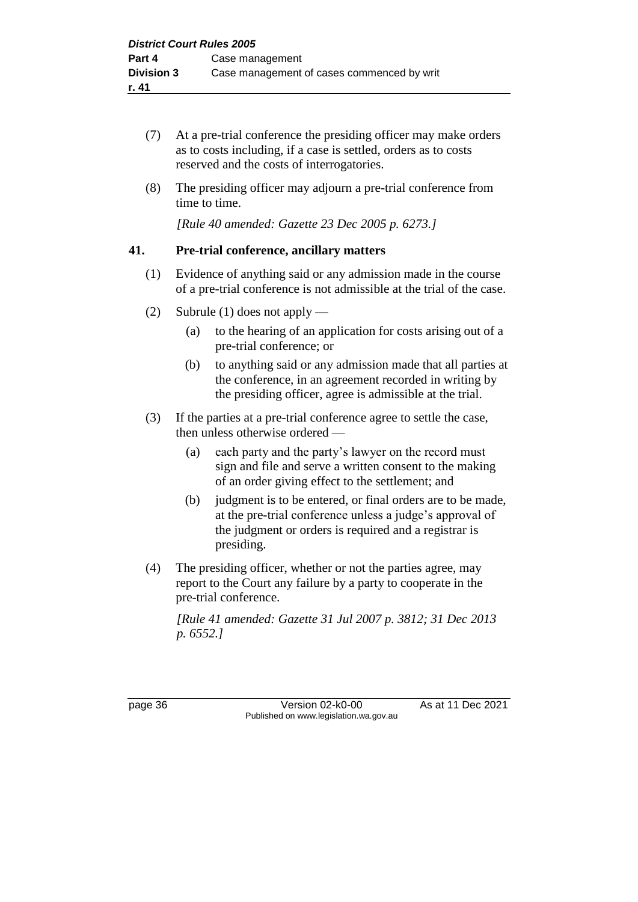- (7) At a pre-trial conference the presiding officer may make orders as to costs including, if a case is settled, orders as to costs reserved and the costs of interrogatories.
- (8) The presiding officer may adjourn a pre-trial conference from time to time.

*[Rule 40 amended: Gazette 23 Dec 2005 p. 6273.]*

## **41. Pre-trial conference, ancillary matters**

- (1) Evidence of anything said or any admission made in the course of a pre-trial conference is not admissible at the trial of the case.
- (2) Subrule (1) does not apply
	- (a) to the hearing of an application for costs arising out of a pre-trial conference; or
	- (b) to anything said or any admission made that all parties at the conference, in an agreement recorded in writing by the presiding officer, agree is admissible at the trial.
- (3) If the parties at a pre-trial conference agree to settle the case, then unless otherwise ordered —
	- (a) each party and the party's lawyer on the record must sign and file and serve a written consent to the making of an order giving effect to the settlement; and
	- (b) judgment is to be entered, or final orders are to be made, at the pre-trial conference unless a judge's approval of the judgment or orders is required and a registrar is presiding.
- (4) The presiding officer, whether or not the parties agree, may report to the Court any failure by a party to cooperate in the pre-trial conference.

*[Rule 41 amended: Gazette 31 Jul 2007 p. 3812; 31 Dec 2013 p. 6552.]*

page 36 **Version 02-k0-00** As at 11 Dec 2021 Published on www.legislation.wa.gov.au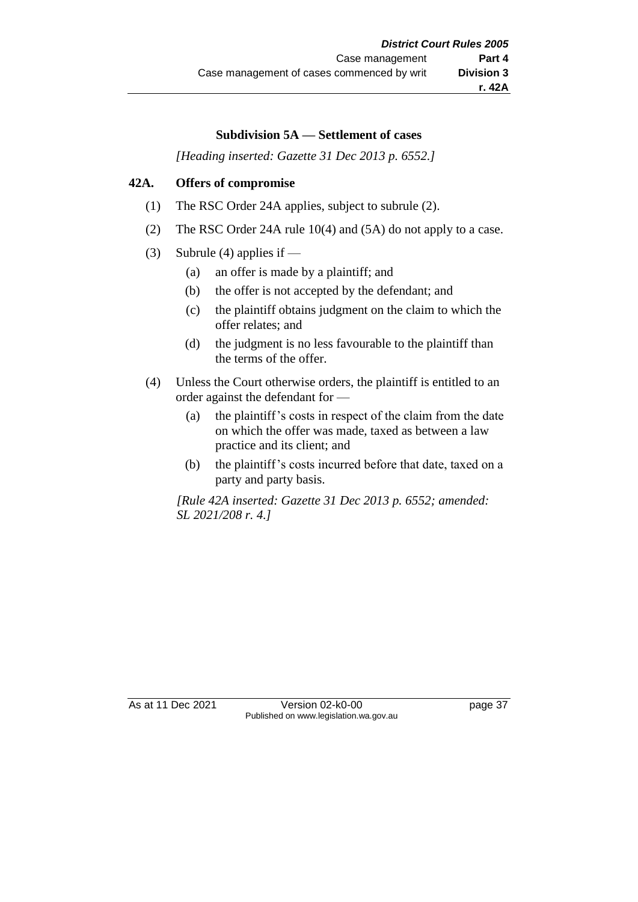#### **Subdivision 5A — Settlement of cases**

*[Heading inserted: Gazette 31 Dec 2013 p. 6552.]*

## **42A. Offers of compromise**

- (1) The RSC Order 24A applies, subject to subrule (2).
- (2) The RSC Order 24A rule 10(4) and (5A) do not apply to a case.
- (3) Subrule (4) applies if
	- (a) an offer is made by a plaintiff; and
	- (b) the offer is not accepted by the defendant; and
	- (c) the plaintiff obtains judgment on the claim to which the offer relates; and
	- (d) the judgment is no less favourable to the plaintiff than the terms of the offer.
- (4) Unless the Court otherwise orders, the plaintiff is entitled to an order against the defendant for —
	- (a) the plaintiff's costs in respect of the claim from the date on which the offer was made, taxed as between a law practice and its client; and
	- (b) the plaintiff's costs incurred before that date, taxed on a party and party basis.

*[Rule 42A inserted: Gazette 31 Dec 2013 p. 6552; amended: SL 2021/208 r. 4.]*

As at 11 Dec 2021 Version 02-k0-00 Page 37 Published on www.legislation.wa.gov.au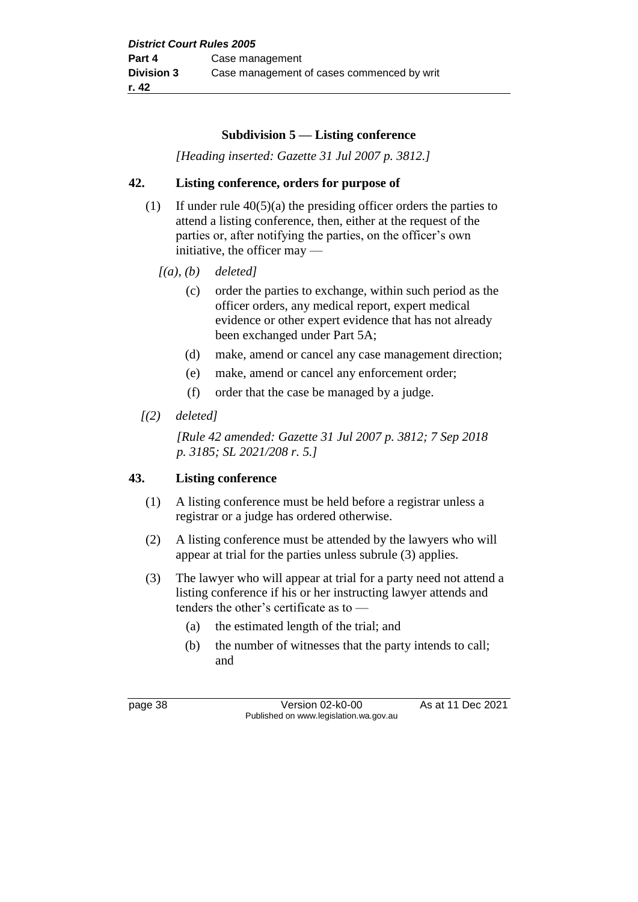#### **Subdivision 5 — Listing conference**

*[Heading inserted: Gazette 31 Jul 2007 p. 3812.]*

## **42. Listing conference, orders for purpose of**

- (1) If under rule  $40(5)(a)$  the presiding officer orders the parties to attend a listing conference, then, either at the request of the parties or, after notifying the parties, on the officer's own initiative, the officer may —
	- *[(a), (b) deleted]*
		- (c) order the parties to exchange, within such period as the officer orders, any medical report, expert medical evidence or other expert evidence that has not already been exchanged under Part 5A;
		- (d) make, amend or cancel any case management direction;
		- (e) make, amend or cancel any enforcement order;
		- (f) order that the case be managed by a judge.

## *[(2) deleted]*

*[Rule 42 amended: Gazette 31 Jul 2007 p. 3812; 7 Sep 2018 p. 3185; SL 2021/208 r. 5.]*

## **43. Listing conference**

- (1) A listing conference must be held before a registrar unless a registrar or a judge has ordered otherwise.
- (2) A listing conference must be attended by the lawyers who will appear at trial for the parties unless subrule (3) applies.
- (3) The lawyer who will appear at trial for a party need not attend a listing conference if his or her instructing lawyer attends and tenders the other's certificate as to —
	- (a) the estimated length of the trial; and
	- (b) the number of witnesses that the party intends to call; and

page 38 Version 02-k0-00 As at 11 Dec 2021 Published on www.legislation.wa.gov.au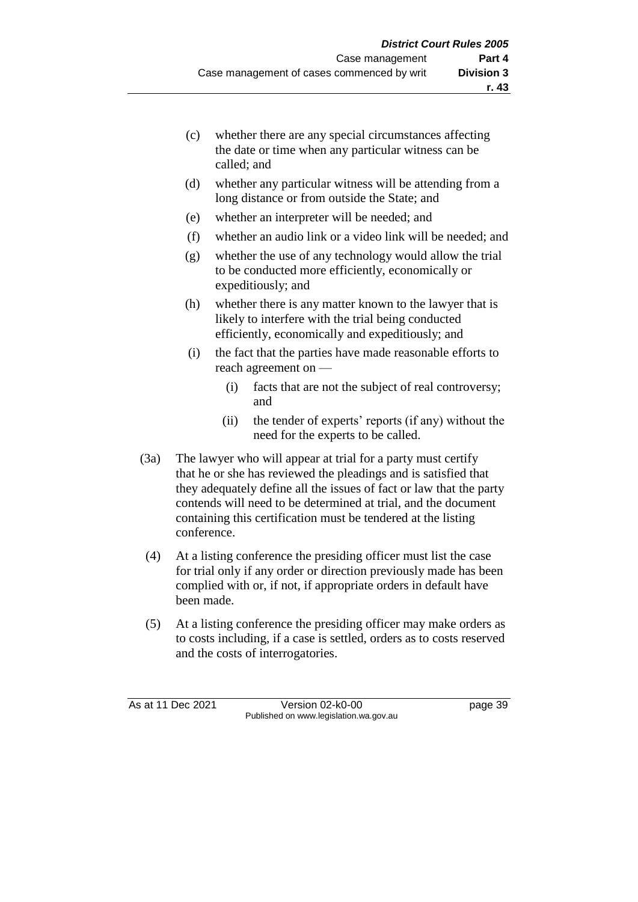- (c) whether there are any special circumstances affecting the date or time when any particular witness can be called; and
- (d) whether any particular witness will be attending from a long distance or from outside the State; and
- (e) whether an interpreter will be needed; and
- (f) whether an audio link or a video link will be needed; and
- (g) whether the use of any technology would allow the trial to be conducted more efficiently, economically or expeditiously; and
- (h) whether there is any matter known to the lawyer that is likely to interfere with the trial being conducted efficiently, economically and expeditiously; and
- (i) the fact that the parties have made reasonable efforts to reach agreement on —
	- (i) facts that are not the subject of real controversy; and
	- (ii) the tender of experts' reports (if any) without the need for the experts to be called.
- (3a) The lawyer who will appear at trial for a party must certify that he or she has reviewed the pleadings and is satisfied that they adequately define all the issues of fact or law that the party contends will need to be determined at trial, and the document containing this certification must be tendered at the listing conference.
- (4) At a listing conference the presiding officer must list the case for trial only if any order or direction previously made has been complied with or, if not, if appropriate orders in default have been made.
- (5) At a listing conference the presiding officer may make orders as to costs including, if a case is settled, orders as to costs reserved and the costs of interrogatories.

As at 11 Dec 2021 Version 02-k0-00 page 39 Published on www.legislation.wa.gov.au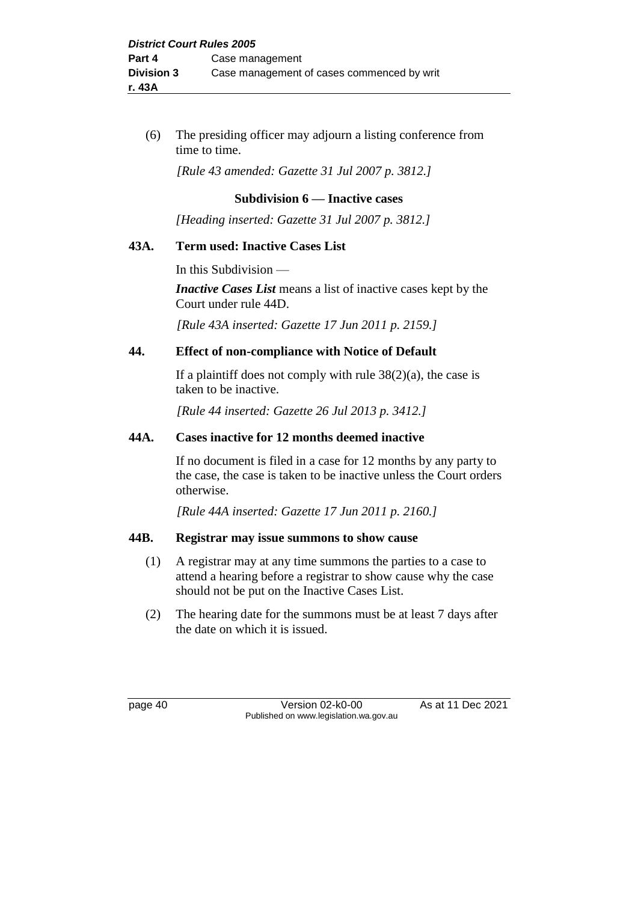(6) The presiding officer may adjourn a listing conference from time to time.

*[Rule 43 amended: Gazette 31 Jul 2007 p. 3812.]*

## **Subdivision 6 — Inactive cases**

*[Heading inserted: Gazette 31 Jul 2007 p. 3812.]*

#### **43A. Term used: Inactive Cases List**

In this Subdivision —

*Inactive Cases List* means a list of inactive cases kept by the Court under rule 44D.

*[Rule 43A inserted: Gazette 17 Jun 2011 p. 2159.]*

#### **44. Effect of non-compliance with Notice of Default**

If a plaintiff does not comply with rule  $38(2)(a)$ , the case is taken to be inactive.

*[Rule 44 inserted: Gazette 26 Jul 2013 p. 3412.]*

#### **44A. Cases inactive for 12 months deemed inactive**

If no document is filed in a case for 12 months by any party to the case, the case is taken to be inactive unless the Court orders otherwise.

*[Rule 44A inserted: Gazette 17 Jun 2011 p. 2160.]*

#### **44B. Registrar may issue summons to show cause**

- (1) A registrar may at any time summons the parties to a case to attend a hearing before a registrar to show cause why the case should not be put on the Inactive Cases List.
- (2) The hearing date for the summons must be at least 7 days after the date on which it is issued.

page 40 **Version 02-k0-00** As at 11 Dec 2021 Published on www.legislation.wa.gov.au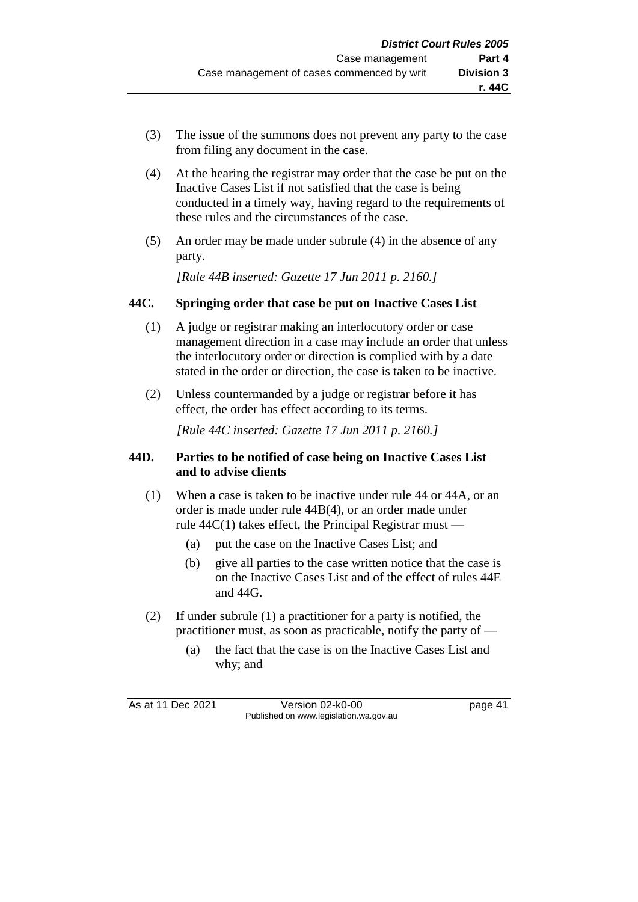- (3) The issue of the summons does not prevent any party to the case from filing any document in the case.
- (4) At the hearing the registrar may order that the case be put on the Inactive Cases List if not satisfied that the case is being conducted in a timely way, having regard to the requirements of these rules and the circumstances of the case.
- (5) An order may be made under subrule (4) in the absence of any party.

*[Rule 44B inserted: Gazette 17 Jun 2011 p. 2160.]*

## **44C. Springing order that case be put on Inactive Cases List**

- (1) A judge or registrar making an interlocutory order or case management direction in a case may include an order that unless the interlocutory order or direction is complied with by a date stated in the order or direction, the case is taken to be inactive.
- (2) Unless countermanded by a judge or registrar before it has effect, the order has effect according to its terms.

*[Rule 44C inserted: Gazette 17 Jun 2011 p. 2160.]*

## **44D. Parties to be notified of case being on Inactive Cases List and to advise clients**

- (1) When a case is taken to be inactive under rule 44 or 44A, or an order is made under rule 44B(4), or an order made under rule  $44C(1)$  takes effect, the Principal Registrar must —
	- (a) put the case on the Inactive Cases List; and
	- (b) give all parties to the case written notice that the case is on the Inactive Cases List and of the effect of rules 44E and 44G.
- (2) If under subrule (1) a practitioner for a party is notified, the practitioner must, as soon as practicable, notify the party of —
	- (a) the fact that the case is on the Inactive Cases List and why; and

As at 11 Dec 2021 Version 02-k0-00 page 41 Published on www.legislation.wa.gov.au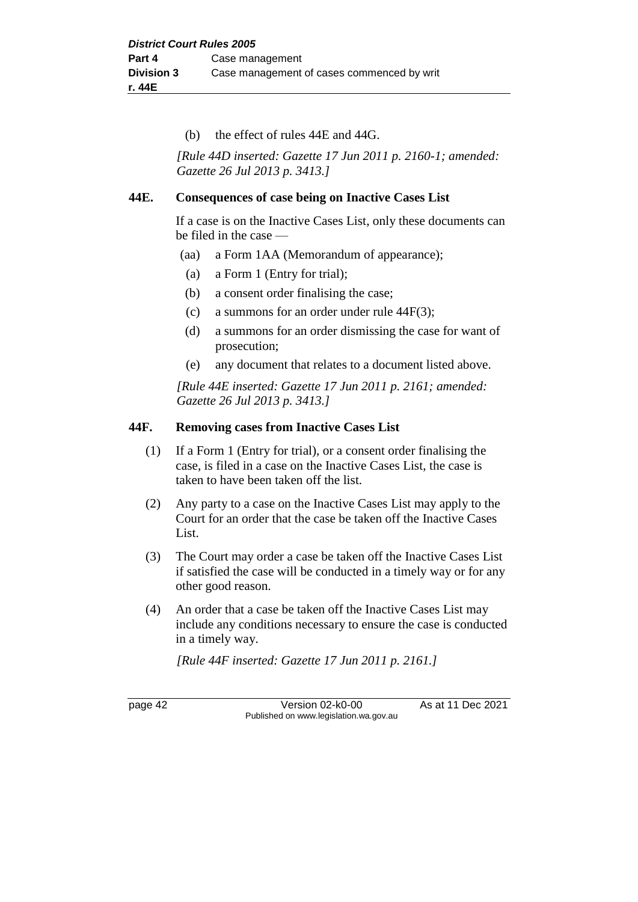(b) the effect of rules 44E and 44G.

*[Rule 44D inserted: Gazette 17 Jun 2011 p. 2160-1; amended: Gazette 26 Jul 2013 p. 3413.]*

#### **44E. Consequences of case being on Inactive Cases List**

If a case is on the Inactive Cases List, only these documents can be filed in the case —

- (aa) a Form 1AA (Memorandum of appearance);
- (a) a Form 1 (Entry for trial);
- (b) a consent order finalising the case;
- (c) a summons for an order under rule 44F(3);
- (d) a summons for an order dismissing the case for want of prosecution;
- (e) any document that relates to a document listed above.

*[Rule 44E inserted: Gazette 17 Jun 2011 p. 2161; amended: Gazette 26 Jul 2013 p. 3413.]*

#### **44F. Removing cases from Inactive Cases List**

- (1) If a Form 1 (Entry for trial), or a consent order finalising the case, is filed in a case on the Inactive Cases List, the case is taken to have been taken off the list.
- (2) Any party to a case on the Inactive Cases List may apply to the Court for an order that the case be taken off the Inactive Cases List.
- (3) The Court may order a case be taken off the Inactive Cases List if satisfied the case will be conducted in a timely way or for any other good reason.
- (4) An order that a case be taken off the Inactive Cases List may include any conditions necessary to ensure the case is conducted in a timely way.

*[Rule 44F inserted: Gazette 17 Jun 2011 p. 2161.]*

page 42 Version 02-k0-00 As at 11 Dec 2021 Published on www.legislation.wa.gov.au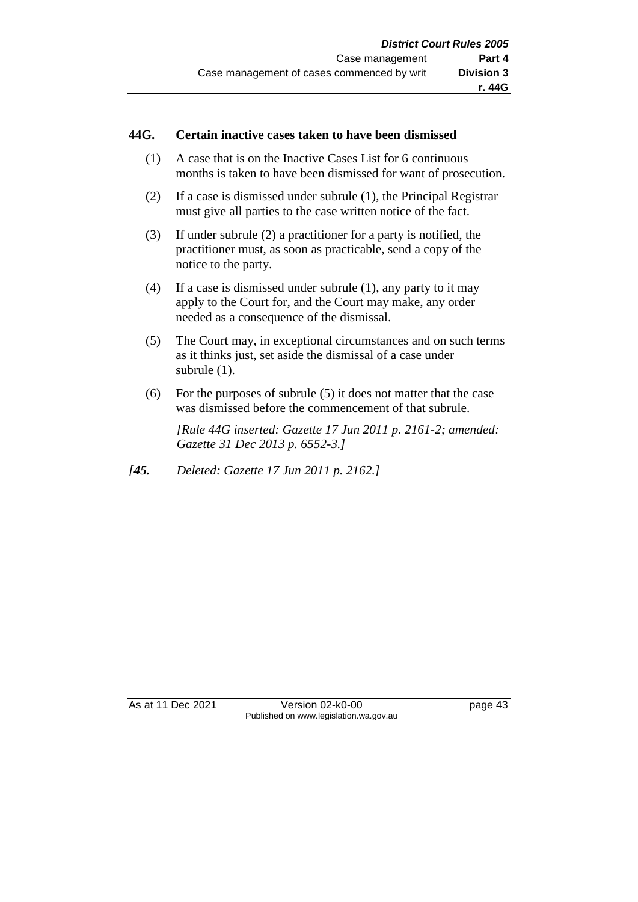#### **44G. Certain inactive cases taken to have been dismissed**

- (1) A case that is on the Inactive Cases List for 6 continuous months is taken to have been dismissed for want of prosecution.
- (2) If a case is dismissed under subrule (1), the Principal Registrar must give all parties to the case written notice of the fact.
- (3) If under subrule (2) a practitioner for a party is notified, the practitioner must, as soon as practicable, send a copy of the notice to the party.
- (4) If a case is dismissed under subrule (1), any party to it may apply to the Court for, and the Court may make, any order needed as a consequence of the dismissal.
- (5) The Court may, in exceptional circumstances and on such terms as it thinks just, set aside the dismissal of a case under subrule (1).
- (6) For the purposes of subrule (5) it does not matter that the case was dismissed before the commencement of that subrule.

*[Rule 44G inserted: Gazette 17 Jun 2011 p. 2161-2; amended: Gazette 31 Dec 2013 p. 6552-3.]*

*[45. Deleted: Gazette 17 Jun 2011 p. 2162.]*

As at 11 Dec 2021 Version 02-k0-00 page 43 Published on www.legislation.wa.gov.au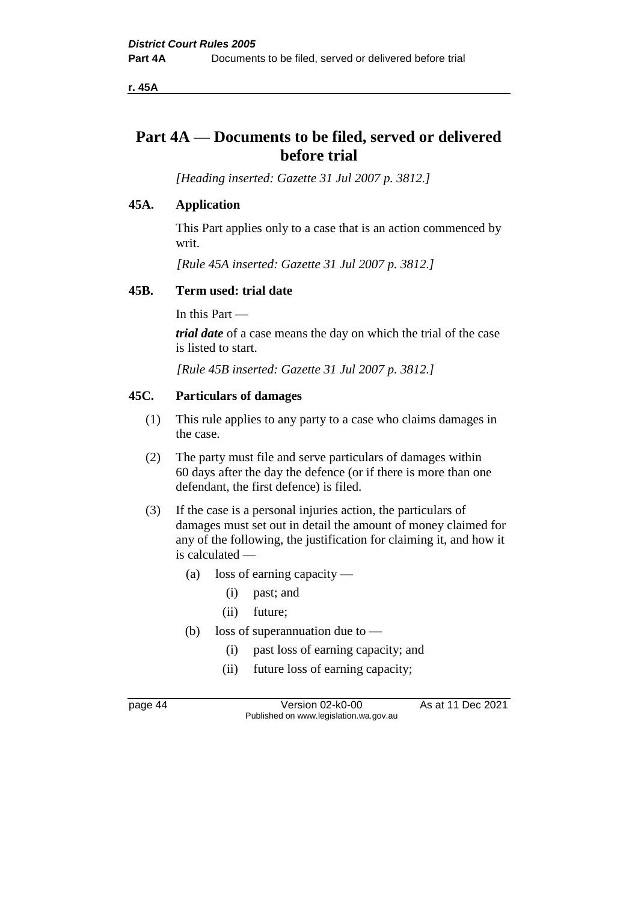**r. 45A**

# **Part 4A — Documents to be filed, served or delivered before trial**

*[Heading inserted: Gazette 31 Jul 2007 p. 3812.]*

## **45A. Application**

This Part applies only to a case that is an action commenced by writ.

*[Rule 45A inserted: Gazette 31 Jul 2007 p. 3812.]*

#### **45B. Term used: trial date**

In this Part —

*trial date* of a case means the day on which the trial of the case is listed to start.

*[Rule 45B inserted: Gazette 31 Jul 2007 p. 3812.]*

#### **45C. Particulars of damages**

- (1) This rule applies to any party to a case who claims damages in the case.
- (2) The party must file and serve particulars of damages within 60 days after the day the defence (or if there is more than one defendant, the first defence) is filed.
- (3) If the case is a personal injuries action, the particulars of damages must set out in detail the amount of money claimed for any of the following, the justification for claiming it, and how it is calculated —
	- (a) loss of earning capacity
		- (i) past; and
		- (ii) future;
	- (b) loss of superannuation due to  $-$ 
		- (i) past loss of earning capacity; and
		- (ii) future loss of earning capacity;

page 44 Version 02-k0-00 As at 11 Dec 2021 Published on www.legislation.wa.gov.au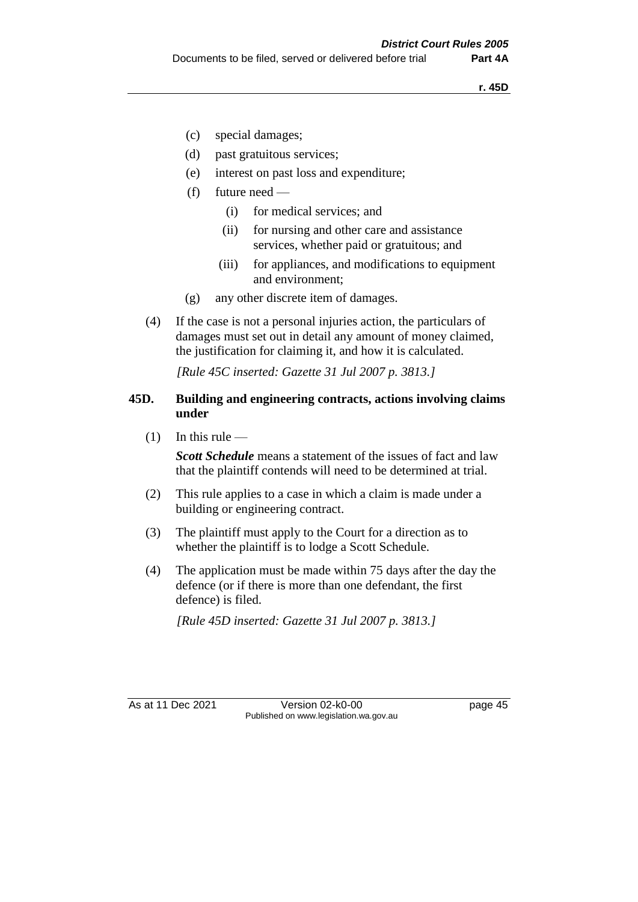- (c) special damages;
- (d) past gratuitous services;
- (e) interest on past loss and expenditure;
- (f) future need
	- (i) for medical services; and
	- (ii) for nursing and other care and assistance services, whether paid or gratuitous; and
	- (iii) for appliances, and modifications to equipment and environment;
- (g) any other discrete item of damages.
- (4) If the case is not a personal injuries action, the particulars of damages must set out in detail any amount of money claimed, the justification for claiming it, and how it is calculated.

*[Rule 45C inserted: Gazette 31 Jul 2007 p. 3813.]*

#### **45D. Building and engineering contracts, actions involving claims under**

 $(1)$  In this rule —

*Scott Schedule* means a statement of the issues of fact and law that the plaintiff contends will need to be determined at trial.

- (2) This rule applies to a case in which a claim is made under a building or engineering contract.
- (3) The plaintiff must apply to the Court for a direction as to whether the plaintiff is to lodge a Scott Schedule.
- (4) The application must be made within 75 days after the day the defence (or if there is more than one defendant, the first defence) is filed.

*[Rule 45D inserted: Gazette 31 Jul 2007 p. 3813.]*

As at 11 Dec 2021 Version 02-k0-00 Page 45 Published on www.legislation.wa.gov.au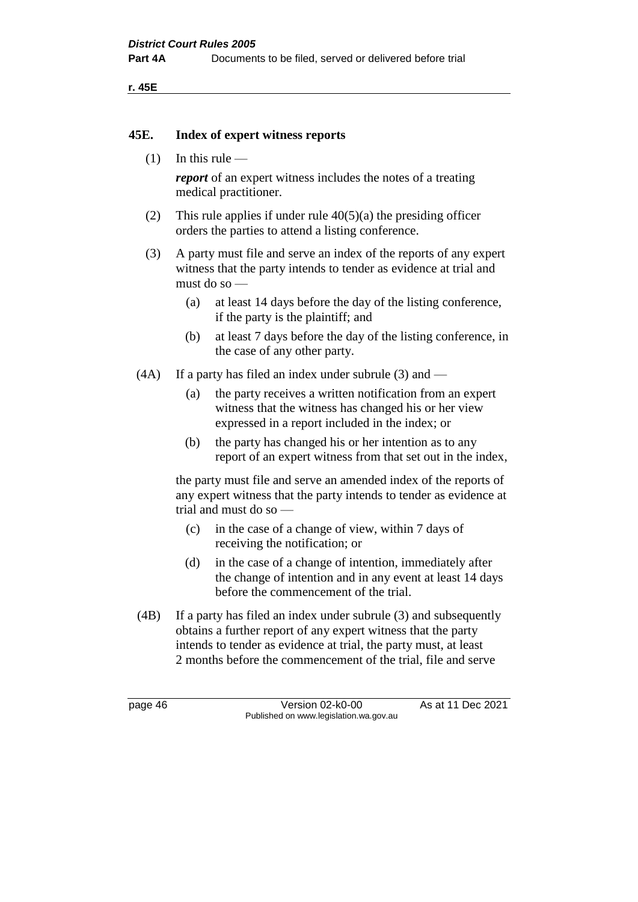**r. 45E**

#### **45E. Index of expert witness reports**

 $(1)$  In this rule —

*report* of an expert witness includes the notes of a treating medical practitioner.

- (2) This rule applies if under rule  $40(5)(a)$  the presiding officer orders the parties to attend a listing conference.
- (3) A party must file and serve an index of the reports of any expert witness that the party intends to tender as evidence at trial and must do so —
	- (a) at least 14 days before the day of the listing conference, if the party is the plaintiff; and
	- (b) at least 7 days before the day of the listing conference, in the case of any other party.
- (4A) If a party has filed an index under subrule (3) and
	- (a) the party receives a written notification from an expert witness that the witness has changed his or her view expressed in a report included in the index; or
	- (b) the party has changed his or her intention as to any report of an expert witness from that set out in the index,

the party must file and serve an amended index of the reports of any expert witness that the party intends to tender as evidence at trial and must do so —

- (c) in the case of a change of view, within 7 days of receiving the notification; or
- (d) in the case of a change of intention, immediately after the change of intention and in any event at least 14 days before the commencement of the trial.
- (4B) If a party has filed an index under subrule (3) and subsequently obtains a further report of any expert witness that the party intends to tender as evidence at trial, the party must, at least 2 months before the commencement of the trial, file and serve

page 46 **Version 02-k0-00** As at 11 Dec 2021 Published on www.legislation.wa.gov.au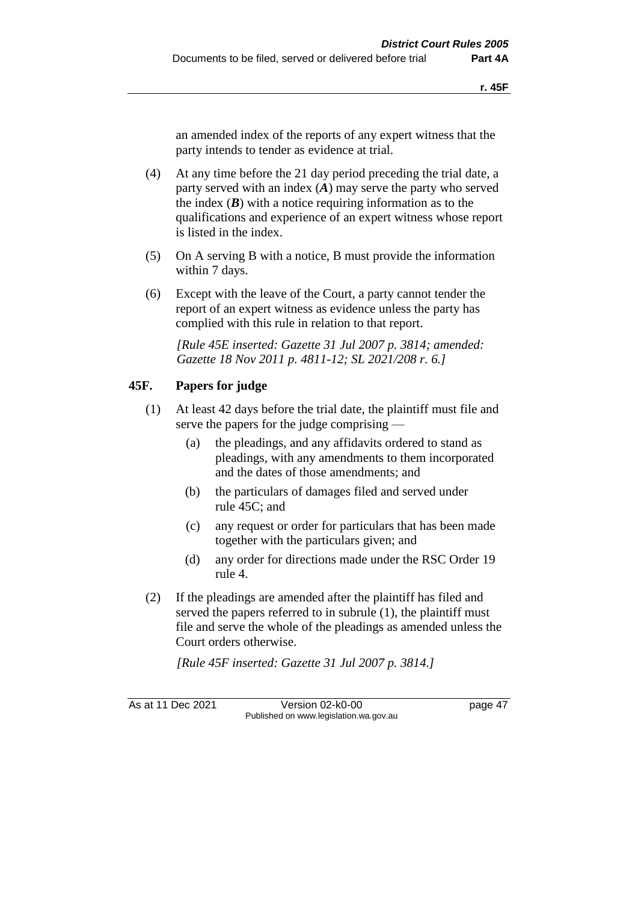an amended index of the reports of any expert witness that the party intends to tender as evidence at trial.

- (4) At any time before the 21 day period preceding the trial date, a party served with an index (*A*) may serve the party who served the index  $(B)$  with a notice requiring information as to the qualifications and experience of an expert witness whose report is listed in the index.
- (5) On A serving B with a notice, B must provide the information within 7 days.
- (6) Except with the leave of the Court, a party cannot tender the report of an expert witness as evidence unless the party has complied with this rule in relation to that report.

*[Rule 45E inserted: Gazette 31 Jul 2007 p. 3814; amended: Gazette 18 Nov 2011 p. 4811-12; SL 2021/208 r. 6.]*

## **45F. Papers for judge**

- (1) At least 42 days before the trial date, the plaintiff must file and serve the papers for the judge comprising —
	- (a) the pleadings, and any affidavits ordered to stand as pleadings, with any amendments to them incorporated and the dates of those amendments; and
	- (b) the particulars of damages filed and served under rule 45C; and
	- (c) any request or order for particulars that has been made together with the particulars given; and
	- (d) any order for directions made under the RSC Order 19 rule 4.
- (2) If the pleadings are amended after the plaintiff has filed and served the papers referred to in subrule (1), the plaintiff must file and serve the whole of the pleadings as amended unless the Court orders otherwise.

*[Rule 45F inserted: Gazette 31 Jul 2007 p. 3814.]*

As at 11 Dec 2021 Version 02-k0-00 page 47 Published on www.legislation.wa.gov.au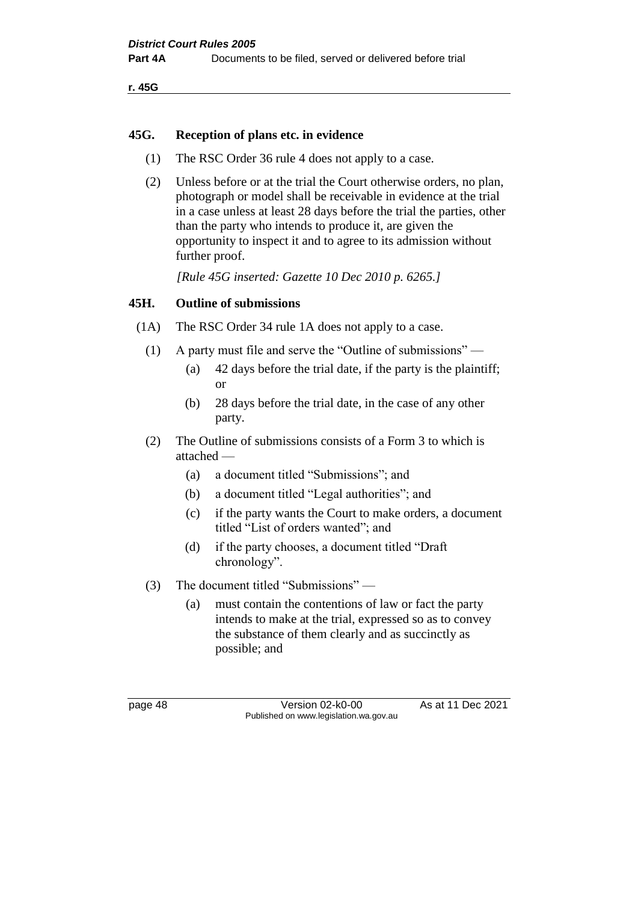**r. 45G**

#### **45G. Reception of plans etc. in evidence**

- (1) The RSC Order 36 rule 4 does not apply to a case.
- (2) Unless before or at the trial the Court otherwise orders, no plan, photograph or model shall be receivable in evidence at the trial in a case unless at least 28 days before the trial the parties, other than the party who intends to produce it, are given the opportunity to inspect it and to agree to its admission without further proof.

*[Rule 45G inserted: Gazette 10 Dec 2010 p. 6265.]*

#### **45H. Outline of submissions**

- (1A) The RSC Order 34 rule 1A does not apply to a case.
	- (1) A party must file and serve the "Outline of submissions"
		- (a) 42 days before the trial date, if the party is the plaintiff; or
		- (b) 28 days before the trial date, in the case of any other party.
	- (2) The Outline of submissions consists of a Form 3 to which is attached —
		- (a) a document titled "Submissions"; and
		- (b) a document titled "Legal authorities"; and
		- (c) if the party wants the Court to make orders, a document titled "List of orders wanted"; and
		- (d) if the party chooses, a document titled "Draft chronology".
	- (3) The document titled "Submissions"
		- (a) must contain the contentions of law or fact the party intends to make at the trial, expressed so as to convey the substance of them clearly and as succinctly as possible; and

page 48 Version 02-k0-00 As at 11 Dec 2021 Published on www.legislation.wa.gov.au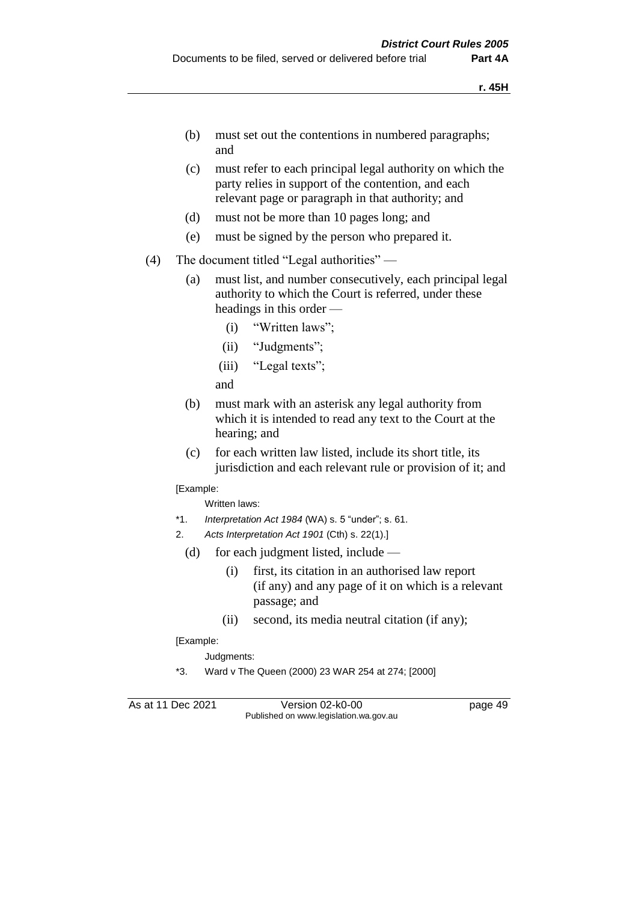- (b) must set out the contentions in numbered paragraphs; and
- (c) must refer to each principal legal authority on which the party relies in support of the contention, and each relevant page or paragraph in that authority; and
- (d) must not be more than 10 pages long; and
- (e) must be signed by the person who prepared it.
- (4) The document titled "Legal authorities"
	- (a) must list, and number consecutively, each principal legal authority to which the Court is referred, under these headings in this order —
		- (i) "Written laws";
		- (ii) "Judgments";
		- (iii) "Legal texts";

and

- (b) must mark with an asterisk any legal authority from which it is intended to read any text to the Court at the hearing; and
- (c) for each written law listed, include its short title, its jurisdiction and each relevant rule or provision of it; and

[Example:

Written laws:

- \*1. *Interpretation Act 1984* (WA) s. 5 "under"; s. 61.
- 2. *Acts Interpretation Act 1901* (Cth) s. 22(1).]
	- (d) for each judgment listed, include
		- (i) first, its citation in an authorised law report (if any) and any page of it on which is a relevant passage; and
		- (ii) second, its media neutral citation (if any);

[Example:

Judgments:

\*3. Ward v The Queen (2000) 23 WAR 254 at 274; [2000]

As at 11 Dec 2021 Version 02-k0-00 Page 49 Published on www.legislation.wa.gov.au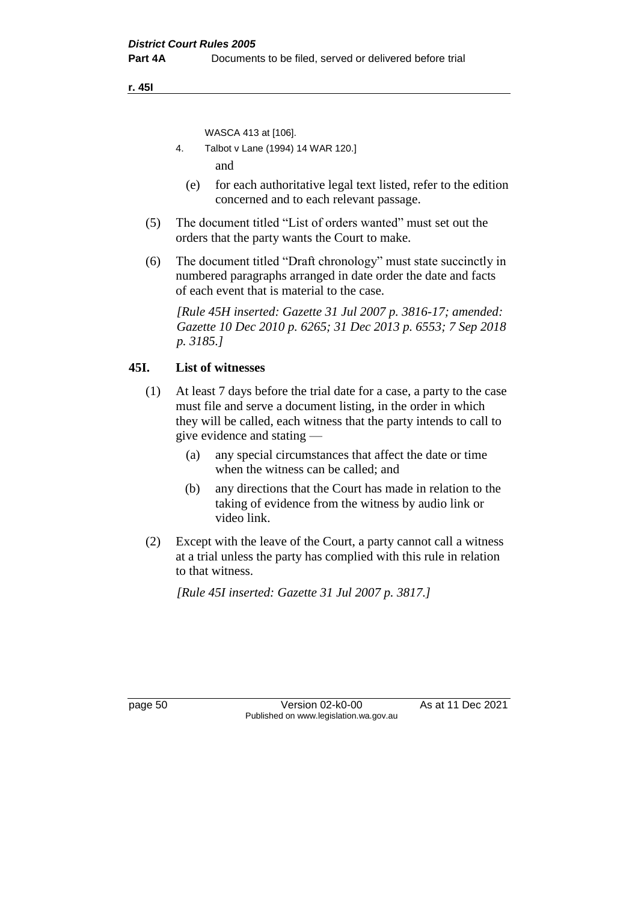**r. 45I**

WASCA 413 at [106].

- 4. Talbot v Lane (1994) 14 WAR 120.] and
- (e) for each authoritative legal text listed, refer to the edition concerned and to each relevant passage.
- (5) The document titled "List of orders wanted" must set out the orders that the party wants the Court to make.
- (6) The document titled "Draft chronology" must state succinctly in numbered paragraphs arranged in date order the date and facts of each event that is material to the case.

*[Rule 45H inserted: Gazette 31 Jul 2007 p. 3816-17; amended: Gazette 10 Dec 2010 p. 6265; 31 Dec 2013 p. 6553; 7 Sep 2018 p. 3185.]*

## **45I. List of witnesses**

- (1) At least 7 days before the trial date for a case, a party to the case must file and serve a document listing, in the order in which they will be called, each witness that the party intends to call to give evidence and stating —
	- (a) any special circumstances that affect the date or time when the witness can be called; and
	- (b) any directions that the Court has made in relation to the taking of evidence from the witness by audio link or video link.
- (2) Except with the leave of the Court, a party cannot call a witness at a trial unless the party has complied with this rule in relation to that witness.

*[Rule 45I inserted: Gazette 31 Jul 2007 p. 3817.]*

page 50 Version 02-k0-00 As at 11 Dec 2021 Published on www.legislation.wa.gov.au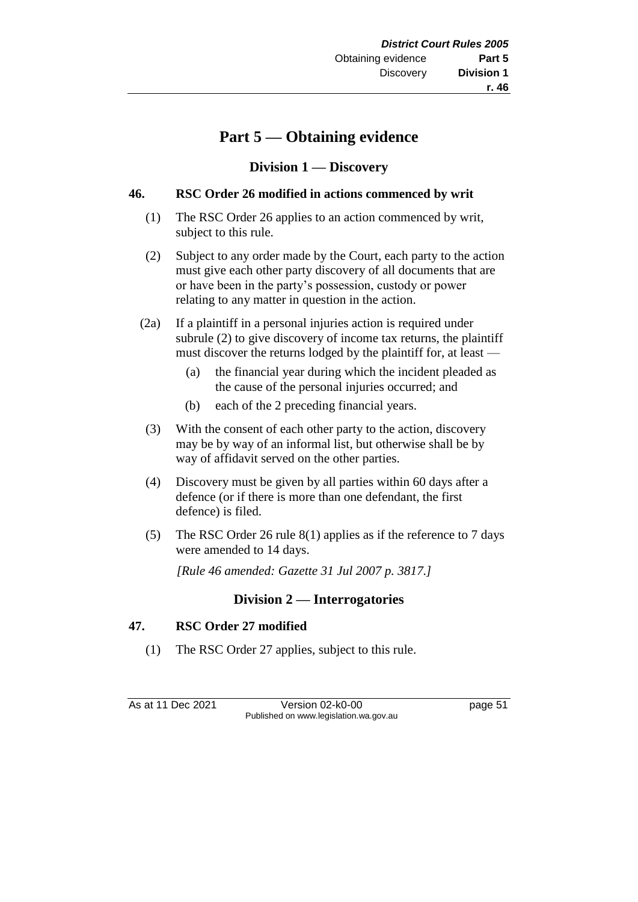# **Part 5 — Obtaining evidence**

## **Division 1 — Discovery**

#### **46. RSC Order 26 modified in actions commenced by writ**

- (1) The RSC Order 26 applies to an action commenced by writ, subject to this rule.
- (2) Subject to any order made by the Court, each party to the action must give each other party discovery of all documents that are or have been in the party's possession, custody or power relating to any matter in question in the action.
- (2a) If a plaintiff in a personal injuries action is required under subrule (2) to give discovery of income tax returns, the plaintiff must discover the returns lodged by the plaintiff for, at least —
	- (a) the financial year during which the incident pleaded as the cause of the personal injuries occurred; and
	- (b) each of the 2 preceding financial years.
- (3) With the consent of each other party to the action, discovery may be by way of an informal list, but otherwise shall be by way of affidavit served on the other parties.
- (4) Discovery must be given by all parties within 60 days after a defence (or if there is more than one defendant, the first defence) is filed.
- (5) The RSC Order 26 rule 8(1) applies as if the reference to 7 days were amended to 14 days.

*[Rule 46 amended: Gazette 31 Jul 2007 p. 3817.]*

## **Division 2 — Interrogatories**

## **47. RSC Order 27 modified**

(1) The RSC Order 27 applies, subject to this rule.

As at 11 Dec 2021 Version 02-k0-00 page 51 Published on www.legislation.wa.gov.au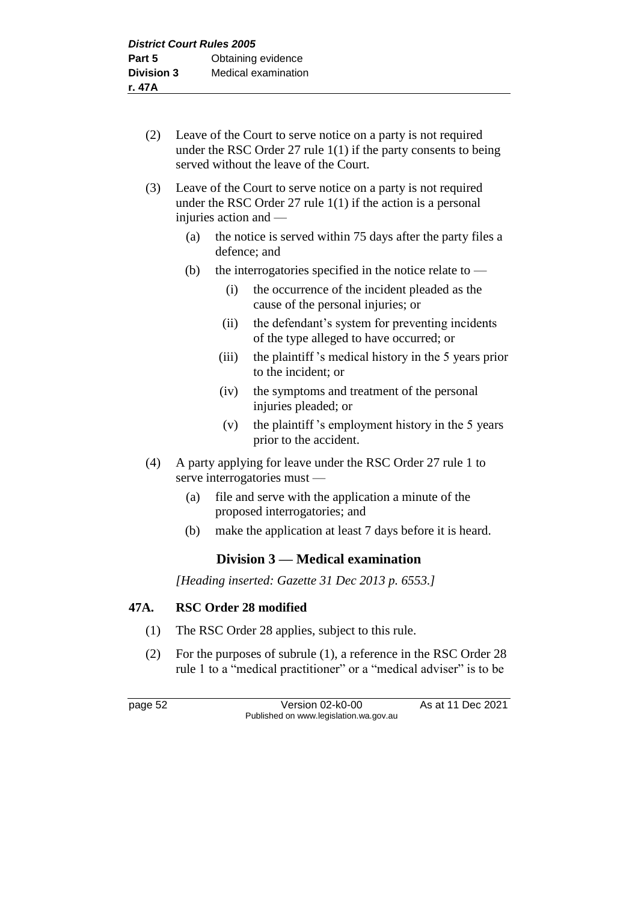- (2) Leave of the Court to serve notice on a party is not required under the RSC Order 27 rule  $1(1)$  if the party consents to being served without the leave of the Court.
- (3) Leave of the Court to serve notice on a party is not required under the RSC Order 27 rule 1(1) if the action is a personal injuries action and —
	- (a) the notice is served within 75 days after the party files a defence; and
	- (b) the interrogatories specified in the notice relate to  $-$ 
		- (i) the occurrence of the incident pleaded as the cause of the personal injuries; or
		- (ii) the defendant's system for preventing incidents of the type alleged to have occurred; or
		- (iii) the plaintiff 's medical history in the 5 years prior to the incident; or
		- (iv) the symptoms and treatment of the personal injuries pleaded; or
		- (v) the plaintiff 's employment history in the 5 years prior to the accident.
- (4) A party applying for leave under the RSC Order 27 rule 1 to serve interrogatories must —
	- (a) file and serve with the application a minute of the proposed interrogatories; and
	- (b) make the application at least 7 days before it is heard.

## **Division 3 — Medical examination**

*[Heading inserted: Gazette 31 Dec 2013 p. 6553.]*

#### **47A. RSC Order 28 modified**

- (1) The RSC Order 28 applies, subject to this rule.
- (2) For the purposes of subrule (1), a reference in the RSC Order 28 rule 1 to a "medical practitioner" or a "medical adviser" is to be

page 52 Version 02-k0-00 As at 11 Dec 2021 Published on www.legislation.wa.gov.au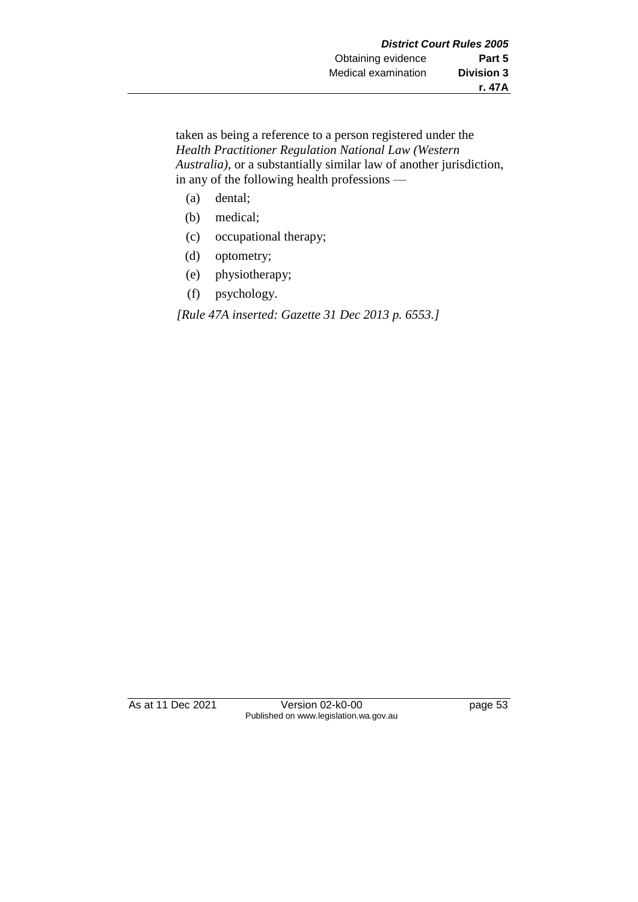taken as being a reference to a person registered under the *Health Practitioner Regulation National Law (Western Australia)*, or a substantially similar law of another jurisdiction, in any of the following health professions —

- (a) dental;
- (b) medical;
- (c) occupational therapy;
- (d) optometry;
- (e) physiotherapy;
- (f) psychology.

*[Rule 47A inserted: Gazette 31 Dec 2013 p. 6553.]*

As at 11 Dec 2021 Version 02-k0-00 page 53 Published on www.legislation.wa.gov.au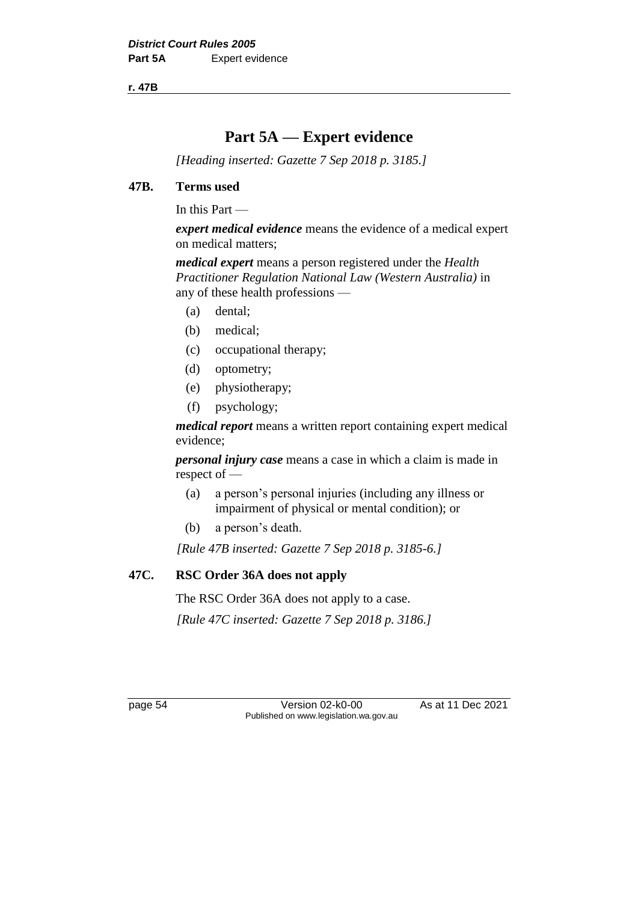**r. 47B**

# **Part 5A — Expert evidence**

*[Heading inserted: Gazette 7 Sep 2018 p. 3185.]*

#### **47B. Terms used**

In this Part —

*expert medical evidence* means the evidence of a medical expert on medical matters;

*medical expert* means a person registered under the *Health Practitioner Regulation National Law (Western Australia)* in any of these health professions —

- (a) dental;
- (b) medical;
- (c) occupational therapy;
- (d) optometry;
- (e) physiotherapy;
- (f) psychology;

*medical report* means a written report containing expert medical evidence;

*personal injury case* means a case in which a claim is made in respect of —

- (a) a person's personal injuries (including any illness or impairment of physical or mental condition); or
- (b) a person's death.

*[Rule 47B inserted: Gazette 7 Sep 2018 p. 3185-6.]*

## **47C. RSC Order 36A does not apply**

The RSC Order 36A does not apply to a case.

*[Rule 47C inserted: Gazette 7 Sep 2018 p. 3186.]*

page 54 Version 02-k0-00 As at 11 Dec 2021 Published on www.legislation.wa.gov.au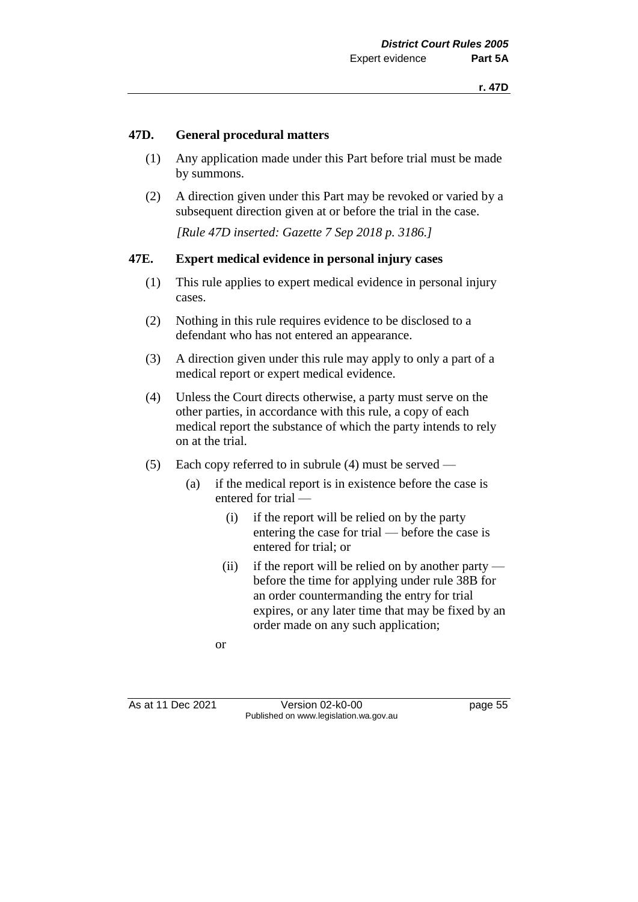#### **47D. General procedural matters**

- (1) Any application made under this Part before trial must be made by summons.
- (2) A direction given under this Part may be revoked or varied by a subsequent direction given at or before the trial in the case.

*[Rule 47D inserted: Gazette 7 Sep 2018 p. 3186.]*

#### **47E. Expert medical evidence in personal injury cases**

- (1) This rule applies to expert medical evidence in personal injury cases.
- (2) Nothing in this rule requires evidence to be disclosed to a defendant who has not entered an appearance.
- (3) A direction given under this rule may apply to only a part of a medical report or expert medical evidence.
- (4) Unless the Court directs otherwise, a party must serve on the other parties, in accordance with this rule, a copy of each medical report the substance of which the party intends to rely on at the trial.
- (5) Each copy referred to in subrule (4) must be served
	- (a) if the medical report is in existence before the case is entered for trial —
		- (i) if the report will be relied on by the party entering the case for trial — before the case is entered for trial; or
		- (ii) if the report will be relied on by another party before the time for applying under rule 38B for an order countermanding the entry for trial expires, or any later time that may be fixed by an order made on any such application;

or

As at 11 Dec 2021 Version 02-k0-00 Page 55 Published on www.legislation.wa.gov.au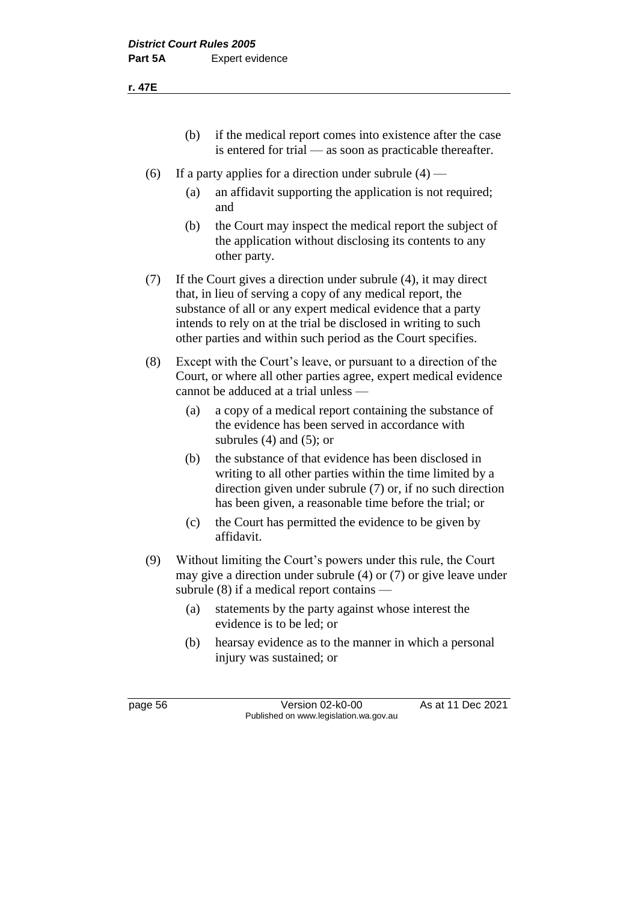**r. 47E**

- (b) if the medical report comes into existence after the case is entered for trial — as soon as practicable thereafter.
- (6) If a party applies for a direction under subrule  $(4)$ 
	- (a) an affidavit supporting the application is not required; and
	- (b) the Court may inspect the medical report the subject of the application without disclosing its contents to any other party.
- (7) If the Court gives a direction under subrule (4), it may direct that, in lieu of serving a copy of any medical report, the substance of all or any expert medical evidence that a party intends to rely on at the trial be disclosed in writing to such other parties and within such period as the Court specifies.
- (8) Except with the Court's leave, or pursuant to a direction of the Court, or where all other parties agree, expert medical evidence cannot be adduced at a trial unless —
	- (a) a copy of a medical report containing the substance of the evidence has been served in accordance with subrules (4) and (5); or
	- (b) the substance of that evidence has been disclosed in writing to all other parties within the time limited by a direction given under subrule (7) or, if no such direction has been given, a reasonable time before the trial; or
	- (c) the Court has permitted the evidence to be given by affidavit.
- (9) Without limiting the Court's powers under this rule, the Court may give a direction under subrule (4) or (7) or give leave under subrule (8) if a medical report contains —
	- (a) statements by the party against whose interest the evidence is to be led; or
	- (b) hearsay evidence as to the manner in which a personal injury was sustained; or

page 56 **Version 02-k0-00** As at 11 Dec 2021 Published on www.legislation.wa.gov.au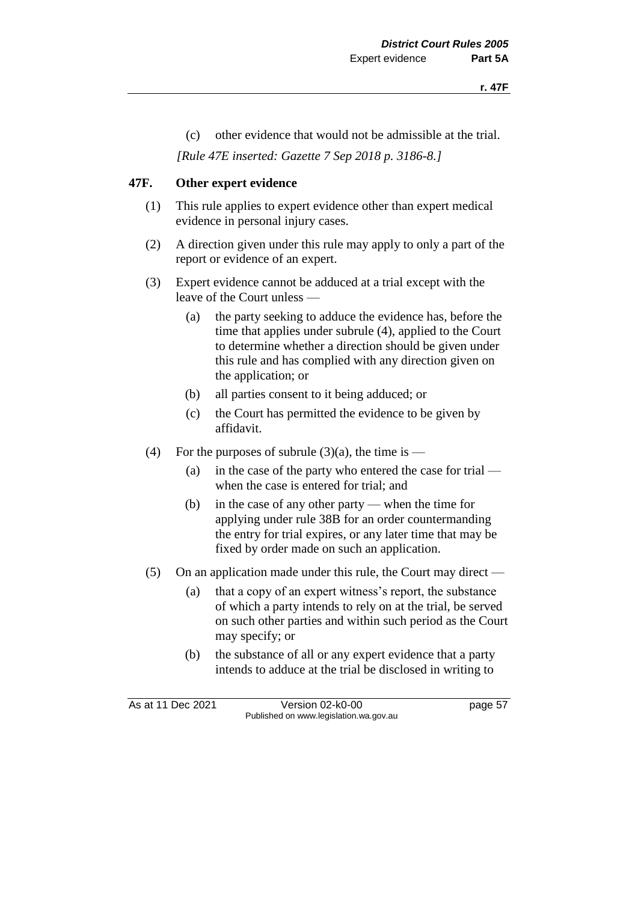(c) other evidence that would not be admissible at the trial.

*[Rule 47E inserted: Gazette 7 Sep 2018 p. 3186-8.]*

#### **47F. Other expert evidence**

- (1) This rule applies to expert evidence other than expert medical evidence in personal injury cases.
- (2) A direction given under this rule may apply to only a part of the report or evidence of an expert.
- (3) Expert evidence cannot be adduced at a trial except with the leave of the Court unless —
	- (a) the party seeking to adduce the evidence has, before the time that applies under subrule (4), applied to the Court to determine whether a direction should be given under this rule and has complied with any direction given on the application; or
	- (b) all parties consent to it being adduced; or
	- (c) the Court has permitted the evidence to be given by affidavit.
- (4) For the purposes of subrule  $(3)(a)$ , the time is
	- (a) in the case of the party who entered the case for trial when the case is entered for trial; and
	- (b) in the case of any other party when the time for applying under rule 38B for an order countermanding the entry for trial expires, or any later time that may be fixed by order made on such an application.
- (5) On an application made under this rule, the Court may direct
	- (a) that a copy of an expert witness's report, the substance of which a party intends to rely on at the trial, be served on such other parties and within such period as the Court may specify; or
	- (b) the substance of all or any expert evidence that a party intends to adduce at the trial be disclosed in writing to

As at 11 Dec 2021 Version 02-k0-00 page 57 Published on www.legislation.wa.gov.au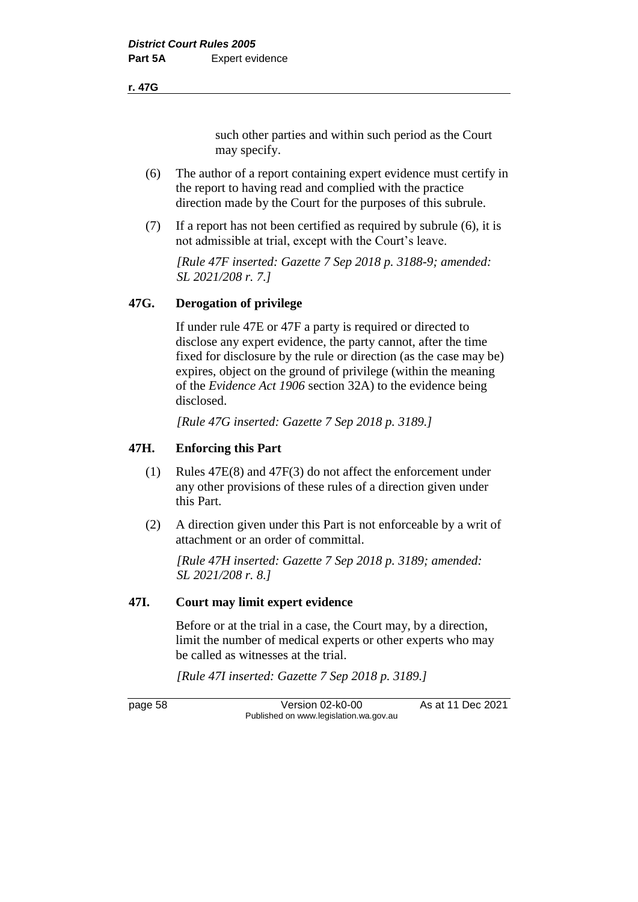#### **r. 47G**

such other parties and within such period as the Court may specify.

- (6) The author of a report containing expert evidence must certify in the report to having read and complied with the practice direction made by the Court for the purposes of this subrule.
- (7) If a report has not been certified as required by subrule (6), it is not admissible at trial, except with the Court's leave.

*[Rule 47F inserted: Gazette 7 Sep 2018 p. 3188-9; amended: SL 2021/208 r. 7.]*

#### **47G. Derogation of privilege**

If under rule 47E or 47F a party is required or directed to disclose any expert evidence, the party cannot, after the time fixed for disclosure by the rule or direction (as the case may be) expires, object on the ground of privilege (within the meaning of the *Evidence Act 1906* section 32A) to the evidence being disclosed.

*[Rule 47G inserted: Gazette 7 Sep 2018 p. 3189.]*

#### **47H. Enforcing this Part**

- (1) Rules 47E(8) and 47F(3) do not affect the enforcement under any other provisions of these rules of a direction given under this Part.
- (2) A direction given under this Part is not enforceable by a writ of attachment or an order of committal.

*[Rule 47H inserted: Gazette 7 Sep 2018 p. 3189; amended: SL 2021/208 r. 8.]*

#### **47I. Court may limit expert evidence**

Before or at the trial in a case, the Court may, by a direction, limit the number of medical experts or other experts who may be called as witnesses at the trial.

*[Rule 47I inserted: Gazette 7 Sep 2018 p. 3189.]*

page 58 Version 02-k0-00 As at 11 Dec 2021 Published on www.legislation.wa.gov.au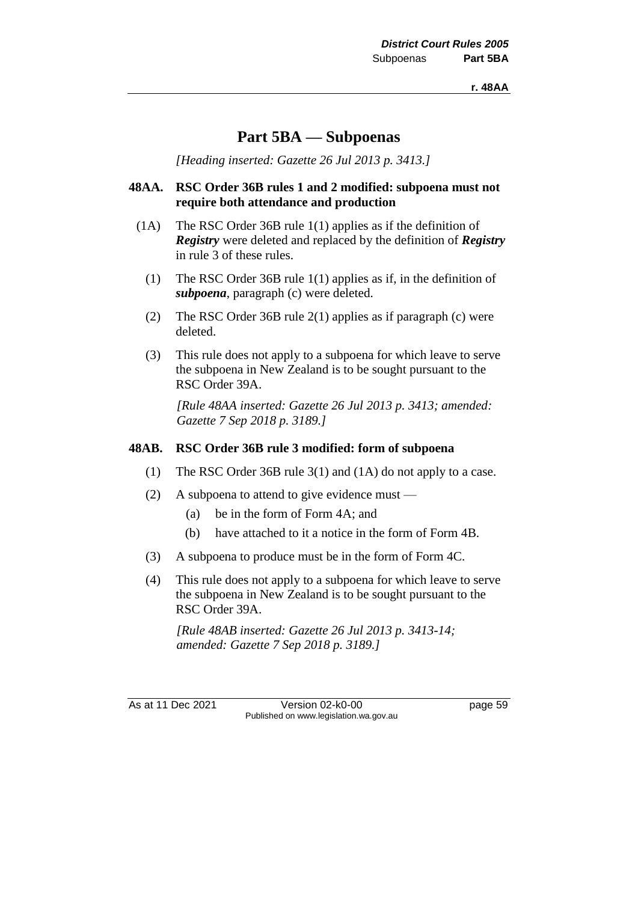# **Part 5BA — Subpoenas**

*[Heading inserted: Gazette 26 Jul 2013 p. 3413.]*

#### **48AA. RSC Order 36B rules 1 and 2 modified: subpoena must not require both attendance and production**

- (1A) The RSC Order 36B rule 1(1) applies as if the definition of *Registry* were deleted and replaced by the definition of *Registry* in rule 3 of these rules.
	- (1) The RSC Order 36B rule 1(1) applies as if, in the definition of *subpoena*, paragraph (c) were deleted.
	- (2) The RSC Order 36B rule 2(1) applies as if paragraph (c) were deleted.
	- (3) This rule does not apply to a subpoena for which leave to serve the subpoena in New Zealand is to be sought pursuant to the RSC Order 39A.

*[Rule 48AA inserted: Gazette 26 Jul 2013 p. 3413; amended: Gazette 7 Sep 2018 p. 3189.]*

#### **48AB. RSC Order 36B rule 3 modified: form of subpoena**

- (1) The RSC Order 36B rule 3(1) and (1A) do not apply to a case.
- (2) A subpoena to attend to give evidence must
	- (a) be in the form of Form 4A; and
	- (b) have attached to it a notice in the form of Form 4B.
- (3) A subpoena to produce must be in the form of Form 4C.
- (4) This rule does not apply to a subpoena for which leave to serve the subpoena in New Zealand is to be sought pursuant to the RSC Order 39A.

*[Rule 48AB inserted: Gazette 26 Jul 2013 p. 3413-14; amended: Gazette 7 Sep 2018 p. 3189.]*

As at 11 Dec 2021 Version 02-k0-00 page 59 Published on www.legislation.wa.gov.au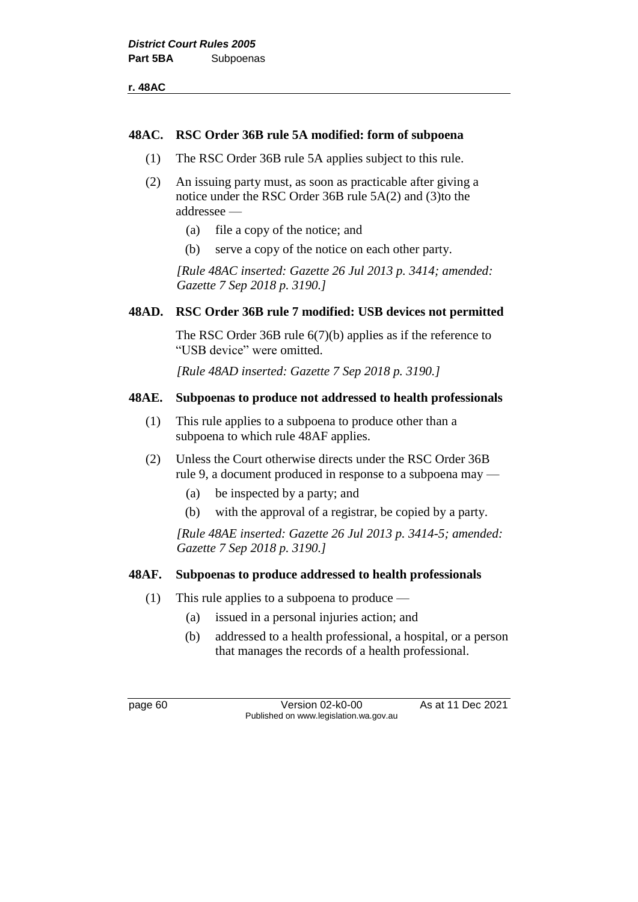|  | 8<br>۵ŕ. |  |
|--|----------|--|
|--|----------|--|

#### **48AC. RSC Order 36B rule 5A modified: form of subpoena**

- (1) The RSC Order 36B rule 5A applies subject to this rule.
- (2) An issuing party must, as soon as practicable after giving a notice under the RSC Order 36B rule 5A(2) and (3)to the addressee —
	- (a) file a copy of the notice; and
	- (b) serve a copy of the notice on each other party.

*[Rule 48AC inserted: Gazette 26 Jul 2013 p. 3414; amended: Gazette 7 Sep 2018 p. 3190.]*

#### **48AD. RSC Order 36B rule 7 modified: USB devices not permitted**

The RSC Order 36B rule 6(7)(b) applies as if the reference to "USB device" were omitted.

*[Rule 48AD inserted: Gazette 7 Sep 2018 p. 3190.]*

#### **48AE. Subpoenas to produce not addressed to health professionals**

- (1) This rule applies to a subpoena to produce other than a subpoena to which rule 48AF applies.
- (2) Unless the Court otherwise directs under the RSC Order 36B rule 9, a document produced in response to a subpoena may —
	- (a) be inspected by a party; and
	- (b) with the approval of a registrar, be copied by a party.

*[Rule 48AE inserted: Gazette 26 Jul 2013 p. 3414-5; amended: Gazette 7 Sep 2018 p. 3190.]*

#### **48AF. Subpoenas to produce addressed to health professionals**

- (1) This rule applies to a subpoena to produce
	- (a) issued in a personal injuries action; and
	- (b) addressed to a health professional, a hospital, or a person that manages the records of a health professional.

page 60 **Version 02-k0-00** As at 11 Dec 2021 Published on www.legislation.wa.gov.au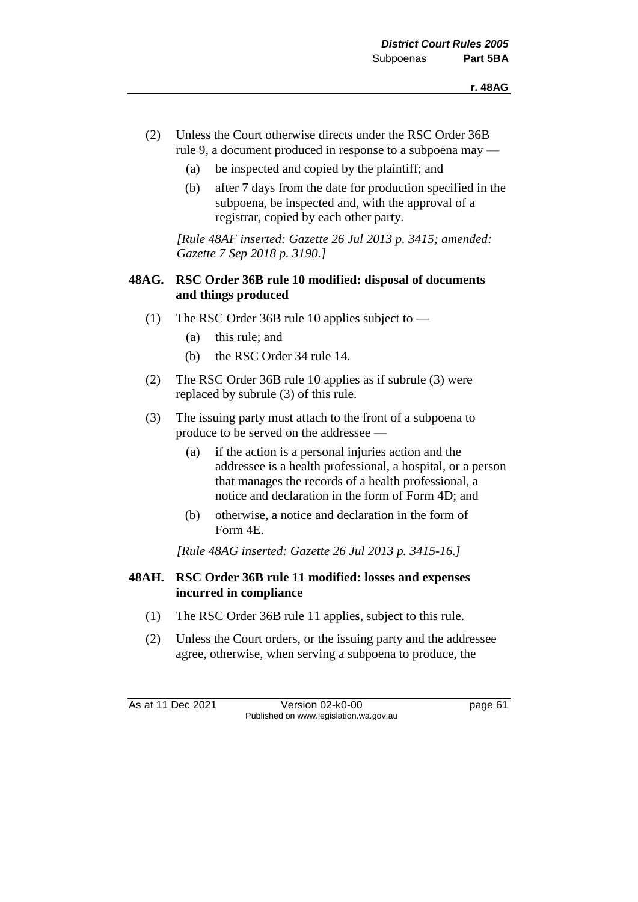- (2) Unless the Court otherwise directs under the RSC Order 36B rule 9, a document produced in response to a subpoena may —
	- (a) be inspected and copied by the plaintiff; and
	- (b) after 7 days from the date for production specified in the subpoena, be inspected and, with the approval of a registrar, copied by each other party.

*[Rule 48AF inserted: Gazette 26 Jul 2013 p. 3415; amended: Gazette 7 Sep 2018 p. 3190.]*

#### **48AG. RSC Order 36B rule 10 modified: disposal of documents and things produced**

- (1) The RSC Order 36B rule 10 applies subject to
	- (a) this rule; and
	- (b) the RSC Order 34 rule 14.
- (2) The RSC Order 36B rule 10 applies as if subrule (3) were replaced by subrule (3) of this rule.
- (3) The issuing party must attach to the front of a subpoena to produce to be served on the addressee —
	- (a) if the action is a personal injuries action and the addressee is a health professional, a hospital, or a person that manages the records of a health professional, a notice and declaration in the form of Form 4D; and
	- (b) otherwise, a notice and declaration in the form of Form 4E.

*[Rule 48AG inserted: Gazette 26 Jul 2013 p. 3415-16.]*

#### **48AH. RSC Order 36B rule 11 modified: losses and expenses incurred in compliance**

- (1) The RSC Order 36B rule 11 applies, subject to this rule.
- (2) Unless the Court orders, or the issuing party and the addressee agree, otherwise, when serving a subpoena to produce, the

As at 11 Dec 2021 Version 02-k0-00 page 61 Published on www.legislation.wa.gov.au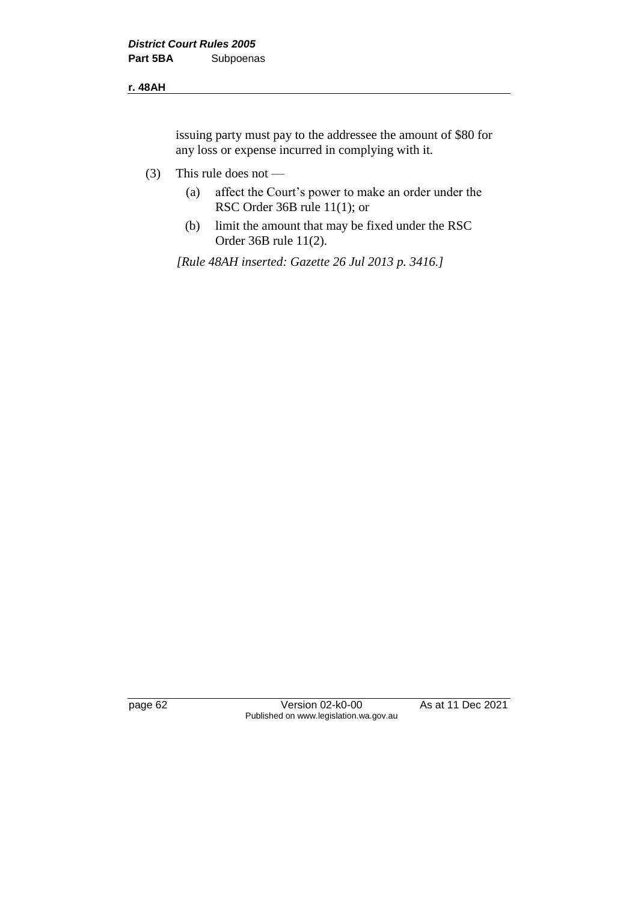#### **r. 48AH**

issuing party must pay to the addressee the amount of \$80 for any loss or expense incurred in complying with it.

- (3) This rule does not
	- (a) affect the Court's power to make an order under the RSC Order 36B rule 11(1); or
	- (b) limit the amount that may be fixed under the RSC Order 36B rule 11(2).

*[Rule 48AH inserted: Gazette 26 Jul 2013 p. 3416.]*

page 62 Version 02-k0-00 As at 11 Dec 2021 Published on www.legislation.wa.gov.au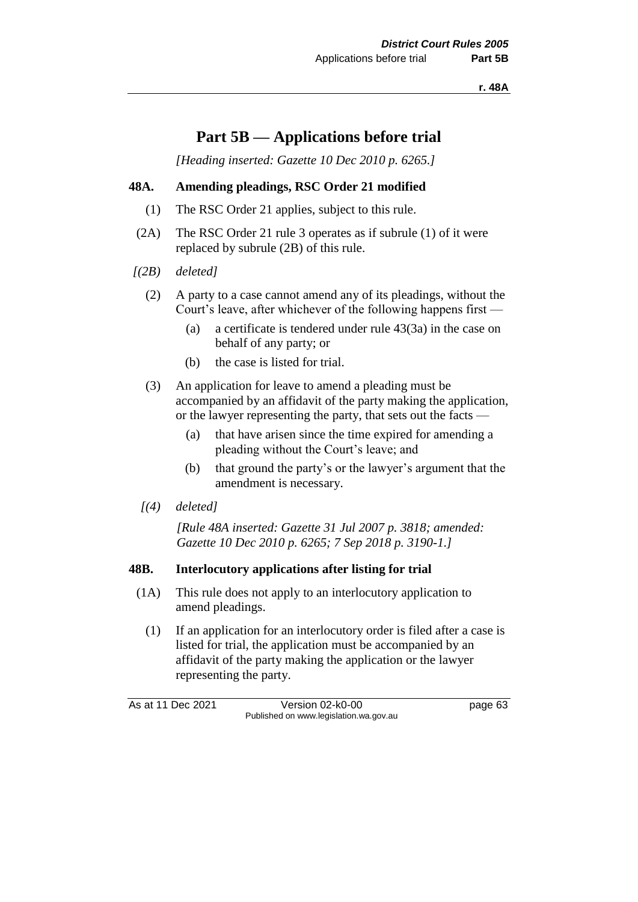**r. 48A**

# **Part 5B — Applications before trial**

*[Heading inserted: Gazette 10 Dec 2010 p. 6265.]*

## **48A. Amending pleadings, RSC Order 21 modified**

- (1) The RSC Order 21 applies, subject to this rule.
- (2A) The RSC Order 21 rule 3 operates as if subrule (1) of it were replaced by subrule (2B) of this rule.
- *[(2B) deleted]*
	- (2) A party to a case cannot amend any of its pleadings, without the Court's leave, after whichever of the following happens first —
		- (a) a certificate is tendered under rule 43(3a) in the case on behalf of any party; or
		- (b) the case is listed for trial.
	- (3) An application for leave to amend a pleading must be accompanied by an affidavit of the party making the application, or the lawyer representing the party, that sets out the facts —
		- (a) that have arisen since the time expired for amending a pleading without the Court's leave; and
		- (b) that ground the party's or the lawyer's argument that the amendment is necessary.
	- *[(4) deleted]*

*[Rule 48A inserted: Gazette 31 Jul 2007 p. 3818; amended: Gazette 10 Dec 2010 p. 6265; 7 Sep 2018 p. 3190-1.]*

## **48B. Interlocutory applications after listing for trial**

- (1A) This rule does not apply to an interlocutory application to amend pleadings.
	- (1) If an application for an interlocutory order is filed after a case is listed for trial, the application must be accompanied by an affidavit of the party making the application or the lawyer representing the party.

As at 11 Dec 2021 Version 02-k0-00 Page 63 Published on www.legislation.wa.gov.au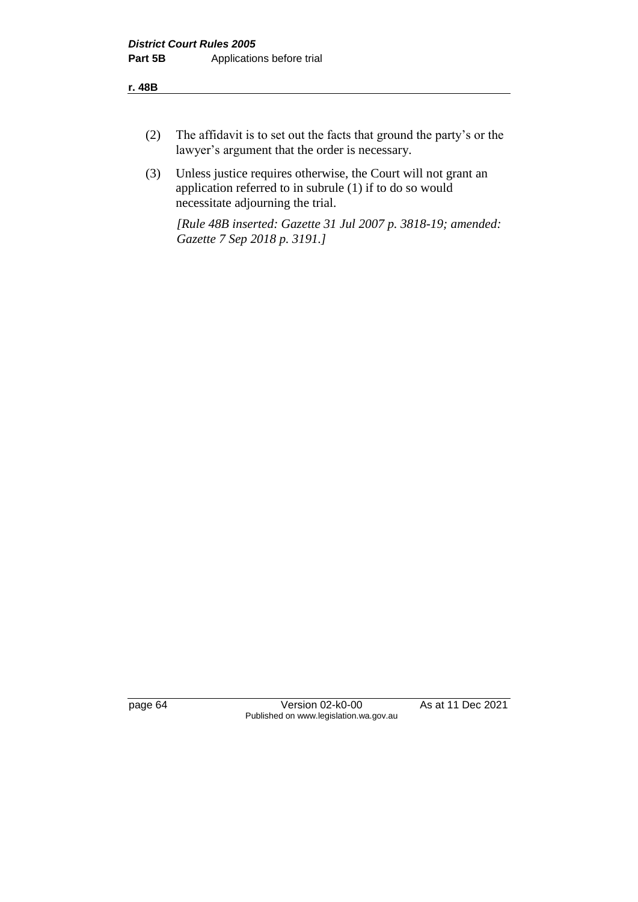- (2) The affidavit is to set out the facts that ground the party's or the lawyer's argument that the order is necessary.
- (3) Unless justice requires otherwise, the Court will not grant an application referred to in subrule (1) if to do so would necessitate adjourning the trial.

*[Rule 48B inserted: Gazette 31 Jul 2007 p. 3818-19; amended: Gazette 7 Sep 2018 p. 3191.]*

page 64 Version 02-k0-00 As at 11 Dec 2021 Published on www.legislation.wa.gov.au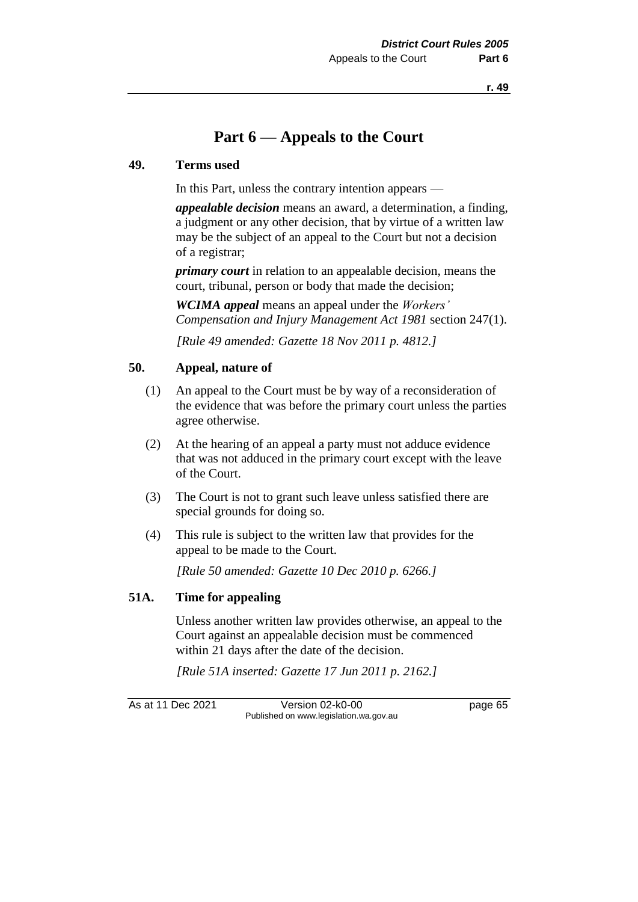# **Part 6 — Appeals to the Court**

### **49. Terms used**

In this Part, unless the contrary intention appears —

*appealable decision* means an award, a determination, a finding, a judgment or any other decision, that by virtue of a written law may be the subject of an appeal to the Court but not a decision of a registrar;

*primary court* in relation to an appealable decision, means the court, tribunal, person or body that made the decision;

*WCIMA appeal* means an appeal under the *Workers' Compensation and Injury Management Act 1981* section 247(1).

*[Rule 49 amended: Gazette 18 Nov 2011 p. 4812.]*

## **50. Appeal, nature of**

- (1) An appeal to the Court must be by way of a reconsideration of the evidence that was before the primary court unless the parties agree otherwise.
- (2) At the hearing of an appeal a party must not adduce evidence that was not adduced in the primary court except with the leave of the Court.
- (3) The Court is not to grant such leave unless satisfied there are special grounds for doing so.
- (4) This rule is subject to the written law that provides for the appeal to be made to the Court.

*[Rule 50 amended: Gazette 10 Dec 2010 p. 6266.]*

### **51A. Time for appealing**

Unless another written law provides otherwise, an appeal to the Court against an appealable decision must be commenced within 21 days after the date of the decision.

*[Rule 51A inserted: Gazette 17 Jun 2011 p. 2162.]*

As at 11 Dec 2021 Version 02-k0-00 Page 65 Published on www.legislation.wa.gov.au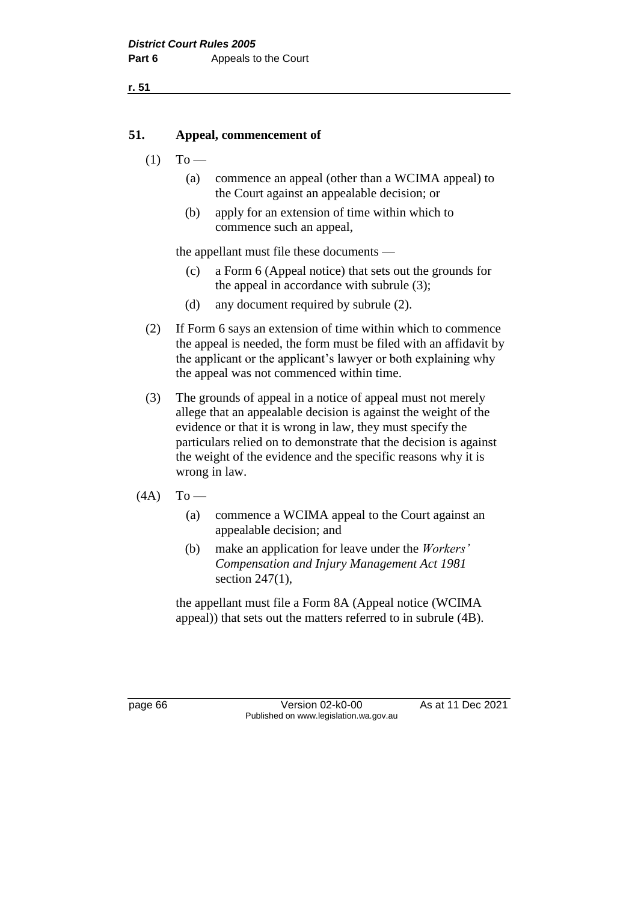## **51. Appeal, commencement of**

- $(1)$  To
	- (a) commence an appeal (other than a WCIMA appeal) to the Court against an appealable decision; or
	- (b) apply for an extension of time within which to commence such an appeal,

the appellant must file these documents —

- (c) a Form 6 (Appeal notice) that sets out the grounds for the appeal in accordance with subrule (3);
- (d) any document required by subrule (2).
- (2) If Form 6 says an extension of time within which to commence the appeal is needed, the form must be filed with an affidavit by the applicant or the applicant's lawyer or both explaining why the appeal was not commenced within time.
- (3) The grounds of appeal in a notice of appeal must not merely allege that an appealable decision is against the weight of the evidence or that it is wrong in law, they must specify the particulars relied on to demonstrate that the decision is against the weight of the evidence and the specific reasons why it is wrong in law.
- $(4A)$  To
	- (a) commence a WCIMA appeal to the Court against an appealable decision; and
	- (b) make an application for leave under the *Workers' Compensation and Injury Management Act 1981* section 247(1),

the appellant must file a Form 8A (Appeal notice (WCIMA appeal)) that sets out the matters referred to in subrule (4B).

page 66 **Version 02-k0-00** As at 11 Dec 2021 Published on www.legislation.wa.gov.au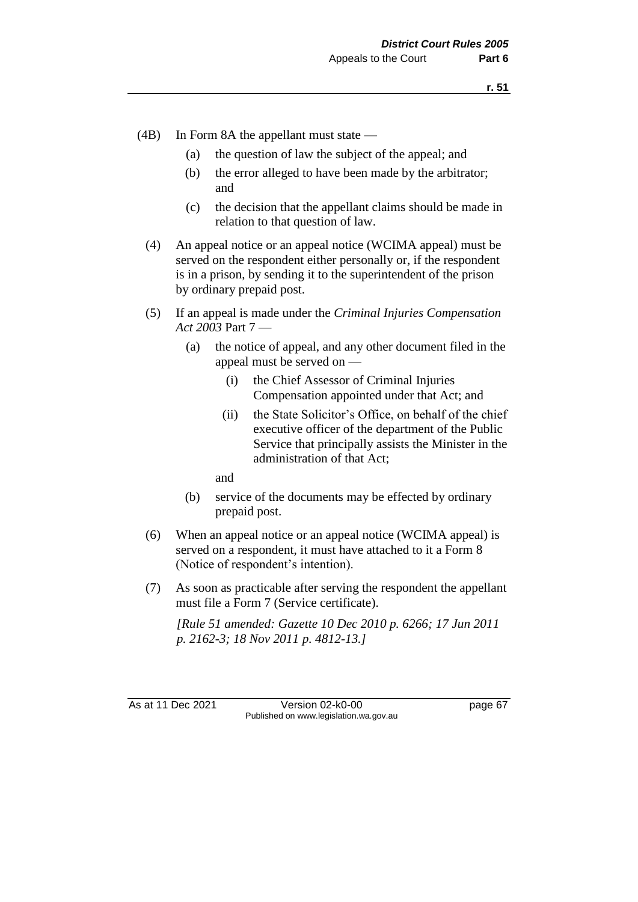- (4B) In Form 8A the appellant must state
	- (a) the question of law the subject of the appeal; and
	- (b) the error alleged to have been made by the arbitrator; and
	- (c) the decision that the appellant claims should be made in relation to that question of law.
	- (4) An appeal notice or an appeal notice (WCIMA appeal) must be served on the respondent either personally or, if the respondent is in a prison, by sending it to the superintendent of the prison by ordinary prepaid post.
	- (5) If an appeal is made under the *Criminal Injuries Compensation Act 2003* Part 7 —
		- (a) the notice of appeal, and any other document filed in the appeal must be served on —
			- (i) the Chief Assessor of Criminal Injuries Compensation appointed under that Act; and
			- (ii) the State Solicitor's Office, on behalf of the chief executive officer of the department of the Public Service that principally assists the Minister in the administration of that Act;

and

- (b) service of the documents may be effected by ordinary prepaid post.
- (6) When an appeal notice or an appeal notice (WCIMA appeal) is served on a respondent, it must have attached to it a Form 8 (Notice of respondent's intention).
- (7) As soon as practicable after serving the respondent the appellant must file a Form 7 (Service certificate).

*[Rule 51 amended: Gazette 10 Dec 2010 p. 6266; 17 Jun 2011 p. 2162-3; 18 Nov 2011 p. 4812-13.]*

As at 11 Dec 2021 Version 02-k0-00 page 67 Published on www.legislation.wa.gov.au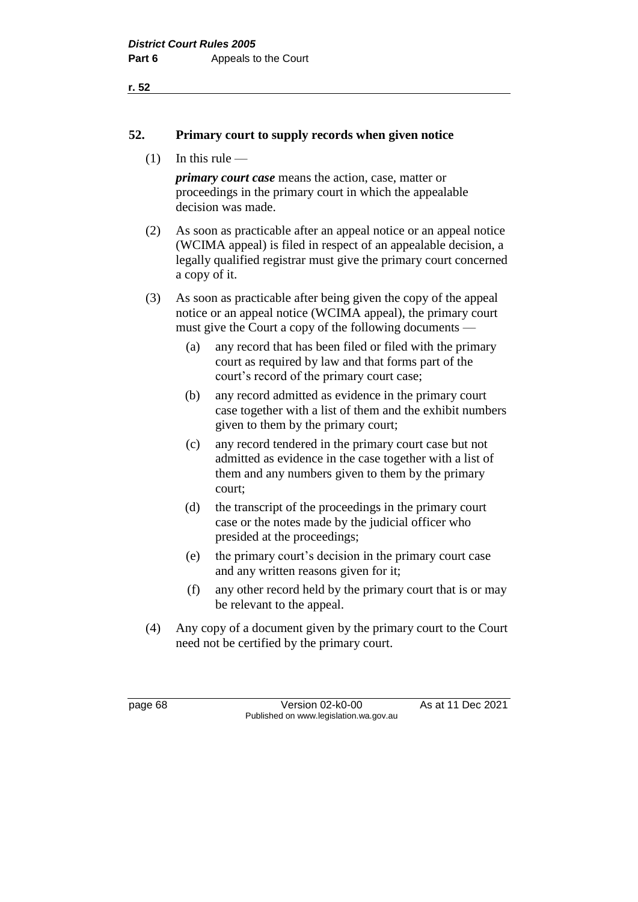### **52. Primary court to supply records when given notice**

 $(1)$  In this rule —

*primary court case* means the action, case, matter or proceedings in the primary court in which the appealable decision was made.

(2) As soon as practicable after an appeal notice or an appeal notice (WCIMA appeal) is filed in respect of an appealable decision, a legally qualified registrar must give the primary court concerned a copy of it.

(3) As soon as practicable after being given the copy of the appeal notice or an appeal notice (WCIMA appeal), the primary court must give the Court a copy of the following documents —

- (a) any record that has been filed or filed with the primary court as required by law and that forms part of the court's record of the primary court case;
- (b) any record admitted as evidence in the primary court case together with a list of them and the exhibit numbers given to them by the primary court;
- (c) any record tendered in the primary court case but not admitted as evidence in the case together with a list of them and any numbers given to them by the primary court;
- (d) the transcript of the proceedings in the primary court case or the notes made by the judicial officer who presided at the proceedings;
- (e) the primary court's decision in the primary court case and any written reasons given for it;
- (f) any other record held by the primary court that is or may be relevant to the appeal.
- (4) Any copy of a document given by the primary court to the Court need not be certified by the primary court.

page 68 Version 02-k0-00 As at 11 Dec 2021 Published on www.legislation.wa.gov.au

**r. 52**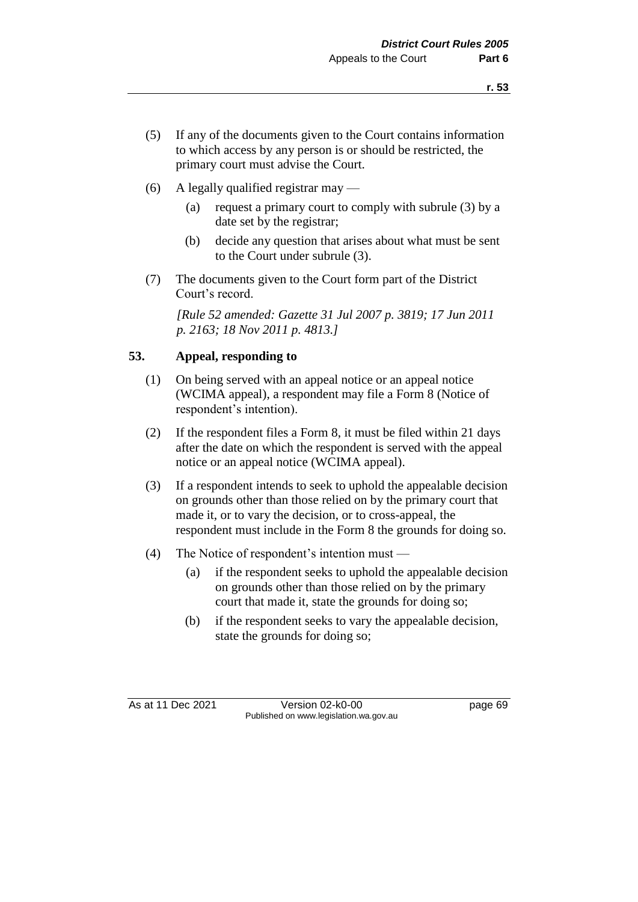- (5) If any of the documents given to the Court contains information to which access by any person is or should be restricted, the primary court must advise the Court.
- (6) A legally qualified registrar may
	- (a) request a primary court to comply with subrule (3) by a date set by the registrar;
	- (b) decide any question that arises about what must be sent to the Court under subrule (3).
- (7) The documents given to the Court form part of the District Court's record.

*[Rule 52 amended: Gazette 31 Jul 2007 p. 3819; 17 Jun 2011 p. 2163; 18 Nov 2011 p. 4813.]*

# **53. Appeal, responding to**

- (1) On being served with an appeal notice or an appeal notice (WCIMA appeal), a respondent may file a Form 8 (Notice of respondent's intention).
- (2) If the respondent files a Form 8, it must be filed within 21 days after the date on which the respondent is served with the appeal notice or an appeal notice (WCIMA appeal).
- (3) If a respondent intends to seek to uphold the appealable decision on grounds other than those relied on by the primary court that made it, or to vary the decision, or to cross-appeal, the respondent must include in the Form 8 the grounds for doing so.
- (4) The Notice of respondent's intention must
	- (a) if the respondent seeks to uphold the appealable decision on grounds other than those relied on by the primary court that made it, state the grounds for doing so;
	- (b) if the respondent seeks to vary the appealable decision, state the grounds for doing so;

As at 11 Dec 2021 Version 02-k0-00 Page 69 Published on www.legislation.wa.gov.au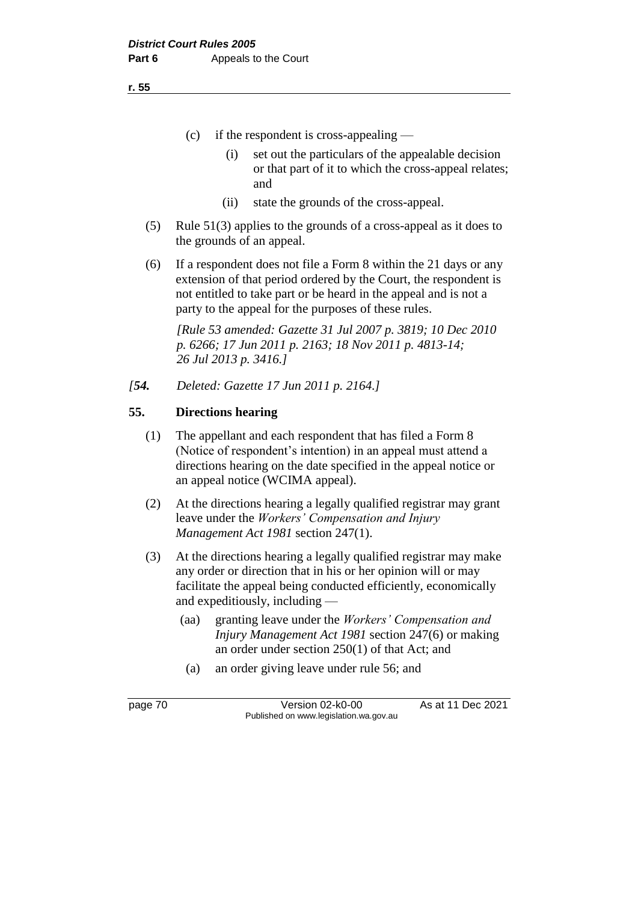- (c) if the respondent is cross-appealing
	- (i) set out the particulars of the appealable decision or that part of it to which the cross-appeal relates; and
	- (ii) state the grounds of the cross-appeal.
- (5) Rule 51(3) applies to the grounds of a cross-appeal as it does to the grounds of an appeal.
- (6) If a respondent does not file a Form 8 within the 21 days or any extension of that period ordered by the Court, the respondent is not entitled to take part or be heard in the appeal and is not a party to the appeal for the purposes of these rules.

*[Rule 53 amended: Gazette 31 Jul 2007 p. 3819; 10 Dec 2010 p. 6266; 17 Jun 2011 p. 2163; 18 Nov 2011 p. 4813-14; 26 Jul 2013 p. 3416.]*

*[54. Deleted: Gazette 17 Jun 2011 p. 2164.]*

# **55. Directions hearing**

- (1) The appellant and each respondent that has filed a Form 8 (Notice of respondent's intention) in an appeal must attend a directions hearing on the date specified in the appeal notice or an appeal notice (WCIMA appeal).
- (2) At the directions hearing a legally qualified registrar may grant leave under the *Workers' Compensation and Injury Management Act 1981* section 247(1).
- (3) At the directions hearing a legally qualified registrar may make any order or direction that in his or her opinion will or may facilitate the appeal being conducted efficiently, economically and expeditiously, including —
	- (aa) granting leave under the *Workers' Compensation and Injury Management Act 1981* section 247(6) or making an order under section 250(1) of that Act; and
	- (a) an order giving leave under rule 56; and

page 70 Version 02-k0-00 As at 11 Dec 2021 Published on www.legislation.wa.gov.au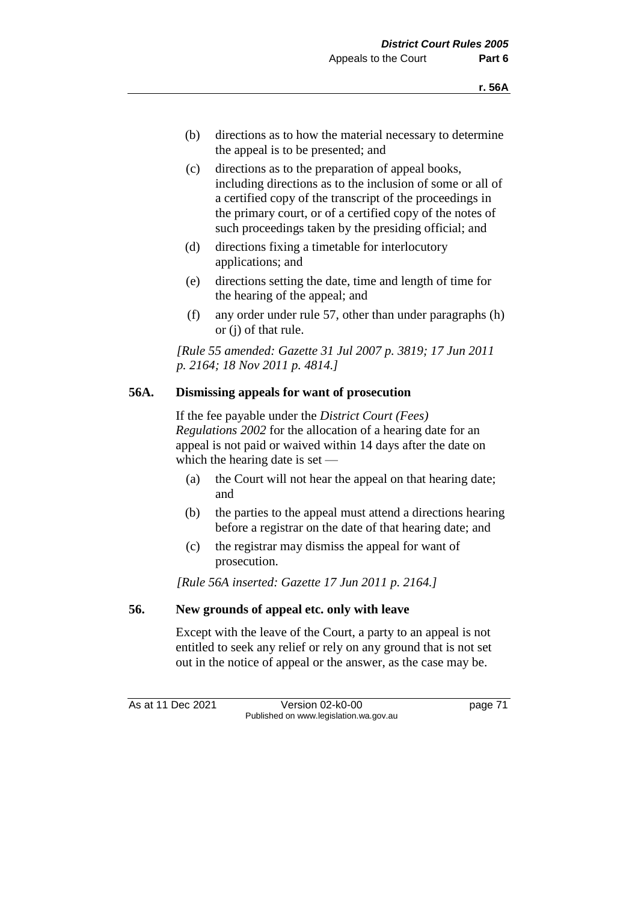- (b) directions as to how the material necessary to determine the appeal is to be presented; and
- (c) directions as to the preparation of appeal books, including directions as to the inclusion of some or all of a certified copy of the transcript of the proceedings in the primary court, or of a certified copy of the notes of such proceedings taken by the presiding official; and
- (d) directions fixing a timetable for interlocutory applications; and
- (e) directions setting the date, time and length of time for the hearing of the appeal; and
- (f) any order under rule 57, other than under paragraphs (h) or (j) of that rule.

*[Rule 55 amended: Gazette 31 Jul 2007 p. 3819; 17 Jun 2011 p. 2164; 18 Nov 2011 p. 4814.]*

## **56A. Dismissing appeals for want of prosecution**

If the fee payable under the *District Court (Fees) Regulations 2002* for the allocation of a hearing date for an appeal is not paid or waived within 14 days after the date on which the hearing date is set —

- (a) the Court will not hear the appeal on that hearing date; and
- (b) the parties to the appeal must attend a directions hearing before a registrar on the date of that hearing date; and
- (c) the registrar may dismiss the appeal for want of prosecution.

*[Rule 56A inserted: Gazette 17 Jun 2011 p. 2164.]*

## **56. New grounds of appeal etc. only with leave**

Except with the leave of the Court, a party to an appeal is not entitled to seek any relief or rely on any ground that is not set out in the notice of appeal or the answer, as the case may be.

As at 11 Dec 2021 Version 02-k0-00 page 71 Published on www.legislation.wa.gov.au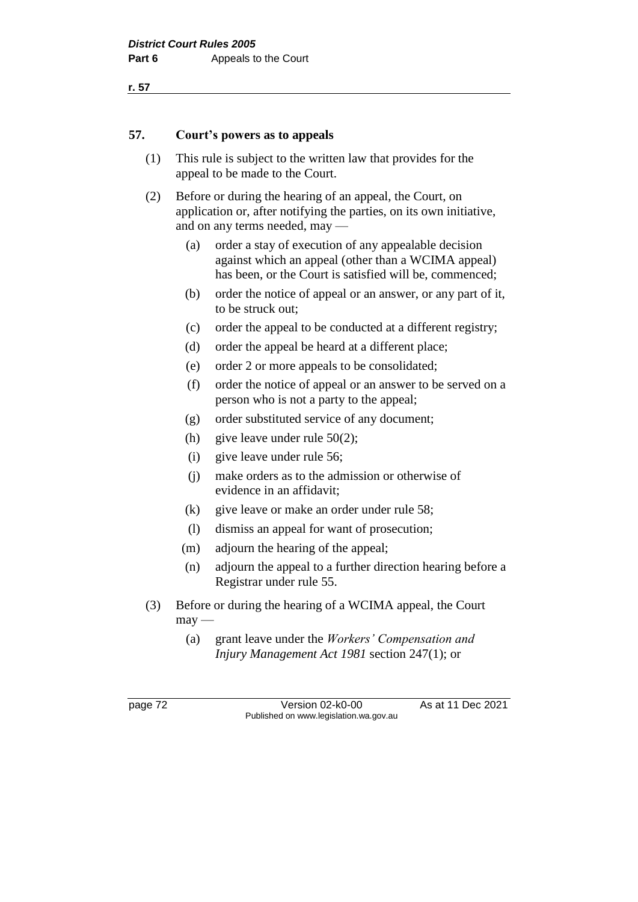## **57. Court's powers as to appeals**

- (1) This rule is subject to the written law that provides for the appeal to be made to the Court.
- (2) Before or during the hearing of an appeal, the Court, on application or, after notifying the parties, on its own initiative, and on any terms needed, may —
	- (a) order a stay of execution of any appealable decision against which an appeal (other than a WCIMA appeal) has been, or the Court is satisfied will be, commenced;
	- (b) order the notice of appeal or an answer, or any part of it, to be struck out;
	- (c) order the appeal to be conducted at a different registry;
	- (d) order the appeal be heard at a different place;
	- (e) order 2 or more appeals to be consolidated;
	- (f) order the notice of appeal or an answer to be served on a person who is not a party to the appeal;
	- (g) order substituted service of any document;
	- (h) give leave under rule  $50(2)$ ;
	- (i) give leave under rule 56;
	- (j) make orders as to the admission or otherwise of evidence in an affidavit;
	- (k) give leave or make an order under rule 58;
	- (l) dismiss an appeal for want of prosecution;
	- (m) adjourn the hearing of the appeal;
	- (n) adjourn the appeal to a further direction hearing before a Registrar under rule 55.
- (3) Before or during the hearing of a WCIMA appeal, the Court  $may$ —
	- (a) grant leave under the *Workers' Compensation and Injury Management Act 1981* section 247(1); or

page 72 Version 02-k0-00 As at 11 Dec 2021 Published on www.legislation.wa.gov.au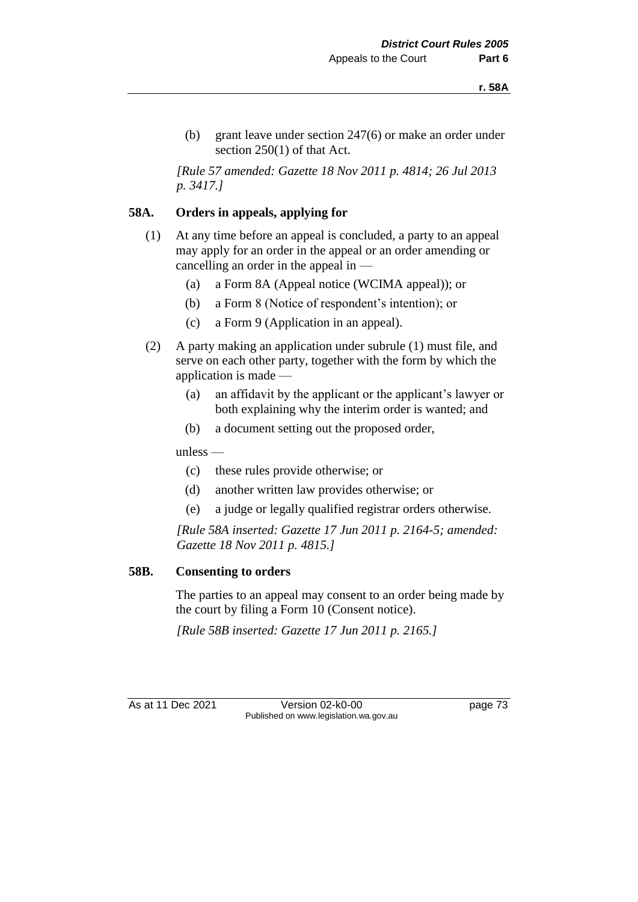(b) grant leave under section 247(6) or make an order under section 250(1) of that Act.

*[Rule 57 amended: Gazette 18 Nov 2011 p. 4814; 26 Jul 2013 p. 3417.]*

# **58A. Orders in appeals, applying for**

- (1) At any time before an appeal is concluded, a party to an appeal may apply for an order in the appeal or an order amending or cancelling an order in the appeal in —
	- (a) a Form 8A (Appeal notice (WCIMA appeal)); or
	- (b) a Form 8 (Notice of respondent's intention); or
	- (c) a Form 9 (Application in an appeal).
- (2) A party making an application under subrule (1) must file, and serve on each other party, together with the form by which the application is made —
	- (a) an affidavit by the applicant or the applicant's lawyer or both explaining why the interim order is wanted; and
	- (b) a document setting out the proposed order,

unless —

- (c) these rules provide otherwise; or
- (d) another written law provides otherwise; or
- (e) a judge or legally qualified registrar orders otherwise.

*[Rule 58A inserted: Gazette 17 Jun 2011 p. 2164-5; amended: Gazette 18 Nov 2011 p. 4815.]*

## **58B. Consenting to orders**

The parties to an appeal may consent to an order being made by the court by filing a Form 10 (Consent notice).

*[Rule 58B inserted: Gazette 17 Jun 2011 p. 2165.]*

As at 11 Dec 2021 Version 02-k0-00 page 73 Published on www.legislation.wa.gov.au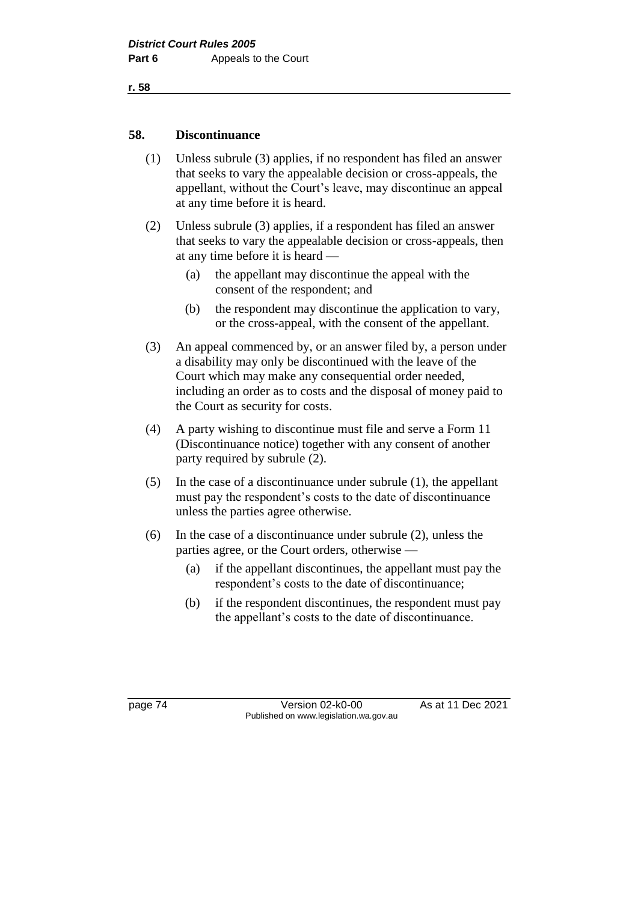## **58. Discontinuance**

- (1) Unless subrule (3) applies, if no respondent has filed an answer that seeks to vary the appealable decision or cross-appeals, the appellant, without the Court's leave, may discontinue an appeal at any time before it is heard.
- (2) Unless subrule (3) applies, if a respondent has filed an answer that seeks to vary the appealable decision or cross-appeals, then at any time before it is heard —
	- (a) the appellant may discontinue the appeal with the consent of the respondent; and
	- (b) the respondent may discontinue the application to vary, or the cross-appeal, with the consent of the appellant.
- (3) An appeal commenced by, or an answer filed by, a person under a disability may only be discontinued with the leave of the Court which may make any consequential order needed, including an order as to costs and the disposal of money paid to the Court as security for costs.
- (4) A party wishing to discontinue must file and serve a Form 11 (Discontinuance notice) together with any consent of another party required by subrule (2).
- (5) In the case of a discontinuance under subrule (1), the appellant must pay the respondent's costs to the date of discontinuance unless the parties agree otherwise.
- (6) In the case of a discontinuance under subrule (2), unless the parties agree, or the Court orders, otherwise —
	- (a) if the appellant discontinues, the appellant must pay the respondent's costs to the date of discontinuance;
	- (b) if the respondent discontinues, the respondent must pay the appellant's costs to the date of discontinuance.

page 74 Version 02-k0-00 As at 11 Dec 2021 Published on www.legislation.wa.gov.au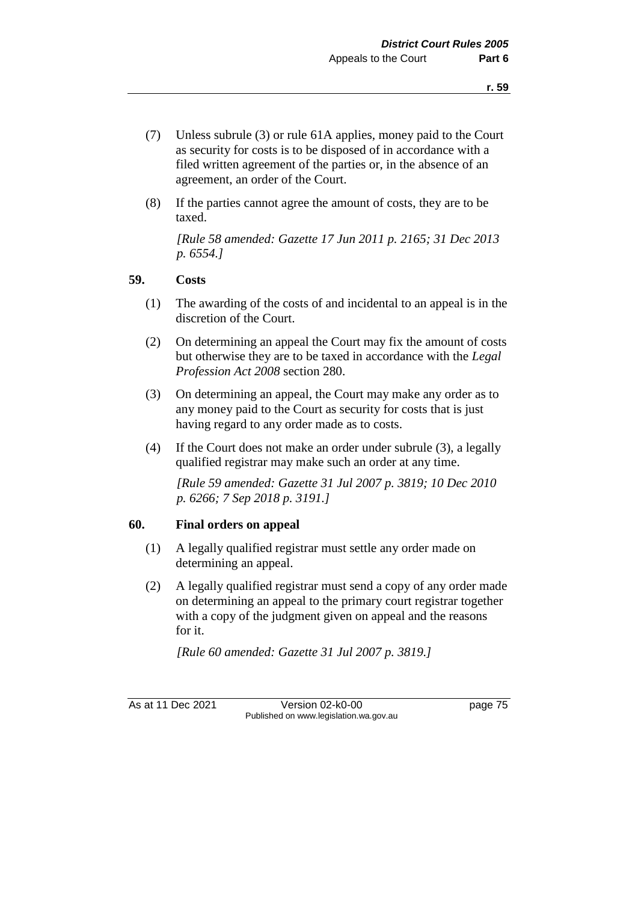- (7) Unless subrule (3) or rule 61A applies, money paid to the Court as security for costs is to be disposed of in accordance with a filed written agreement of the parties or, in the absence of an agreement, an order of the Court.
- (8) If the parties cannot agree the amount of costs, they are to be taxed.

*[Rule 58 amended: Gazette 17 Jun 2011 p. 2165; 31 Dec 2013 p. 6554.]*

#### **59. Costs**

- (1) The awarding of the costs of and incidental to an appeal is in the discretion of the Court.
- (2) On determining an appeal the Court may fix the amount of costs but otherwise they are to be taxed in accordance with the *Legal Profession Act 2008* section 280.
- (3) On determining an appeal, the Court may make any order as to any money paid to the Court as security for costs that is just having regard to any order made as to costs.
- (4) If the Court does not make an order under subrule (3), a legally qualified registrar may make such an order at any time.

*[Rule 59 amended: Gazette 31 Jul 2007 p. 3819; 10 Dec 2010 p. 6266; 7 Sep 2018 p. 3191.]*

## **60. Final orders on appeal**

- (1) A legally qualified registrar must settle any order made on determining an appeal.
- (2) A legally qualified registrar must send a copy of any order made on determining an appeal to the primary court registrar together with a copy of the judgment given on appeal and the reasons for it.

*[Rule 60 amended: Gazette 31 Jul 2007 p. 3819.]*

As at 11 Dec 2021 Version 02-k0-00 page 75 Published on www.legislation.wa.gov.au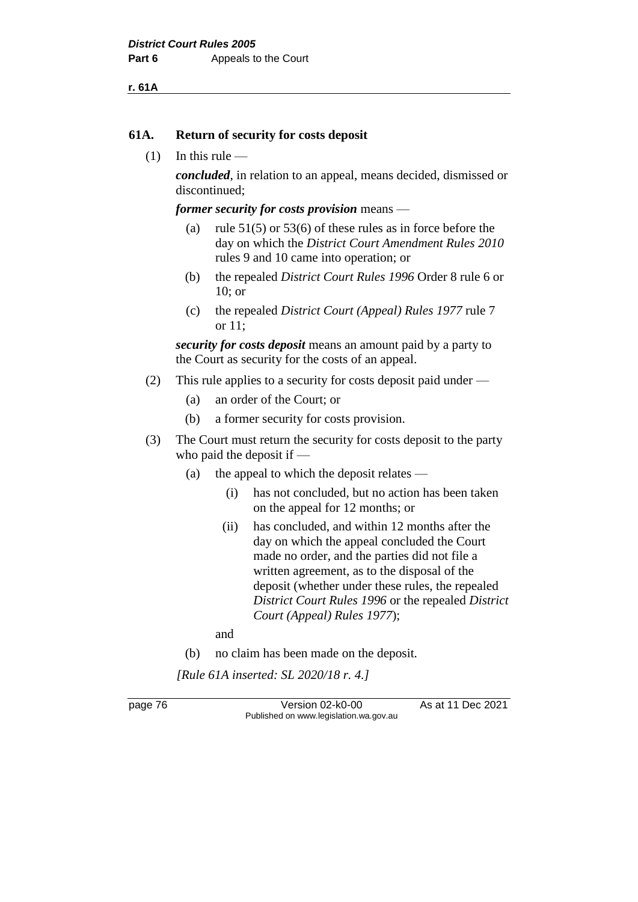**r. 61A**

## **61A. Return of security for costs deposit**

 $(1)$  In this rule —

*concluded*, in relation to an appeal, means decided, dismissed or discontinued;

*former security for costs provision* means —

- (a) rule  $51(5)$  or  $53(6)$  of these rules as in force before the day on which the *District Court Amendment Rules 2010* rules 9 and 10 came into operation; or
- (b) the repealed *District Court Rules 1996* Order 8 rule 6 or 10; or
- (c) the repealed *District Court (Appeal) Rules 1977* rule 7 or 11;

*security for costs deposit* means an amount paid by a party to the Court as security for the costs of an appeal.

- (2) This rule applies to a security for costs deposit paid under
	- (a) an order of the Court; or
	- (b) a former security for costs provision.
- (3) The Court must return the security for costs deposit to the party who paid the deposit if —
	- (a) the appeal to which the deposit relates
		- (i) has not concluded, but no action has been taken on the appeal for 12 months; or
		- (ii) has concluded, and within 12 months after the day on which the appeal concluded the Court made no order, and the parties did not file a written agreement, as to the disposal of the deposit (whether under these rules, the repealed *District Court Rules 1996* or the repealed *District Court (Appeal) Rules 1977*);

and

(b) no claim has been made on the deposit.

*[Rule 61A inserted: SL 2020/18 r. 4.]*

page 76 Version 02-k0-00 As at 11 Dec 2021 Published on www.legislation.wa.gov.au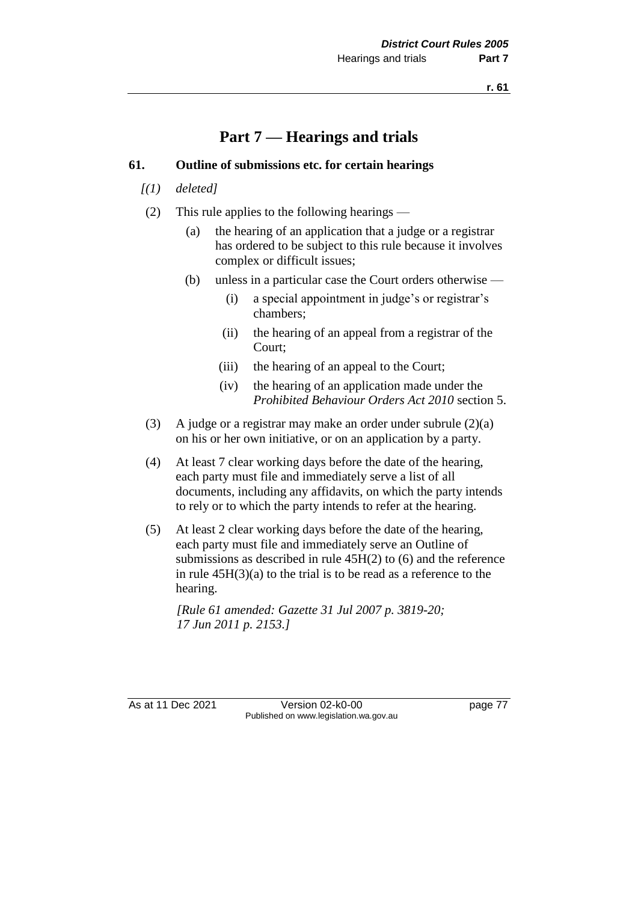# **Part 7 — Hearings and trials**

# **61. Outline of submissions etc. for certain hearings**

- *[(1) deleted]*
- (2) This rule applies to the following hearings
	- (a) the hearing of an application that a judge or a registrar has ordered to be subject to this rule because it involves complex or difficult issues;
	- (b) unless in a particular case the Court orders otherwise
		- (i) a special appointment in judge's or registrar's chambers;
		- (ii) the hearing of an appeal from a registrar of the Court;
		- (iii) the hearing of an appeal to the Court;
		- (iv) the hearing of an application made under the *Prohibited Behaviour Orders Act 2010* section 5.
- (3) A judge or a registrar may make an order under subrule  $(2)(a)$ on his or her own initiative, or on an application by a party.
- (4) At least 7 clear working days before the date of the hearing, each party must file and immediately serve a list of all documents, including any affidavits, on which the party intends to rely or to which the party intends to refer at the hearing.
- (5) At least 2 clear working days before the date of the hearing, each party must file and immediately serve an Outline of submissions as described in rule 45H(2) to (6) and the reference in rule 45H(3)(a) to the trial is to be read as a reference to the hearing.

*[Rule 61 amended: Gazette 31 Jul 2007 p. 3819-20; 17 Jun 2011 p. 2153.]* 

As at 11 Dec 2021 Version 02-k0-00 page 77 Published on www.legislation.wa.gov.au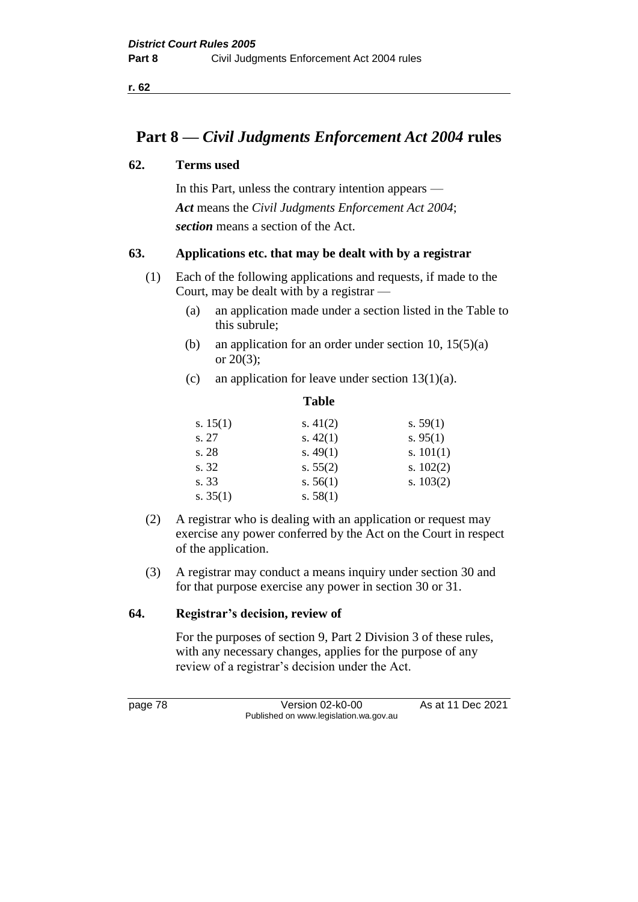# **Part 8 —** *Civil Judgments Enforcement Act 2004* **rules**

# **62. Terms used**

In this Part, unless the contrary intention appears — *Act* means the *Civil Judgments Enforcement Act 2004*; *section* means a section of the Act.

# **63. Applications etc. that may be dealt with by a registrar**

- (1) Each of the following applications and requests, if made to the Court, may be dealt with by a registrar —
	- (a) an application made under a section listed in the Table to this subrule;
	- (b) an application for an order under section 10, 15(5)(a) or 20(3);
	- (c) an application for leave under section  $13(1)(a)$ .

|            | <b>Table</b> |             |
|------------|--------------|-------------|
| s. $15(1)$ | s. $41(2)$   | s. $59(1)$  |
| s. 27      | s. $42(1)$   | s. $95(1)$  |
| s. 28      | s. $49(1)$   | s. $101(1)$ |
| s. 32      | s. $55(2)$   | s. $102(2)$ |
| s. 33      | s. $56(1)$   | s. $103(2)$ |
| s. $35(1)$ | s. $58(1)$   |             |
|            |              |             |

- (2) A registrar who is dealing with an application or request may exercise any power conferred by the Act on the Court in respect of the application.
- (3) A registrar may conduct a means inquiry under section 30 and for that purpose exercise any power in section 30 or 31.

# **64. Registrar's decision, review of**

For the purposes of section 9, Part 2 Division 3 of these rules, with any necessary changes, applies for the purpose of any review of a registrar's decision under the Act.

page 78 Version 02-k0-00 As at 11 Dec 2021 Published on www.legislation.wa.gov.au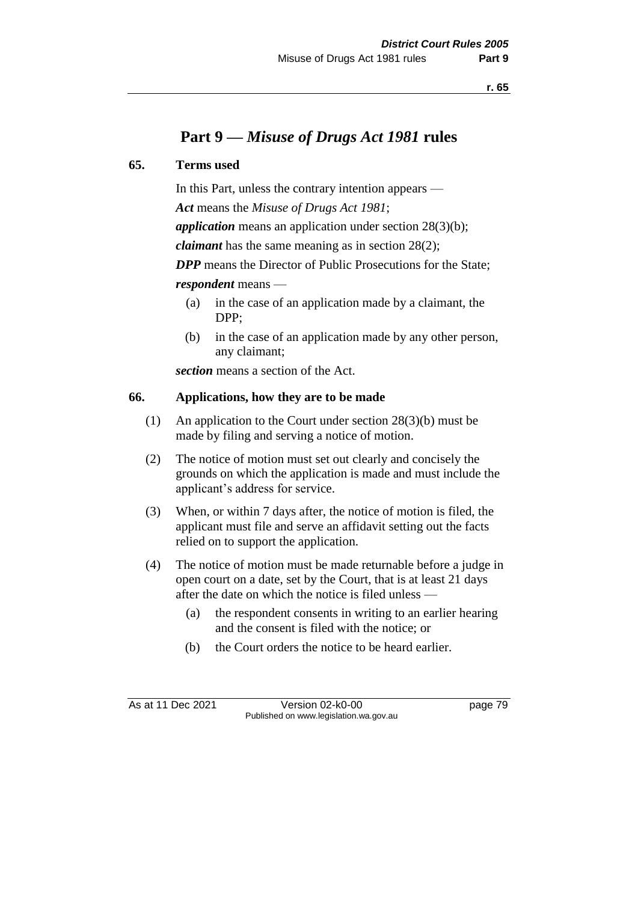# **Part 9 —** *Misuse of Drugs Act 1981* **rules**

## **65. Terms used**

In this Part, unless the contrary intention appears —

*Act* means the *Misuse of Drugs Act 1981*;

*application* means an application under section 28(3)(b);

*claimant* has the same meaning as in section 28(2);

*DPP* means the Director of Public Prosecutions for the State: *respondent* means —

- (a) in the case of an application made by a claimant, the DPP;
- (b) in the case of an application made by any other person, any claimant;

*section* means a section of the Act.

## **66. Applications, how they are to be made**

- (1) An application to the Court under section 28(3)(b) must be made by filing and serving a notice of motion.
- (2) The notice of motion must set out clearly and concisely the grounds on which the application is made and must include the applicant's address for service.
- (3) When, or within 7 days after, the notice of motion is filed, the applicant must file and serve an affidavit setting out the facts relied on to support the application.
- (4) The notice of motion must be made returnable before a judge in open court on a date, set by the Court, that is at least 21 days after the date on which the notice is filed unless —
	- (a) the respondent consents in writing to an earlier hearing and the consent is filed with the notice; or
	- (b) the Court orders the notice to be heard earlier.

As at 11 Dec 2021 Version 02-k0-00 Page 79 Published on www.legislation.wa.gov.au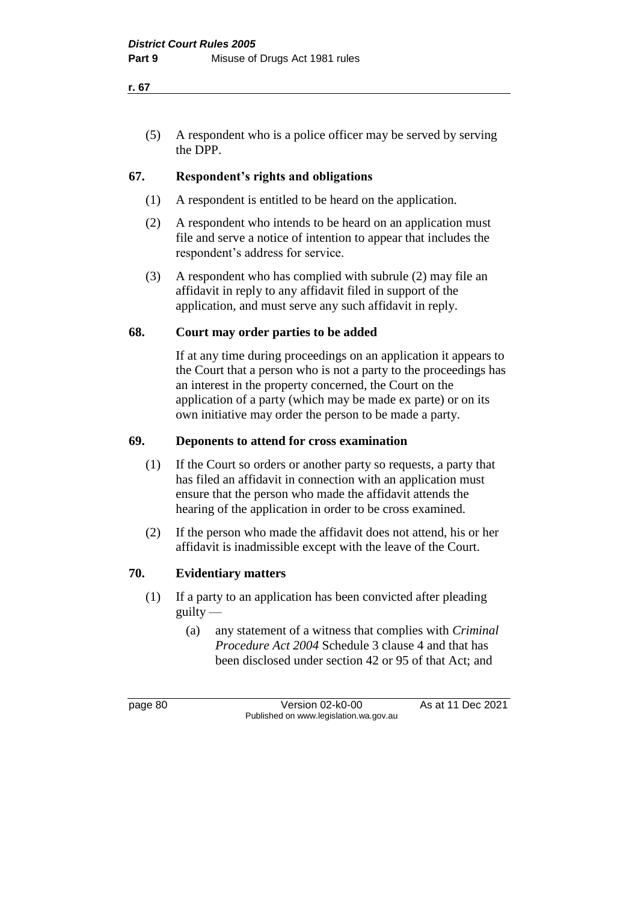(5) A respondent who is a police officer may be served by serving the DPP.

## **67. Respondent's rights and obligations**

- (1) A respondent is entitled to be heard on the application.
- (2) A respondent who intends to be heard on an application must file and serve a notice of intention to appear that includes the respondent's address for service.
- (3) A respondent who has complied with subrule (2) may file an affidavit in reply to any affidavit filed in support of the application, and must serve any such affidavit in reply.

#### **68. Court may order parties to be added**

If at any time during proceedings on an application it appears to the Court that a person who is not a party to the proceedings has an interest in the property concerned, the Court on the application of a party (which may be made ex parte) or on its own initiative may order the person to be made a party.

## **69. Deponents to attend for cross examination**

- (1) If the Court so orders or another party so requests, a party that has filed an affidavit in connection with an application must ensure that the person who made the affidavit attends the hearing of the application in order to be cross examined.
- (2) If the person who made the affidavit does not attend, his or her affidavit is inadmissible except with the leave of the Court.

## **70. Evidentiary matters**

- (1) If a party to an application has been convicted after pleading guilty —
	- (a) any statement of a witness that complies with *Criminal Procedure Act 2004* Schedule 3 clause 4 and that has been disclosed under section 42 or 95 of that Act; and

page 80 **Version 02-k0-00** As at 11 Dec 2021 Published on www.legislation.wa.gov.au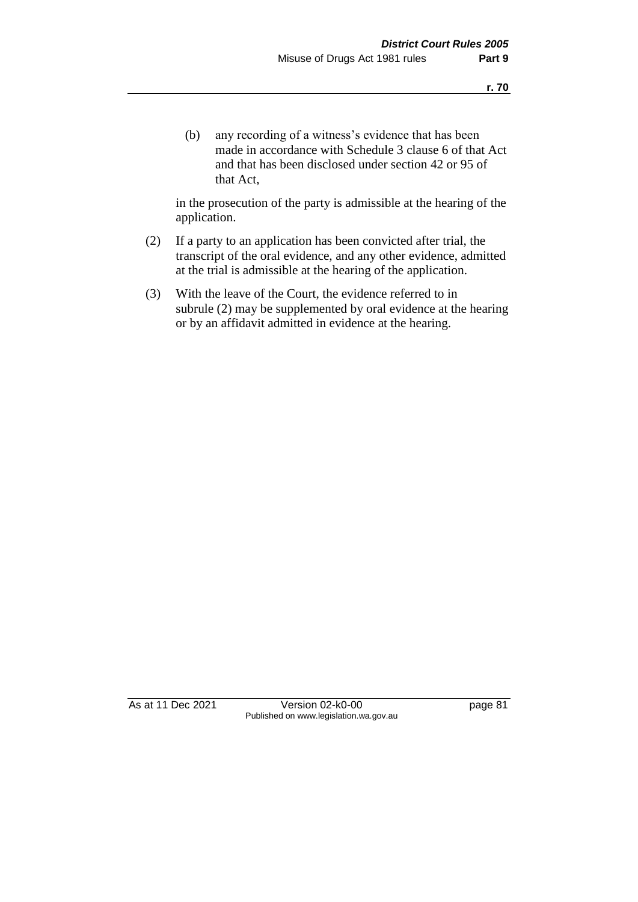(b) any recording of a witness's evidence that has been made in accordance with Schedule 3 clause 6 of that Act and that has been disclosed under section 42 or 95 of that Act,

in the prosecution of the party is admissible at the hearing of the application.

- (2) If a party to an application has been convicted after trial, the transcript of the oral evidence, and any other evidence, admitted at the trial is admissible at the hearing of the application.
- (3) With the leave of the Court, the evidence referred to in subrule (2) may be supplemented by oral evidence at the hearing or by an affidavit admitted in evidence at the hearing.

As at 11 Dec 2021 Version 02-k0-00 Page 81 Published on www.legislation.wa.gov.au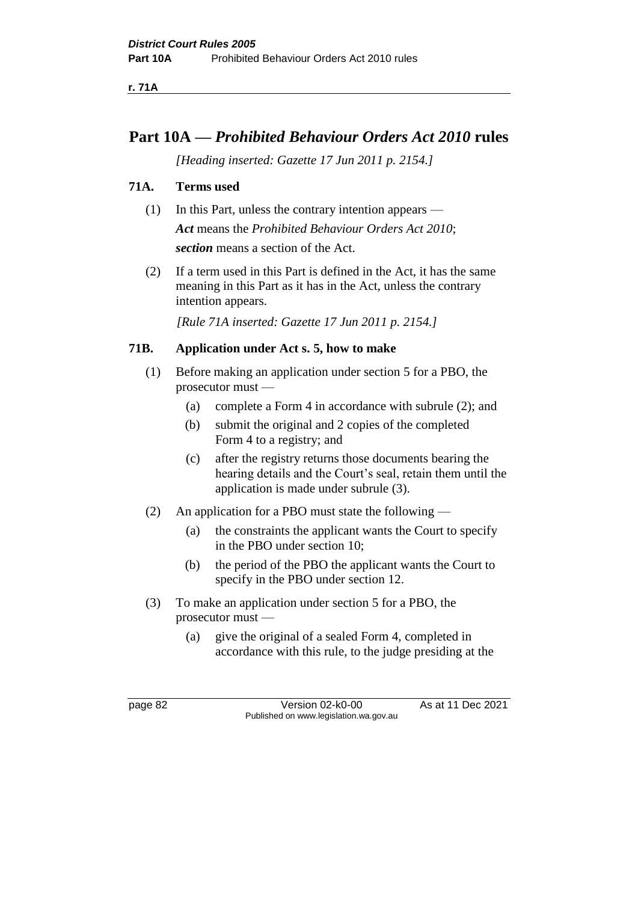**r. 71A**

# **Part 10A —** *Prohibited Behaviour Orders Act 2010* **rules**

*[Heading inserted: Gazette 17 Jun 2011 p. 2154.]*

# **71A. Terms used**

- (1) In this Part, unless the contrary intention appears *Act* means the *Prohibited Behaviour Orders Act 2010*; *section* means a section of the Act.
- (2) If a term used in this Part is defined in the Act, it has the same meaning in this Part as it has in the Act, unless the contrary intention appears.

*[Rule 71A inserted: Gazette 17 Jun 2011 p. 2154.]*

# **71B. Application under Act s. 5, how to make**

- (1) Before making an application under section 5 for a PBO, the prosecutor must —
	- (a) complete a Form 4 in accordance with subrule (2); and
	- (b) submit the original and 2 copies of the completed Form 4 to a registry; and
	- (c) after the registry returns those documents bearing the hearing details and the Court's seal, retain them until the application is made under subrule (3).
- (2) An application for a PBO must state the following
	- (a) the constraints the applicant wants the Court to specify in the PBO under section 10;
	- (b) the period of the PBO the applicant wants the Court to specify in the PBO under section 12.
- (3) To make an application under section 5 for a PBO, the prosecutor must —
	- (a) give the original of a sealed Form 4, completed in accordance with this rule, to the judge presiding at the

page 82 Version 02-k0-00 As at 11 Dec 2021 Published on www.legislation.wa.gov.au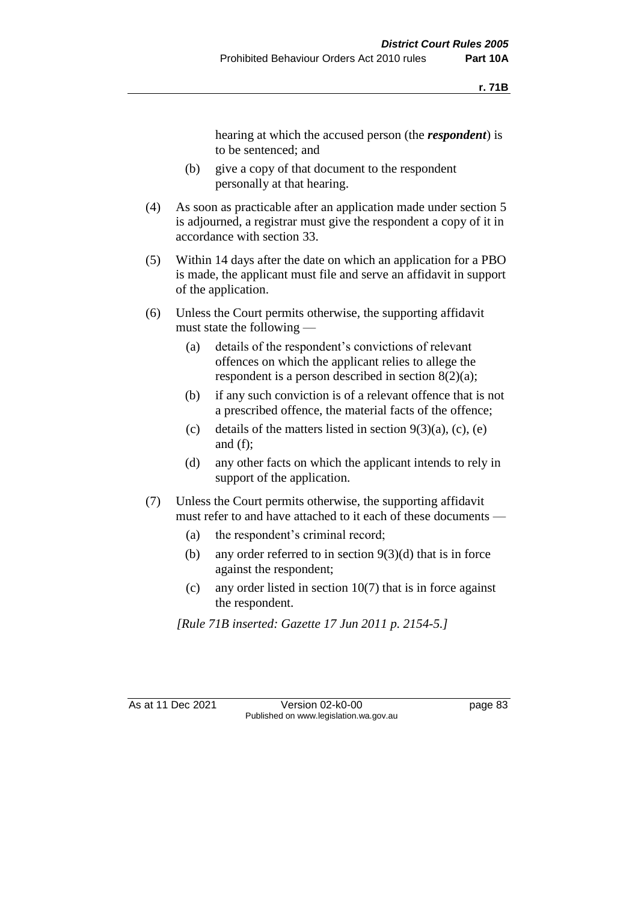hearing at which the accused person (the *respondent*) is to be sentenced; and

- (b) give a copy of that document to the respondent personally at that hearing.
- (4) As soon as practicable after an application made under section 5 is adjourned, a registrar must give the respondent a copy of it in accordance with section 33.
- (5) Within 14 days after the date on which an application for a PBO is made, the applicant must file and serve an affidavit in support of the application.
- (6) Unless the Court permits otherwise, the supporting affidavit must state the following —
	- (a) details of the respondent's convictions of relevant offences on which the applicant relies to allege the respondent is a person described in section 8(2)(a);
	- (b) if any such conviction is of a relevant offence that is not a prescribed offence, the material facts of the offence;
	- (c) details of the matters listed in section  $9(3)(a)$ , (c), (e) and (f);
	- (d) any other facts on which the applicant intends to rely in support of the application.
- (7) Unless the Court permits otherwise, the supporting affidavit must refer to and have attached to it each of these documents —
	- (a) the respondent's criminal record;
	- (b) any order referred to in section  $9(3)(d)$  that is in force against the respondent;
	- (c) any order listed in section  $10(7)$  that is in force against the respondent.

*[Rule 71B inserted: Gazette 17 Jun 2011 p. 2154-5.]*

As at 11 Dec 2021 Version 02-k0-00 page 83 Published on www.legislation.wa.gov.au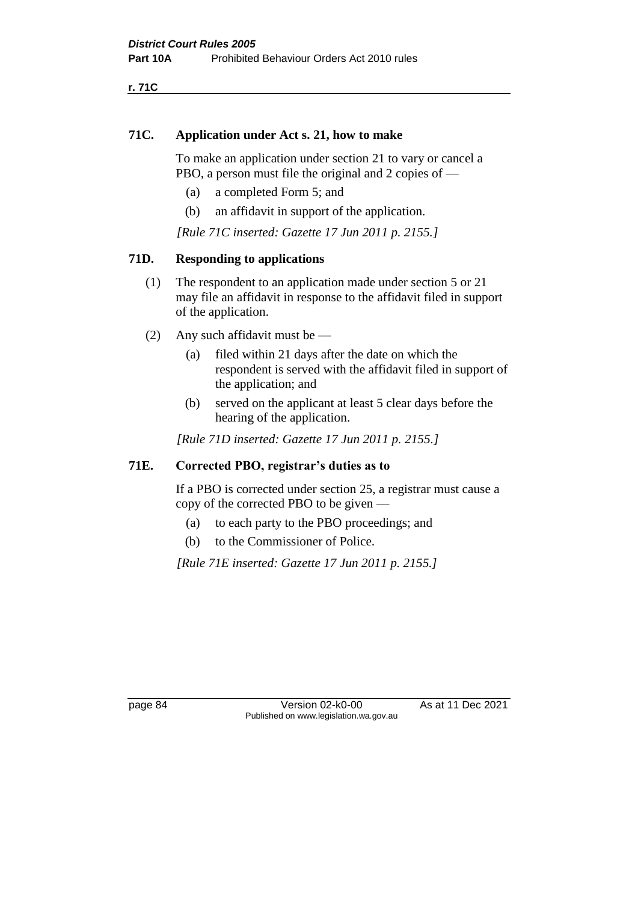**r. 71C**

# **71C. Application under Act s. 21, how to make**

To make an application under section 21 to vary or cancel a PBO, a person must file the original and 2 copies of —

- (a) a completed Form 5; and
- (b) an affidavit in support of the application.

*[Rule 71C inserted: Gazette 17 Jun 2011 p. 2155.]*

# **71D. Responding to applications**

- (1) The respondent to an application made under section 5 or 21 may file an affidavit in response to the affidavit filed in support of the application.
- (2) Any such affidavit must be
	- (a) filed within 21 days after the date on which the respondent is served with the affidavit filed in support of the application; and
	- (b) served on the applicant at least 5 clear days before the hearing of the application.

*[Rule 71D inserted: Gazette 17 Jun 2011 p. 2155.]*

# **71E. Corrected PBO, registrar's duties as to**

If a PBO is corrected under section 25, a registrar must cause a copy of the corrected PBO to be given —

- (a) to each party to the PBO proceedings; and
- (b) to the Commissioner of Police.

*[Rule 71E inserted: Gazette 17 Jun 2011 p. 2155.]*

page 84 Version 02-k0-00 As at 11 Dec 2021 Published on www.legislation.wa.gov.au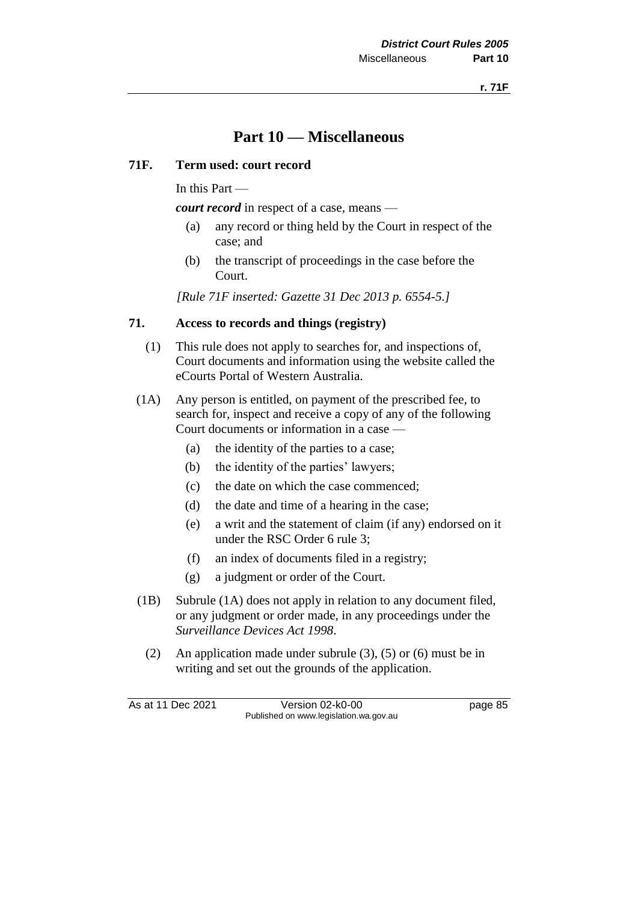# **Part 10 — Miscellaneous**

## **71F. Term used: court record**

In this Part —

*court record* in respect of a case, means —

- (a) any record or thing held by the Court in respect of the case; and
- (b) the transcript of proceedings in the case before the Court.

*[Rule 71F inserted: Gazette 31 Dec 2013 p. 6554-5.]*

## **71. Access to records and things (registry)**

- (1) This rule does not apply to searches for, and inspections of, Court documents and information using the website called the eCourts Portal of Western Australia.
- (1A) Any person is entitled, on payment of the prescribed fee, to search for, inspect and receive a copy of any of the following Court documents or information in a case —
	- (a) the identity of the parties to a case;
	- (b) the identity of the parties' lawyers;
	- (c) the date on which the case commenced;
	- (d) the date and time of a hearing in the case;
	- (e) a writ and the statement of claim (if any) endorsed on it under the RSC Order 6 rule 3;
	- (f) an index of documents filed in a registry;
	- (g) a judgment or order of the Court.
- (1B) Subrule (1A) does not apply in relation to any document filed, or any judgment or order made, in any proceedings under the *Surveillance Devices Act 1998*.
	- (2) An application made under subrule (3), (5) or (6) must be in writing and set out the grounds of the application.

As at 11 Dec 2021 Version 02-k0-00 Page 85 Published on www.legislation.wa.gov.au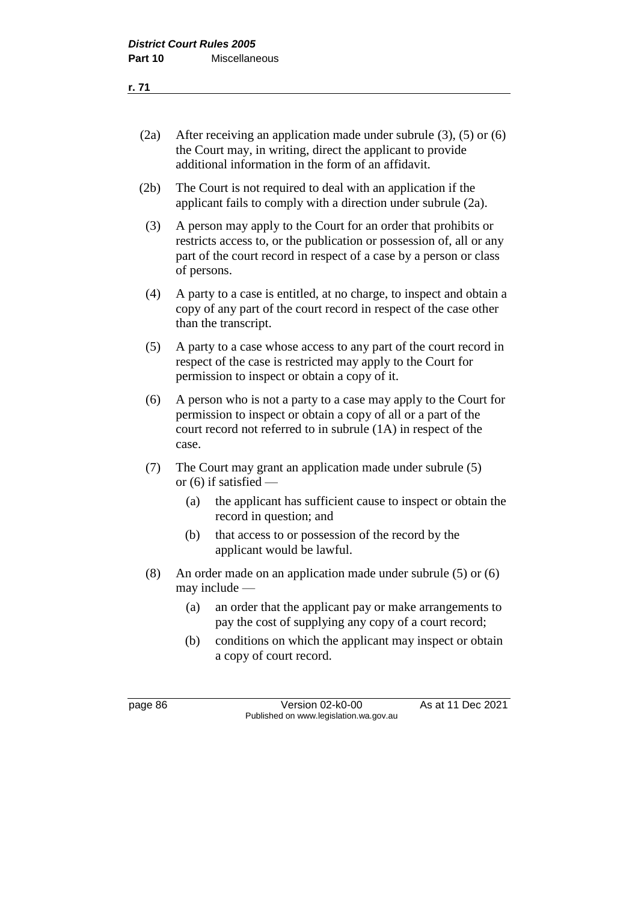| (2a) | After receiving an application made under subrule $(3)$ , $(5)$ or $(6)$<br>the Court may, in writing, direct the applicant to provide<br>additional information in the form of an affidavit. |                                                                                                                                                                                                              |  |
|------|-----------------------------------------------------------------------------------------------------------------------------------------------------------------------------------------------|--------------------------------------------------------------------------------------------------------------------------------------------------------------------------------------------------------------|--|
| (2b) | The Court is not required to deal with an application if the<br>applicant fails to comply with a direction under subrule (2a).                                                                |                                                                                                                                                                                                              |  |
| (3)  | of persons.                                                                                                                                                                                   | A person may apply to the Court for an order that prohibits or<br>restricts access to, or the publication or possession of, all or any<br>part of the court record in respect of a case by a person or class |  |
| (4)  | than the transcript.                                                                                                                                                                          | A party to a case is entitled, at no charge, to inspect and obtain a<br>copy of any part of the court record in respect of the case other                                                                    |  |
| (5)  | A party to a case whose access to any part of the court record in<br>respect of the case is restricted may apply to the Court for<br>permission to inspect or obtain a copy of it.            |                                                                                                                                                                                                              |  |
| (6)  | case.                                                                                                                                                                                         | A person who is not a party to a case may apply to the Court for<br>permission to inspect or obtain a copy of all or a part of the<br>court record not referred to in subrule (1A) in respect of the         |  |
| (7)  | or $(6)$ if satisfied —                                                                                                                                                                       | The Court may grant an application made under subrule (5)                                                                                                                                                    |  |
|      | (a)                                                                                                                                                                                           | the applicant has sufficient cause to inspect or obtain the<br>record in question; and                                                                                                                       |  |
|      | (b)                                                                                                                                                                                           | that access to or possession of the record by the<br>applicant would be lawful.                                                                                                                              |  |
| (8)  | may include -                                                                                                                                                                                 | An order made on an application made under subrule $(5)$ or $(6)$                                                                                                                                            |  |
|      | (a)                                                                                                                                                                                           | an order that the applicant pay or make arrangements to<br>pay the cost of supplying any copy of a court record;                                                                                             |  |
|      | (b)                                                                                                                                                                                           | conditions on which the applicant may inspect or obtain<br>a copy of court record.                                                                                                                           |  |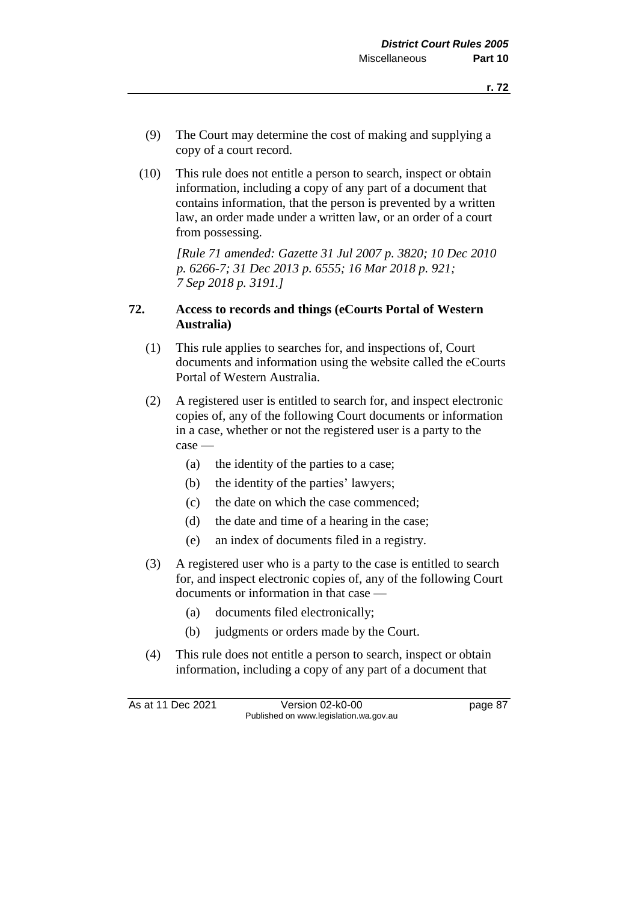- (9) The Court may determine the cost of making and supplying a copy of a court record.
- (10) This rule does not entitle a person to search, inspect or obtain information, including a copy of any part of a document that contains information, that the person is prevented by a written law, an order made under a written law, or an order of a court from possessing.

*[Rule 71 amended: Gazette 31 Jul 2007 p. 3820; 10 Dec 2010 p. 6266-7; 31 Dec 2013 p. 6555; 16 Mar 2018 p. 921; 7 Sep 2018 p. 3191.]*

## **72. Access to records and things (eCourts Portal of Western Australia)**

- (1) This rule applies to searches for, and inspections of, Court documents and information using the website called the eCourts Portal of Western Australia.
- (2) A registered user is entitled to search for, and inspect electronic copies of, any of the following Court documents or information in a case, whether or not the registered user is a party to the case —
	- (a) the identity of the parties to a case;
	- (b) the identity of the parties' lawyers;
	- (c) the date on which the case commenced;
	- (d) the date and time of a hearing in the case;
	- (e) an index of documents filed in a registry.
- (3) A registered user who is a party to the case is entitled to search for, and inspect electronic copies of, any of the following Court documents or information in that case —
	- (a) documents filed electronically;
	- (b) judgments or orders made by the Court.
- (4) This rule does not entitle a person to search, inspect or obtain information, including a copy of any part of a document that

As at 11 Dec 2021 Version 02-k0-00 page 87 Published on www.legislation.wa.gov.au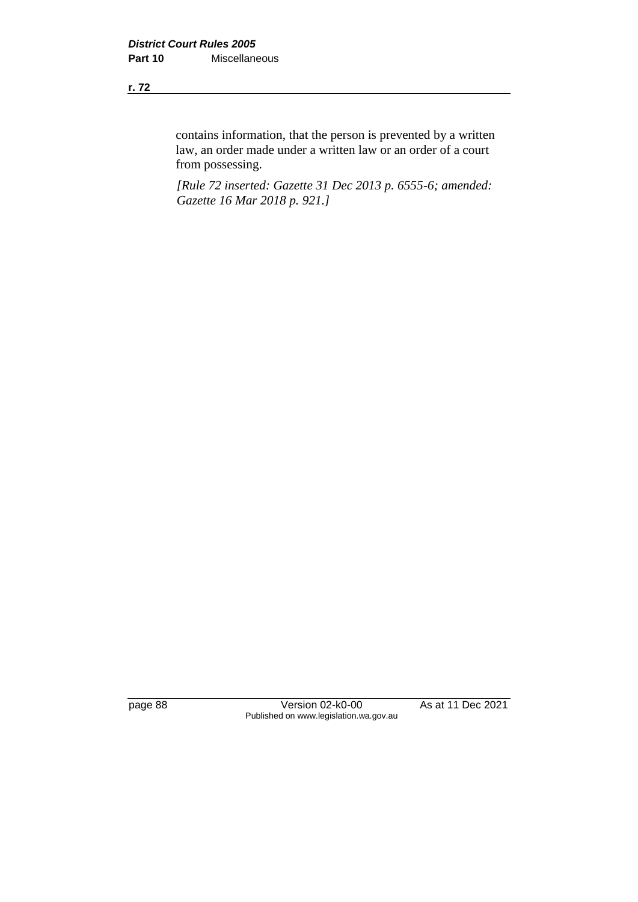contains information, that the person is prevented by a written law, an order made under a written law or an order of a court from possessing.

*[Rule 72 inserted: Gazette 31 Dec 2013 p. 6555-6; amended: Gazette 16 Mar 2018 p. 921.]*

page 88 Version 02-k0-00 As at 11 Dec 2021 Published on www.legislation.wa.gov.au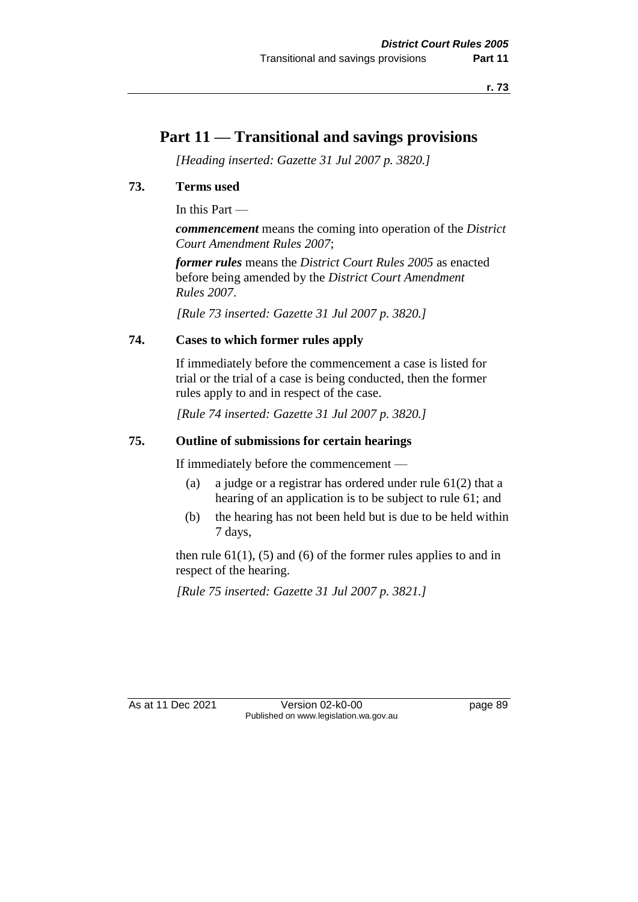# **Part 11 — Transitional and savings provisions**

*[Heading inserted: Gazette 31 Jul 2007 p. 3820.]*

# **73. Terms used**

In this Part —

*commencement* means the coming into operation of the *District Court Amendment Rules 2007*;

*former rules* means the *District Court Rules 2005* as enacted before being amended by the *District Court Amendment Rules 2007*.

*[Rule 73 inserted: Gazette 31 Jul 2007 p. 3820.]*

# **74. Cases to which former rules apply**

If immediately before the commencement a case is listed for trial or the trial of a case is being conducted, then the former rules apply to and in respect of the case.

*[Rule 74 inserted: Gazette 31 Jul 2007 p. 3820.]*

## **75. Outline of submissions for certain hearings**

If immediately before the commencement —

- (a) a judge or a registrar has ordered under rule 61(2) that a hearing of an application is to be subject to rule 61; and
- (b) the hearing has not been held but is due to be held within 7 days,

then rule  $61(1)$ ,  $(5)$  and  $(6)$  of the former rules applies to and in respect of the hearing.

*[Rule 75 inserted: Gazette 31 Jul 2007 p. 3821.]*

As at 11 Dec 2021 Version 02-k0-00 Page 89 Published on www.legislation.wa.gov.au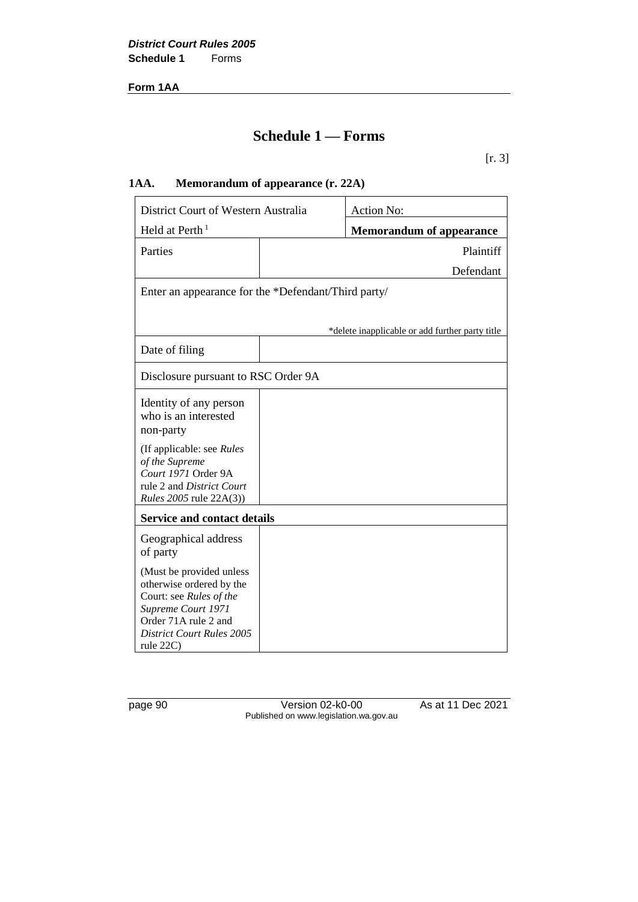**Form 1AA**

# **Schedule 1 — Forms**

## [r. 3]

# **1AA. Memorandum of appearance (r. 22A)**

| District Court of Western Australia                                                                                                                                            |  | <b>Action No:</b>                               |
|--------------------------------------------------------------------------------------------------------------------------------------------------------------------------------|--|-------------------------------------------------|
| Held at Perth <sup>1</sup>                                                                                                                                                     |  | <b>Memorandum of appearance</b>                 |
| Parties                                                                                                                                                                        |  | Plaintiff                                       |
|                                                                                                                                                                                |  | Defendant                                       |
| Enter an appearance for the *Defendant/Third party/                                                                                                                            |  |                                                 |
|                                                                                                                                                                                |  | *delete inapplicable or add further party title |
| Date of filing                                                                                                                                                                 |  |                                                 |
| Disclosure pursuant to RSC Order 9A                                                                                                                                            |  |                                                 |
| Identity of any person<br>who is an interested<br>non-party                                                                                                                    |  |                                                 |
| (If applicable: see Rules<br>of the Supreme<br>Court 1971 Order 9A<br>rule 2 and District Court<br><i>Rules</i> 2005 rule 22A(3))                                              |  |                                                 |
| <b>Service and contact details</b>                                                                                                                                             |  |                                                 |
| Geographical address<br>of party                                                                                                                                               |  |                                                 |
| (Must be provided unless<br>otherwise ordered by the<br>Court: see Rules of the<br>Supreme Court 1971<br>Order 71A rule 2 and<br><b>District Court Rules 2005</b><br>rule 22C) |  |                                                 |

page 90 Version 02-k0-00 As at 11 Dec 2021 Published on www.legislation.wa.gov.au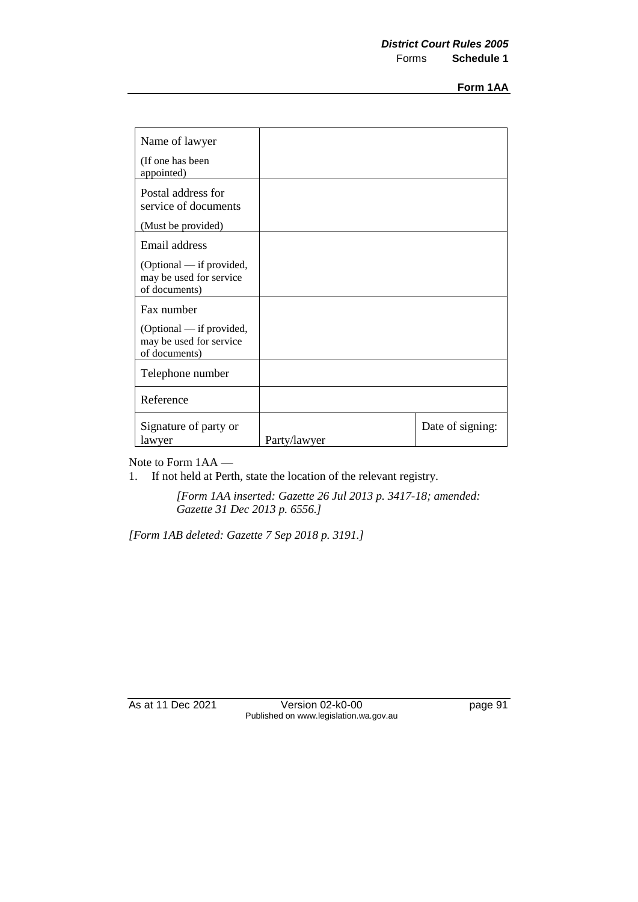| Name of lawyer                                                       |              |                  |
|----------------------------------------------------------------------|--------------|------------------|
| (If one has been<br>appointed)                                       |              |                  |
| Postal address for<br>service of documents                           |              |                  |
| (Must be provided)                                                   |              |                  |
| Email address                                                        |              |                  |
| (Optional — if provided,<br>may be used for service<br>of documents) |              |                  |
| Fax number                                                           |              |                  |
| (Optional — if provided,<br>may be used for service<br>of documents) |              |                  |
| Telephone number                                                     |              |                  |
| Reference                                                            |              |                  |
| Signature of party or<br>lawyer                                      | Party/lawyer | Date of signing: |

Note to Form 1AA —

1. If not held at Perth, state the location of the relevant registry.

*[Form 1AA inserted: Gazette 26 Jul 2013 p. 3417-18; amended: Gazette 31 Dec 2013 p. 6556.]*

*[Form 1AB deleted: Gazette 7 Sep 2018 p. 3191.]*

As at 11 Dec 2021 Version 02-k0-00 page 91 Published on www.legislation.wa.gov.au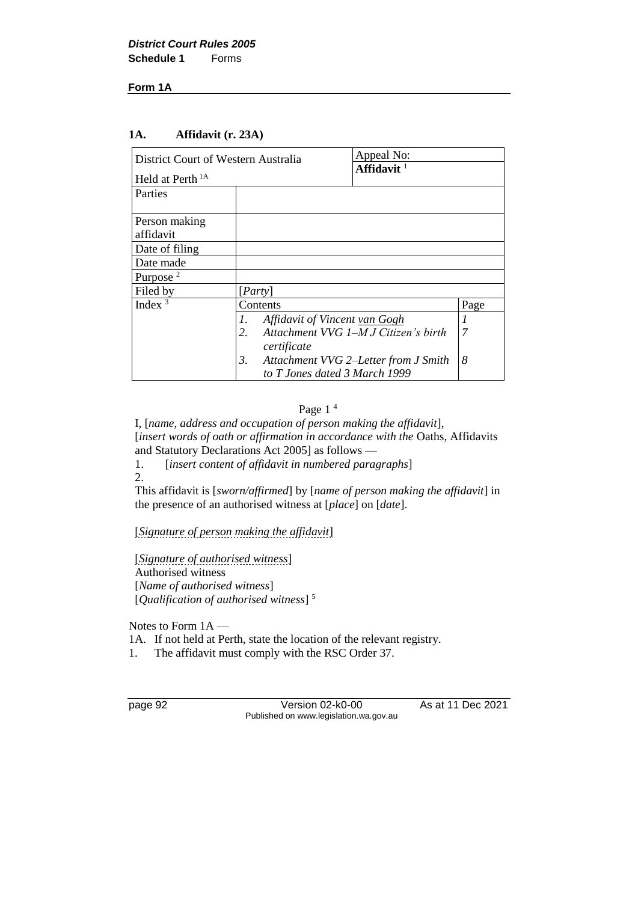#### **Form 1A**

#### **1A. Affidavit (r. 23A)**

| District Court of Western Australia |                                     | Appeal No:                           |      |
|-------------------------------------|-------------------------------------|--------------------------------------|------|
| Held at Perth <sup>1A</sup>         |                                     | Affidavit <sup>1</sup>               |      |
| Parties                             |                                     |                                      |      |
| Person making                       |                                     |                                      |      |
| affidavit                           |                                     |                                      |      |
| Date of filing                      |                                     |                                      |      |
| Date made                           |                                     |                                      |      |
| Purpose <sup>2</sup>                |                                     |                                      |      |
| Filed by                            | $[{\it Party}]$                     |                                      |      |
| Index $3$                           | Contents                            |                                      | Page |
|                                     | L.<br>Affidavit of Vincent van Gogh |                                      |      |
|                                     | 2.                                  | Attachment VVG 1-M J Citizen's birth | 7    |
|                                     | certificate                         |                                      |      |
|                                     | 3.                                  | Attachment VVG 2–Letter from J Smith | 8    |
|                                     | to T Jones dated 3 March 1999       |                                      |      |

#### Page 1<sup>4</sup>

I, [*name, address and occupation of person making the affidavit*], [*insert words of oath or affirmation in accordance with the* Oaths, Affidavits and Statutory Declarations Act 2005] as follows —<br>1. [insert content of affidavit in numbered paras

[*insert content of affidavit in numbered paragraphs*] 2.

This affidavit is [*sworn/affirmed*] by [*name of person making the affidavit*] in the presence of an authorised witness at [*place*] on [*date*].

[*Signature of person making the affidavit*]

[*Signature of authorised witness*] Authorised witness [*Name of authorised witness*] [*Qualification of authorised witness*] <sup>5</sup>

Notes to Form 1A —

- 1A. If not held at Perth, state the location of the relevant registry.
- 1. The affidavit must comply with the RSC Order 37.

page 92 Version 02-k0-00 As at 11 Dec 2021 Published on www.legislation.wa.gov.au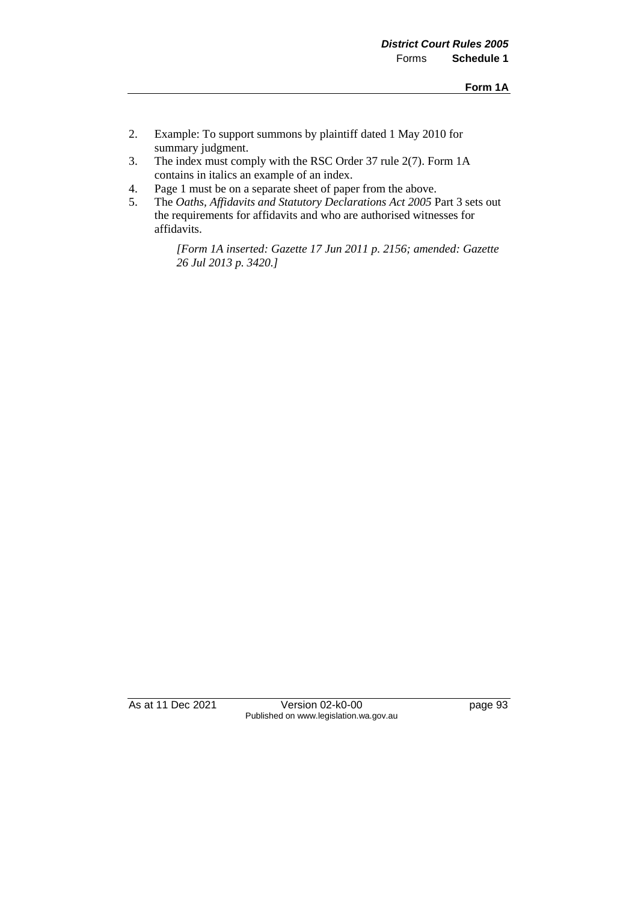- 2. Example: To support summons by plaintiff dated 1 May 2010 for summary judgment.
- 3. The index must comply with the RSC Order 37 rule 2(7). Form 1A contains in italics an example of an index.
- 4. Page 1 must be on a separate sheet of paper from the above.
- 5. The *Oaths, Affidavits and Statutory Declarations Act 2005* Part 3 sets out the requirements for affidavits and who are authorised witnesses for affidavits.

*[Form 1A inserted: Gazette 17 Jun 2011 p. 2156; amended: Gazette 26 Jul 2013 p. 3420.]* 

As at 11 Dec 2021 Version 02-k0-00 page 93 Published on www.legislation.wa.gov.au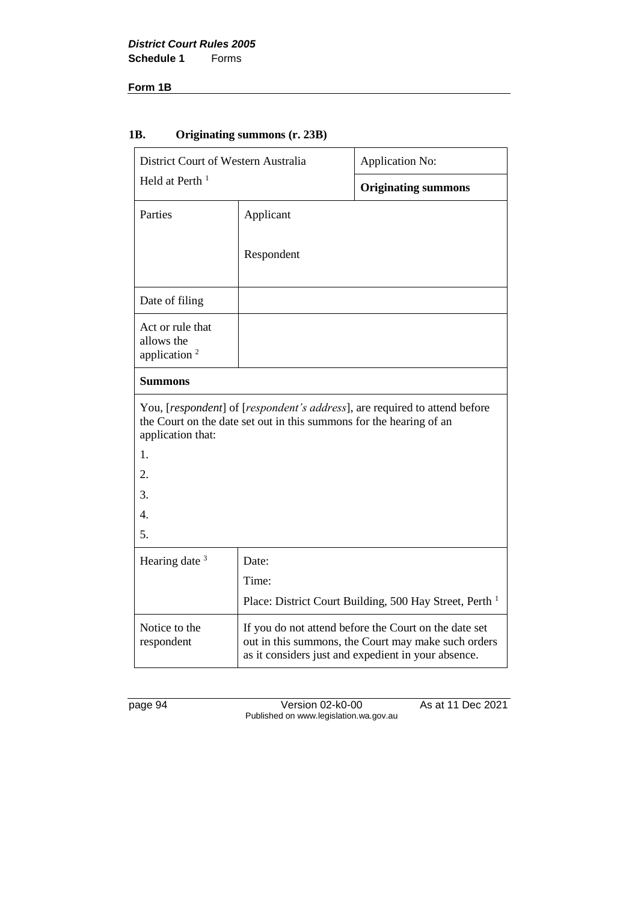#### **Form 1B**

# **1B. Originating summons (r. 23B)**

| District Court of Western Australia<br>Held at Perth <sup>1</sup>                                                                                                      |            | Application No:                                                                                                                                                     |  |
|------------------------------------------------------------------------------------------------------------------------------------------------------------------------|------------|---------------------------------------------------------------------------------------------------------------------------------------------------------------------|--|
|                                                                                                                                                                        |            | <b>Originating summons</b>                                                                                                                                          |  |
| Parties                                                                                                                                                                | Applicant  |                                                                                                                                                                     |  |
|                                                                                                                                                                        | Respondent |                                                                                                                                                                     |  |
| Date of filing                                                                                                                                                         |            |                                                                                                                                                                     |  |
| Act or rule that<br>allows the<br>application $2$                                                                                                                      |            |                                                                                                                                                                     |  |
| <b>Summons</b>                                                                                                                                                         |            |                                                                                                                                                                     |  |
| You, [respondent] of [respondent's address], are required to attend before<br>the Court on the date set out in this summons for the hearing of an<br>application that: |            |                                                                                                                                                                     |  |
| 1.                                                                                                                                                                     |            |                                                                                                                                                                     |  |
| 2.                                                                                                                                                                     |            |                                                                                                                                                                     |  |
| 3.                                                                                                                                                                     |            |                                                                                                                                                                     |  |
| 4.                                                                                                                                                                     |            |                                                                                                                                                                     |  |
| 5.                                                                                                                                                                     |            |                                                                                                                                                                     |  |
| Hearing date <sup>3</sup>                                                                                                                                              | Date:      |                                                                                                                                                                     |  |
|                                                                                                                                                                        | Time:      |                                                                                                                                                                     |  |
|                                                                                                                                                                        |            | Place: District Court Building, 500 Hay Street, Perth <sup>1</sup>                                                                                                  |  |
| Notice to the<br>respondent                                                                                                                                            |            | If you do not attend before the Court on the date set<br>out in this summons, the Court may make such orders<br>as it considers just and expedient in your absence. |  |

page 94 Version 02-k0-00 As at 11 Dec 2021 Published on www.legislation.wa.gov.au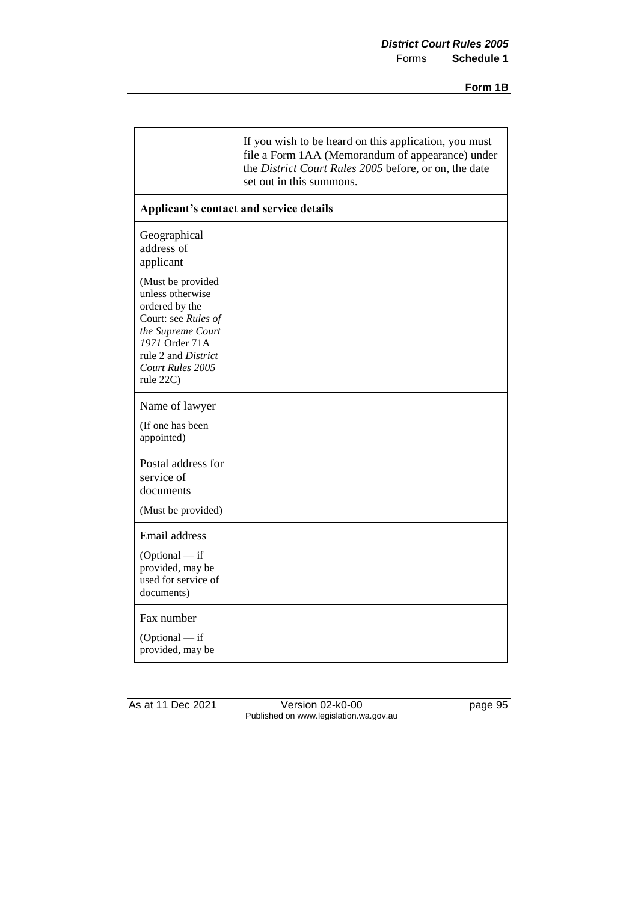|                                                                                                                                                                                      | If you wish to be heard on this application, you must<br>file a Form 1AA (Memorandum of appearance) under<br>the District Court Rules 2005 before, or on, the date<br>set out in this summons. |
|--------------------------------------------------------------------------------------------------------------------------------------------------------------------------------------|------------------------------------------------------------------------------------------------------------------------------------------------------------------------------------------------|
| Applicant's contact and service details                                                                                                                                              |                                                                                                                                                                                                |
| Geographical<br>address of<br>applicant                                                                                                                                              |                                                                                                                                                                                                |
| (Must be provided<br>unless otherwise<br>ordered by the<br>Court: see Rules of<br>the Supreme Court<br>1971 Order 71A<br>rule 2 and <i>District</i><br>Court Rules 2005<br>rule 22C) |                                                                                                                                                                                                |
| Name of lawyer<br>(If one has been<br>appointed)                                                                                                                                     |                                                                                                                                                                                                |
| Postal address for<br>service of<br>documents<br>(Must be provided)                                                                                                                  |                                                                                                                                                                                                |
| Email address<br>$(Optional - if$<br>provided, may be<br>used for service of<br>documents)                                                                                           |                                                                                                                                                                                                |
| Fax number<br>$(Optional - if$<br>provided, may be                                                                                                                                   |                                                                                                                                                                                                |

As at 11 Dec 2021 Version 02-k0-00 page 95 Published on www.legislation.wa.gov.au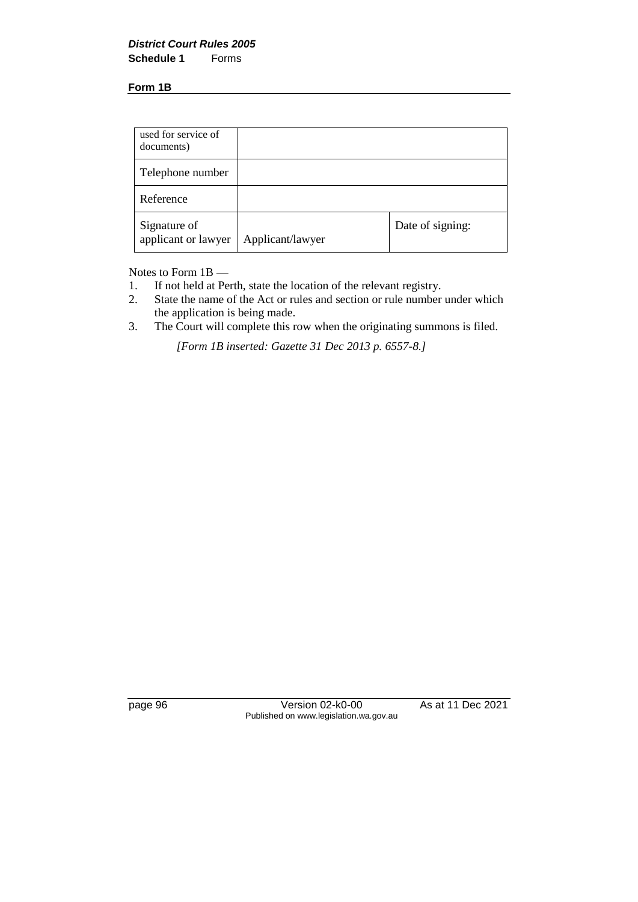**Form 1B**

| used for service of<br>documents)   |                  |                  |
|-------------------------------------|------------------|------------------|
| Telephone number                    |                  |                  |
| Reference                           |                  |                  |
| Signature of<br>applicant or lawyer | Applicant/lawyer | Date of signing: |

Notes to Form 1B —

- 1. If not held at Perth, state the location of the relevant registry.<br>2. State the name of the Act or rules and section or rule number
- State the name of the Act or rules and section or rule number under which the application is being made.
- 3. The Court will complete this row when the originating summons is filed.

*[Form 1B inserted: Gazette 31 Dec 2013 p. 6557-8.]*

page 96 Version 02-k0-00 As at 11 Dec 2021 Published on www.legislation.wa.gov.au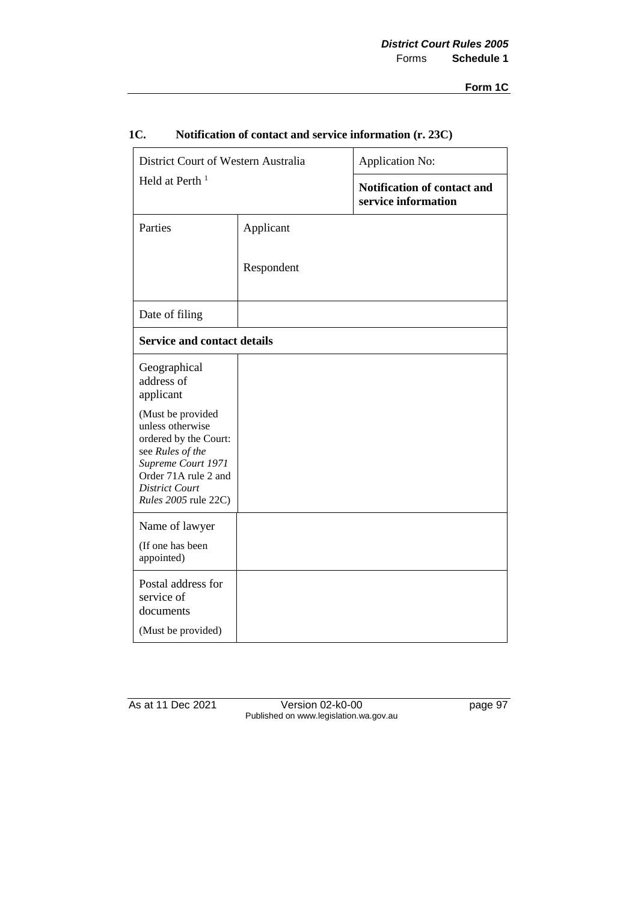| District Court of Western Australia                                                                                                                                               |            | Application No:                                           |  |
|-----------------------------------------------------------------------------------------------------------------------------------------------------------------------------------|------------|-----------------------------------------------------------|--|
| Held at Perth <sup>1</sup>                                                                                                                                                        |            | <b>Notification of contact and</b><br>service information |  |
| Parties                                                                                                                                                                           | Applicant  |                                                           |  |
|                                                                                                                                                                                   | Respondent |                                                           |  |
| Date of filing                                                                                                                                                                    |            |                                                           |  |
| <b>Service and contact details</b>                                                                                                                                                |            |                                                           |  |
| Geographical<br>address of<br>applicant                                                                                                                                           |            |                                                           |  |
| (Must be provided<br>unless otherwise<br>ordered by the Court:<br>see Rules of the<br>Supreme Court 1971<br>Order 71A rule 2 and<br><b>District Court</b><br>Rules 2005 rule 22C) |            |                                                           |  |
| Name of lawyer<br>(If one has been<br>appointed)                                                                                                                                  |            |                                                           |  |
| Postal address for<br>service of<br>documents<br>(Must be provided)                                                                                                               |            |                                                           |  |

## **1C. Notification of contact and service information (r. 23C)**

As at 11 Dec 2021 Version 02-k0-00 page 97 Published on www.legislation.wa.gov.au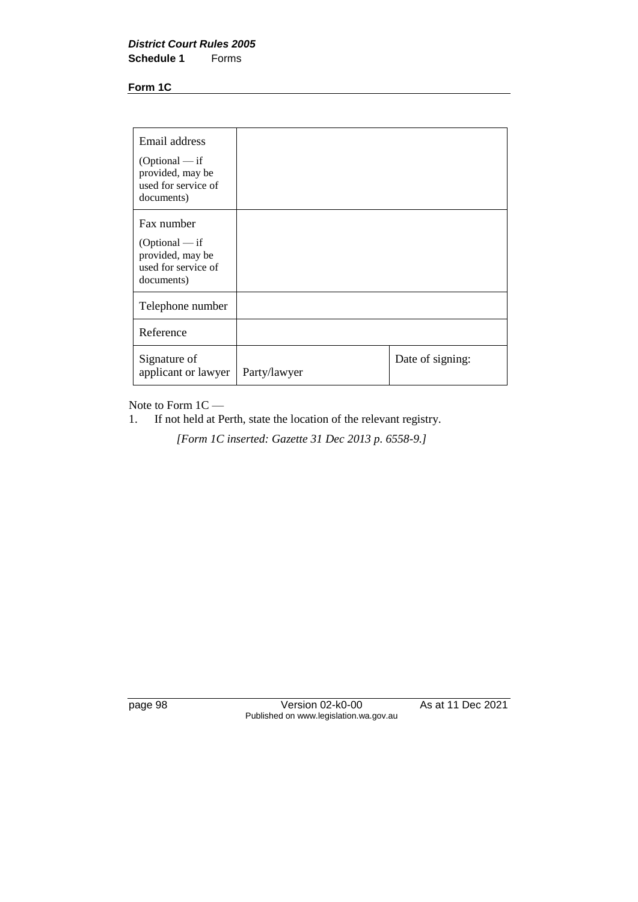**Form 1C**

| Email address<br>$(Optional - if$<br>provided, may be<br>used for service of<br>documents) |              |                  |
|--------------------------------------------------------------------------------------------|--------------|------------------|
| Fax number<br>$(Optional - if$<br>provided, may be<br>used for service of<br>documents)    |              |                  |
| Telephone number                                                                           |              |                  |
| Reference                                                                                  |              |                  |
| Signature of<br>applicant or lawyer                                                        | Party/lawyer | Date of signing: |

Note to Form  $1C - 1$ . If not held at P

If not held at Perth, state the location of the relevant registry.

*[Form 1C inserted: Gazette 31 Dec 2013 p. 6558-9.]*

page 98 Version 02-k0-00 As at 11 Dec 2021 Published on www.legislation.wa.gov.au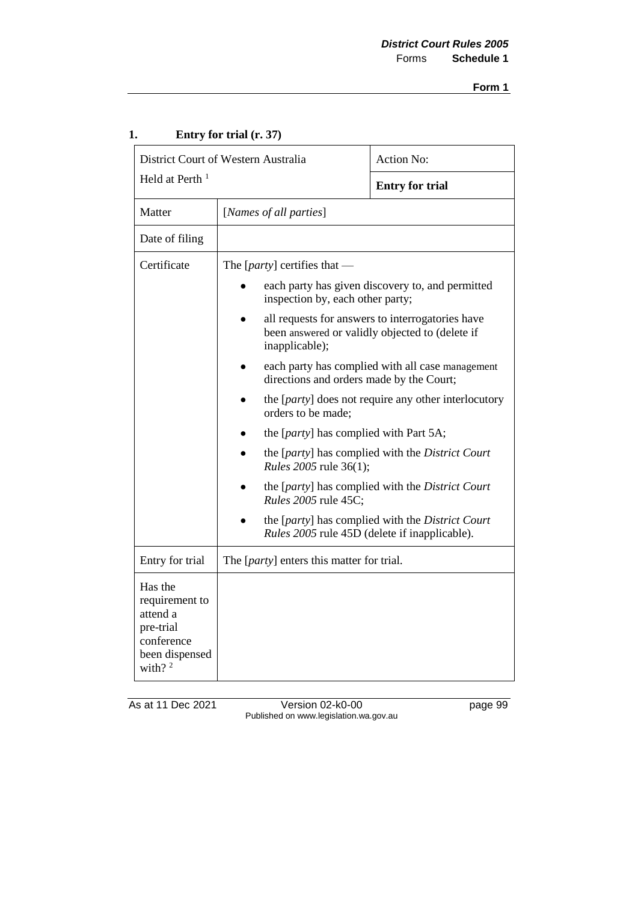| District Court of Western Australia                                                               |                                                                                                                          | <b>Action No:</b>                                |
|---------------------------------------------------------------------------------------------------|--------------------------------------------------------------------------------------------------------------------------|--------------------------------------------------|
| Held at Perth <sup>1</sup>                                                                        |                                                                                                                          | <b>Entry for trial</b>                           |
| Matter                                                                                            | [Names of all parties]                                                                                                   |                                                  |
| Date of filing                                                                                    |                                                                                                                          |                                                  |
| Certificate                                                                                       | The [ <i>party</i> ] certifies that —                                                                                    |                                                  |
|                                                                                                   | inspection by, each other party;                                                                                         | each party has given discovery to, and permitted |
|                                                                                                   | all requests for answers to interrogatories have<br>been answered or validly objected to (delete if<br>inapplicable);    |                                                  |
|                                                                                                   | each party has complied with all case management<br>directions and orders made by the Court;                             |                                                  |
|                                                                                                   | the [ <i>party</i> ] does not require any other interlocutory<br>orders to be made;                                      |                                                  |
|                                                                                                   | the [ <i>party</i> ] has complied with Part 5A;                                                                          |                                                  |
|                                                                                                   | the [party] has complied with the District Court<br>Rules 2005 rule 36(1);                                               |                                                  |
|                                                                                                   | <i>Rules</i> 2005 rule 45C;                                                                                              | the [party] has complied with the District Court |
|                                                                                                   | the [ <i>party</i> ] has complied with the <i>District Court</i><br><i>Rules</i> 2005 rule 45D (delete if inapplicable). |                                                  |
| Entry for trial                                                                                   | The [ <i>party</i> ] enters this matter for trial.                                                                       |                                                  |
| Has the<br>requirement to<br>attend a<br>pre-trial<br>conference<br>been dispensed<br>with? $2^2$ |                                                                                                                          |                                                  |

## **1. Entry for trial (r. 37)**

As at 11 Dec 2021 Version 02-k0-00 page 99 Published on www.legislation.wa.gov.au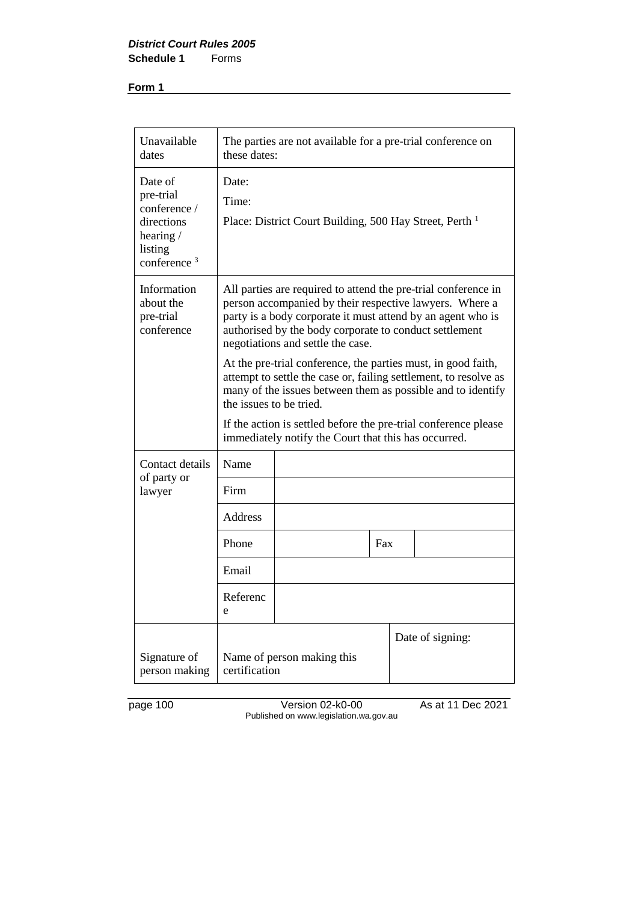| Unavailable<br>dates                                                                        | The parties are not available for a pre-trial conference on<br>these dates:                                                                                                                                                                                                                    |                                                                                                                                                                                                                                                                                         |     |  |                  |
|---------------------------------------------------------------------------------------------|------------------------------------------------------------------------------------------------------------------------------------------------------------------------------------------------------------------------------------------------------------------------------------------------|-----------------------------------------------------------------------------------------------------------------------------------------------------------------------------------------------------------------------------------------------------------------------------------------|-----|--|------------------|
| Date of<br>pre-trial<br>conference /<br>directions<br>hearing/<br>listing<br>conference $3$ | Date:<br>Time:                                                                                                                                                                                                                                                                                 | Place: District Court Building, 500 Hay Street, Perth <sup>1</sup>                                                                                                                                                                                                                      |     |  |                  |
| Information<br>about the<br>pre-trial<br>conference                                         |                                                                                                                                                                                                                                                                                                | All parties are required to attend the pre-trial conference in<br>person accompanied by their respective lawyers. Where a<br>party is a body corporate it must attend by an agent who is<br>authorised by the body corporate to conduct settlement<br>negotiations and settle the case. |     |  |                  |
|                                                                                             | At the pre-trial conference, the parties must, in good faith,<br>attempt to settle the case or, failing settlement, to resolve as<br>many of the issues between them as possible and to identify<br>the issues to be tried.<br>If the action is settled before the pre-trial conference please |                                                                                                                                                                                                                                                                                         |     |  |                  |
|                                                                                             | immediately notify the Court that this has occurred.                                                                                                                                                                                                                                           |                                                                                                                                                                                                                                                                                         |     |  |                  |
| Contact details<br>of party or                                                              | Name                                                                                                                                                                                                                                                                                           |                                                                                                                                                                                                                                                                                         |     |  |                  |
| lawyer                                                                                      | Firm                                                                                                                                                                                                                                                                                           |                                                                                                                                                                                                                                                                                         |     |  |                  |
|                                                                                             | <b>Address</b>                                                                                                                                                                                                                                                                                 |                                                                                                                                                                                                                                                                                         |     |  |                  |
|                                                                                             | Phone                                                                                                                                                                                                                                                                                          |                                                                                                                                                                                                                                                                                         | Fax |  |                  |
|                                                                                             | Email                                                                                                                                                                                                                                                                                          |                                                                                                                                                                                                                                                                                         |     |  |                  |
|                                                                                             | Referenc<br>e                                                                                                                                                                                                                                                                                  |                                                                                                                                                                                                                                                                                         |     |  |                  |
| Signature of<br>person making                                                               | certification                                                                                                                                                                                                                                                                                  | Name of person making this                                                                                                                                                                                                                                                              |     |  | Date of signing: |

page 100 Version 02-k0-00 As at 11 Dec 2021 Published on www.legislation.wa.gov.au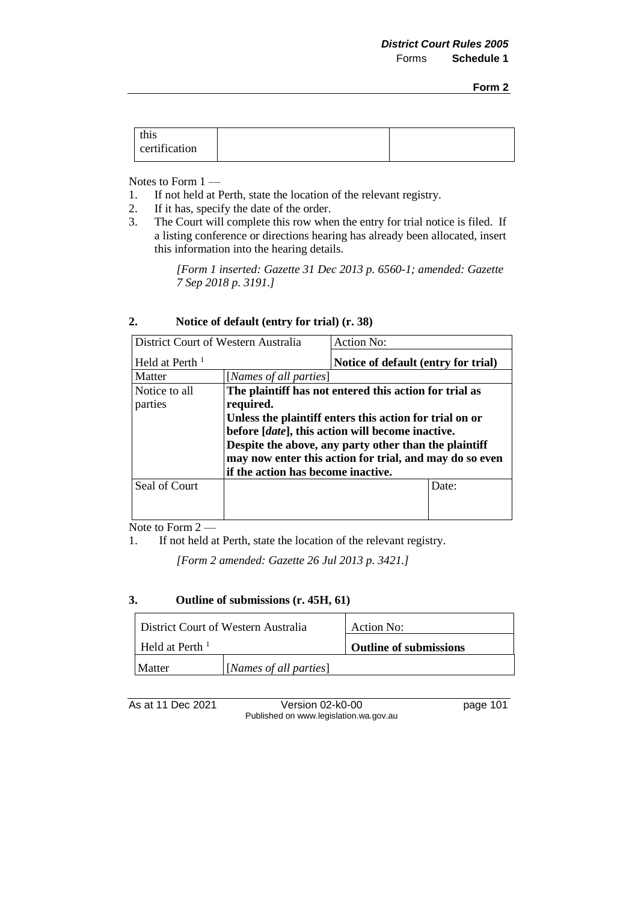| this<br>certification |  |  |
|-----------------------|--|--|
|-----------------------|--|--|

Notes to Form 1 —

- 1. If not held at Perth, state the location of the relevant registry.<br>2. If it has, specify the date of the order.
- 2. If it has, specify the date of the order.<br>3. The Court will complete this row whe
- The Court will complete this row when the entry for trial notice is filed. If a listing conference or directions hearing has already been allocated, insert this information into the hearing details.

*[Form 1 inserted: Gazette 31 Dec 2013 p. 6560-1; amended: Gazette 7 Sep 2018 p. 3191.]*

| $\overline{2}$ . | Notice of default (entry for trial) (r. 38) |  |
|------------------|---------------------------------------------|--|
|------------------|---------------------------------------------|--|

| District Court of Western Australia |                                                         | Action No:                          |       |
|-------------------------------------|---------------------------------------------------------|-------------------------------------|-------|
| Held at Perth $1$                   |                                                         | Notice of default (entry for trial) |       |
| Matter                              | [Names of all parties]                                  |                                     |       |
| Notice to all                       | The plaintiff has not entered this action for trial as  |                                     |       |
| parties                             | required.                                               |                                     |       |
|                                     | Unless the plaintiff enters this action for trial on or |                                     |       |
|                                     | before [date], this action will become inactive.        |                                     |       |
|                                     | Despite the above, any party other than the plaintiff   |                                     |       |
|                                     | may now enter this action for trial, and may do so even |                                     |       |
|                                     | if the action has become inactive.                      |                                     |       |
| Seal of Court                       |                                                         |                                     | Date: |
|                                     |                                                         |                                     |       |
|                                     |                                                         |                                     |       |

Note to Form 2 —

1. If not held at Perth, state the location of the relevant registry.

*[Form 2 amended: Gazette 26 Jul 2013 p. 3421.]* 

#### **3. Outline of submissions (r. 45H, 61)**

| District Court of Western Australia     |  | Action No:                    |  |
|-----------------------------------------|--|-------------------------------|--|
| Held at Perth <sup><math>1</math></sup> |  | <b>Outline of submissions</b> |  |
| [Names of all parties]<br>Matter        |  |                               |  |

As at 11 Dec 2021 Version 02-k0-00 page 101 Published on www.legislation.wa.gov.au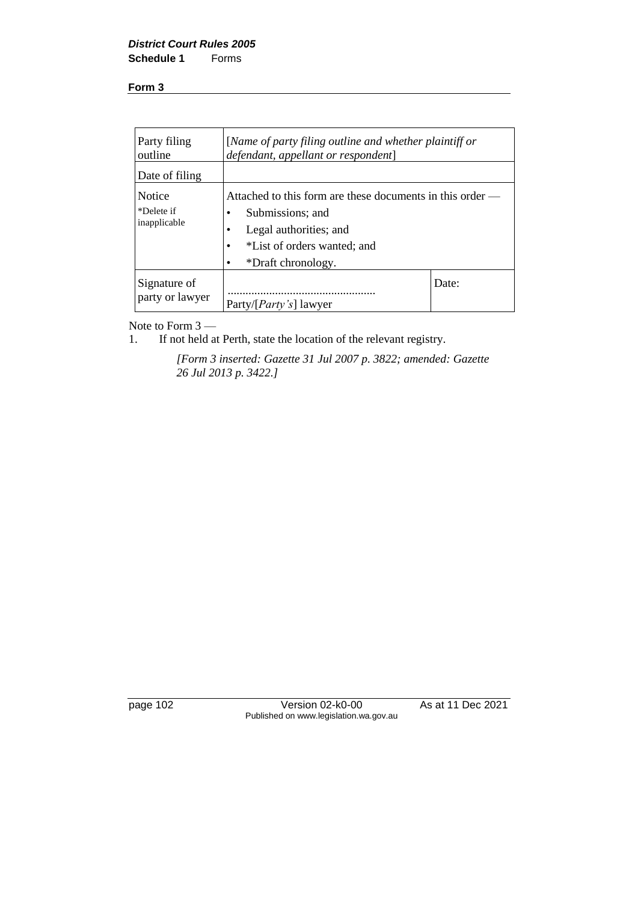| Party filing<br>outline                     | [Name of party filing outline and whether plaintiff or<br>defendant, appellant or respondent]                                                                             |       |
|---------------------------------------------|---------------------------------------------------------------------------------------------------------------------------------------------------------------------------|-------|
| Date of filing                              |                                                                                                                                                                           |       |
| <b>Notice</b><br>*Delete if<br>inapplicable | Attached to this form are these documents in this order —<br>Submissions; and<br>Legal authorities; and<br>*List of orders wanted; and<br>$\bullet$<br>*Draft chronology. |       |
| Signature of<br>party or lawyer             | Party/[ <i>Party's</i> ] lawyer                                                                                                                                           | Date: |

Note to Form 3 —<br>1. If not held a

If not held at Perth, state the location of the relevant registry.

*[Form 3 inserted: Gazette 31 Jul 2007 p. 3822; amended: Gazette 26 Jul 2013 p. 3422.]* 

page 102 Version 02-k0-00 As at 11 Dec 2021 Published on www.legislation.wa.gov.au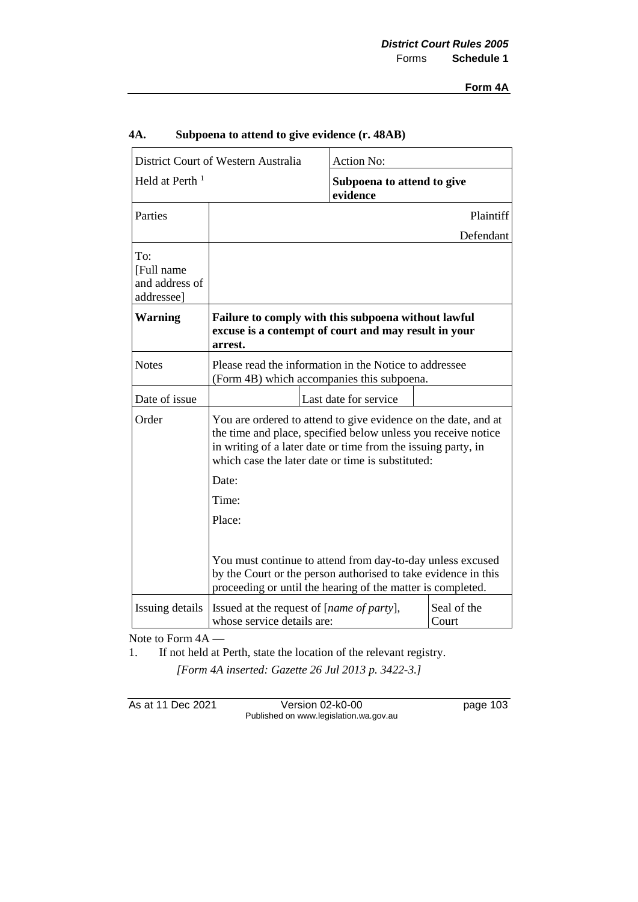| District Court of Western Australia<br>Held at Perth $1$ |                                                                                                                                                                                                                                                       | Action No: |                            |  |
|----------------------------------------------------------|-------------------------------------------------------------------------------------------------------------------------------------------------------------------------------------------------------------------------------------------------------|------------|----------------------------|--|
|                                                          |                                                                                                                                                                                                                                                       | evidence   | Subpoena to attend to give |  |
| Parties                                                  |                                                                                                                                                                                                                                                       |            | Plaintiff                  |  |
|                                                          |                                                                                                                                                                                                                                                       |            | Defendant                  |  |
| To:<br>[Full name<br>and address of<br>addressee]        |                                                                                                                                                                                                                                                       |            |                            |  |
| <b>Warning</b>                                           | Failure to comply with this subpoena without lawful<br>excuse is a contempt of court and may result in your<br>arrest.                                                                                                                                |            |                            |  |
| <b>Notes</b>                                             | Please read the information in the Notice to addressee<br>(Form 4B) which accompanies this subpoena.                                                                                                                                                  |            |                            |  |
| Date of issue                                            | Last date for service                                                                                                                                                                                                                                 |            |                            |  |
| Order                                                    | You are ordered to attend to give evidence on the date, and at<br>the time and place, specified below unless you receive notice<br>in writing of a later date or time from the issuing party, in<br>which case the later date or time is substituted: |            |                            |  |
|                                                          | Date:                                                                                                                                                                                                                                                 |            |                            |  |
|                                                          | Time:                                                                                                                                                                                                                                                 |            |                            |  |
|                                                          | Place:                                                                                                                                                                                                                                                |            |                            |  |
|                                                          | You must continue to attend from day-to-day unless excused<br>by the Court or the person authorised to take evidence in this<br>proceeding or until the hearing of the matter is completed.                                                           |            |                            |  |
| Issuing details                                          | Seal of the<br>Issued at the request of [ <i>name of party</i> ],<br>whose service details are:<br>Court                                                                                                                                              |            |                            |  |

## **4A. Subpoena to attend to give evidence (r. 48AB)**

Note to Form 4A —

1. If not held at Perth, state the location of the relevant registry.

*[Form 4A inserted: Gazette 26 Jul 2013 p. 3422-3.]* 

As at 11 Dec 2021 Version 02-k0-00 page 103 Published on www.legislation.wa.gov.au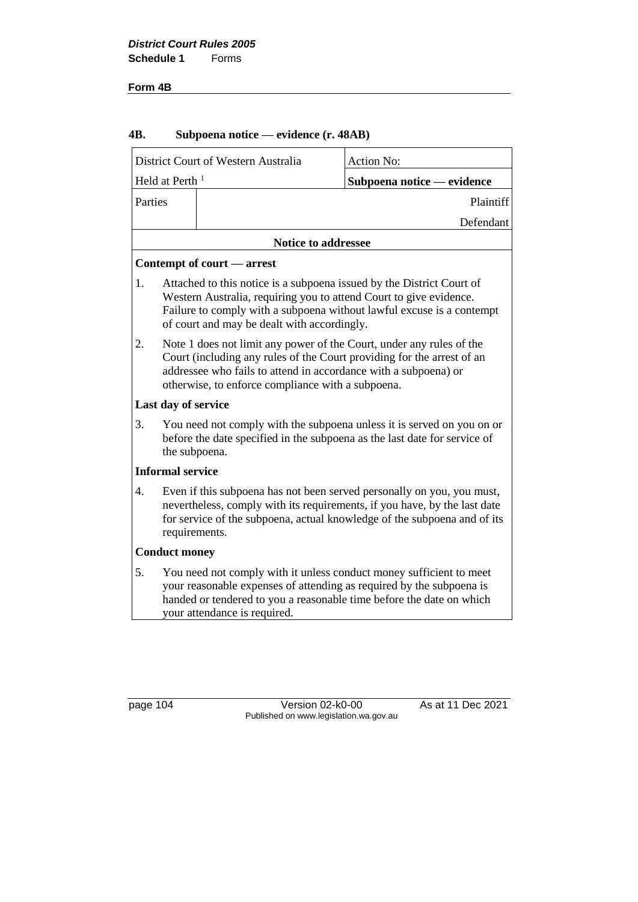#### **Form 4B**

## **4B. Subpoena notice — evidence (r. 48AB)**

|                         | District Court of Western Australia<br>Action No:                                                                                                                                                                                                                      |                            |  |
|-------------------------|------------------------------------------------------------------------------------------------------------------------------------------------------------------------------------------------------------------------------------------------------------------------|----------------------------|--|
| Held at Perth $1$       |                                                                                                                                                                                                                                                                        | Subpoena notice — evidence |  |
| Parties                 |                                                                                                                                                                                                                                                                        | Plaintiff                  |  |
|                         |                                                                                                                                                                                                                                                                        | Defendant                  |  |
|                         | <b>Notice to addressee</b>                                                                                                                                                                                                                                             |                            |  |
|                         | Contempt of court — arrest                                                                                                                                                                                                                                             |                            |  |
| 1.                      | Attached to this notice is a subpoena issued by the District Court of<br>Western Australia, requiring you to attend Court to give evidence.<br>Failure to comply with a subpoena without lawful excuse is a contempt<br>of court and may be dealt with accordingly.    |                            |  |
| 2.                      | Note 1 does not limit any power of the Court, under any rules of the<br>Court (including any rules of the Court providing for the arrest of an<br>addressee who fails to attend in accordance with a subpoena) or<br>otherwise, to enforce compliance with a subpoena. |                            |  |
| Last day of service     |                                                                                                                                                                                                                                                                        |                            |  |
| 3.                      | You need not comply with the subpoena unless it is served on you on or<br>before the date specified in the subpoena as the last date for service of<br>the subpoena.                                                                                                   |                            |  |
| <b>Informal service</b> |                                                                                                                                                                                                                                                                        |                            |  |
| 4.                      | Even if this subpoena has not been served personally on you, you must,<br>nevertheless, comply with its requirements, if you have, by the last date<br>for service of the subpoena, actual knowledge of the subpoena and of its<br>requirements.                       |                            |  |
|                         | <b>Conduct money</b>                                                                                                                                                                                                                                                   |                            |  |
| 5.                      | You need not comply with it unless conduct money sufficient to meet<br>your reasonable expenses of attending as required by the subpoena is<br>handed or tendered to you a reasonable time before the date on which<br>your attendance is required.                    |                            |  |

page 104 Version 02-k0-00 As at 11 Dec 2021 Published on www.legislation.wa.gov.au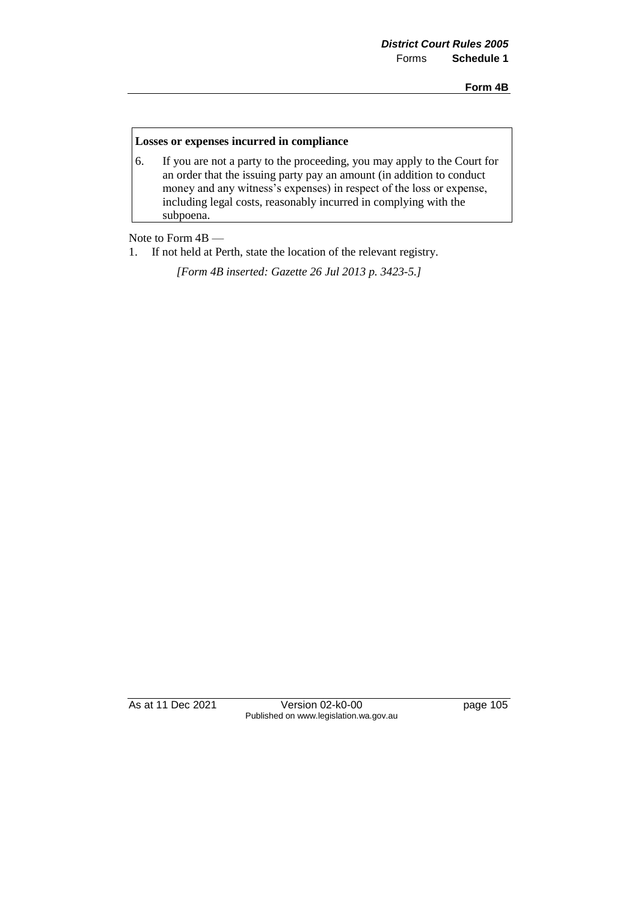**Form 4B**

#### **Losses or expenses incurred in compliance**

6. If you are not a party to the proceeding, you may apply to the Court for an order that the issuing party pay an amount (in addition to conduct money and any witness's expenses) in respect of the loss or expense, including legal costs, reasonably incurred in complying with the subpoena.

Note to Form 4B —

1. If not held at Perth, state the location of the relevant registry.

*[Form 4B inserted: Gazette 26 Jul 2013 p. 3423-5.]* 

As at 11 Dec 2021 Version 02-k0-00 page 105 Published on www.legislation.wa.gov.au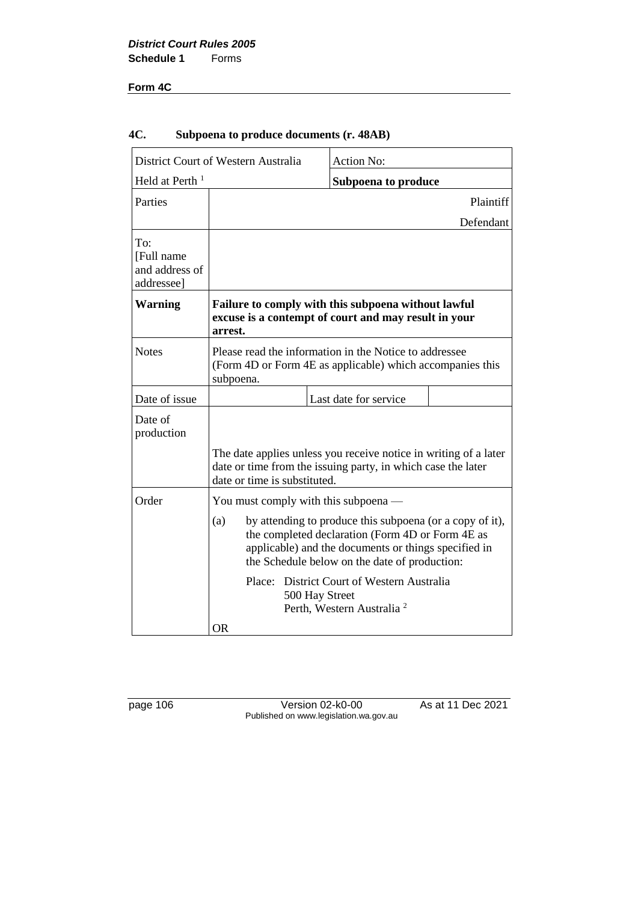## **Form 4C**

| District Court of Western Australia                |                                                                                                                                                                                                                              | <b>Action No:</b>     |                            |  |
|----------------------------------------------------|------------------------------------------------------------------------------------------------------------------------------------------------------------------------------------------------------------------------------|-----------------------|----------------------------|--|
| Held at Perth <sup>1</sup>                         |                                                                                                                                                                                                                              |                       | <b>Subpoena to produce</b> |  |
| Parties                                            |                                                                                                                                                                                                                              |                       | Plaintiff                  |  |
|                                                    |                                                                                                                                                                                                                              |                       | Defendant                  |  |
| To:<br>[Full name]<br>and address of<br>addressee] |                                                                                                                                                                                                                              |                       |                            |  |
| <b>Warning</b>                                     | Failure to comply with this subpoena without lawful<br>excuse is a contempt of court and may result in your<br>arrest.                                                                                                       |                       |                            |  |
| <b>Notes</b>                                       | Please read the information in the Notice to addressee<br>(Form 4D or Form 4E as applicable) which accompanies this<br>subpoena.                                                                                             |                       |                            |  |
| Date of issue                                      |                                                                                                                                                                                                                              | Last date for service |                            |  |
| Date of<br>production                              | The date applies unless you receive notice in writing of a later<br>date or time from the issuing party, in which case the later<br>date or time is substituted.                                                             |                       |                            |  |
| Order                                              | You must comply with this subpoena —                                                                                                                                                                                         |                       |                            |  |
|                                                    | by attending to produce this subpoena (or a copy of it),<br>(a)<br>the completed declaration (Form 4D or Form 4E as<br>applicable) and the documents or things specified in<br>the Schedule below on the date of production: |                       |                            |  |
|                                                    | Place: District Court of Western Australia<br>500 Hay Street<br>Perth, Western Australia <sup>2</sup>                                                                                                                        |                       |                            |  |
|                                                    | <b>OR</b>                                                                                                                                                                                                                    |                       |                            |  |

## **4C. Subpoena to produce documents (r. 48AB)**

page 106 Version 02-k0-00 As at 11 Dec 2021 Published on www.legislation.wa.gov.au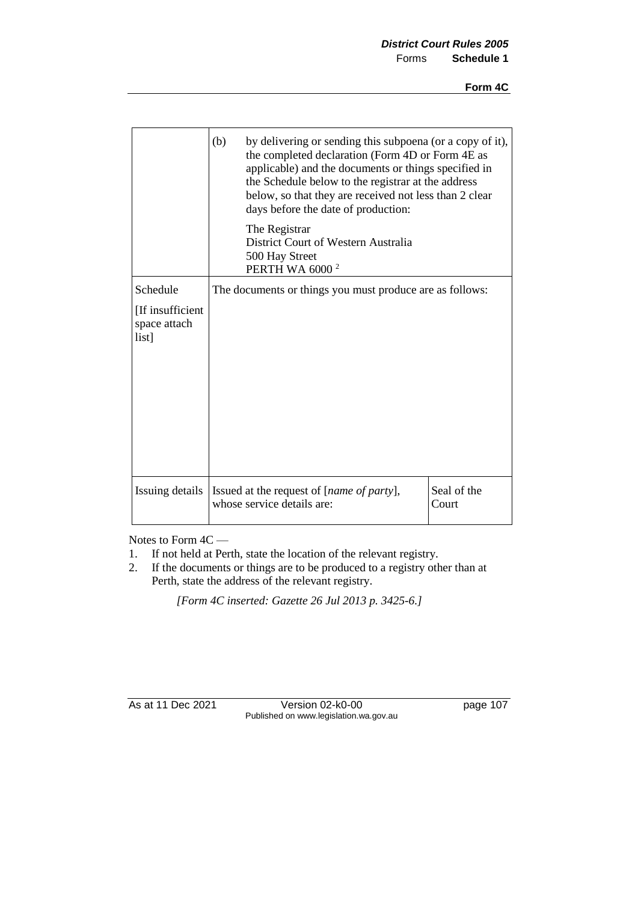|                                           | (b)<br>by delivering or sending this subpoena (or a copy of it),<br>the completed declaration (Form 4D or Form 4E as<br>applicable) and the documents or things specified in<br>the Schedule below to the registrar at the address<br>below, so that they are received not less than 2 clear<br>days before the date of production: |                      |
|-------------------------------------------|-------------------------------------------------------------------------------------------------------------------------------------------------------------------------------------------------------------------------------------------------------------------------------------------------------------------------------------|----------------------|
|                                           | The Registrar<br>District Court of Western Australia<br>500 Hay Street<br><b>PERTH WA 6000<sup>2</sup></b>                                                                                                                                                                                                                          |                      |
| Schedule                                  | The documents or things you must produce are as follows:                                                                                                                                                                                                                                                                            |                      |
| [If insufficient<br>space attach<br>list] |                                                                                                                                                                                                                                                                                                                                     |                      |
| Issuing details                           | Issued at the request of [name of party],<br>whose service details are:                                                                                                                                                                                                                                                             | Seal of the<br>Court |

Notes to Form 4C —

- 1. If not held at Perth, state the location of the relevant registry.
- 2. If the documents or things are to be produced to a registry other than at Perth, state the address of the relevant registry.

*[Form 4C inserted: Gazette 26 Jul 2013 p. 3425-6.]* 

As at 11 Dec 2021 Version 02-k0-00 page 107 Published on www.legislation.wa.gov.au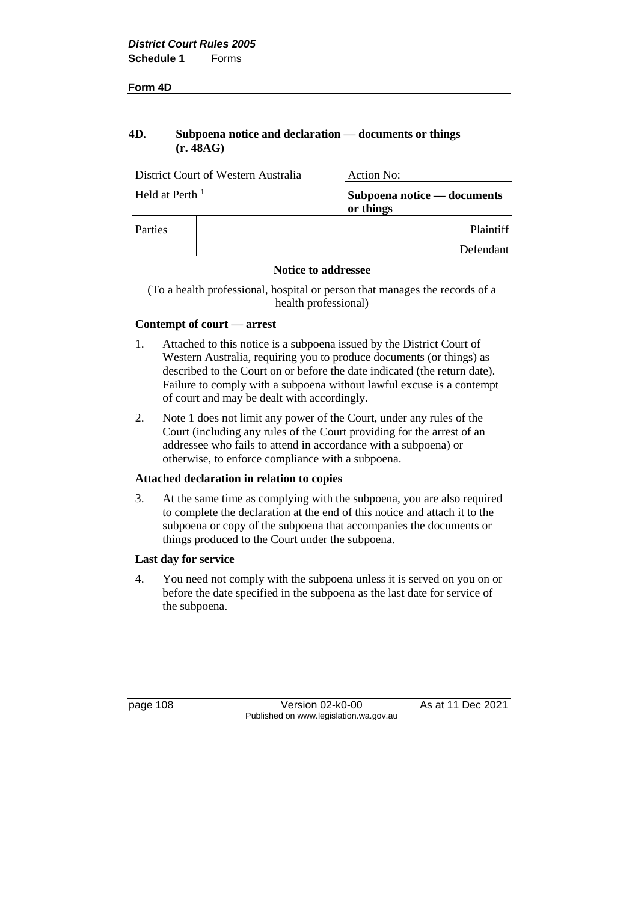#### **Form 4D**

## **4D. Subpoena notice and declaration — documents or things (r. 48AG)**

|                            | District Court of Western Australia                                                                                                                                                                                                                                                                                                                |                                                                                                                                                                                                                                                                                | <b>Action No:</b>                                                           |  |
|----------------------------|----------------------------------------------------------------------------------------------------------------------------------------------------------------------------------------------------------------------------------------------------------------------------------------------------------------------------------------------------|--------------------------------------------------------------------------------------------------------------------------------------------------------------------------------------------------------------------------------------------------------------------------------|-----------------------------------------------------------------------------|--|
| Held at Perth <sup>1</sup> |                                                                                                                                                                                                                                                                                                                                                    |                                                                                                                                                                                                                                                                                | Subpoena notice - documents<br>or things                                    |  |
| Parties                    |                                                                                                                                                                                                                                                                                                                                                    |                                                                                                                                                                                                                                                                                | Plaintiff                                                                   |  |
|                            |                                                                                                                                                                                                                                                                                                                                                    |                                                                                                                                                                                                                                                                                | Defendant                                                                   |  |
|                            |                                                                                                                                                                                                                                                                                                                                                    | <b>Notice to addressee</b>                                                                                                                                                                                                                                                     |                                                                             |  |
|                            |                                                                                                                                                                                                                                                                                                                                                    | health professional)                                                                                                                                                                                                                                                           | (To a health professional, hospital or person that manages the records of a |  |
|                            |                                                                                                                                                                                                                                                                                                                                                    | Contempt of court — arrest                                                                                                                                                                                                                                                     |                                                                             |  |
| 1.                         | Attached to this notice is a subpoena issued by the District Court of<br>Western Australia, requiring you to produce documents (or things) as<br>described to the Court on or before the date indicated (the return date).<br>Failure to comply with a subpoena without lawful excuse is a contempt<br>of court and may be dealt with accordingly. |                                                                                                                                                                                                                                                                                |                                                                             |  |
| 2.                         |                                                                                                                                                                                                                                                                                                                                                    | Note 1 does not limit any power of the Court, under any rules of the<br>Court (including any rules of the Court providing for the arrest of an<br>addressee who fails to attend in accordance with a subpoena) or<br>otherwise, to enforce compliance with a subpoena.         |                                                                             |  |
|                            |                                                                                                                                                                                                                                                                                                                                                    | Attached declaration in relation to copies                                                                                                                                                                                                                                     |                                                                             |  |
| 3.                         |                                                                                                                                                                                                                                                                                                                                                    | At the same time as complying with the subpoena, you are also required<br>to complete the declaration at the end of this notice and attach it to the<br>subpoena or copy of the subpoena that accompanies the documents or<br>things produced to the Court under the subpoena. |                                                                             |  |
|                            | Last day for service                                                                                                                                                                                                                                                                                                                               |                                                                                                                                                                                                                                                                                |                                                                             |  |
| 4.                         | the subpoena.                                                                                                                                                                                                                                                                                                                                      | You need not comply with the subpoena unless it is served on you on or<br>before the date specified in the subpoena as the last date for service of                                                                                                                            |                                                                             |  |

page 108 Version 02-k0-00 As at 11 Dec 2021 Published on www.legislation.wa.gov.au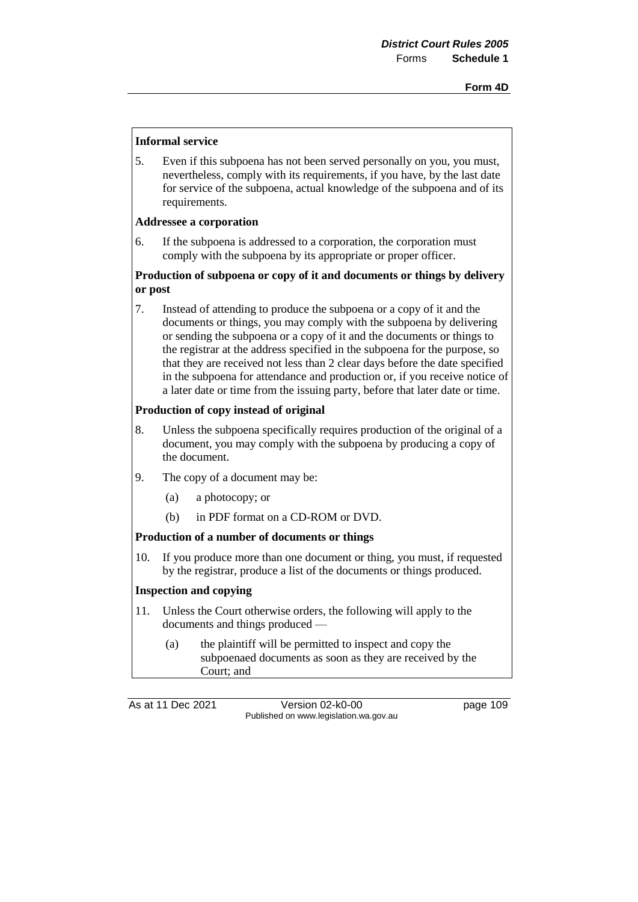#### **Informal service**

5. Even if this subpoena has not been served personally on you, you must, nevertheless, comply with its requirements, if you have, by the last date for service of the subpoena, actual knowledge of the subpoena and of its requirements.

#### **Addressee a corporation**

6. If the subpoena is addressed to a corporation, the corporation must comply with the subpoena by its appropriate or proper officer.

## **Production of subpoena or copy of it and documents or things by delivery or post**

7. Instead of attending to produce the subpoena or a copy of it and the documents or things, you may comply with the subpoena by delivering or sending the subpoena or a copy of it and the documents or things to the registrar at the address specified in the subpoena for the purpose, so that they are received not less than 2 clear days before the date specified in the subpoena for attendance and production or, if you receive notice of a later date or time from the issuing party, before that later date or time.

#### **Production of copy instead of original**

- 8. Unless the subpoena specifically requires production of the original of a document, you may comply with the subpoena by producing a copy of the document.
- 9. The copy of a document may be:
	- (a) a photocopy; or
	- (b) in PDF format on a CD-ROM or DVD.

#### **Production of a number of documents or things**

10. If you produce more than one document or thing, you must, if requested by the registrar, produce a list of the documents or things produced.

#### **Inspection and copying**

- 11. Unless the Court otherwise orders, the following will apply to the documents and things produced —
	- (a) the plaintiff will be permitted to inspect and copy the subpoenaed documents as soon as they are received by the Court; and

As at 11 Dec 2021 Version 02-k0-00 page 109 Published on www.legislation.wa.gov.au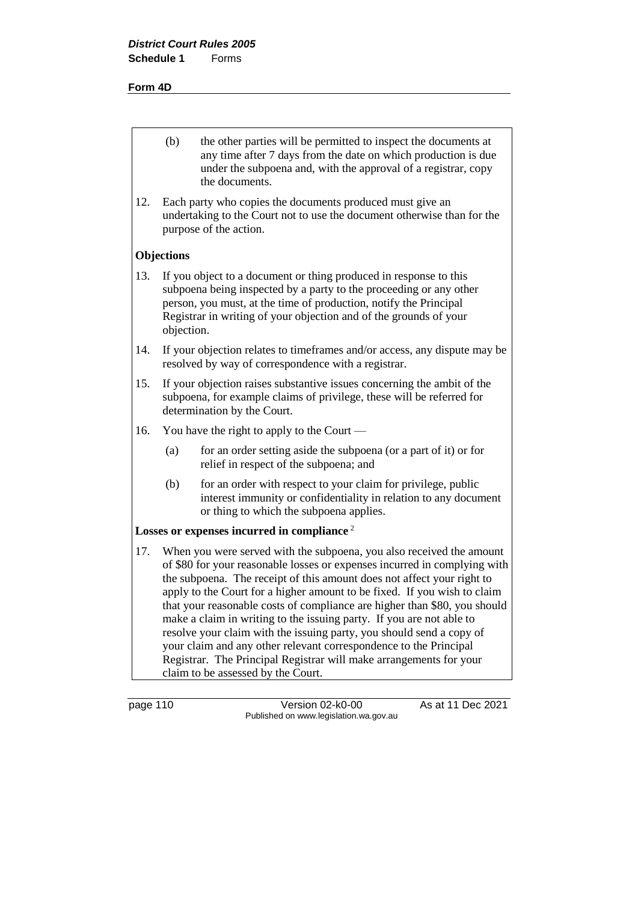#### **Form 4D**

- (b) the other parties will be permitted to inspect the documents at any time after 7 days from the date on which production is due under the subpoena and, with the approval of a registrar, copy the documents.
- 12. Each party who copies the documents produced must give an undertaking to the Court not to use the document otherwise than for the purpose of the action.

#### **Objections**

- 13. If you object to a document or thing produced in response to this subpoena being inspected by a party to the proceeding or any other person, you must, at the time of production, notify the Principal Registrar in writing of your objection and of the grounds of your objection.
- 14. If your objection relates to timeframes and/or access, any dispute may be resolved by way of correspondence with a registrar.
- 15. If your objection raises substantive issues concerning the ambit of the subpoena, for example claims of privilege, these will be referred for determination by the Court.
- 16. You have the right to apply to the Court
	- (a) for an order setting aside the subpoena (or a part of it) or for relief in respect of the subpoena; and
	- (b) for an order with respect to your claim for privilege, public interest immunity or confidentiality in relation to any document or thing to which the subpoena applies.

#### **Losses or expenses incurred in compliance** <sup>2</sup>

17. When you were served with the subpoena, you also received the amount of \$80 for your reasonable losses or expenses incurred in complying with the subpoena. The receipt of this amount does not affect your right to apply to the Court for a higher amount to be fixed. If you wish to claim that your reasonable costs of compliance are higher than \$80, you should make a claim in writing to the issuing party. If you are not able to resolve your claim with the issuing party, you should send a copy of your claim and any other relevant correspondence to the Principal Registrar. The Principal Registrar will make arrangements for your claim to be assessed by the Court.

page 110 Version 02-k0-00 As at 11 Dec 2021 Published on www.legislation.wa.gov.au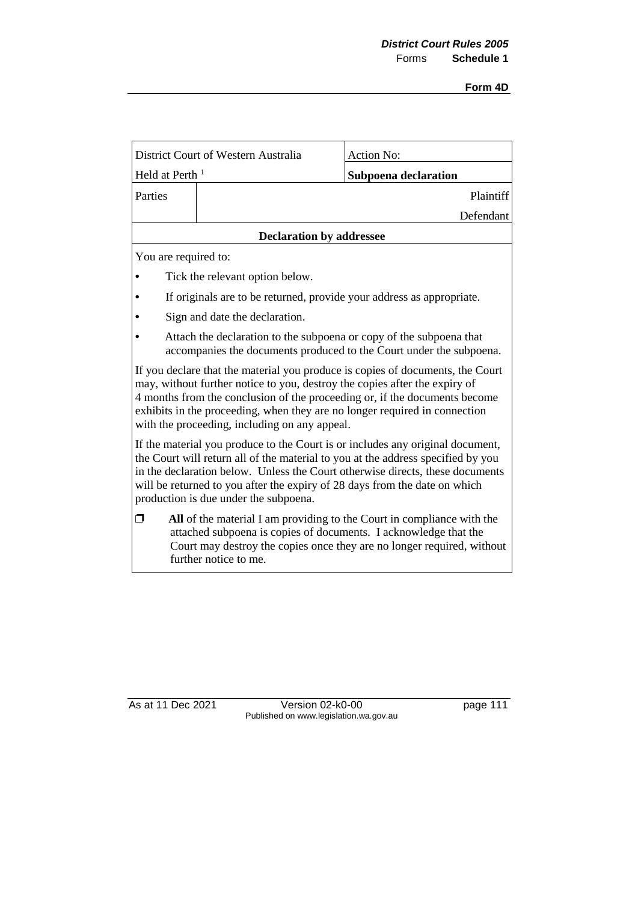| District Court of Western Australia                                                                                                                                                                                                                                                                                                                                        |                                                                                                                                            | Action No:           |  |
|----------------------------------------------------------------------------------------------------------------------------------------------------------------------------------------------------------------------------------------------------------------------------------------------------------------------------------------------------------------------------|--------------------------------------------------------------------------------------------------------------------------------------------|----------------------|--|
| Held at Perth <sup>1</sup>                                                                                                                                                                                                                                                                                                                                                 |                                                                                                                                            | Subpoena declaration |  |
| Parties                                                                                                                                                                                                                                                                                                                                                                    |                                                                                                                                            | Plaintiff            |  |
|                                                                                                                                                                                                                                                                                                                                                                            |                                                                                                                                            | Defendant            |  |
|                                                                                                                                                                                                                                                                                                                                                                            | <b>Declaration by addressee</b>                                                                                                            |                      |  |
| You are required to:                                                                                                                                                                                                                                                                                                                                                       |                                                                                                                                            |                      |  |
|                                                                                                                                                                                                                                                                                                                                                                            | Tick the relevant option below.                                                                                                            |                      |  |
|                                                                                                                                                                                                                                                                                                                                                                            | If originals are to be returned, provide your address as appropriate.                                                                      |                      |  |
|                                                                                                                                                                                                                                                                                                                                                                            | Sign and date the declaration.                                                                                                             |                      |  |
|                                                                                                                                                                                                                                                                                                                                                                            | Attach the declaration to the subpoena or copy of the subpoena that<br>accompanies the documents produced to the Court under the subpoena. |                      |  |
| If you declare that the material you produce is copies of documents, the Court<br>may, without further notice to you, destroy the copies after the expiry of<br>4 months from the conclusion of the proceeding or, if the documents become<br>exhibits in the proceeding, when they are no longer required in connection<br>with the proceeding, including on any appeal.  |                                                                                                                                            |                      |  |
| If the material you produce to the Court is or includes any original document,<br>the Court will return all of the material to you at the address specified by you<br>in the declaration below. Unless the Court otherwise directs, these documents<br>will be returned to you after the expiry of 28 days from the date on which<br>production is due under the subpoena. |                                                                                                                                            |                      |  |
| All of the material I am providing to the Court in compliance with the<br>⊓<br>attached subpoena is copies of documents. I acknowledge that the<br>Court may destroy the copies once they are no longer required, without<br>further notice to me.                                                                                                                         |                                                                                                                                            |                      |  |

As at 11 Dec 2021 Version 02-k0-00 page 111 Published on www.legislation.wa.gov.au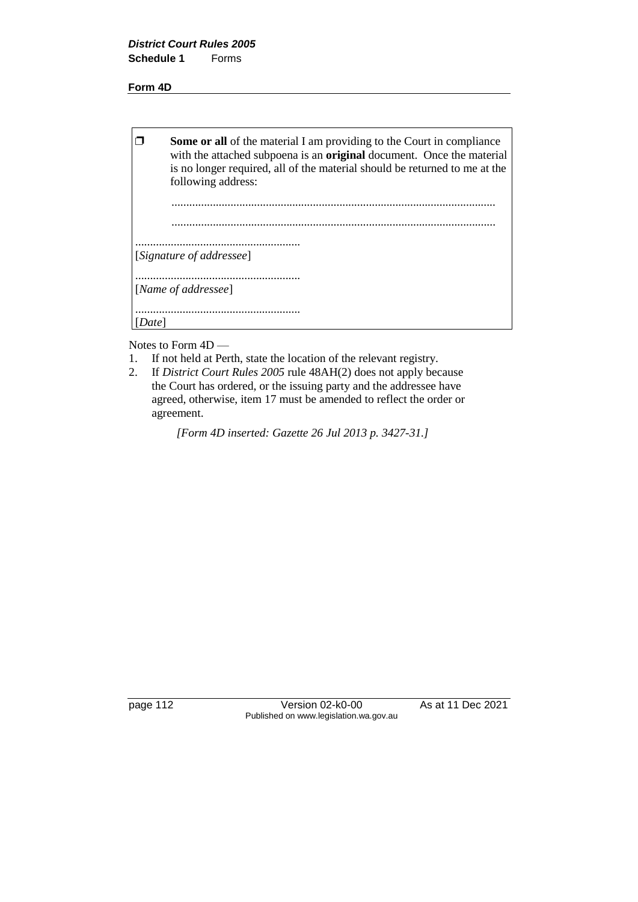#### **Form 4D**

| <b>Some or all</b> of the material I am providing to the Court in compliance<br>with the attached subpoena is an original document. Once the material<br>is no longer required, all of the material should be returned to me at the<br>following address: |
|-----------------------------------------------------------------------------------------------------------------------------------------------------------------------------------------------------------------------------------------------------------|
|                                                                                                                                                                                                                                                           |
| [Signature of addressee]                                                                                                                                                                                                                                  |
| [Name of addressee]                                                                                                                                                                                                                                       |
|                                                                                                                                                                                                                                                           |

Notes to Form 4D —

- 1. If not held at Perth, state the location of the relevant registry.
- 2. If *District Court Rules 2005* rule 48AH(2) does not apply because the Court has ordered, or the issuing party and the addressee have agreed, otherwise, item 17 must be amended to reflect the order or agreement.

*[Form 4D inserted: Gazette 26 Jul 2013 p. 3427-31.]* 

page 112 Version 02-k0-00 As at 11 Dec 2021 Published on www.legislation.wa.gov.au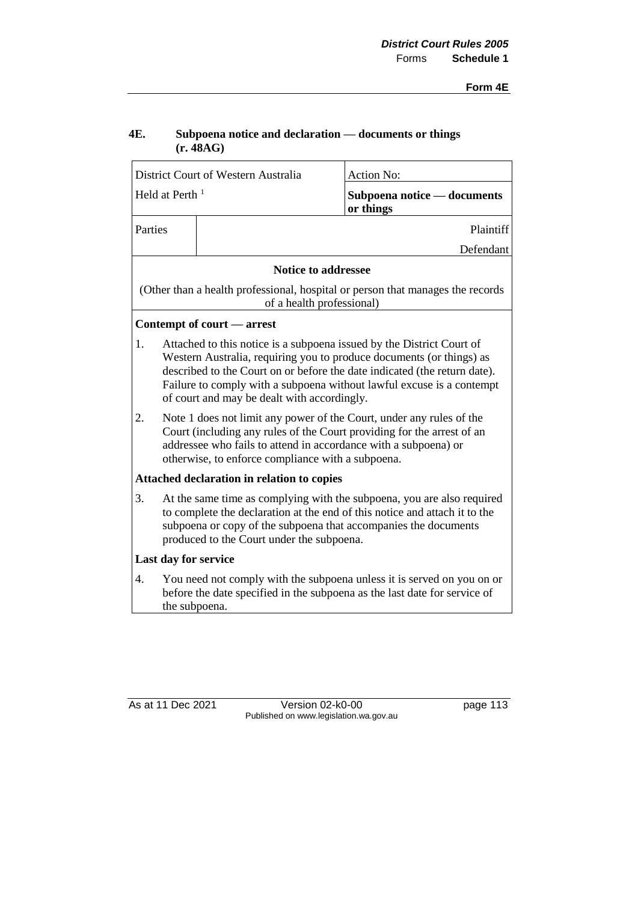## **4E. Subpoena notice and declaration — documents or things (r. 48AG)**

| District Court of Western Australia |                                                                                                                                                                                                                                                                                                                                                    |                                                                                                                                                                                                                                                                        | <b>Action No:</b>                                                              |
|-------------------------------------|----------------------------------------------------------------------------------------------------------------------------------------------------------------------------------------------------------------------------------------------------------------------------------------------------------------------------------------------------|------------------------------------------------------------------------------------------------------------------------------------------------------------------------------------------------------------------------------------------------------------------------|--------------------------------------------------------------------------------|
| Held at Perth <sup>1</sup>          |                                                                                                                                                                                                                                                                                                                                                    |                                                                                                                                                                                                                                                                        | Subpoena notice - documents<br>or things                                       |
| Parties                             |                                                                                                                                                                                                                                                                                                                                                    |                                                                                                                                                                                                                                                                        | Plaintiff                                                                      |
|                                     |                                                                                                                                                                                                                                                                                                                                                    |                                                                                                                                                                                                                                                                        | Defendant                                                                      |
|                                     |                                                                                                                                                                                                                                                                                                                                                    | <b>Notice to addressee</b>                                                                                                                                                                                                                                             |                                                                                |
|                                     |                                                                                                                                                                                                                                                                                                                                                    | of a health professional)                                                                                                                                                                                                                                              | (Other than a health professional, hospital or person that manages the records |
|                                     |                                                                                                                                                                                                                                                                                                                                                    | Contempt of court — arrest                                                                                                                                                                                                                                             |                                                                                |
| 1.                                  | Attached to this notice is a subpoena issued by the District Court of<br>Western Australia, requiring you to produce documents (or things) as<br>described to the Court on or before the date indicated (the return date).<br>Failure to comply with a subpoena without lawful excuse is a contempt<br>of court and may be dealt with accordingly. |                                                                                                                                                                                                                                                                        |                                                                                |
| 2.                                  |                                                                                                                                                                                                                                                                                                                                                    | Note 1 does not limit any power of the Court, under any rules of the<br>Court (including any rules of the Court providing for the arrest of an<br>addressee who fails to attend in accordance with a subpoena) or<br>otherwise, to enforce compliance with a subpoena. |                                                                                |
|                                     |                                                                                                                                                                                                                                                                                                                                                    | Attached declaration in relation to copies                                                                                                                                                                                                                             |                                                                                |
| 3.                                  |                                                                                                                                                                                                                                                                                                                                                    | At the same time as complying with the subpoena, you are also required<br>to complete the declaration at the end of this notice and attach it to the<br>subpoena or copy of the subpoena that accompanies the documents<br>produced to the Court under the subpoena.   |                                                                                |
|                                     | Last day for service                                                                                                                                                                                                                                                                                                                               |                                                                                                                                                                                                                                                                        |                                                                                |
| 4.                                  |                                                                                                                                                                                                                                                                                                                                                    | You need not comply with the subpoena unless it is served on you on or<br>before the date specified in the subpoena as the last date for service of<br>the subpoena.                                                                                                   |                                                                                |

As at 11 Dec 2021 Version 02-k0-00 page 113 Published on www.legislation.wa.gov.au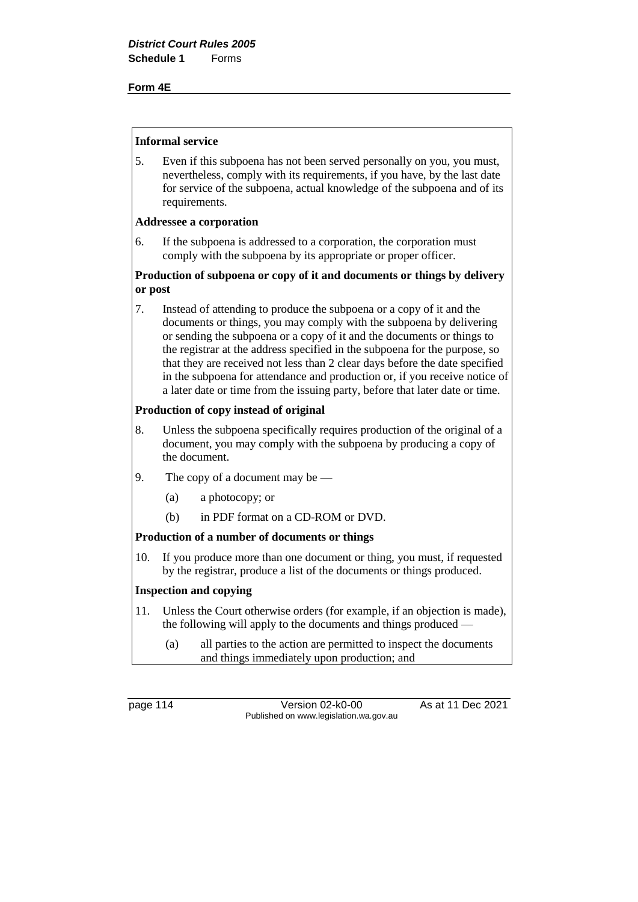#### **Form 4E**

#### **Informal service**

5. Even if this subpoena has not been served personally on you, you must, nevertheless, comply with its requirements, if you have, by the last date for service of the subpoena, actual knowledge of the subpoena and of its requirements.

#### **Addressee a corporation**

6. If the subpoena is addressed to a corporation, the corporation must comply with the subpoena by its appropriate or proper officer.

## **Production of subpoena or copy of it and documents or things by delivery or post**

7. Instead of attending to produce the subpoena or a copy of it and the documents or things, you may comply with the subpoena by delivering or sending the subpoena or a copy of it and the documents or things to the registrar at the address specified in the subpoena for the purpose, so that they are received not less than 2 clear days before the date specified in the subpoena for attendance and production or, if you receive notice of a later date or time from the issuing party, before that later date or time.

## **Production of copy instead of original**

- 8. Unless the subpoena specifically requires production of the original of a document, you may comply with the subpoena by producing a copy of the document.
- 9. The copy of a document may be
	- (a) a photocopy; or
	- (b) in PDF format on a CD-ROM or DVD.

#### **Production of a number of documents or things**

10. If you produce more than one document or thing, you must, if requested by the registrar, produce a list of the documents or things produced.

#### **Inspection and copying**

- 11. Unless the Court otherwise orders (for example, if an objection is made), the following will apply to the documents and things produced —
	- (a) all parties to the action are permitted to inspect the documents and things immediately upon production; and

page 114 Version 02-k0-00 As at 11 Dec 2021 Published on www.legislation.wa.gov.au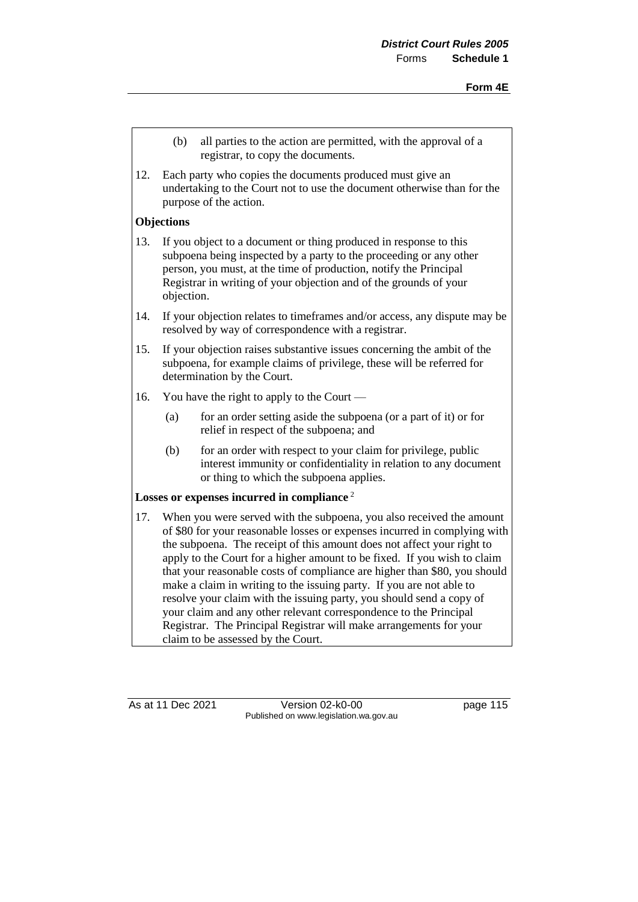- (b) all parties to the action are permitted, with the approval of a registrar, to copy the documents.
- 12. Each party who copies the documents produced must give an undertaking to the Court not to use the document otherwise than for the purpose of the action.

## **Objections**

- 13. If you object to a document or thing produced in response to this subpoena being inspected by a party to the proceeding or any other person, you must, at the time of production, notify the Principal Registrar in writing of your objection and of the grounds of your objection.
- 14. If your objection relates to timeframes and/or access, any dispute may be resolved by way of correspondence with a registrar.
- 15. If your objection raises substantive issues concerning the ambit of the subpoena, for example claims of privilege, these will be referred for determination by the Court.
- 16. You have the right to apply to the Court
	- (a) for an order setting aside the subpoena (or a part of it) or for relief in respect of the subpoena; and
	- (b) for an order with respect to your claim for privilege, public interest immunity or confidentiality in relation to any document or thing to which the subpoena applies.

## **Losses or expenses incurred in compliance** <sup>2</sup>

17. When you were served with the subpoena, you also received the amount of \$80 for your reasonable losses or expenses incurred in complying with the subpoena. The receipt of this amount does not affect your right to apply to the Court for a higher amount to be fixed. If you wish to claim that your reasonable costs of compliance are higher than \$80, you should make a claim in writing to the issuing party. If you are not able to resolve your claim with the issuing party, you should send a copy of your claim and any other relevant correspondence to the Principal Registrar. The Principal Registrar will make arrangements for your claim to be assessed by the Court.

As at 11 Dec 2021 Version 02-k0-00 Page 115 Published on www.legislation.wa.gov.au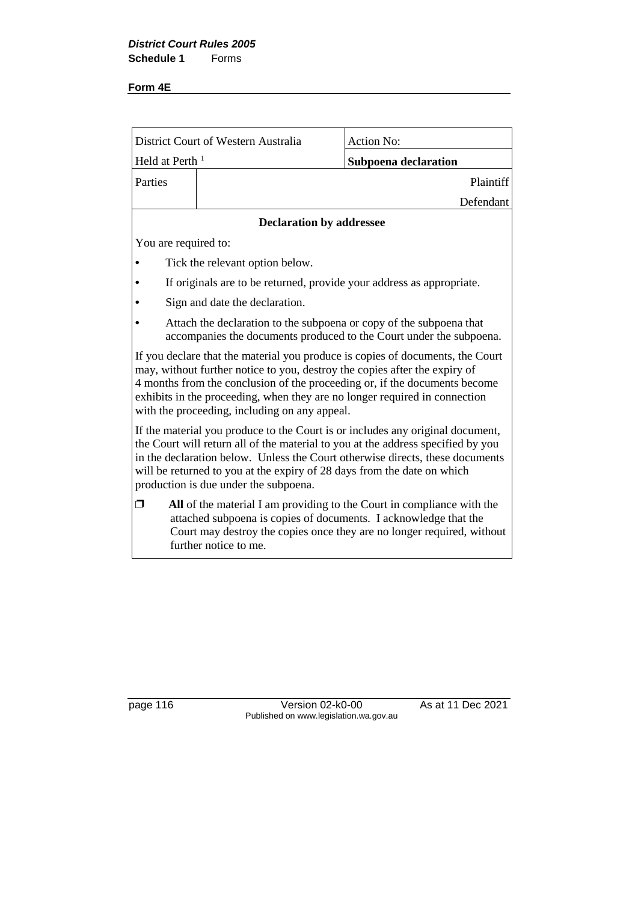## **Form 4E**

| District Court of Western Australia                                                                                                                                                                                                                                                                                                                                       |                                                                                                                                            | <b>Action No:</b>                                                                                                                                |  |
|---------------------------------------------------------------------------------------------------------------------------------------------------------------------------------------------------------------------------------------------------------------------------------------------------------------------------------------------------------------------------|--------------------------------------------------------------------------------------------------------------------------------------------|--------------------------------------------------------------------------------------------------------------------------------------------------|--|
| Held at Perth <sup>1</sup>                                                                                                                                                                                                                                                                                                                                                |                                                                                                                                            | Subpoena declaration                                                                                                                             |  |
| Parties                                                                                                                                                                                                                                                                                                                                                                   |                                                                                                                                            | Plaintiff                                                                                                                                        |  |
|                                                                                                                                                                                                                                                                                                                                                                           |                                                                                                                                            | Defendant                                                                                                                                        |  |
|                                                                                                                                                                                                                                                                                                                                                                           | <b>Declaration by addressee</b>                                                                                                            |                                                                                                                                                  |  |
| You are required to:                                                                                                                                                                                                                                                                                                                                                      |                                                                                                                                            |                                                                                                                                                  |  |
|                                                                                                                                                                                                                                                                                                                                                                           | Tick the relevant option below.                                                                                                            |                                                                                                                                                  |  |
|                                                                                                                                                                                                                                                                                                                                                                           | If originals are to be returned, provide your address as appropriate.                                                                      |                                                                                                                                                  |  |
|                                                                                                                                                                                                                                                                                                                                                                           | Sign and date the declaration.                                                                                                             |                                                                                                                                                  |  |
|                                                                                                                                                                                                                                                                                                                                                                           | Attach the declaration to the subpoena or copy of the subpoena that<br>accompanies the documents produced to the Court under the subpoena. |                                                                                                                                                  |  |
| If you declare that the material you produce is copies of documents, the Court<br>may, without further notice to you, destroy the copies after the expiry of<br>4 months from the conclusion of the proceeding or, if the documents become<br>exhibits in the proceeding, when they are no longer required in connection<br>with the proceeding, including on any appeal. |                                                                                                                                            |                                                                                                                                                  |  |
| If the material you produce to the Court is or includes any original document,<br>the Court will return all of the material to you at the address specified by you<br>in the declaration below. Unless the Court otherwise directs, these documents<br>will be returned to you at the expiry of 28 days from the date on which<br>production is due under the subpoena.   |                                                                                                                                            |                                                                                                                                                  |  |
| σ                                                                                                                                                                                                                                                                                                                                                                         | attached subpoena is copies of documents. I acknowledge that the<br>further notice to me.                                                  | All of the material I am providing to the Court in compliance with the<br>Court may destroy the copies once they are no longer required, without |  |

page 116 Version 02-k0-00 As at 11 Dec 2021 Published on www.legislation.wa.gov.au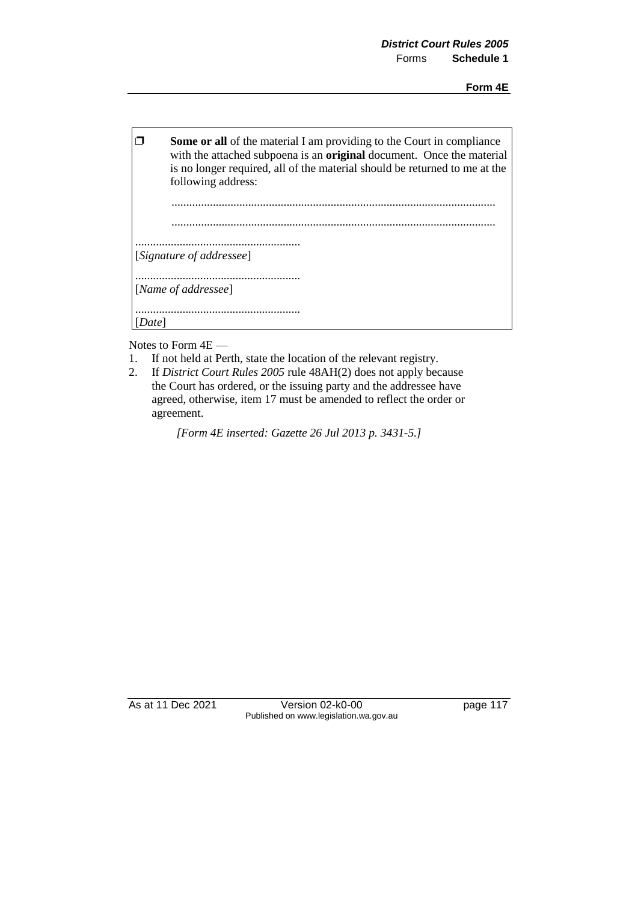| <b>Some or all</b> of the material I am providing to the Court in compliance<br>with the attached subpoena is an <b>original</b> document. Once the material<br>is no longer required, all of the material should be returned to me at the<br>following address: |
|------------------------------------------------------------------------------------------------------------------------------------------------------------------------------------------------------------------------------------------------------------------|
|                                                                                                                                                                                                                                                                  |
| [Signature of addressee]                                                                                                                                                                                                                                         |
| [Name of addressee]                                                                                                                                                                                                                                              |
|                                                                                                                                                                                                                                                                  |

Notes to Form 4E —

- 1. If not held at Perth, state the location of the relevant registry.
- 2. If *District Court Rules 2005* rule 48AH(2) does not apply because the Court has ordered, or the issuing party and the addressee have agreed, otherwise, item 17 must be amended to reflect the order or agreement.

*[Form 4E inserted: Gazette 26 Jul 2013 p. 3431-5.]* 

As at 11 Dec 2021 Version 02-k0-00 page 117 Published on www.legislation.wa.gov.au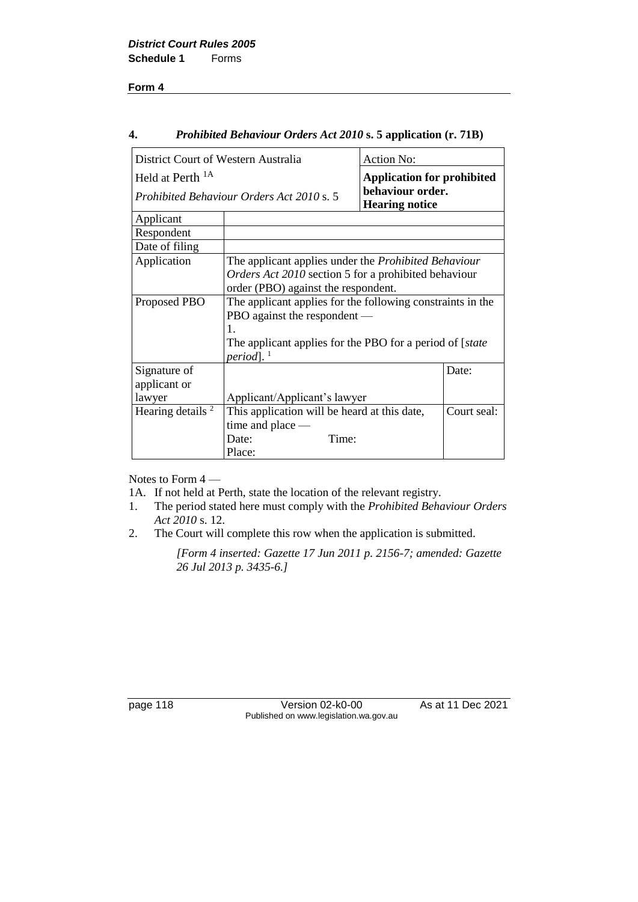#### **4.** *Prohibited Behaviour Orders Act 2010* **s. 5 application (r. 71B)**

| District Court of Western Australia |                                                                    | <b>Action No:</b>                         |             |
|-------------------------------------|--------------------------------------------------------------------|-------------------------------------------|-------------|
| Held at Perth <sup>1A</sup>         |                                                                    | <b>Application for prohibited</b>         |             |
|                                     | Prohibited Behaviour Orders Act 2010 s. 5                          | behaviour order.<br><b>Hearing notice</b> |             |
| Applicant                           |                                                                    |                                           |             |
| Respondent                          |                                                                    |                                           |             |
| Date of filing                      |                                                                    |                                           |             |
| Application                         | The applicant applies under the <i>Prohibited Behaviour</i>        |                                           |             |
|                                     | Orders Act 2010 section 5 for a prohibited behaviour               |                                           |             |
|                                     | order (PBO) against the respondent.                                |                                           |             |
| Proposed PBO                        | The applicant applies for the following constraints in the         |                                           |             |
|                                     | PBO against the respondent —                                       |                                           |             |
|                                     | 1.                                                                 |                                           |             |
|                                     | The applicant applies for the PBO for a period of [ <i>state</i> ] |                                           |             |
|                                     | period].                                                           |                                           |             |
| Signature of                        |                                                                    |                                           | Date:       |
| applicant or                        |                                                                    |                                           |             |
| lawyer                              | Applicant/Applicant's lawyer                                       |                                           |             |
| Hearing details <sup>2</sup>        | This application will be heard at this date,                       |                                           | Court seal: |
|                                     | time and place $-$                                                 |                                           |             |
|                                     | Time:<br>Date:                                                     |                                           |             |
|                                     | Place:                                                             |                                           |             |

Notes to Form 4 —

1A. If not held at Perth, state the location of the relevant registry.

- 1. The period stated here must comply with the *Prohibited Behaviour Orders Act 2010* s. 12.
- 2. The Court will complete this row when the application is submitted.

*[Form 4 inserted: Gazette 17 Jun 2011 p. 2156-7; amended: Gazette 26 Jul 2013 p. 3435-6.]* 

page 118 Version 02-k0-00 As at 11 Dec 2021 Published on www.legislation.wa.gov.au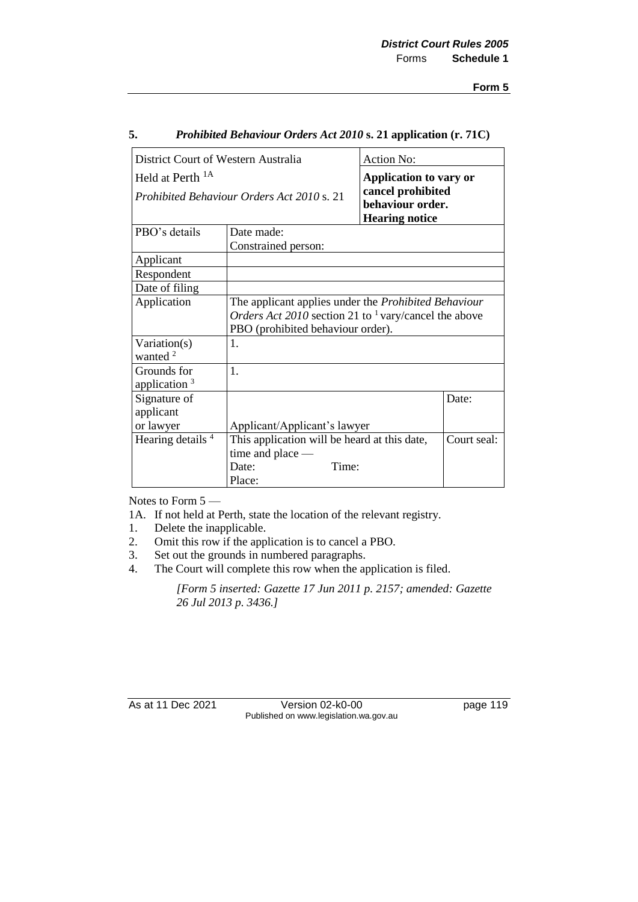| District Court of Western Australia |                                                                                                                                                                      | <b>Action No:</b>                                              |             |
|-------------------------------------|----------------------------------------------------------------------------------------------------------------------------------------------------------------------|----------------------------------------------------------------|-------------|
| Held at Perth <sup>1A</sup>         |                                                                                                                                                                      | <b>Application to vary or</b>                                  |             |
|                                     | Prohibited Behaviour Orders Act 2010 s. 21                                                                                                                           | cancel prohibited<br>behaviour order.<br><b>Hearing notice</b> |             |
| PBO's details                       | Date made:                                                                                                                                                           |                                                                |             |
|                                     | Constrained person:                                                                                                                                                  |                                                                |             |
| Applicant                           |                                                                                                                                                                      |                                                                |             |
| Respondent                          |                                                                                                                                                                      |                                                                |             |
| Date of filing                      |                                                                                                                                                                      |                                                                |             |
| Application                         | The applicant applies under the Prohibited Behaviour<br><i>Orders Act 2010</i> section 21 to <sup>1</sup> vary/cancel the above<br>PBO (prohibited behaviour order). |                                                                |             |
| Variation(s)<br>wanted $2$          | 1.                                                                                                                                                                   |                                                                |             |
| Grounds for<br>application $3$      | 1.                                                                                                                                                                   |                                                                |             |
| Signature of<br>applicant           |                                                                                                                                                                      |                                                                | Date:       |
| or lawyer                           | Applicant/Applicant's lawyer                                                                                                                                         |                                                                |             |
| Hearing details <sup>4</sup>        | This application will be heard at this date,<br>time and place -<br>Time:<br>Date:                                                                                   |                                                                | Court seal: |
|                                     | Place:                                                                                                                                                               |                                                                |             |

#### **5.** *Prohibited Behaviour Orders Act 2010* **s. 21 application (r. 71C)**

Notes to Form 5 —

- 1A. If not held at Perth, state the location of the relevant registry.
- 1. Delete the inapplicable.
- 2. Omit this row if the application is to cancel a PBO.
- 3. Set out the grounds in numbered paragraphs.
- 4. The Court will complete this row when the application is filed.

*[Form 5 inserted: Gazette 17 Jun 2011 p. 2157; amended: Gazette 26 Jul 2013 p. 3436.]* 

As at 11 Dec 2021 Version 02-k0-00 page 119 Published on www.legislation.wa.gov.au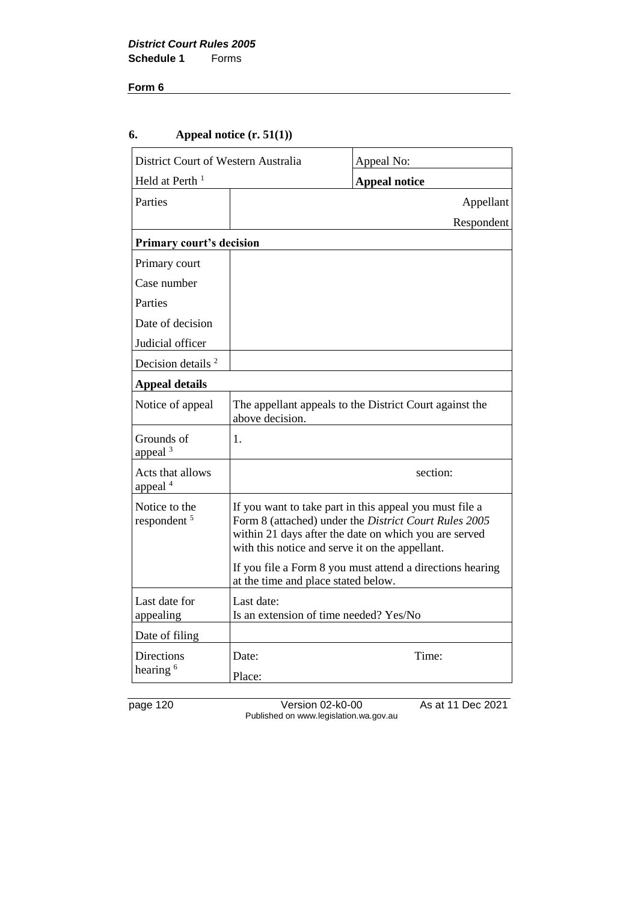## **6. Appeal notice (r. 51(1))**

| District Court of Western Australia      |                                                      | Appeal No:                                                                                                                                                                |
|------------------------------------------|------------------------------------------------------|---------------------------------------------------------------------------------------------------------------------------------------------------------------------------|
| Held at Perth <sup>1</sup>               |                                                      | <b>Appeal notice</b>                                                                                                                                                      |
| Parties                                  |                                                      | Appellant                                                                                                                                                                 |
|                                          |                                                      | Respondent                                                                                                                                                                |
| <b>Primary court's decision</b>          |                                                      |                                                                                                                                                                           |
| Primary court                            |                                                      |                                                                                                                                                                           |
| Case number                              |                                                      |                                                                                                                                                                           |
| Parties                                  |                                                      |                                                                                                                                                                           |
| Date of decision                         |                                                      |                                                                                                                                                                           |
| Judicial officer                         |                                                      |                                                                                                                                                                           |
| Decision details <sup>2</sup>            |                                                      |                                                                                                                                                                           |
| <b>Appeal details</b>                    |                                                      |                                                                                                                                                                           |
| Notice of appeal                         | above decision.                                      | The appellant appeals to the District Court against the                                                                                                                   |
| Grounds of<br>appeal $3$                 | 1.                                                   |                                                                                                                                                                           |
| Acts that allows<br>appeal <sup>4</sup>  |                                                      | section:                                                                                                                                                                  |
| Notice to the<br>respondent <sup>5</sup> | with this notice and serve it on the appellant.      | If you want to take part in this appeal you must file a<br>Form 8 (attached) under the District Court Rules 2005<br>within 21 days after the date on which you are served |
|                                          | at the time and place stated below.                  | If you file a Form 8 you must attend a directions hearing                                                                                                                 |
| Last date for<br>appealing               | Last date:<br>Is an extension of time needed? Yes/No |                                                                                                                                                                           |
| Date of filing                           |                                                      |                                                                                                                                                                           |
| Directions<br>hearing <sup>6</sup>       | Date:<br>Place:                                      | Time:                                                                                                                                                                     |

page 120 Version 02-k0-00 As at 11 Dec 2021 Published on www.legislation.wa.gov.au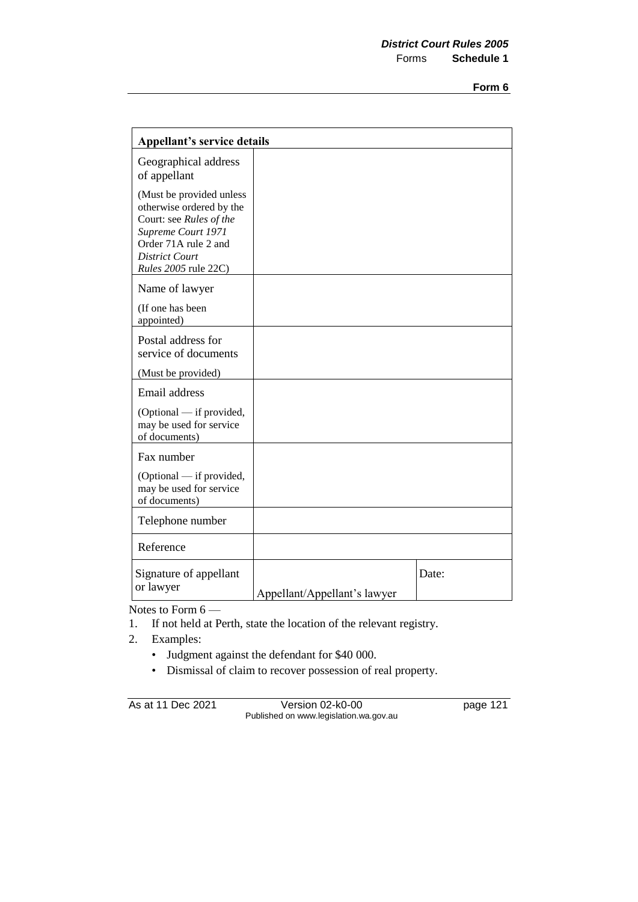| <b>Appellant's service details</b>                                                                                                                                                    |                              |       |
|---------------------------------------------------------------------------------------------------------------------------------------------------------------------------------------|------------------------------|-------|
| Geographical address<br>of appellant                                                                                                                                                  |                              |       |
| (Must be provided unless<br>otherwise ordered by the<br>Court: see Rules of the<br>Supreme Court 1971<br>Order 71A rule 2 and<br><b>District Court</b><br><i>Rules</i> 2005 rule 22C) |                              |       |
| Name of lawyer                                                                                                                                                                        |                              |       |
| (If one has been<br>appointed)                                                                                                                                                        |                              |       |
| Postal address for<br>service of documents                                                                                                                                            |                              |       |
| (Must be provided)                                                                                                                                                                    |                              |       |
| Email address                                                                                                                                                                         |                              |       |
| (Optional - if provided,<br>may be used for service<br>of documents)                                                                                                                  |                              |       |
| Fax number                                                                                                                                                                            |                              |       |
| (Optional — if provided,<br>may be used for service<br>of documents)                                                                                                                  |                              |       |
| Telephone number                                                                                                                                                                      |                              |       |
| Reference                                                                                                                                                                             |                              |       |
| Signature of appellant<br>or lawyer                                                                                                                                                   | Appellant/Appellant's lawyer | Date: |

Notes to Form 6 —

- 1. If not held at Perth, state the location of the relevant registry.
- 2. Examples:
	- Judgment against the defendant for \$40 000.
	- Dismissal of claim to recover possession of real property.

As at 11 Dec 2021 Version 02-k0-00 page 121 Published on www.legislation.wa.gov.au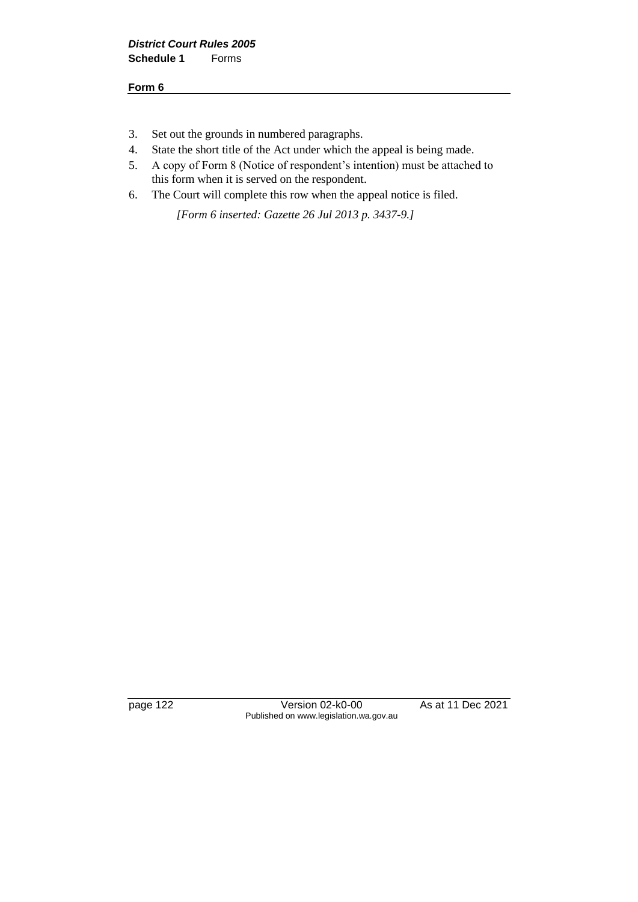- 3. Set out the grounds in numbered paragraphs.
- 4. State the short title of the Act under which the appeal is being made.
- 5. A copy of Form 8 (Notice of respondent's intention) must be attached to this form when it is served on the respondent.
- 6. The Court will complete this row when the appeal notice is filed.

*[Form 6 inserted: Gazette 26 Jul 2013 p. 3437-9.]* 

page 122 Version 02-k0-00 As at 11 Dec 2021 Published on www.legislation.wa.gov.au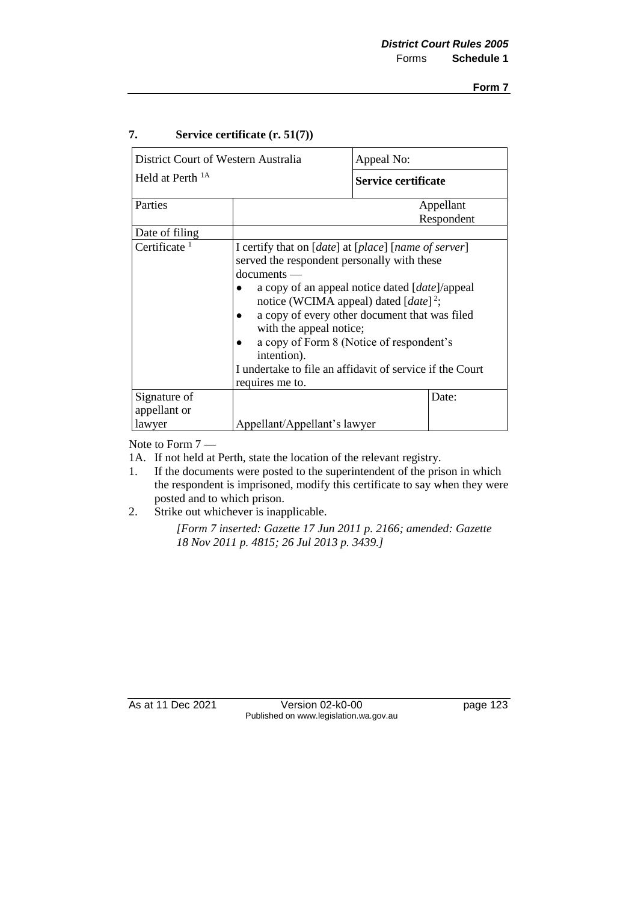## **7. Service certificate (r. 51(7))**

| District Court of Western Australia |                                                                                                                                                                                                                                                                                                                                                                                                                                                                               | Appeal No:          |                         |
|-------------------------------------|-------------------------------------------------------------------------------------------------------------------------------------------------------------------------------------------------------------------------------------------------------------------------------------------------------------------------------------------------------------------------------------------------------------------------------------------------------------------------------|---------------------|-------------------------|
| Held at Perth <sup>1A</sup>         |                                                                                                                                                                                                                                                                                                                                                                                                                                                                               | Service certificate |                         |
| Parties                             |                                                                                                                                                                                                                                                                                                                                                                                                                                                                               |                     | Appellant<br>Respondent |
| Date of filing                      |                                                                                                                                                                                                                                                                                                                                                                                                                                                                               |                     |                         |
| Certificate $1$                     | I certify that on [ <i>date</i> ] at [ <i>place</i> ] [ <i>name of server</i> ]<br>served the respondent personally with these<br>$d$ ocuments —<br>a copy of an appeal notice dated [ <i>date</i> ]/appeal<br>notice (WCIMA appeal) dated $[date]^2$ ;<br>a copy of every other document that was filed<br>with the appeal notice;<br>a copy of Form 8 (Notice of respondent's<br>intention).<br>I undertake to file an affidavit of service if the Court<br>requires me to. |                     |                         |
| Signature of                        |                                                                                                                                                                                                                                                                                                                                                                                                                                                                               |                     | Date:                   |
| appellant or<br>lawyer              | Appellant/Appellant's lawyer                                                                                                                                                                                                                                                                                                                                                                                                                                                  |                     |                         |

Note to Form 7 —

1A. If not held at Perth, state the location of the relevant registry.

- 1. If the documents were posted to the superintendent of the prison in which the respondent is imprisoned, modify this certificate to say when they were posted and to which prison.
- 2. Strike out whichever is inapplicable.

*[Form 7 inserted: Gazette 17 Jun 2011 p. 2166; amended: Gazette 18 Nov 2011 p. 4815; 26 Jul 2013 p. 3439.]*

As at 11 Dec 2021 Version 02-k0-00 page 123 Published on www.legislation.wa.gov.au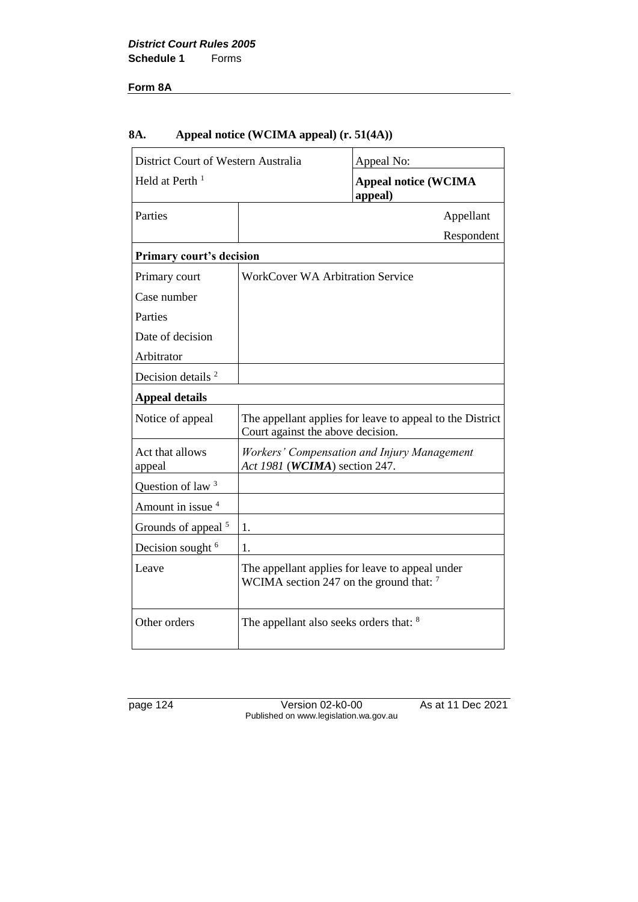### **Form 8A**

## **8A. Appeal notice (WCIMA appeal) (r. 51(4A))**

| District Court of Western Australia |                                                    | Appeal No:                                                |
|-------------------------------------|----------------------------------------------------|-----------------------------------------------------------|
| Held at Perth <sup>1</sup>          |                                                    | <b>Appeal notice (WCIMA</b><br>appeal)                    |
| Parties                             |                                                    | Appellant                                                 |
|                                     |                                                    | Respondent                                                |
| <b>Primary court's decision</b>     |                                                    |                                                           |
| Primary court                       | <b>WorkCover WA Arbitration Service</b>            |                                                           |
| Case number                         |                                                    |                                                           |
| Parties                             |                                                    |                                                           |
| Date of decision                    |                                                    |                                                           |
| Arbitrator                          |                                                    |                                                           |
| Decision details <sup>2</sup>       |                                                    |                                                           |
| <b>Appeal details</b>               |                                                    |                                                           |
| Notice of appeal                    | Court against the above decision.                  | The appellant applies for leave to appeal to the District |
| Act that allows<br>appeal           | Act 1981 (WCIMA) section 247.                      | Workers' Compensation and Injury Management               |
| Question of law <sup>3</sup>        |                                                    |                                                           |
| Amount in issue 4                   |                                                    |                                                           |
| Grounds of appeal <sup>5</sup>      | 1.                                                 |                                                           |
| Decision sought <sup>6</sup>        | 1.                                                 |                                                           |
| Leave                               | WCIMA section 247 on the ground that: $^7$         | The appellant applies for leave to appeal under           |
| Other orders                        | The appellant also seeks orders that: <sup>8</sup> |                                                           |

page 124 Version 02-k0-00 As at 11 Dec 2021 Published on www.legislation.wa.gov.au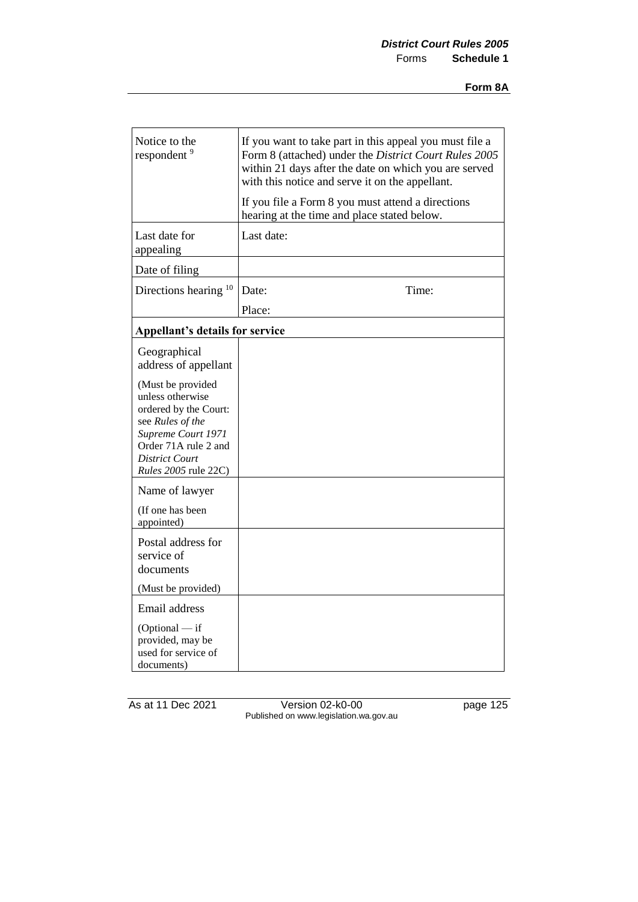| Notice to the<br>respondent <sup>9</sup>                                                                                                                                   | If you want to take part in this appeal you must file a<br>Form 8 (attached) under the District Court Rules 2005<br>within 21 days after the date on which you are served<br>with this notice and serve it on the appellant. |
|----------------------------------------------------------------------------------------------------------------------------------------------------------------------------|------------------------------------------------------------------------------------------------------------------------------------------------------------------------------------------------------------------------------|
|                                                                                                                                                                            | If you file a Form 8 you must attend a directions<br>hearing at the time and place stated below.                                                                                                                             |
| Last date for<br>appealing                                                                                                                                                 | Last date:                                                                                                                                                                                                                   |
| Date of filing                                                                                                                                                             |                                                                                                                                                                                                                              |
| Directions hearing <sup>10</sup>                                                                                                                                           | Date:<br>Time:                                                                                                                                                                                                               |
|                                                                                                                                                                            | Place:                                                                                                                                                                                                                       |
| <b>Appellant's details for service</b>                                                                                                                                     |                                                                                                                                                                                                                              |
| Geographical<br>address of appellant                                                                                                                                       |                                                                                                                                                                                                                              |
| (Must be provided<br>unless otherwise<br>ordered by the Court:<br>see Rules of the<br>Supreme Court 1971<br>Order 71A rule 2 and<br>District Court<br>Rules 2005 rule 22C) |                                                                                                                                                                                                                              |
| Name of lawyer<br>(If one has been<br>appointed)                                                                                                                           |                                                                                                                                                                                                                              |
| Postal address for<br>service of<br>documents                                                                                                                              |                                                                                                                                                                                                                              |
| (Must be provided)                                                                                                                                                         |                                                                                                                                                                                                                              |
| Email address<br>$(Optional - if$<br>provided, may be<br>used for service of<br>documents)                                                                                 |                                                                                                                                                                                                                              |

As at 11 Dec 2021 Version 02-k0-00 page 125 Published on www.legislation.wa.gov.au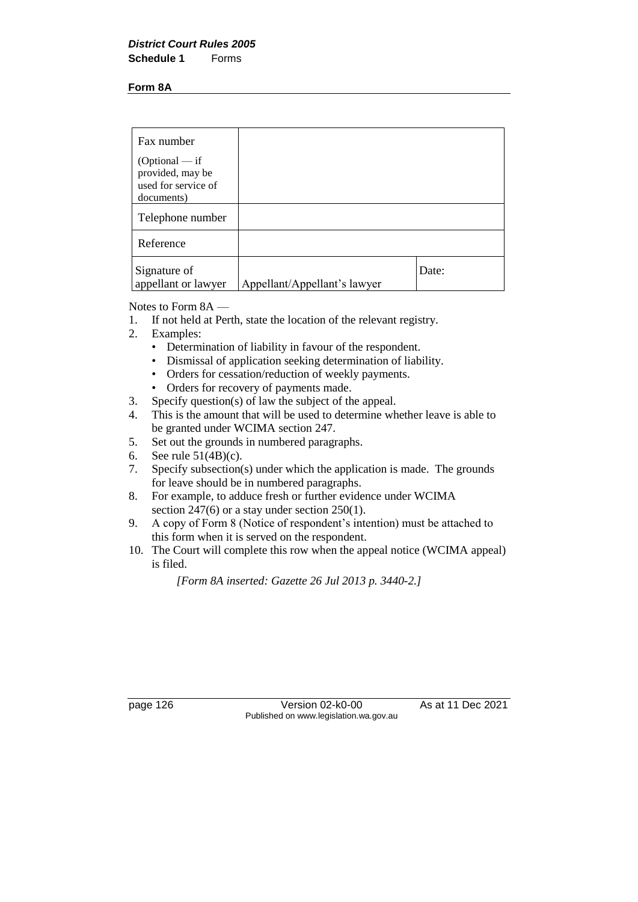#### **Form 8A**

| Fax number                                                                |                              |       |
|---------------------------------------------------------------------------|------------------------------|-------|
| $(Optional - if$<br>provided, may be<br>used for service of<br>documents) |                              |       |
| Telephone number                                                          |                              |       |
| Reference                                                                 |                              |       |
| Signature of<br>appellant or lawyer                                       | Appellant/Appellant's lawyer | Date: |

Notes to Form 8A —

- 1. If not held at Perth, state the location of the relevant registry.
- 2. Examples:
	- Determination of liability in favour of the respondent.
	- Dismissal of application seeking determination of liability.
	- Orders for cessation/reduction of weekly payments.
	- Orders for recovery of payments made.
- 3. Specify question(s) of law the subject of the appeal.
- 4. This is the amount that will be used to determine whether leave is able to be granted under WCIMA section 247.
- 5. Set out the grounds in numbered paragraphs.
- 6. See rule 51(4B)(c).
- 7. Specify subsection(s) under which the application is made. The grounds for leave should be in numbered paragraphs.
- 8. For example, to adduce fresh or further evidence under WCIMA section 247(6) or a stay under section 250(1).
- 9. A copy of Form 8 (Notice of respondent's intention) must be attached to this form when it is served on the respondent.
- 10. The Court will complete this row when the appeal notice (WCIMA appeal) is filed.

*[Form 8A inserted: Gazette 26 Jul 2013 p. 3440-2.]*

page 126 Version 02-k0-00 As at 11 Dec 2021 Published on www.legislation.wa.gov.au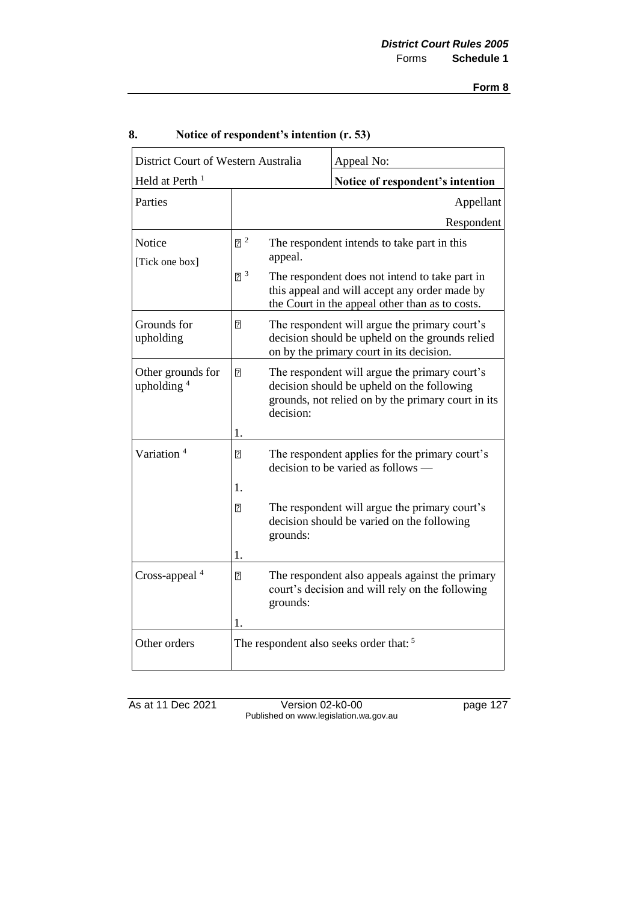| District Court of Western Australia |                            |                                                                                                                                                    | Appeal No:                                                                                                                                        |  |
|-------------------------------------|----------------------------|----------------------------------------------------------------------------------------------------------------------------------------------------|---------------------------------------------------------------------------------------------------------------------------------------------------|--|
| Held at Perth <sup>1</sup>          |                            |                                                                                                                                                    | Notice of respondent's intention                                                                                                                  |  |
| Parties                             |                            |                                                                                                                                                    | Appellant                                                                                                                                         |  |
|                                     |                            |                                                                                                                                                    | Respondent                                                                                                                                        |  |
| Notice<br>[Tick one box]            | $\sqrt{2}$                 | The respondent intends to take part in this<br>appeal.                                                                                             |                                                                                                                                                   |  |
|                                     | $2^3$                      | The respondent does not intend to take part in<br>this appeal and will accept any order made by<br>the Court in the appeal other than as to costs. |                                                                                                                                                   |  |
| Grounds for<br>upholding            | 7                          |                                                                                                                                                    | The respondent will argue the primary court's<br>decision should be upheld on the grounds relied<br>on by the primary court in its decision.      |  |
| Other grounds for<br>upholding $4$  | 7                          | decision:                                                                                                                                          | The respondent will argue the primary court's<br>decision should be upheld on the following<br>grounds, not relied on by the primary court in its |  |
| Variation <sup>4</sup>              | 1.<br>$\overline{2}$<br>1. |                                                                                                                                                    | The respondent applies for the primary court's<br>decision to be varied as follows $-$                                                            |  |
|                                     | 7<br>1.                    | grounds:                                                                                                                                           | The respondent will argue the primary court's<br>decision should be varied on the following                                                       |  |
| Cross-appeal <sup>4</sup>           | 7<br>1.                    | grounds:                                                                                                                                           | The respondent also appeals against the primary<br>court's decision and will rely on the following                                                |  |
| Other orders                        |                            |                                                                                                                                                    | The respondent also seeks order that: <sup>5</sup>                                                                                                |  |

## **8. Notice of respondent's intention (r. 53)**

As at 11 Dec 2021 Version 02-k0-00 page 127 Published on www.legislation.wa.gov.au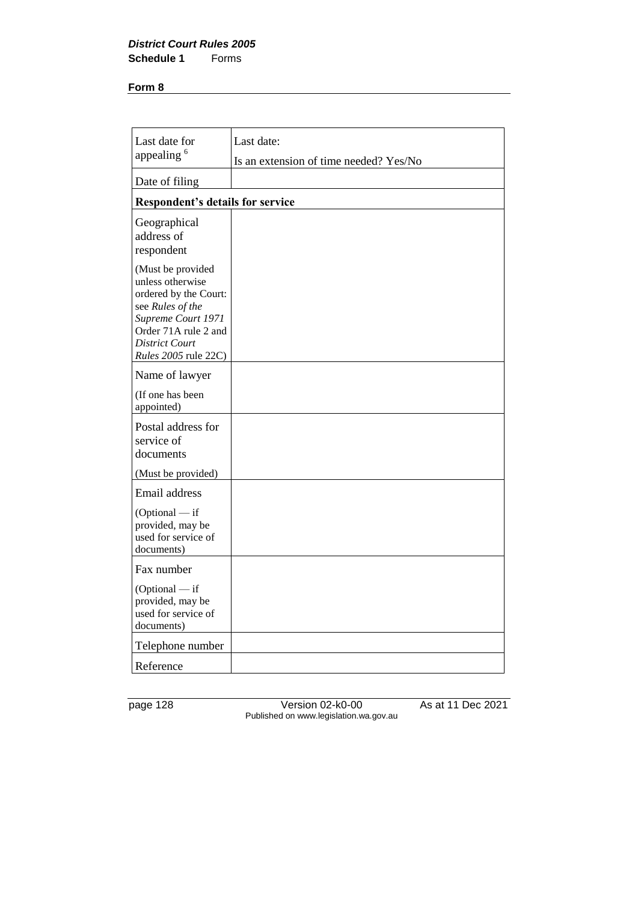#### *District Court Rules 2005* **Schedule 1**

#### **Form 8**

| Last date for                                                                                                                                                                     | Last date:                             |
|-----------------------------------------------------------------------------------------------------------------------------------------------------------------------------------|----------------------------------------|
| appealing <sup>6</sup>                                                                                                                                                            | Is an extension of time needed? Yes/No |
| Date of filing                                                                                                                                                                    |                                        |
| <b>Respondent's details for service</b>                                                                                                                                           |                                        |
| Geographical<br>address of<br>respondent                                                                                                                                          |                                        |
| (Must be provided<br>unless otherwise<br>ordered by the Court:<br>see Rules of the<br>Supreme Court 1971<br>Order 71A rule 2 and<br>District Court<br><i>Rules</i> 2005 rule 22C) |                                        |
| Name of lawyer                                                                                                                                                                    |                                        |
| (If one has been<br>appointed)                                                                                                                                                    |                                        |
| Postal address for<br>service of<br>documents<br>(Must be provided)                                                                                                               |                                        |
| Email address                                                                                                                                                                     |                                        |
| $(Optional - if$<br>provided, may be<br>used for service of<br>documents)                                                                                                         |                                        |
| Fax number                                                                                                                                                                        |                                        |
| $(Optional - if$<br>provided, may be<br>used for service of<br>documents)                                                                                                         |                                        |
| Telephone number                                                                                                                                                                  |                                        |
| Reference                                                                                                                                                                         |                                        |

page 128 Version 02-k0-00 As at 11 Dec 2021 Published on www.legislation.wa.gov.au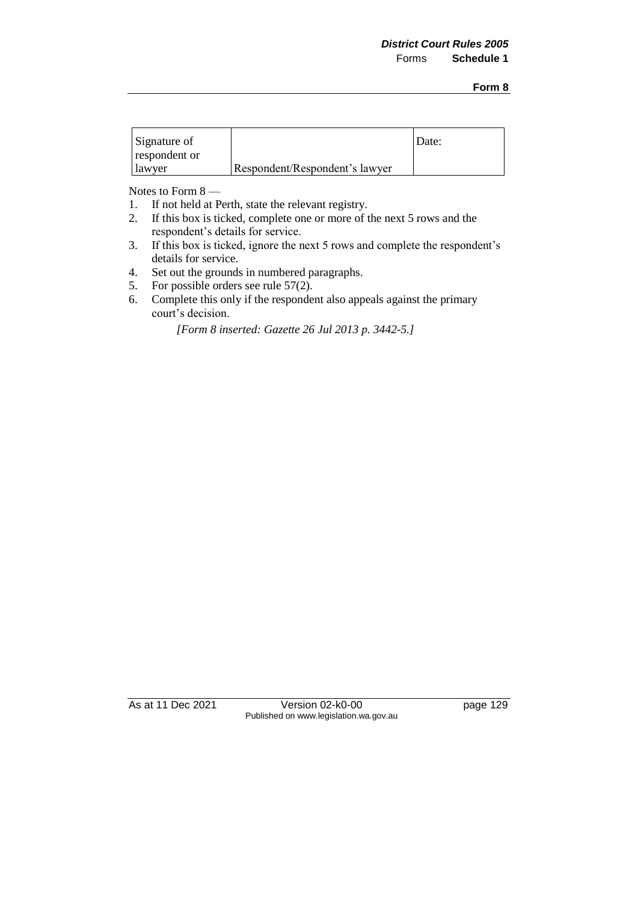| Signature of  |                                | Date: |
|---------------|--------------------------------|-------|
| respondent or |                                |       |
| lawyer        | Respondent/Respondent's lawyer |       |

Notes to Form 8 —

- 1. If not held at Perth, state the relevant registry.<br>2. If this box is ticked, complete one or more of t
- 2. If this box is ticked, complete one or more of the next 5 rows and the respondent's details for service.
- 3. If this box is ticked, ignore the next 5 rows and complete the respondent's details for service.
- 4. Set out the grounds in numbered paragraphs.
- 5. For possible orders see rule 57(2).
- 6. Complete this only if the respondent also appeals against the primary court's decision.

*[Form 8 inserted: Gazette 26 Jul 2013 p. 3442-5.]*

As at 11 Dec 2021 Version 02-k0-00 page 129 Published on www.legislation.wa.gov.au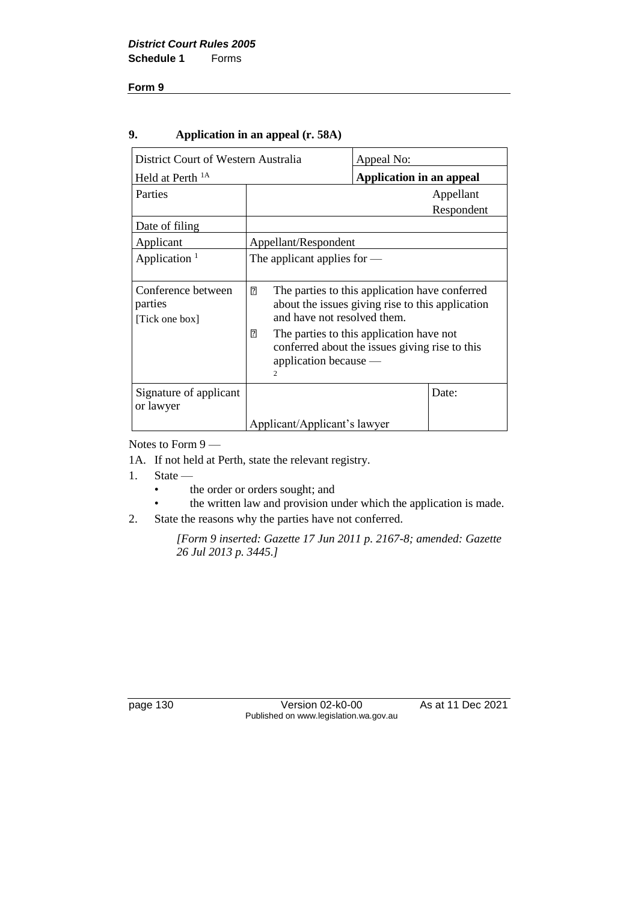## **9. Application in an appeal (r. 58A)**

| District Court of Western Australia             |                                                                                                                                                         | Appeal No:                      |            |
|-------------------------------------------------|---------------------------------------------------------------------------------------------------------------------------------------------------------|---------------------------------|------------|
| Held at Perth <sup>1A</sup>                     |                                                                                                                                                         | <b>Application in an appeal</b> |            |
| Parties                                         |                                                                                                                                                         |                                 | Appellant  |
|                                                 |                                                                                                                                                         |                                 | Respondent |
| Date of filing                                  |                                                                                                                                                         |                                 |            |
| Applicant                                       | Appellant/Respondent                                                                                                                                    |                                 |            |
| Application $1$                                 | The applicant applies for $-$                                                                                                                           |                                 |            |
| Conference between<br>parties<br>[Tick one box] | 卪<br>The parties to this application have conferred<br>about the issues giving rise to this application<br>and have not resolved them.                  |                                 |            |
|                                                 | $\overline{2}$<br>The parties to this application have not<br>conferred about the issues giving rise to this<br>application because —<br>$\overline{c}$ |                                 |            |
| Signature of applicant<br>or lawyer             |                                                                                                                                                         |                                 | Date:      |
|                                                 | Applicant/Applicant's lawyer                                                                                                                            |                                 |            |

Notes to Form 9 —

1A. If not held at Perth, state the relevant registry.

1. State —

- the order or orders sought; and
- the written law and provision under which the application is made.
- 2. State the reasons why the parties have not conferred.

*[Form 9 inserted: Gazette 17 Jun 2011 p. 2167-8; amended: Gazette 26 Jul 2013 p. 3445.]*

page 130 Version 02-k0-00 As at 11 Dec 2021 Published on www.legislation.wa.gov.au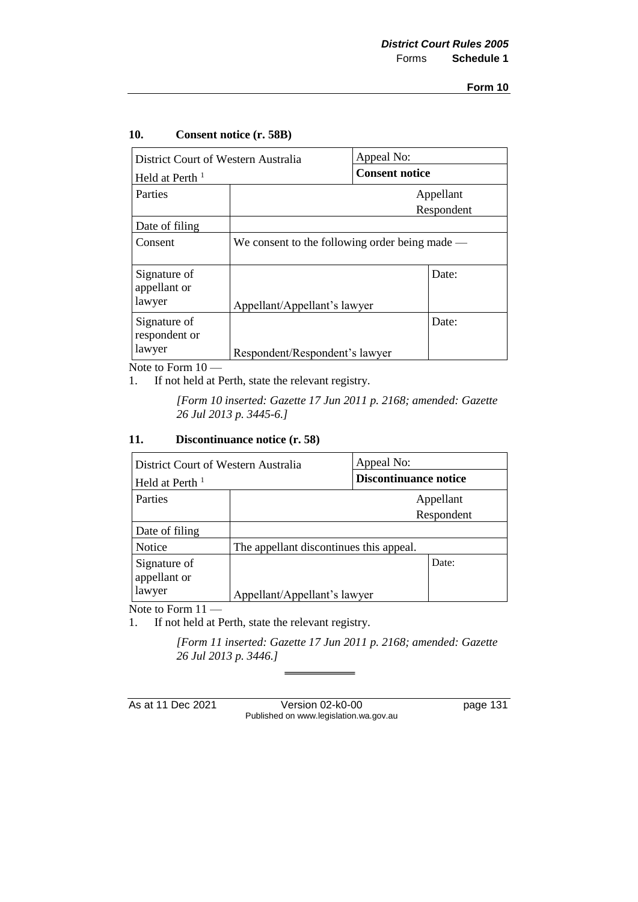| District Court of Western Australia     |                                                  | Appeal No:            |                         |
|-----------------------------------------|--------------------------------------------------|-----------------------|-------------------------|
| Held at Perth $1$                       |                                                  | <b>Consent notice</b> |                         |
| Parties                                 |                                                  |                       | Appellant<br>Respondent |
| Date of filing                          |                                                  |                       |                         |
| Consent                                 | We consent to the following order being made $-$ |                       |                         |
| Signature of<br>appellant or<br>lawyer  | Appellant/Appellant's lawyer                     |                       | Date:                   |
| Signature of<br>respondent or<br>lawyer | Respondent/Respondent's lawyer                   |                       | Date:                   |

#### **10. Consent notice (r. 58B)**

Note to Form 10 —

1. If not held at Perth, state the relevant registry.

*[Form 10 inserted: Gazette 17 Jun 2011 p. 2168; amended: Gazette 26 Jul 2013 p. 3445-6.]*

### **11. Discontinuance notice (r. 58)**

| District Court of Western Australia    |                                         | Appeal No:                   |                         |
|----------------------------------------|-----------------------------------------|------------------------------|-------------------------|
| Held at Perth <sup>1</sup>             |                                         | <b>Discontinuance notice</b> |                         |
| Parties                                |                                         |                              | Appellant<br>Respondent |
| Date of filing                         |                                         |                              |                         |
| Notice                                 | The appellant discontinues this appeal. |                              |                         |
| Signature of<br>appellant or<br>lawyer | Appellant/Appellant's lawyer            |                              | Date:                   |

Note to Form  $11-$ 

1. If not held at Perth, state the relevant registry.

*[Form 11 inserted: Gazette 17 Jun 2011 p. 2168; amended: Gazette 26 Jul 2013 p. 3446.]*

As at 11 Dec 2021 Version 02-k0-00 page 131 Published on www.legislation.wa.gov.au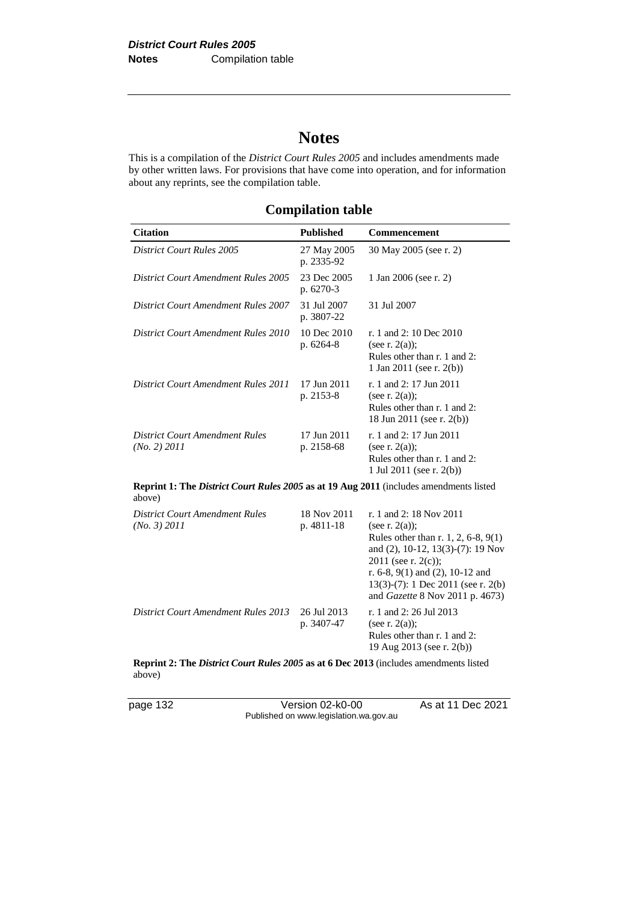# **Notes**

This is a compilation of the *District Court Rules 2005* and includes amendments made by other written laws. For provisions that have come into operation, and for information about any reprints, see the compilation table.

| <b>Citation</b>                                                                                         | <b>Published</b>          | <b>Commencement</b>                                                                                                                                                                                                                                                        |  |
|---------------------------------------------------------------------------------------------------------|---------------------------|----------------------------------------------------------------------------------------------------------------------------------------------------------------------------------------------------------------------------------------------------------------------------|--|
| <b>District Court Rules 2005</b>                                                                        | 27 May 2005<br>p. 2335-92 | 30 May 2005 (see r. 2)                                                                                                                                                                                                                                                     |  |
| <b>District Court Amendment Rules 2005</b>                                                              | 23 Dec 2005<br>p. 6270-3  | 1 Jan 2006 (see r. 2)                                                                                                                                                                                                                                                      |  |
| <b>District Court Amendment Rules 2007</b>                                                              | 31 Jul 2007<br>p. 3807-22 | 31 Jul 2007                                                                                                                                                                                                                                                                |  |
| <b>District Court Amendment Rules 2010</b>                                                              | 10 Dec 2010<br>p. 6264-8  | r. 1 and 2: 10 Dec 2010<br>(see r. $2(a)$ );<br>Rules other than r. 1 and 2:<br>1 Jan 2011 (see r. 2(b))                                                                                                                                                                   |  |
| <b>District Court Amendment Rules 2011</b>                                                              | 17 Jun 2011<br>p. 2153-8  | r. 1 and 2: 17 Jun 2011<br>(see r. $2(a)$ );<br>Rules other than r. 1 and 2:<br>18 Jun 2011 (see r. 2(b))                                                                                                                                                                  |  |
| <b>District Court Amendment Rules</b><br>(No. 2) 2011                                                   | 17 Jun 2011<br>p. 2158-68 | r. 1 and 2: 17 Jun 2011<br>(see r. $2(a)$ );<br>Rules other than r. 1 and 2:<br>1 Jul 2011 (see r. $2(b)$ )                                                                                                                                                                |  |
| <b>Reprint 1: The District Court Rules 2005 as at 19 Aug 2011</b> (includes amendments listed<br>above) |                           |                                                                                                                                                                                                                                                                            |  |
| <b>District Court Amendment Rules</b><br>(No. 3) 2011                                                   | 18 Nov 2011<br>p. 4811-18 | r. 1 and 2: 18 Nov 2011<br>(see r. $2(a)$ );<br>Rules other than r. 1, 2, 6-8, 9(1)<br>and (2), 10-12, 13(3)-(7): 19 Nov<br>2011 (see r. 2(c));<br>r. 6-8, $9(1)$ and $(2)$ , 10-12 and<br>$13(3)-(7)$ : 1 Dec 2011 (see r. 2(b)<br>and <i>Gazette</i> 8 Nov 2011 p. 4673) |  |
| <b>District Court Amendment Rules 2013</b>                                                              | 26 Jul 2013<br>p. 3407-47 | r. 1 and 2: 26 Jul 2013<br>(see r. $2(a)$ );<br>Rules other than r. 1 and 2:                                                                                                                                                                                               |  |

**Reprint 2: The** *District Court Rules 2005* **as at 6 Dec 2013** (includes amendments listed above)

page 132 Version 02-k0-00 As at 11 Dec 2021 Published on www.legislation.wa.gov.au

19 Aug 2013 (see r. 2(b))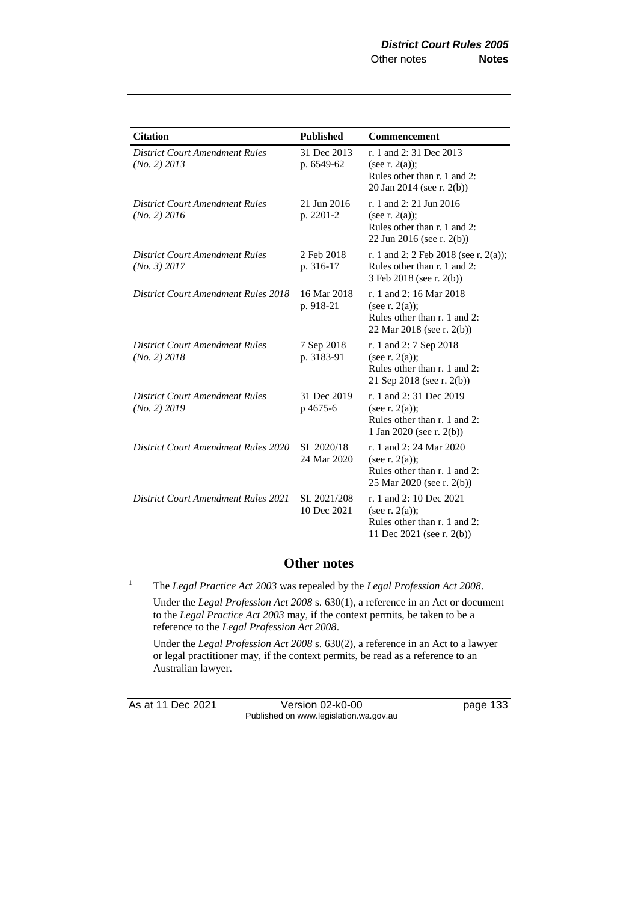| <b>Citation</b>                                       | <b>Published</b>           | <b>Commencement</b>                                                                                        |
|-------------------------------------------------------|----------------------------|------------------------------------------------------------------------------------------------------------|
| <b>District Court Amendment Rules</b><br>(No. 2) 2013 | 31 Dec 2013<br>p. 6549-62  | r. 1 and 2:31 Dec 2013<br>(see r. $2(a)$ );<br>Rules other than r. 1 and 2:<br>20 Jan 2014 (see r. 2(b))   |
| <b>District Court Amendment Rules</b><br>(No. 2) 2016 | 21 Jun 2016<br>p. 2201-2   | r. 1 and 2: 21 Jun 2016<br>(see r. $2(a)$ );<br>Rules other than r. 1 and 2:<br>22 Jun 2016 (see r. 2(b))  |
| <b>District Court Amendment Rules</b><br>(No. 3) 2017 | 2 Feb 2018<br>p. 316-17    | r. 1 and 2: 2 Feb 2018 (see r. 2(a));<br>Rules other than r. 1 and 2:<br>3 Feb 2018 (see r. 2(b))          |
| <b>District Court Amendment Rules 2018</b>            | 16 Mar 2018<br>p. 918-21   | r. 1 and 2: 16 Mar 2018<br>(see r. $2(a)$ );<br>Rules other than r. 1 and 2:<br>22 Mar 2018 (see r. 2(b))  |
| <b>District Court Amendment Rules</b><br>(No. 2) 2018 | 7 Sep 2018<br>p. 3183-91   | r. 1 and 2: 7 Sep 2018<br>(see r. $2(a)$ );<br>Rules other than r. 1 and 2:<br>21 Sep 2018 (see r. 2(b))   |
| <b>District Court Amendment Rules</b><br>(No. 2) 2019 | 31 Dec 2019<br>p 4675-6    | r. 1 and 2:31 Dec 2019<br>(see r. $2(a)$ );<br>Rules other than r. 1 and 2:<br>1 Jan 2020 (see r. $2(b)$ ) |
| <b>District Court Amendment Rules 2020</b>            | SL 2020/18<br>24 Mar 2020  | r. 1 and 2: 24 Mar 2020<br>(see r. $2(a)$ );<br>Rules other than r. 1 and 2:<br>25 Mar 2020 (see r. 2(b))  |
| <b>District Court Amendment Rules 2021</b>            | SL 2021/208<br>10 Dec 2021 | r. 1 and 2: 10 Dec 2021<br>(see r. $2(a)$ );<br>Rules other than r. 1 and 2:<br>11 Dec 2021 (see r. 2(b))  |

## **Other notes**

<sup>1</sup> The *Legal Practice Act 2003* was repealed by the *Legal Profession Act 2008*. Under the *Legal Profession Act 2008* s. 630(1), a reference in an Act or document to the *Legal Practice Act 2003* may, if the context permits, be taken to be a reference to the *Legal Profession Act 2008*.

Under the *Legal Profession Act 2008* s. 630(2), a reference in an Act to a lawyer or legal practitioner may, if the context permits, be read as a reference to an Australian lawyer.

As at 11 Dec 2021 Version 02-k0-00 page 133 Published on www.legislation.wa.gov.au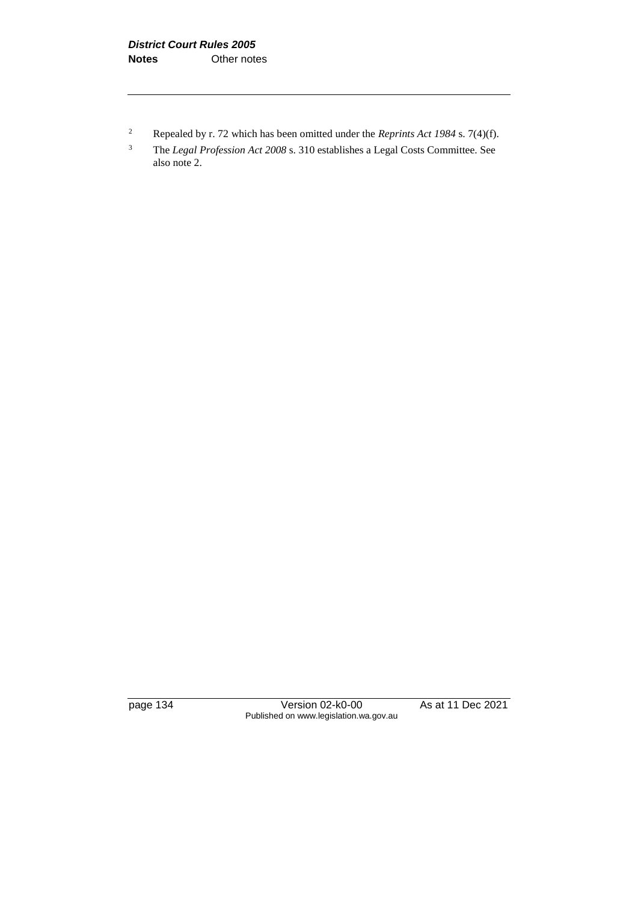<sup>2</sup> Repealed by r. 72 which has been omitted under the *Reprints Act 1984* s. 7(4)(f).

page 134 Version 02-k0-00 As at 11 Dec 2021 Published on www.legislation.wa.gov.au

<sup>3</sup> The *Legal Profession Act 2008* s. 310 establishes a Legal Costs Committee. See also note 2.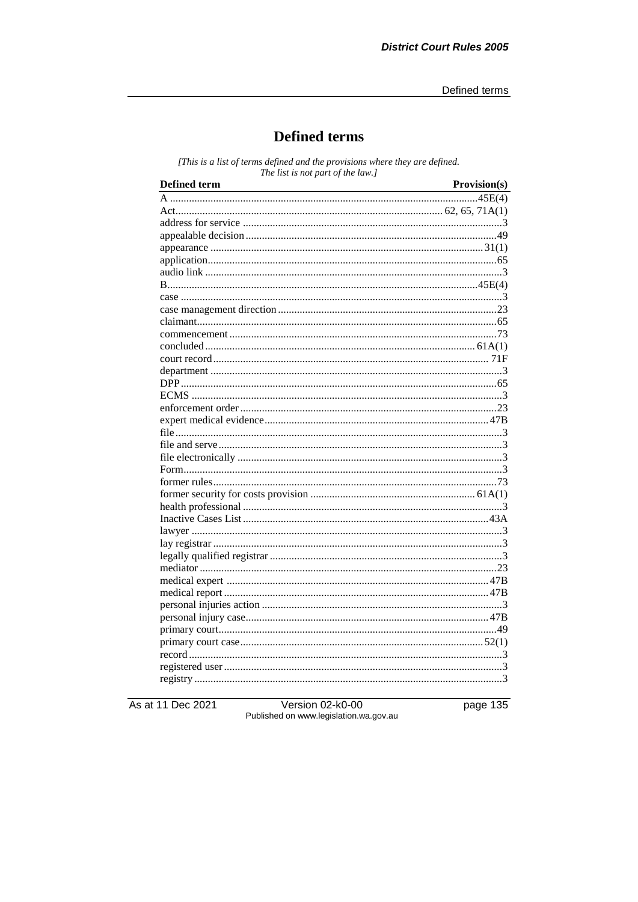## **Defined terms**

[This is a list of terms defined and the provisions where they are defined. The list is not part of the law.]

| <b>Defined term</b> | Provision(s) |
|---------------------|--------------|
|                     |              |
|                     |              |
|                     |              |
|                     |              |
|                     |              |
|                     |              |
|                     |              |
|                     |              |
|                     |              |
|                     |              |
|                     |              |
|                     |              |
|                     |              |
|                     |              |
|                     |              |
|                     |              |
|                     |              |
|                     |              |
|                     |              |
|                     |              |
|                     |              |
|                     |              |
|                     |              |
|                     |              |
|                     |              |
|                     |              |
|                     |              |
|                     |              |
|                     |              |
|                     |              |
|                     |              |
|                     |              |
|                     |              |
|                     |              |
|                     |              |
|                     |              |
|                     |              |
|                     |              |
|                     |              |
|                     |              |

As at 11 Dec 2021

Version 02-k0-00<br>Published on www.legislation.wa.gov.au

page 135